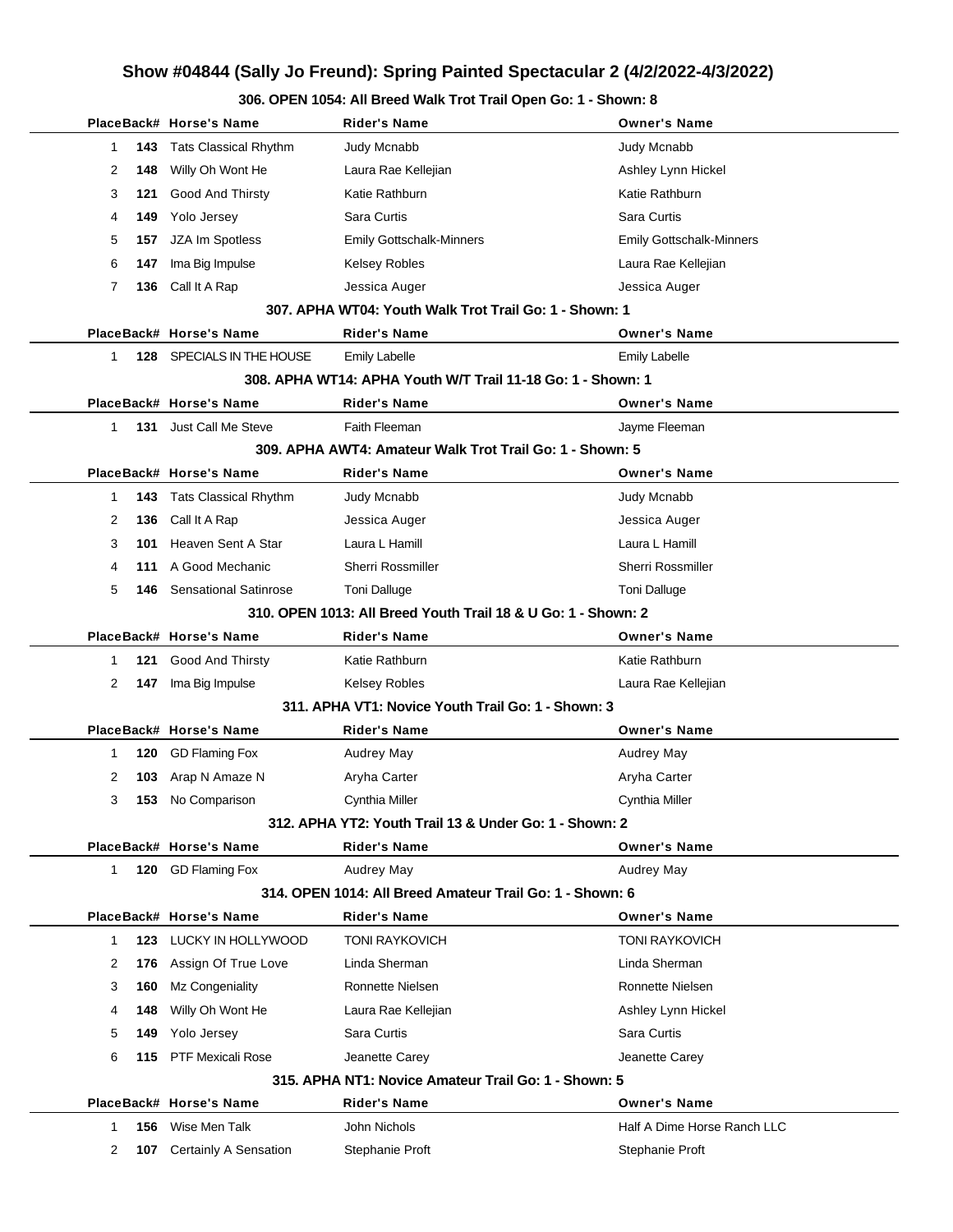|                     | PlaceBack# Horse's Name       | <b>Rider's Name</b>                                           | <b>Owner's Name</b>             |
|---------------------|-------------------------------|---------------------------------------------------------------|---------------------------------|
| 143<br>1            | <b>Tats Classical Rhythm</b>  | Judy Mcnabb                                                   | Judy Mcnabb                     |
| 2<br>148            | Willy Oh Wont He              | Laura Rae Kellejian                                           | Ashley Lynn Hickel              |
| 121<br>3            | <b>Good And Thirsty</b>       | Katie Rathburn                                                | Katie Rathburn                  |
| 149<br>4            | Yolo Jersey                   | Sara Curtis                                                   | Sara Curtis                     |
| 157<br>5            | JZA Im Spotless               | <b>Emily Gottschalk-Minners</b>                               | <b>Emily Gottschalk-Minners</b> |
| 6<br>147            | Ima Big Impulse               | Kelsey Robles                                                 | Laura Rae Kellejian             |
| 7<br>136            | Call It A Rap                 | Jessica Auger                                                 | Jessica Auger                   |
|                     |                               | 307. APHA WT04: Youth Walk Trot Trail Go: 1 - Shown: 1        |                                 |
|                     | PlaceBack# Horse's Name       | Rider's Name                                                  | <b>Owner's Name</b>             |
| $\mathbf{1}$<br>128 | SPECIALS IN THE HOUSE         | <b>Emily Labelle</b>                                          | <b>Emily Labelle</b>            |
|                     |                               | 308. APHA WT14: APHA Youth W/T Trail 11-18 Go: 1 - Shown: 1   |                                 |
|                     | PlaceBack# Horse's Name       | <b>Rider's Name</b>                                           | <b>Owner's Name</b>             |
| $\mathbf{1}$        | <b>131</b> Just Call Me Steve | Faith Fleeman                                                 | Jayme Fleeman                   |
|                     |                               | 309. APHA AWT4: Amateur Walk Trot Trail Go: 1 - Shown: 5      |                                 |
|                     | PlaceBack# Horse's Name       | <b>Rider's Name</b>                                           | <b>Owner's Name</b>             |
| 143<br>1            | <b>Tats Classical Rhythm</b>  | Judy Mcnabb                                                   | Judy Mcnabb                     |
| 2<br>136            | Call It A Rap                 | Jessica Auger                                                 | Jessica Auger                   |
| 3<br>101            | Heaven Sent A Star            | Laura L Hamill                                                | Laura L Hamill                  |
| 4<br>111            | A Good Mechanic               | <b>Sherri Rossmiller</b>                                      | <b>Sherri Rossmiller</b>        |
| 5<br>146            | <b>Sensational Satinrose</b>  | <b>Toni Dalluge</b>                                           | <b>Toni Dalluge</b>             |
|                     |                               | 310, OPEN 1013: All Breed Youth Trail 18 & U Go: 1 - Shown: 2 |                                 |
|                     | PlaceBack# Horse's Name       | <b>Rider's Name</b>                                           | <b>Owner's Name</b>             |
| 121<br>1            | <b>Good And Thirsty</b>       | Katie Rathburn                                                | Katie Rathburn                  |
| 2<br>147            | Ima Big Impulse               | Kelsey Robles                                                 | Laura Rae Kellejian             |
|                     |                               | 311. APHA VT1: Novice Youth Trail Go: 1 - Shown: 3            |                                 |
|                     | PlaceBack# Horse's Name       | <b>Rider's Name</b>                                           | <b>Owner's Name</b>             |
| 120<br>1            | <b>GD Flaming Fox</b>         | Audrey May                                                    | <b>Audrey May</b>               |
| 2<br>103            | Arap N Amaze N                | Aryha Carter                                                  | Aryha Carter                    |
| 3<br>153            | No Comparison                 | Cynthia Miller                                                | Cynthia Miller                  |
|                     |                               | 312. APHA YT2: Youth Trail 13 & Under Go: 1 - Shown: 2        |                                 |
|                     | PlaceBack# Horse's Name       | <b>Rider's Name</b>                                           | <b>Owner's Name</b>             |
| $\mathbf{1}$<br>120 | <b>GD Flaming Fox</b>         | Audrey May                                                    | Audrey May                      |
|                     |                               | 314, OPEN 1014: All Breed Amateur Trail Go: 1 - Shown: 6      |                                 |
|                     | PlaceBack# Horse's Name       | <b>Rider's Name</b>                                           | <b>Owner's Name</b>             |
| 123<br>$\mathbf{1}$ | LUCKY IN HOLLYWOOD            | <b>TONI RAYKOVICH</b>                                         | <b>TONI RAYKOVICH</b>           |
| 2<br>176            | Assign Of True Love           | Linda Sherman                                                 | Linda Sherman                   |
| 3<br>160            | Mz Congeniality               | Ronnette Nielsen                                              | Ronnette Nielsen                |
| 148<br>4            | Willy Oh Wont He              | Laura Rae Kellejian                                           | Ashley Lynn Hickel              |
| 5<br>149            | Yolo Jersey                   | Sara Curtis                                                   | Sara Curtis                     |
| 6<br>115            | <b>PTF Mexicali Rose</b>      | Jeanette Carey                                                | Jeanette Carey                  |
|                     |                               | 315. APHA NT1: Novice Amateur Trail Go: 1 - Shown: 5          |                                 |
|                     | PlaceBack# Horse's Name       | <b>Rider's Name</b>                                           | <b>Owner's Name</b>             |
| 156<br>$\mathbf{1}$ | Wise Men Talk                 | John Nichols                                                  | Half A Dime Horse Ranch LLC     |
| 2<br>107            | Certainly A Sensation         | Stephanie Proft                                               | Stephanie Proft                 |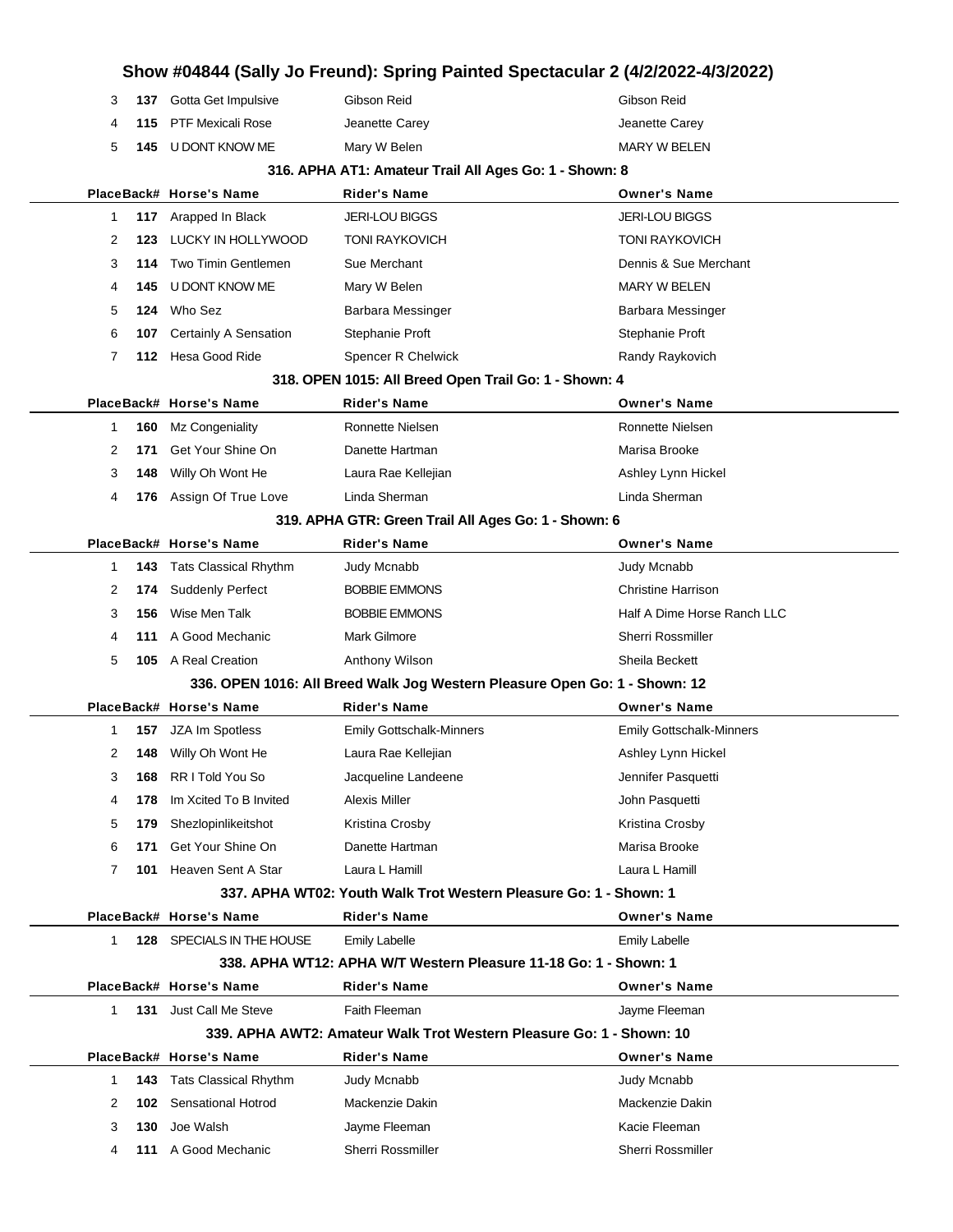|   |      |                               | Show #04844 (Sally Jo Freund): Spring Painted Spectacular 2 (4/2/2022-4/3/2022) |                                 |
|---|------|-------------------------------|---------------------------------------------------------------------------------|---------------------------------|
| 3 |      | 137 Gotta Get Impulsive       | Gibson Reid                                                                     | Gibson Reid                     |
| 4 | 115  | <b>PTF Mexicali Rose</b>      | Jeanette Carey                                                                  | Jeanette Carey                  |
| 5 |      | 145 U DONT KNOW ME            | Mary W Belen                                                                    | <b>MARY W BELEN</b>             |
|   |      |                               | 316. APHA AT1: Amateur Trail All Ages Go: 1 - Shown: 8                          |                                 |
|   |      | PlaceBack# Horse's Name       | <b>Rider's Name</b>                                                             | <b>Owner's Name</b>             |
| 1 |      | 117 Arapped In Black          | <b>JERI-LOU BIGGS</b>                                                           | <b>JERI-LOU BIGGS</b>           |
| 2 | 123. | LUCKY IN HOLLYWOOD            | <b>TONI RAYKOVICH</b>                                                           | <b>TONI RAYKOVICH</b>           |
| 3 | 114  | Two Timin Gentlemen           | Sue Merchant                                                                    | Dennis & Sue Merchant           |
| 4 |      | 145 U DONT KNOW ME            | Mary W Belen                                                                    | <b>MARY W BELEN</b>             |
| 5 | 124  | Who Sez                       | Barbara Messinger                                                               | Barbara Messinger               |
| 6 | 107  | <b>Certainly A Sensation</b>  | Stephanie Proft                                                                 | Stephanie Proft                 |
| 7 |      | 112 Hesa Good Ride            | Spencer R Chelwick                                                              | Randy Raykovich                 |
|   |      |                               | 318. OPEN 1015: All Breed Open Trail Go: 1 - Shown: 4                           |                                 |
|   |      | PlaceBack# Horse's Name       | <b>Rider's Name</b>                                                             | <b>Owner's Name</b>             |
| 1 | 160  | Mz Congeniality               | Ronnette Nielsen                                                                | Ronnette Nielsen                |
| 2 | 171  | Get Your Shine On             | Danette Hartman                                                                 | Marisa Brooke                   |
| 3 | 148  | Willy Oh Wont He              | Laura Rae Kellejian                                                             | Ashley Lynn Hickel              |
| 4 |      | 176 Assign Of True Love       | Linda Sherman                                                                   | Linda Sherman                   |
|   |      |                               | 319. APHA GTR: Green Trail All Ages Go: 1 - Shown: 6                            |                                 |
|   |      | PlaceBack# Horse's Name       | <b>Rider's Name</b>                                                             | <b>Owner's Name</b>             |
| 1 | 143  | Tats Classical Rhythm         | Judy Mcnabb                                                                     | Judy Mcnabb                     |
| 2 | 174  | <b>Suddenly Perfect</b>       | <b>BOBBIE EMMONS</b>                                                            | <b>Christine Harrison</b>       |
| 3 | 156  | Wise Men Talk                 | <b>BOBBIE EMMONS</b>                                                            | Half A Dime Horse Ranch LLC     |
| 4 | 111  | A Good Mechanic               | <b>Mark Gilmore</b>                                                             | Sherri Rossmiller               |
| 5 |      | 105 A Real Creation           | Anthony Wilson                                                                  | Sheila Beckett                  |
|   |      |                               | 336. OPEN 1016: All Breed Walk Jog Western Pleasure Open Go: 1 - Shown: 12      |                                 |
|   |      | PlaceBack# Horse's Name       | Rider's Name                                                                    | <b>Owner's Name</b>             |
| 1 | 157  | JZA Im Spotless               | <b>Emily Gottschalk-Minners</b>                                                 | <b>Emily Gottschalk-Minners</b> |
| 2 |      | <b>148</b> Willy Oh Wont He   | Laura Rae Kellejian                                                             | Ashley Lynn Hickel              |
| 3 |      | 168 RR I Told You So          | Jacqueline Landeene                                                             | Jennifer Pasquetti              |
| 4 | 178  | Im Xcited To B Invited        | Alexis Miller                                                                   | John Pasquetti                  |
| 5 |      | 179 Shezlopinlikeitshot       | Kristina Crosby                                                                 | Kristina Crosby                 |
| 6 | 171  | Get Your Shine On             | Danette Hartman                                                                 | Marisa Brooke                   |
| 7 |      | 101 Heaven Sent A Star        | Laura L Hamill                                                                  | Laura L Hamill                  |
|   |      |                               | 337. APHA WT02: Youth Walk Trot Western Pleasure Go: 1 - Shown: 1               |                                 |
|   |      | PlaceBack# Horse's Name       | <b>Rider's Name</b>                                                             | <b>Owner's Name</b>             |
| 1 |      | 128 SPECIALS IN THE HOUSE     | <b>Emily Labelle</b>                                                            | Emily Labelle                   |
|   |      |                               | 338. APHA WT12: APHA W/T Western Pleasure 11-18 Go: 1 - Shown: 1                |                                 |
|   |      | PlaceBack# Horse's Name       | <b>Rider's Name</b>                                                             | <b>Owner's Name</b>             |
| 1 |      | <b>131</b> Just Call Me Steve | Faith Fleeman                                                                   | Jayme Fleeman                   |
|   |      |                               | 339. APHA AWT2: Amateur Walk Trot Western Pleasure Go: 1 - Shown: 10            |                                 |
|   |      | PlaceBack# Horse's Name       | <b>Rider's Name</b>                                                             | <b>Owner's Name</b>             |
| 1 |      | 143 Tats Classical Rhythm     | Judy Mcnabb                                                                     | Judy Mcnabb                     |
| 2 |      | <b>102</b> Sensational Hotrod | Mackenzie Dakin                                                                 | Mackenzie Dakin                 |
| 3 | 130  | Joe Walsh                     | Jayme Fleeman                                                                   | Kacie Fleeman                   |
| 4 |      | 111 A Good Mechanic           | Sherri Rossmiller                                                               | Sherri Rossmiller               |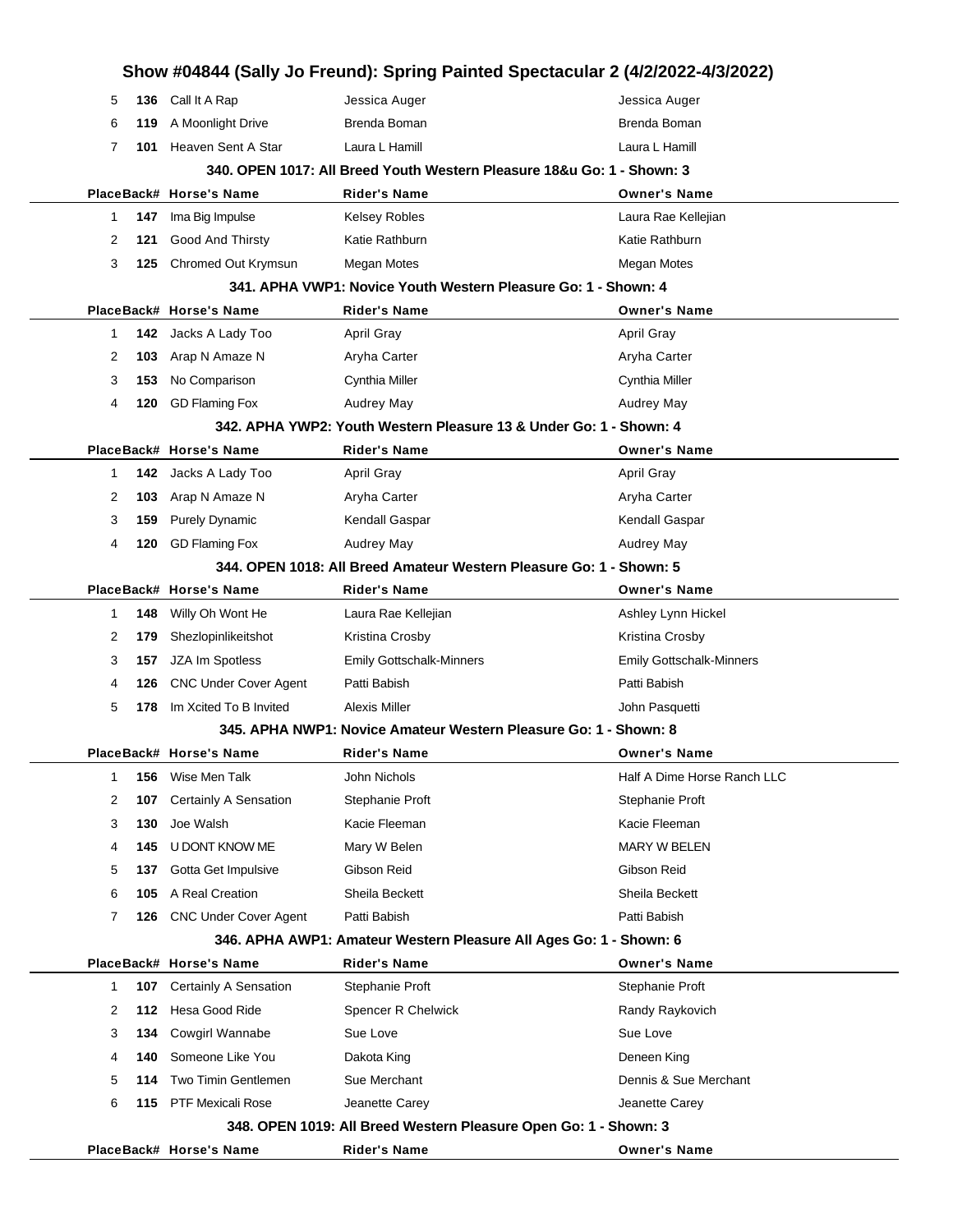|   |     |                              | Show #04844 (Sally Jo Freund): Spring Painted Spectacular 2 (4/2/2022-4/3/2022) |                                 |
|---|-----|------------------------------|---------------------------------------------------------------------------------|---------------------------------|
| 5 | 136 | Call It A Rap                | Jessica Auger                                                                   | Jessica Auger                   |
| 6 | 119 | A Moonlight Drive            | Brenda Boman                                                                    | Brenda Boman                    |
| 7 | 101 | Heaven Sent A Star           | Laura L Hamill                                                                  | Laura L Hamill                  |
|   |     |                              | 340. OPEN 1017: All Breed Youth Western Pleasure 18&u Go: 1 - Shown: 3          |                                 |
|   |     | PlaceBack# Horse's Name      | <b>Rider's Name</b>                                                             | <b>Owner's Name</b>             |
| 1 | 147 | Ima Big Impulse              | <b>Kelsey Robles</b>                                                            | Laura Rae Kellejian             |
| 2 | 121 | Good And Thirsty             | Katie Rathburn                                                                  | Katie Rathburn                  |
| 3 | 125 | Chromed Out Krymsun          | <b>Megan Motes</b>                                                              | Megan Motes                     |
|   |     |                              | 341. APHA VWP1: Novice Youth Western Pleasure Go: 1 - Shown: 4                  |                                 |
|   |     | PlaceBack# Horse's Name      | <b>Rider's Name</b>                                                             | <b>Owner's Name</b>             |
| 1 | 142 | Jacks A Lady Too             | April Gray                                                                      | April Gray                      |
| 2 | 103 | Arap N Amaze N               | Aryha Carter                                                                    | Aryha Carter                    |
| 3 | 153 | No Comparison                | Cynthia Miller                                                                  | Cynthia Miller                  |
| 4 | 120 | <b>GD Flaming Fox</b>        | Audrey May                                                                      | Audrey May                      |
|   |     |                              | 342. APHA YWP2: Youth Western Pleasure 13 & Under Go: 1 - Shown: 4              |                                 |
|   |     | PlaceBack# Horse's Name      | <b>Rider's Name</b>                                                             | <b>Owner's Name</b>             |
| 1 | 142 | Jacks A Lady Too             | <b>April Gray</b>                                                               | <b>April Gray</b>               |
| 2 | 103 | Arap N Amaze N               | Aryha Carter                                                                    | Aryha Carter                    |
| 3 | 159 | <b>Purely Dynamic</b>        | Kendall Gaspar                                                                  | Kendall Gaspar                  |
| 4 | 120 | <b>GD Flaming Fox</b>        | <b>Audrey May</b>                                                               | Audrey May                      |
|   |     |                              | 344, OPEN 1018: All Breed Amateur Western Pleasure Go: 1 - Shown: 5             |                                 |
|   |     | PlaceBack# Horse's Name      | <b>Rider's Name</b>                                                             | <b>Owner's Name</b>             |
| 1 | 148 | Willy Oh Wont He             | Laura Rae Kellejian                                                             | Ashley Lynn Hickel              |
| 2 | 179 | Shezlopinlikeitshot          | Kristina Crosby                                                                 | Kristina Crosby                 |
| 3 | 157 | JZA Im Spotless              | <b>Emily Gottschalk-Minners</b>                                                 | <b>Emily Gottschalk-Minners</b> |
| 4 | 126 | <b>CNC Under Cover Agent</b> | Patti Babish                                                                    | Patti Babish                    |
| 5 | 178 | Im Xcited To B Invited       | Alexis Miller                                                                   | John Pasquetti                  |
|   |     |                              | 345. APHA NWP1: Novice Amateur Western Pleasure Go: 1 - Shown: 8                |                                 |
|   |     | PlaceBack# Horse's Name      | <b>Rider's Name</b>                                                             | <b>Owner's Name</b>             |
| 1 | 156 | Wise Men Talk                | John Nichols                                                                    | Half A Dime Horse Ranch LLC     |
| 2 | 107 | Certainly A Sensation        | Stephanie Proft                                                                 | Stephanie Proft                 |
| 3 | 130 | Joe Walsh                    | Kacie Fleeman                                                                   | Kacie Fleeman                   |
| 4 | 145 | U DONT KNOW ME               | Mary W Belen                                                                    | <b>MARY W BELEN</b>             |
| 5 | 137 | Gotta Get Impulsive          | Gibson Reid                                                                     | Gibson Reid                     |
| 6 | 105 | A Real Creation              | Sheila Beckett                                                                  | Sheila Beckett                  |
| 7 | 126 | <b>CNC Under Cover Agent</b> | Patti Babish                                                                    | Patti Babish                    |
|   |     |                              | 346. APHA AWP1: Amateur Western Pleasure All Ages Go: 1 - Shown: 6              |                                 |
|   |     | PlaceBack# Horse's Name      | <b>Rider's Name</b>                                                             | <b>Owner's Name</b>             |
| 1 | 107 | Certainly A Sensation        | Stephanie Proft                                                                 | Stephanie Proft                 |
| 2 | 112 | Hesa Good Ride               | Spencer R Chelwick                                                              | Randy Raykovich                 |
| 3 | 134 | Cowgirl Wannabe              | Sue Love                                                                        | Sue Love                        |
| 4 | 140 | Someone Like You             | Dakota King                                                                     | Deneen King                     |
| 5 | 114 | Two Timin Gentlemen          | Sue Merchant                                                                    | Dennis & Sue Merchant           |
| 6 | 115 | <b>PTF Mexicali Rose</b>     | Jeanette Carey                                                                  | Jeanette Carey                  |
|   |     |                              | 348. OPEN 1019: All Breed Western Pleasure Open Go: 1 - Shown: 3                |                                 |
|   |     | PlaceBack# Horse's Name      | <b>Rider's Name</b>                                                             | <b>Owner's Name</b>             |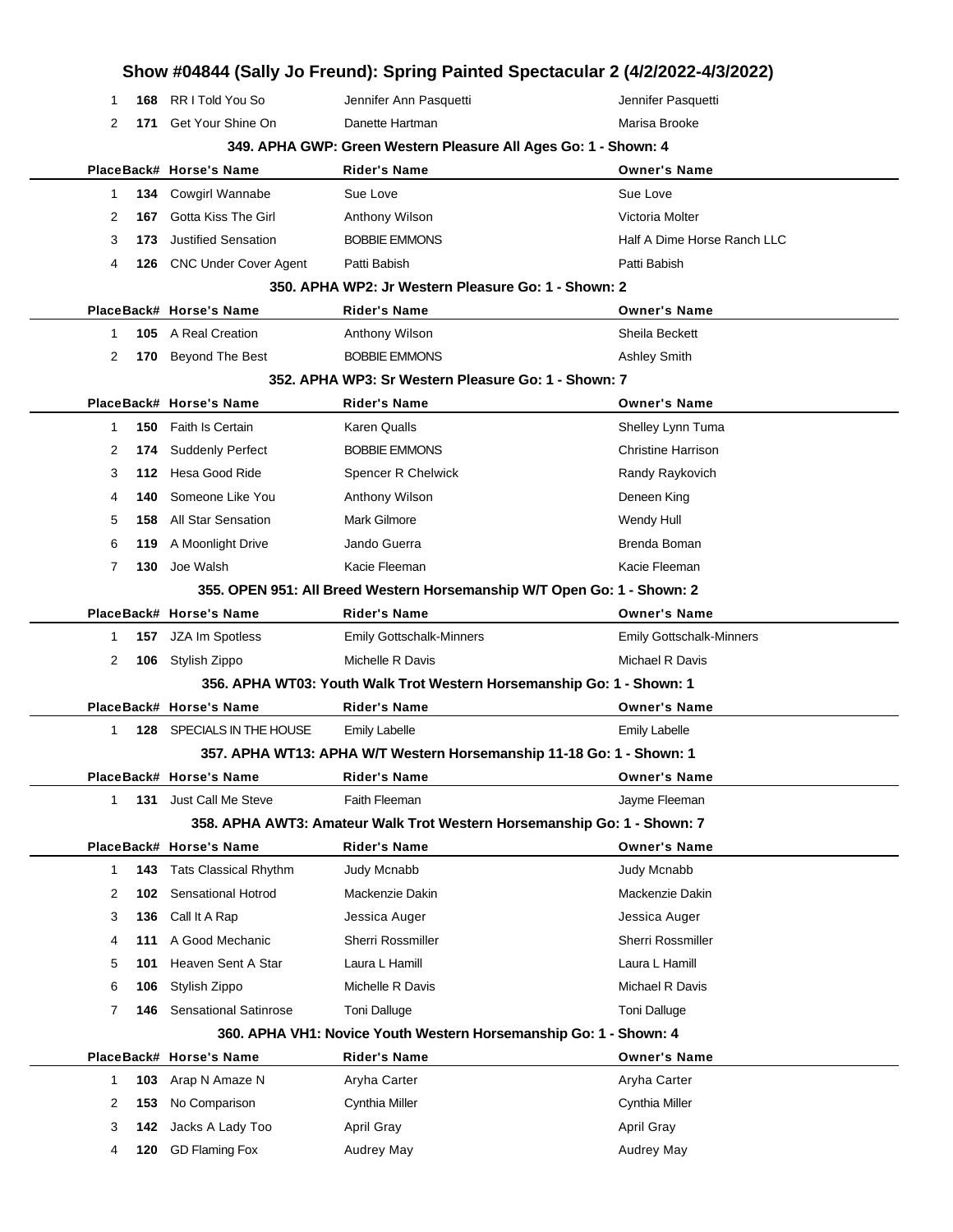|                       |                                           | Show #04844 (Sally Jo Freund): Spring Painted Spectacular 2 (4/2/2022-4/3/2022) |                                     |
|-----------------------|-------------------------------------------|---------------------------------------------------------------------------------|-------------------------------------|
| 168<br>1              | RR I Told You So                          | Jennifer Ann Pasquetti                                                          | Jennifer Pasquetti                  |
| $\overline{2}$<br>171 | Get Your Shine On                         | Danette Hartman                                                                 | Marisa Brooke                       |
|                       |                                           | 349. APHA GWP: Green Western Pleasure All Ages Go: 1 - Shown: 4                 |                                     |
|                       | PlaceBack# Horse's Name                   | <b>Rider's Name</b>                                                             | <b>Owner's Name</b>                 |
| 134<br>1              | Cowgirl Wannabe                           | Sue Love                                                                        | Sue Love                            |
| 2<br>167              | Gotta Kiss The Girl                       | Anthony Wilson                                                                  | Victoria Molter                     |
| 3<br>173              | <b>Justified Sensation</b>                | <b>BOBBIE EMMONS</b>                                                            | Half A Dime Horse Ranch LLC         |
| 4                     | 126 CNC Under Cover Agent                 | Patti Babish                                                                    | Patti Babish                        |
|                       |                                           | 350. APHA WP2: Jr Western Pleasure Go: 1 - Shown: 2                             |                                     |
|                       | PlaceBack# Horse's Name                   | <b>Rider's Name</b>                                                             | <b>Owner's Name</b>                 |
| 1                     | 105 A Real Creation                       | Anthony Wilson                                                                  | Sheila Beckett                      |
| 2<br>170              | Beyond The Best                           | <b>BOBBIE EMMONS</b>                                                            | <b>Ashley Smith</b>                 |
|                       |                                           | 352. APHA WP3: Sr Western Pleasure Go: 1 - Shown: 7                             |                                     |
|                       | PlaceBack# Horse's Name                   | <b>Rider's Name</b>                                                             | <b>Owner's Name</b>                 |
| 150<br>1              | Faith Is Certain                          | Karen Qualls                                                                    | Shelley Lynn Tuma                   |
| 2<br>174              | <b>Suddenly Perfect</b>                   | <b>BOBBIE EMMONS</b>                                                            | <b>Christine Harrison</b>           |
| 3<br>112              | Hesa Good Ride                            | Spencer R Chelwick                                                              | Randy Raykovich                     |
| 4<br>140              | Someone Like You                          | Anthony Wilson                                                                  | Deneen King                         |
| 158<br>5              | <b>All Star Sensation</b>                 | Mark Gilmore                                                                    | Wendy Hull                          |
| 6<br>119              | A Moonlight Drive                         | Jando Guerra                                                                    | Brenda Boman                        |
| 7<br>130              | Joe Walsh                                 | Kacie Fleeman                                                                   | Kacie Fleeman                       |
|                       |                                           | 355. OPEN 951: All Breed Western Horsemanship W/T Open Go: 1 - Shown: 2         |                                     |
|                       | PlaceBack# Horse's Name                   | Rider's Name                                                                    | <b>Owner's Name</b>                 |
| 1<br>157              | JZA Im Spotless                           | <b>Emily Gottschalk-Minners</b>                                                 | <b>Emily Gottschalk-Minners</b>     |
| 2                     | 106 Stylish Zippo                         | Michelle R Davis                                                                | Michael R Davis                     |
|                       |                                           | 356. APHA WT03: Youth Walk Trot Western Horsemanship Go: 1 - Shown: 1           |                                     |
|                       | PlaceBack# Horse's Name                   | Rider's Name                                                                    | <b>Owner's Name</b>                 |
| $\mathbf{1}$<br>128   | SPECIALS IN THE HOUSE                     | <b>Emily Labelle</b>                                                            | <b>Emily Labelle</b>                |
|                       |                                           | 357. APHA WT13: APHA W/T Western Horsemanship 11-18 Go: 1 - Shown: 1            |                                     |
|                       | PlaceBack# Horse's Name                   | Rider's Name                                                                    | <b>Owner's Name</b>                 |
| 1<br>131              | Just Call Me Steve                        | Faith Fleeman                                                                   | Jayme Fleeman                       |
|                       |                                           | 358. APHA AWT3: Amateur Walk Trot Western Horsemanship Go: 1 - Shown: 7         |                                     |
|                       | PlaceBack# Horse's Name                   | <b>Rider's Name</b>                                                             | <b>Owner's Name</b>                 |
| 1<br>143              | <b>Tats Classical Rhythm</b>              | Judy Mcnabb                                                                     | <b>Judy Mcnabb</b>                  |
| 2<br>102              | Sensational Hotrod                        | Mackenzie Dakin                                                                 | Mackenzie Dakin                     |
| 3<br>136              | Call It A Rap                             | Jessica Auger                                                                   | Jessica Auger                       |
| 111<br>4              | A Good Mechanic                           | Sherri Rossmiller                                                               | Sherri Rossmiller<br>Laura L Hamill |
| 101<br>5              | Heaven Sent A Star                        | Laura L Hamill                                                                  |                                     |
| 6<br>106              | Stylish Zippo                             | Michelle R Davis                                                                | Michael R Davis                     |
| 7<br>146              | <b>Sensational Satinrose</b>              | <b>Toni Dalluge</b>                                                             | <b>Toni Dalluge</b>                 |
|                       |                                           | 360. APHA VH1: Novice Youth Western Horsemanship Go: 1 - Shown: 4               |                                     |
| 1<br>103              | PlaceBack# Horse's Name<br>Arap N Amaze N | Rider's Name<br>Aryha Carter                                                    | <b>Owner's Name</b><br>Aryha Carter |
| 2<br>153              | No Comparison                             | Cynthia Miller                                                                  | Cynthia Miller                      |
| 142<br>3              | Jacks A Lady Too                          | April Gray                                                                      | <b>April Gray</b>                   |
| 4<br>120              | <b>GD Flaming Fox</b>                     | Audrey May                                                                      | Audrey May                          |
|                       |                                           |                                                                                 |                                     |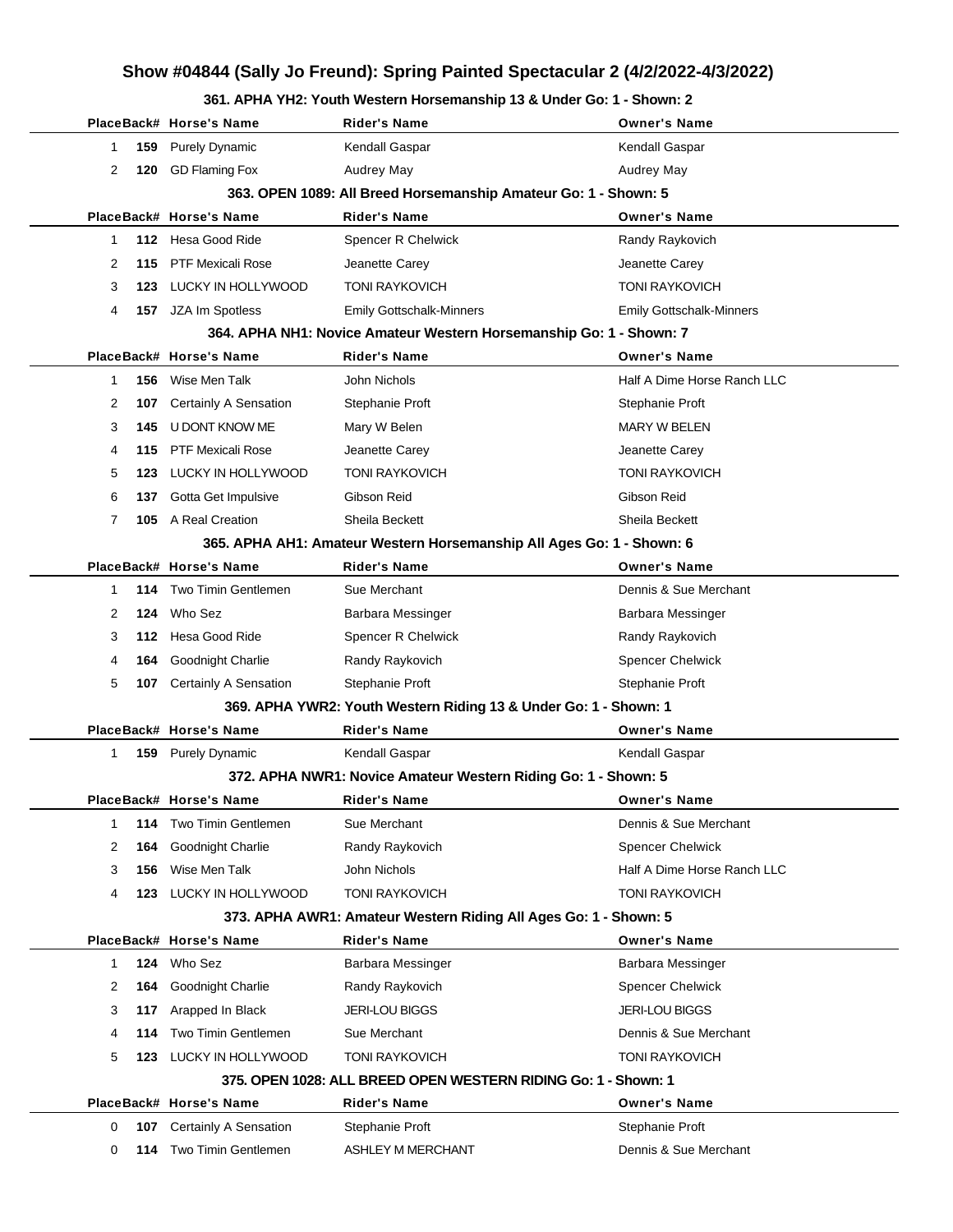#### **361. APHA YH2: Youth Western Horsemanship 13 & Under Go: 1 - Shown: 2**

|                                                                 |   |     | PlaceBack# Horse's Name        | Rider's Name                                                          | <b>Owner's Name</b>             |
|-----------------------------------------------------------------|---|-----|--------------------------------|-----------------------------------------------------------------------|---------------------------------|
|                                                                 | 1 | 159 | <b>Purely Dynamic</b>          | Kendall Gaspar                                                        | Kendall Gaspar                  |
|                                                                 | 2 | 120 | <b>GD Flaming Fox</b>          | Audrey May                                                            | Audrey May                      |
| 363. OPEN 1089: All Breed Horsemanship Amateur Go: 1 - Shown: 5 |   |     |                                |                                                                       |                                 |
|                                                                 |   |     | PlaceBack# Horse's Name        | Rider's Name                                                          | <b>Owner's Name</b>             |
|                                                                 | 1 |     | 112 Hesa Good Ride             | Spencer R Chelwick                                                    | Randy Raykovich                 |
|                                                                 | 2 | 115 | <b>PTF Mexicali Rose</b>       | Jeanette Carey                                                        | Jeanette Carey                  |
|                                                                 | 3 | 123 | LUCKY IN HOLLYWOOD             | <b>TONI RAYKOVICH</b>                                                 | <b>TONI RAYKOVICH</b>           |
|                                                                 | 4 |     | 157 JZA Im Spotless            | <b>Emily Gottschalk-Minners</b>                                       | <b>Emily Gottschalk-Minners</b> |
|                                                                 |   |     |                                | 364. APHA NH1: Novice Amateur Western Horsemanship Go: 1 - Shown: 7   |                                 |
|                                                                 |   |     | PlaceBack# Horse's Name        | Rider's Name                                                          | <b>Owner's Name</b>             |
|                                                                 | 1 | 156 | Wise Men Talk                  | John Nichols                                                          | Half A Dime Horse Ranch LLC     |
|                                                                 | 2 | 107 | Certainly A Sensation          | Stephanie Proft                                                       | Stephanie Proft                 |
|                                                                 | 3 | 145 | U DONT KNOW ME                 | Mary W Belen                                                          | <b>MARY W BELEN</b>             |
|                                                                 | 4 | 115 | PTF Mexicali Rose              | Jeanette Carey                                                        | Jeanette Carey                  |
|                                                                 | 5 | 123 | LUCKY IN HOLLYWOOD             | <b>TONI RAYKOVICH</b>                                                 | <b>TONI RAYKOVICH</b>           |
|                                                                 | 6 | 137 | Gotta Get Impulsive            | Gibson Reid                                                           | Gibson Reid                     |
|                                                                 | 7 |     | 105 A Real Creation            | Sheila Beckett                                                        | Sheila Beckett                  |
|                                                                 |   |     |                                | 365. APHA AH1: Amateur Western Horsemanship All Ages Go: 1 - Shown: 6 |                                 |
|                                                                 |   |     | PlaceBack# Horse's Name        | Rider's Name                                                          | <b>Owner's Name</b>             |
|                                                                 | 1 |     | <b>114</b> Two Timin Gentlemen | Sue Merchant                                                          | Dennis & Sue Merchant           |
|                                                                 | 2 |     | 124 Who Sez                    | Barbara Messinger                                                     | Barbara Messinger               |
|                                                                 | 3 |     | 112 Hesa Good Ride             | Spencer R Chelwick                                                    | Randy Raykovich                 |
|                                                                 | 4 | 164 | Goodnight Charlie              | Randy Raykovich                                                       | Spencer Chelwick                |
|                                                                 | 5 | 107 | <b>Certainly A Sensation</b>   | Stephanie Proft                                                       | Stephanie Proft                 |
|                                                                 |   |     |                                | 369. APHA YWR2: Youth Western Riding 13 & Under Go: 1 - Shown: 1      |                                 |
|                                                                 |   |     | PlaceBack# Horse's Name        | Rider's Name                                                          | <b>Owner's Name</b>             |
|                                                                 | 1 |     | 159 Purely Dynamic             | Kendall Gaspar                                                        | Kendall Gaspar                  |
|                                                                 |   |     |                                | 372. APHA NWR1: Novice Amateur Western Riding Go: 1 - Shown: 5        |                                 |
|                                                                 |   |     | PlaceBack# Horse's Name        | Rider's Name                                                          | <b>Owner's Name</b>             |
|                                                                 | 1 | 114 | Two Timin Gentlemen            | Sue Merchant                                                          | Dennis & Sue Merchant           |
|                                                                 | 2 | 164 | Goodnight Charlie              | Randy Raykovich                                                       | <b>Spencer Chelwick</b>         |
|                                                                 | 3 | 156 | Wise Men Talk                  | John Nichols                                                          | Half A Dime Horse Ranch LLC     |
|                                                                 | 4 | 123 | LUCKY IN HOLLYWOOD             | <b>TONI RAYKOVICH</b>                                                 | <b>TONI RAYKOVICH</b>           |
|                                                                 |   |     |                                | 373. APHA AWR1: Amateur Western Riding All Ages Go: 1 - Shown: 5      |                                 |
|                                                                 |   |     | PlaceBack# Horse's Name        | <b>Rider's Name</b>                                                   | <b>Owner's Name</b>             |
|                                                                 | 1 |     | 124 Who Sez                    | Barbara Messinger                                                     | Barbara Messinger               |
|                                                                 | 2 | 164 | Goodnight Charlie              | Randy Raykovich                                                       | Spencer Chelwick                |
|                                                                 | 3 | 117 | Arapped In Black               | <b>JERI-LOU BIGGS</b>                                                 | <b>JERI-LOU BIGGS</b>           |
|                                                                 | 4 | 114 | Two Timin Gentlemen            | Sue Merchant                                                          | Dennis & Sue Merchant           |
|                                                                 | 5 | 123 | LUCKY IN HOLLYWOOD             | <b>TONI RAYKOVICH</b>                                                 | <b>TONI RAYKOVICH</b>           |
|                                                                 |   |     |                                | 375. OPEN 1028: ALL BREED OPEN WESTERN RIDING Go: 1 - Shown: 1        |                                 |
|                                                                 |   |     | PlaceBack# Horse's Name        | Rider's Name                                                          | <b>Owner's Name</b>             |
|                                                                 | 0 | 107 | Certainly A Sensation          | Stephanie Proft                                                       | Stephanie Proft                 |
|                                                                 | 0 |     | 114 Two Timin Gentlemen        | ASHLEY M MERCHANT                                                     | Dennis & Sue Merchant           |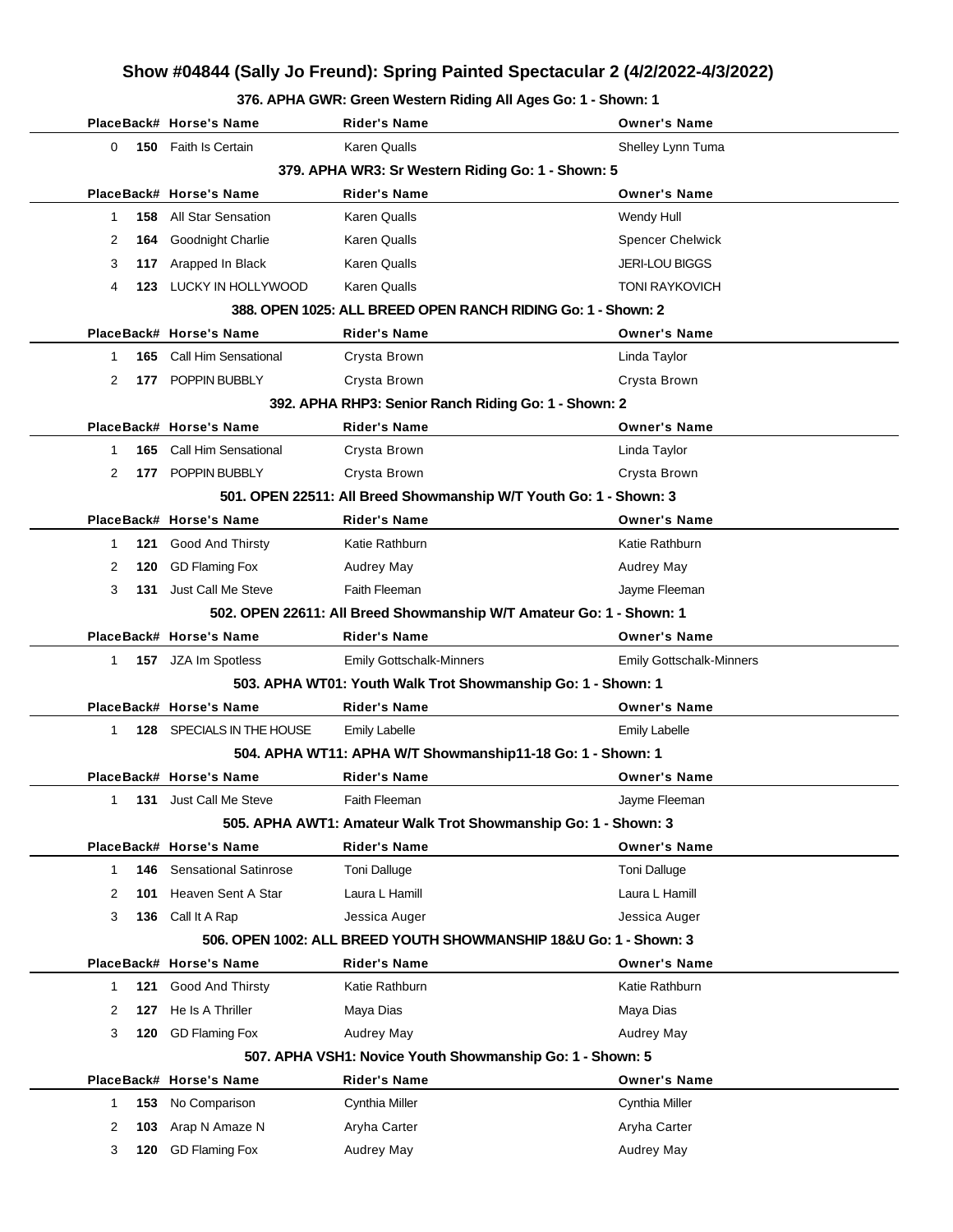#### **376. APHA GWR: Green Western Riding All Ages Go: 1 - Shown: 1**

|                                                   | PlaceBack# Horse's Name      | Rider's Name                                                        | <b>Owner's Name</b>             |  |  |  |
|---------------------------------------------------|------------------------------|---------------------------------------------------------------------|---------------------------------|--|--|--|
| 0                                                 | 150 Faith Is Certain         | <b>Karen Qualls</b>                                                 | Shelley Lynn Tuma               |  |  |  |
| 379. APHA WR3: Sr Western Riding Go: 1 - Shown: 5 |                              |                                                                     |                                 |  |  |  |
|                                                   | PlaceBack# Horse's Name      | <b>Rider's Name</b>                                                 | <b>Owner's Name</b>             |  |  |  |
| 158<br>$\mathbf 1$                                | All Star Sensation           | Karen Qualls                                                        | Wendy Hull                      |  |  |  |
| 2<br>164                                          | Goodnight Charlie            | Karen Qualls                                                        | <b>Spencer Chelwick</b>         |  |  |  |
| 3<br>117                                          | Arapped In Black             | <b>Karen Qualls</b>                                                 | <b>JERI-LOU BIGGS</b>           |  |  |  |
| 4<br>123                                          | LUCKY IN HOLLYWOOD           | <b>Karen Qualls</b>                                                 | <b>TONI RAYKOVICH</b>           |  |  |  |
|                                                   |                              | 388, OPEN 1025: ALL BREED OPEN RANCH RIDING Go: 1 - Shown: 2        |                                 |  |  |  |
|                                                   | PlaceBack# Horse's Name      | Rider's Name                                                        | <b>Owner's Name</b>             |  |  |  |
| 1<br>165                                          | Call Him Sensational         | Crysta Brown                                                        | Linda Taylor                    |  |  |  |
| 2                                                 | 177 POPPIN BUBBLY            | Crysta Brown                                                        | Crysta Brown                    |  |  |  |
|                                                   |                              | 392. APHA RHP3: Senior Ranch Riding Go: 1 - Shown: 2                |                                 |  |  |  |
|                                                   | PlaceBack# Horse's Name      | <b>Rider's Name</b>                                                 | <b>Owner's Name</b>             |  |  |  |
| $\mathbf 1$<br>165                                | <b>Call Him Sensational</b>  | Crysta Brown                                                        | Linda Taylor                    |  |  |  |
| 2                                                 | 177 POPPIN BUBBLY            | Crysta Brown                                                        | Crysta Brown                    |  |  |  |
|                                                   |                              | 501. OPEN 22511: All Breed Showmanship W/T Youth Go: 1 - Shown: 3   |                                 |  |  |  |
|                                                   | PlaceBack# Horse's Name      | <b>Rider's Name</b>                                                 | <b>Owner's Name</b>             |  |  |  |
| 121<br>-1                                         | Good And Thirsty             | Katie Rathburn                                                      | Katie Rathburn                  |  |  |  |
| 2<br>120                                          | <b>GD Flaming Fox</b>        | Audrey May                                                          | <b>Audrey May</b>               |  |  |  |
| 3<br>131                                          | Just Call Me Steve           | Faith Fleeman                                                       | Jayme Fleeman                   |  |  |  |
|                                                   |                              | 502. OPEN 22611: All Breed Showmanship W/T Amateur Go: 1 - Shown: 1 |                                 |  |  |  |
|                                                   | PlaceBack# Horse's Name      | <b>Rider's Name</b>                                                 | <b>Owner's Name</b>             |  |  |  |
| $\mathbf 1$                                       | 157 JZA Im Spotless          | <b>Emily Gottschalk-Minners</b>                                     | <b>Emily Gottschalk-Minners</b> |  |  |  |
|                                                   |                              | 503. APHA WT01: Youth Walk Trot Showmanship Go: 1 - Shown: 1        |                                 |  |  |  |
|                                                   | PlaceBack# Horse's Name      | <b>Rider's Name</b>                                                 | <b>Owner's Name</b>             |  |  |  |
| $\mathbf 1$<br>128                                | SPECIALS IN THE HOUSE        | <b>Emily Labelle</b>                                                | <b>Emily Labelle</b>            |  |  |  |
|                                                   |                              | 504. APHA WT11: APHA W/T Showmanship11-18 Go: 1 - Shown: 1          |                                 |  |  |  |
|                                                   | PlaceBack# Horse's Name      | <b>Rider's Name</b>                                                 | <b>Owner's Name</b>             |  |  |  |
| 1<br>131                                          | Just Call Me Steve           | Faith Fleeman                                                       | Javme Fleeman                   |  |  |  |
|                                                   |                              | 505. APHA AWT1: Amateur Walk Trot Showmanship Go: 1 - Shown: 3      |                                 |  |  |  |
|                                                   | PlaceBack# Horse's Name      | <b>Rider's Name</b>                                                 | <b>Owner's Name</b>             |  |  |  |
| 146<br>1                                          | <b>Sensational Satinrose</b> | <b>Toni Dalluge</b>                                                 | <b>Toni Dalluge</b>             |  |  |  |
| 101<br>2                                          | Heaven Sent A Star           | Laura L Hamill                                                      | Laura L Hamill                  |  |  |  |
| 3<br>136                                          | Call It A Rap                | Jessica Auger                                                       | Jessica Auger                   |  |  |  |
|                                                   |                              | 506. OPEN 1002: ALL BREED YOUTH SHOWMANSHIP 18&U Go: 1 - Shown: 3   |                                 |  |  |  |
|                                                   | PlaceBack# Horse's Name      | <b>Rider's Name</b>                                                 | <b>Owner's Name</b>             |  |  |  |
| 1<br>121                                          | Good And Thirsty             | Katie Rathburn                                                      | Katie Rathburn                  |  |  |  |
| 2<br>127                                          | He Is A Thriller             | Maya Dias                                                           | Maya Dias                       |  |  |  |
| 3<br>120                                          | <b>GD Flaming Fox</b>        | <b>Audrey May</b>                                                   | Audrey May                      |  |  |  |
|                                                   |                              | 507. APHA VSH1: Novice Youth Showmanship Go: 1 - Shown: 5           |                                 |  |  |  |
|                                                   | PlaceBack# Horse's Name      | <b>Rider's Name</b>                                                 | <b>Owner's Name</b>             |  |  |  |
| 153<br>$\mathbf{1}$                               | No Comparison                | Cynthia Miller                                                      | Cynthia Miller                  |  |  |  |
| 2<br>103                                          | Arap N Amaze N               | Aryha Carter                                                        | Aryha Carter                    |  |  |  |
| 3<br>120                                          | <b>GD Flaming Fox</b>        | Audrey May                                                          | Audrey May                      |  |  |  |
|                                                   |                              |                                                                     |                                 |  |  |  |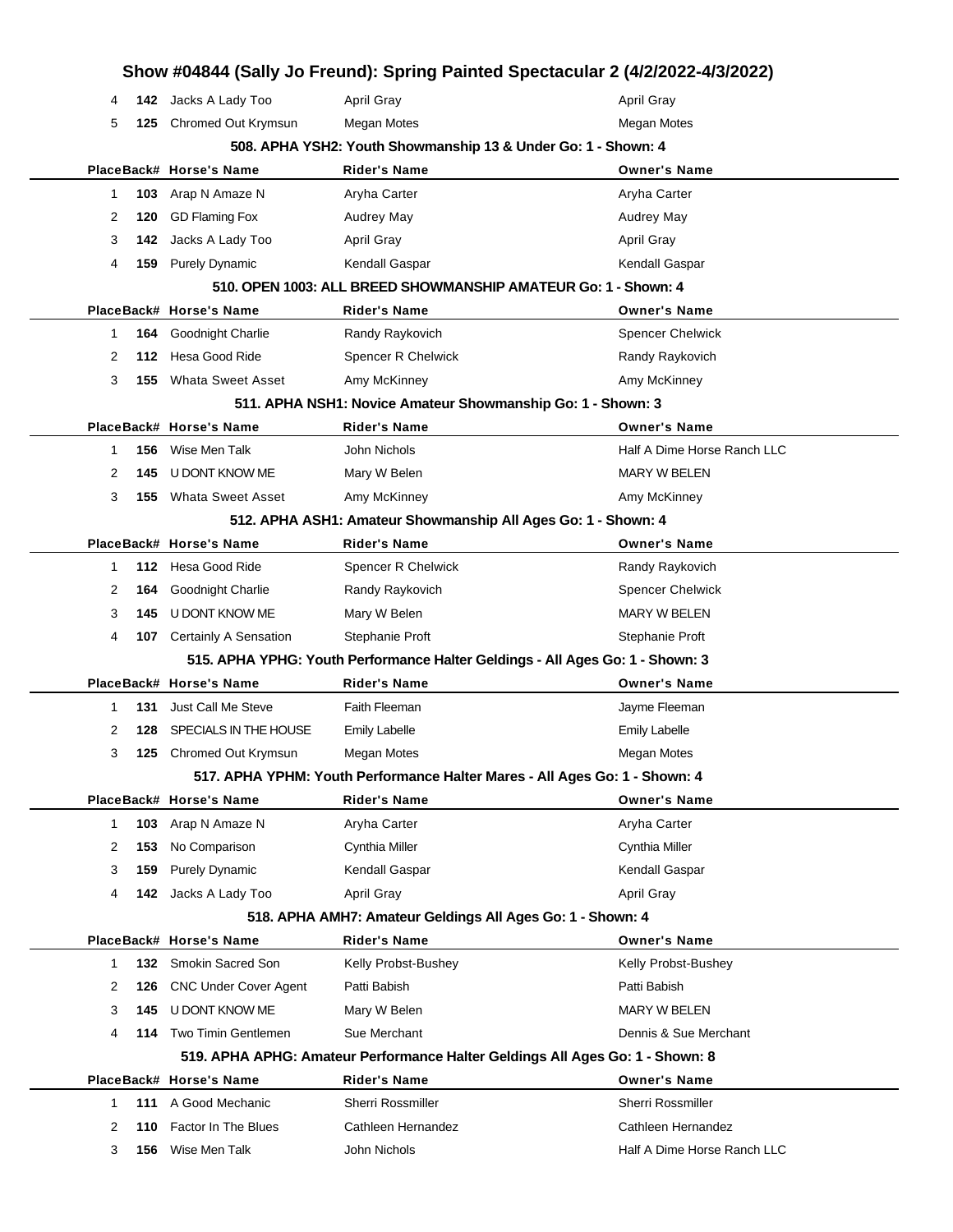|              |     |                              | Show #04844 (Sally Jo Freund): Spring Painted Spectacular 2 (4/2/2022-4/3/2022) |                             |
|--------------|-----|------------------------------|---------------------------------------------------------------------------------|-----------------------------|
| 4            |     | 142 Jacks A Lady Too         | <b>April Gray</b>                                                               | <b>April Gray</b>           |
| 5            | 125 | Chromed Out Krymsun          | <b>Megan Motes</b>                                                              | Megan Motes                 |
|              |     |                              | 508. APHA YSH2: Youth Showmanship 13 & Under Go: 1 - Shown: 4                   |                             |
|              |     | PlaceBack# Horse's Name      | <b>Rider's Name</b>                                                             | <b>Owner's Name</b>         |
| -1           | 103 | Arap N Amaze N               | Aryha Carter                                                                    | Aryha Carter                |
| 2            | 120 | <b>GD Flaming Fox</b>        | Audrey May                                                                      | Audrey May                  |
| 3            | 142 | Jacks A Lady Too             | <b>April Gray</b>                                                               | <b>April Gray</b>           |
| 4            | 159 | <b>Purely Dynamic</b>        | Kendall Gaspar                                                                  | Kendall Gaspar              |
|              |     |                              | 510. OPEN 1003: ALL BREED SHOWMANSHIP AMATEUR Go: 1 - Shown: 4                  |                             |
|              |     | PlaceBack# Horse's Name      | <b>Rider's Name</b>                                                             | <b>Owner's Name</b>         |
| -1           | 164 | Goodnight Charlie            | Randy Raykovich                                                                 | <b>Spencer Chelwick</b>     |
| 2            | 112 | Hesa Good Ride               | Spencer R Chelwick                                                              | Randy Raykovich             |
| 3            | 155 | <b>Whata Sweet Asset</b>     | Amy McKinney                                                                    | Amy McKinney                |
|              |     |                              | 511. APHA NSH1: Novice Amateur Showmanship Go: 1 - Shown: 3                     |                             |
|              |     | PlaceBack# Horse's Name      | <b>Rider's Name</b>                                                             | <b>Owner's Name</b>         |
| 1            | 156 | Wise Men Talk                | John Nichols                                                                    | Half A Dime Horse Ranch LLC |
| 2            | 145 | U DONT KNOW ME               | Mary W Belen                                                                    | <b>MARY W BELEN</b>         |
| 3            | 155 | <b>Whata Sweet Asset</b>     | Amy McKinney                                                                    | Amy McKinney                |
|              |     |                              | 512. APHA ASH1: Amateur Showmanship All Ages Go: 1 - Shown: 4                   |                             |
|              |     | PlaceBack# Horse's Name      | <b>Rider's Name</b>                                                             | <b>Owner's Name</b>         |
| -1           | 112 | Hesa Good Ride               | Spencer R Chelwick                                                              | Randy Raykovich             |
| 2            | 164 | Goodnight Charlie            | Randy Raykovich                                                                 | <b>Spencer Chelwick</b>     |
| 3            | 145 | U DONT KNOW ME               | Mary W Belen                                                                    | <b>MARY W BELEN</b>         |
| 4            | 107 | Certainly A Sensation        | Stephanie Proft                                                                 | Stephanie Proft             |
|              |     |                              | 515. APHA YPHG: Youth Performance Halter Geldings - All Ages Go: 1 - Shown: 3   |                             |
|              |     | PlaceBack# Horse's Name      | <b>Rider's Name</b>                                                             | <b>Owner's Name</b>         |
| 1            | 131 | Just Call Me Steve           | Faith Fleeman                                                                   | Jayme Fleeman               |
| 2            | 128 | SPECIALS IN THE HOUSE        | <b>Emily Labelle</b>                                                            | <b>Emily Labelle</b>        |
| 3            | 125 | Chromed Out Krymsun          | Megan Motes                                                                     | <b>Megan Motes</b>          |
|              |     |                              | 517. APHA YPHM: Youth Performance Halter Mares - All Ages Go: 1 - Shown: 4      |                             |
|              |     | PlaceBack# Horse's Name      | <b>Rider's Name</b>                                                             | <b>Owner's Name</b>         |
| $\mathbf{1}$ | 103 | Arap N Amaze N               | Aryha Carter                                                                    | Aryha Carter                |
| 2            | 153 | No Comparison                | Cynthia Miller                                                                  | Cynthia Miller              |
| 3            | 159 | <b>Purely Dynamic</b>        | Kendall Gaspar                                                                  | Kendall Gaspar              |
| 4            |     | <b>142</b> Jacks A Lady Too  | April Gray                                                                      | <b>April Gray</b>           |
|              |     |                              | 518. APHA AMH7: Amateur Geldings All Ages Go: 1 - Shown: 4                      |                             |
|              |     | PlaceBack# Horse's Name      | <b>Rider's Name</b>                                                             | <b>Owner's Name</b>         |
| 1            | 132 | Smokin Sacred Son            | Kelly Probst-Bushey                                                             | Kelly Probst-Bushey         |
| 2            | 126 | <b>CNC Under Cover Agent</b> | Patti Babish                                                                    | Patti Babish                |
| 3            | 145 | U DONT KNOW ME               | Mary W Belen                                                                    | <b>MARY W BELEN</b>         |
| 4            | 114 | Two Timin Gentlemen          | Sue Merchant                                                                    | Dennis & Sue Merchant       |
|              |     |                              | 519. APHA APHG: Amateur Performance Halter Geldings All Ages Go: 1 - Shown: 8   |                             |
|              |     | PlaceBack# Horse's Name      | <b>Rider's Name</b>                                                             | <b>Owner's Name</b>         |
| 1            | 111 | A Good Mechanic              | Sherri Rossmiller                                                               | Sherri Rossmiller           |
| 2            | 110 | Factor In The Blues          | Cathleen Hernandez                                                              | Cathleen Hernandez          |
| 3            | 156 | Wise Men Talk                | John Nichols                                                                    | Half A Dime Horse Ranch LLC |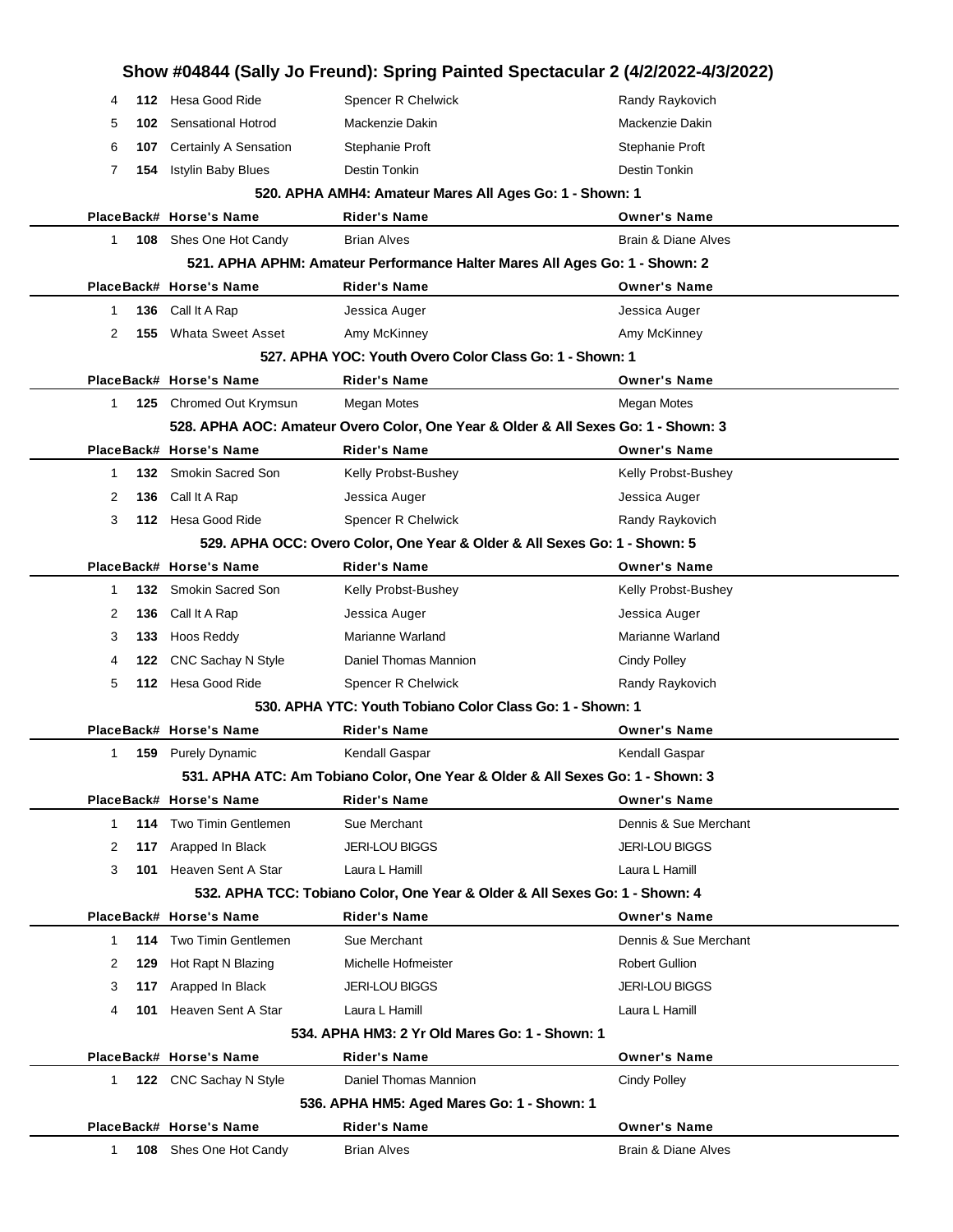|   |      |                               |                                                                                   | Show #04844 (Sally Jo Freund): Spring Painted Spectacular 2 (4/2/2022-4/3/2022) |
|---|------|-------------------------------|-----------------------------------------------------------------------------------|---------------------------------------------------------------------------------|
| 4 | 112  | Hesa Good Ride                | Spencer R Chelwick                                                                | Randy Raykovich                                                                 |
| 5 | 102. | <b>Sensational Hotrod</b>     | Mackenzie Dakin                                                                   | Mackenzie Dakin                                                                 |
| 6 |      | 107 Certainly A Sensation     | Stephanie Proft                                                                   | Stephanie Proft                                                                 |
| 7 | 154  | <b>Istylin Baby Blues</b>     | Destin Tonkin                                                                     | Destin Tonkin                                                                   |
|   |      |                               | 520. APHA AMH4: Amateur Mares All Ages Go: 1 - Shown: 1                           |                                                                                 |
|   |      | PlaceBack# Horse's Name       | <b>Rider's Name</b>                                                               | <b>Owner's Name</b>                                                             |
| 1 |      | <b>108</b> Shes One Hot Candy | <b>Brian Alves</b>                                                                | Brain & Diane Alves                                                             |
|   |      |                               | 521. APHA APHM: Amateur Performance Halter Mares All Ages Go: 1 - Shown: 2        |                                                                                 |
|   |      | PlaceBack# Horse's Name       | Rider's Name                                                                      | <b>Owner's Name</b>                                                             |
| 1 | 136  | Call It A Rap                 | Jessica Auger                                                                     | Jessica Auger                                                                   |
| 2 | 155  | <b>Whata Sweet Asset</b>      | Amy McKinney                                                                      | Amy McKinney                                                                    |
|   |      |                               | 527, APHA YOC: Youth Overo Color Class Go: 1 - Shown: 1                           |                                                                                 |
|   |      | PlaceBack# Horse's Name       | Rider's Name                                                                      | <b>Owner's Name</b>                                                             |
| 1 |      | 125 Chromed Out Krymsun       | Megan Motes                                                                       | Megan Motes                                                                     |
|   |      |                               | 528. APHA AOC: Amateur Overo Color, One Year & Older & All Sexes Go: 1 - Shown: 3 |                                                                                 |
|   |      | PlaceBack# Horse's Name       | <b>Rider's Name</b>                                                               | <b>Owner's Name</b>                                                             |
| 1 |      | 132 Smokin Sacred Son         | Kelly Probst-Bushey                                                               | Kelly Probst-Bushey                                                             |
| 2 | 136  | Call It A Rap                 | Jessica Auger                                                                     | Jessica Auger                                                                   |
| 3 |      | 112 Hesa Good Ride            | Spencer R Chelwick                                                                | Randy Raykovich                                                                 |
|   |      |                               | 529. APHA OCC: Overo Color, One Year & Older & All Sexes Go: 1 - Shown: 5         |                                                                                 |
|   |      | PlaceBack# Horse's Name       | Rider's Name                                                                      | <b>Owner's Name</b>                                                             |
| 1 |      | 132 Smokin Sacred Son         | Kelly Probst-Bushey                                                               | Kelly Probst-Bushey                                                             |
| 2 | 136  | Call It A Rap                 | Jessica Auger                                                                     | Jessica Auger                                                                   |
| 3 | 133  | Hoos Reddy                    | Marianne Warland                                                                  | Marianne Warland                                                                |
| 4 | 122  | CNC Sachay N Style            | Daniel Thomas Mannion                                                             | <b>Cindy Polley</b>                                                             |
| 5 | 112  | Hesa Good Ride                | Spencer R Chelwick                                                                | Randy Raykovich                                                                 |
|   |      |                               | 530, APHA YTC: Youth Tobiano Color Class Go: 1 - Shown: 1                         |                                                                                 |
|   |      | PlaceBack# Horse's Name       | <b>Rider's Name</b>                                                               | <b>Owner's Name</b>                                                             |
| 1 |      | <b>159</b> Purely Dynamic     | Kendall Gaspar                                                                    | Kendall Gaspar                                                                  |
|   |      |                               | 531. APHA ATC: Am Tobiano Color, One Year & Older & All Sexes Go: 1 - Shown: 3    |                                                                                 |
|   |      | PlaceBack# Horse's Name       | <b>Rider's Name</b>                                                               | <b>Owner's Name</b>                                                             |
| 1 |      | 114 Two Timin Gentlemen       | Sue Merchant                                                                      | Dennis & Sue Merchant                                                           |
| 2 | 117  | Arapped In Black              | JERI-LOU BIGGS                                                                    | <b>JERI-LOU BIGGS</b>                                                           |
| 3 | 101  | Heaven Sent A Star            | Laura L Hamill                                                                    | Laura L Hamill                                                                  |
|   |      |                               | 532. APHA TCC: Tobiano Color, One Year & Older & All Sexes Go: 1 - Shown: 4       |                                                                                 |
|   |      | PlaceBack# Horse's Name       | <b>Rider's Name</b>                                                               | <b>Owner's Name</b>                                                             |
| 1 | 114  | Two Timin Gentlemen           | Sue Merchant                                                                      | Dennis & Sue Merchant                                                           |
| 2 | 129  | Hot Rapt N Blazing            | Michelle Hofmeister                                                               | <b>Robert Gullion</b>                                                           |
| 3 | 117  | Arapped In Black              | <b>JERI-LOU BIGGS</b>                                                             | <b>JERI-LOU BIGGS</b>                                                           |
| 4 | 101  | Heaven Sent A Star            | Laura L Hamill                                                                    | Laura L Hamill                                                                  |
|   |      |                               | 534, APHA HM3: 2 Yr Old Mares Go: 1 - Shown: 1                                    |                                                                                 |
|   |      | PlaceBack# Horse's Name       | <b>Rider's Name</b>                                                               | <b>Owner's Name</b>                                                             |
| 1 |      | 122 CNC Sachay N Style        | Daniel Thomas Mannion                                                             | <b>Cindy Polley</b>                                                             |
|   |      |                               | 536. APHA HM5: Aged Mares Go: 1 - Shown: 1                                        |                                                                                 |
|   |      | PlaceBack# Horse's Name       | Rider's Name                                                                      | <b>Owner's Name</b>                                                             |
| 1 | 108  | Shes One Hot Candy            | Brian Alves                                                                       | Brain & Diane Alves                                                             |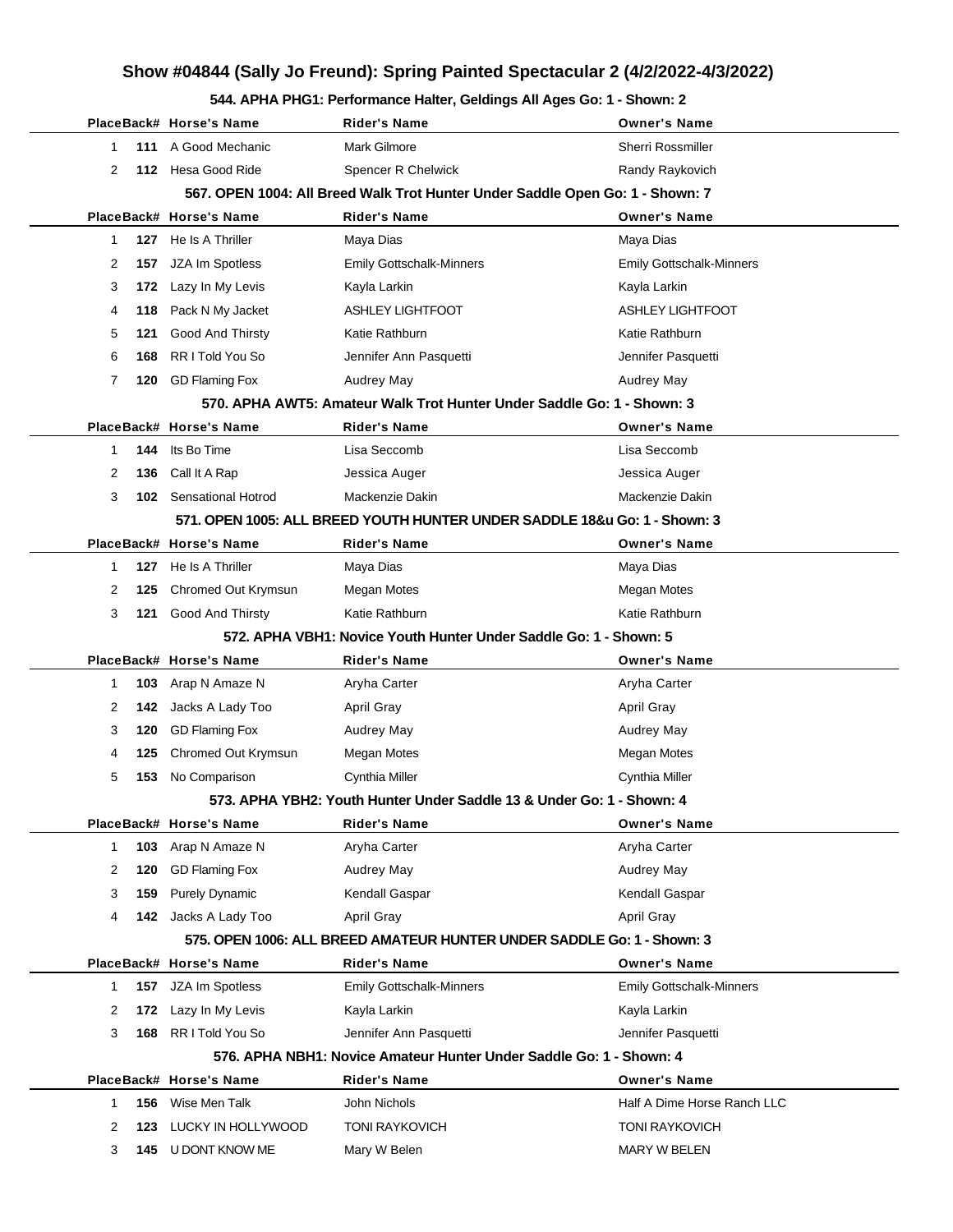#### **544. APHA PHG1: Performance Halter, Geldings All Ages Go: 1 - Shown: 2**

|                                                                   |            | PlaceBack# Horse's Name              | Rider's Name                                                                  | <b>Owner's Name</b>                   |  |
|-------------------------------------------------------------------|------------|--------------------------------------|-------------------------------------------------------------------------------|---------------------------------------|--|
| 1                                                                 |            | 111 A Good Mechanic                  | <b>Mark Gilmore</b>                                                           | <b>Sherri Rossmiller</b>              |  |
| 2                                                                 |            | 112 Hesa Good Ride                   | Spencer R Chelwick                                                            | Randy Raykovich                       |  |
|                                                                   |            |                                      | 567. OPEN 1004: All Breed Walk Trot Hunter Under Saddle Open Go: 1 - Shown: 7 |                                       |  |
|                                                                   |            | PlaceBack# Horse's Name              | Rider's Name                                                                  | <b>Owner's Name</b>                   |  |
| 1                                                                 |            | 127 He Is A Thriller                 | Maya Dias                                                                     | Maya Dias                             |  |
| 2                                                                 | 157        | JZA Im Spotless                      | <b>Emily Gottschalk-Minners</b>                                               | <b>Emily Gottschalk-Minners</b>       |  |
| 3                                                                 | 172        | Lazy In My Levis                     | Kayla Larkin                                                                  | Kayla Larkin                          |  |
| 4                                                                 | 118        | Pack N My Jacket                     | <b>ASHLEY LIGHTFOOT</b>                                                       | <b>ASHLEY LIGHTFOOT</b>               |  |
| 5                                                                 | 121        | Good And Thirsty                     | Katie Rathburn                                                                | Katie Rathburn                        |  |
| 6                                                                 | 168        | RR I Told You So                     | Jennifer Ann Pasquetti                                                        | Jennifer Pasquetti                    |  |
| 7                                                                 | 120        | <b>GD Flaming Fox</b>                | <b>Audrey May</b>                                                             | Audrey May                            |  |
|                                                                   |            |                                      | 570. APHA AWT5: Amateur Walk Trot Hunter Under Saddle Go: 1 - Shown: 3        |                                       |  |
|                                                                   |            | PlaceBack# Horse's Name              | <b>Rider's Name</b>                                                           | <b>Owner's Name</b>                   |  |
| 1                                                                 |            | 144 Its Bo Time                      | Lisa Seccomb                                                                  | Lisa Seccomb                          |  |
| 2                                                                 | 136        | Call It A Rap                        | Jessica Auger                                                                 | Jessica Auger                         |  |
| 3                                                                 |            | <b>102</b> Sensational Hotrod        | Mackenzie Dakin                                                               | Mackenzie Dakin                       |  |
|                                                                   |            |                                      | 571. OPEN 1005: ALL BREED YOUTH HUNTER UNDER SADDLE 18&u Go: 1 - Shown: 3     |                                       |  |
|                                                                   |            | PlaceBack# Horse's Name              | Rider's Name                                                                  | <b>Owner's Name</b>                   |  |
| 1                                                                 | 127        | He Is A Thriller                     | Maya Dias                                                                     | Maya Dias                             |  |
| 2                                                                 | 125        | Chromed Out Krymsun                  | Megan Motes                                                                   | Megan Motes                           |  |
| 3                                                                 | 121        | <b>Good And Thirsty</b>              | Katie Rathburn                                                                | Katie Rathburn                        |  |
| 572. APHA VBH1: Novice Youth Hunter Under Saddle Go: 1 - Shown: 5 |            |                                      |                                                                               |                                       |  |
|                                                                   |            |                                      |                                                                               |                                       |  |
|                                                                   |            | PlaceBack# Horse's Name              | <b>Rider's Name</b>                                                           | <b>Owner's Name</b>                   |  |
| 1                                                                 |            | 103 Arap N Amaze N                   | Aryha Carter                                                                  | Aryha Carter                          |  |
| 2                                                                 |            | 142 Jacks A Lady Too                 | <b>April Gray</b>                                                             | <b>April Gray</b>                     |  |
| 3                                                                 | 120        | <b>GD Flaming Fox</b>                | Audrey May                                                                    | Audrey May                            |  |
| 4                                                                 | 125        | Chromed Out Krymsun                  | Megan Motes                                                                   | Megan Motes                           |  |
| 5                                                                 | 153        | No Comparison                        | Cynthia Miller                                                                | Cynthia Miller                        |  |
|                                                                   |            |                                      | 573. APHA YBH2: Youth Hunter Under Saddle 13 & Under Go: 1 - Shown: 4         |                                       |  |
|                                                                   |            | PlaceBack# Horse's Name              | Rider's Name                                                                  | <b>Owner's Name</b>                   |  |
| 1                                                                 | 103        | Arap N Amaze N                       | Aryha Carter                                                                  | Aryha Carter                          |  |
| 2                                                                 | 120        | <b>GD Flaming Fox</b>                | Audrey May                                                                    | <b>Audrey May</b>                     |  |
| 3                                                                 | 159        | <b>Purely Dynamic</b>                | Kendall Gaspar                                                                | Kendall Gaspar                        |  |
| 4                                                                 |            | <b>142</b> Jacks A Lady Too          | April Gray                                                                    | April Gray                            |  |
|                                                                   |            |                                      | 575. OPEN 1006: ALL BREED AMATEUR HUNTER UNDER SADDLE Go: 1 - Shown: 3        |                                       |  |
|                                                                   |            | PlaceBack# Horse's Name              | <b>Rider's Name</b>                                                           | <b>Owner's Name</b>                   |  |
| 1                                                                 | 157        | JZA Im Spotless                      | <b>Emily Gottschalk-Minners</b>                                               | <b>Emily Gottschalk-Minners</b>       |  |
| 2                                                                 | 172        | Lazy In My Levis                     | Kayla Larkin                                                                  | Kayla Larkin                          |  |
| 3                                                                 | 168        | RR I Told You So                     | Jennifer Ann Pasquetti                                                        | Jennifer Pasquetti                    |  |
|                                                                   |            |                                      | 576. APHA NBH1: Novice Amateur Hunter Under Saddle Go: 1 - Shown: 4           |                                       |  |
|                                                                   |            | PlaceBack# Horse's Name              | <b>Rider's Name</b>                                                           | <b>Owner's Name</b>                   |  |
| 1                                                                 |            | 156 Wise Men Talk                    | John Nichols                                                                  | Half A Dime Horse Ranch LLC           |  |
| 2<br>3                                                            | 123<br>145 | LUCKY IN HOLLYWOOD<br>U DONT KNOW ME | <b>TONI RAYKOVICH</b><br>Mary W Belen                                         | <b>TONI RAYKOVICH</b><br>MARY W BELEN |  |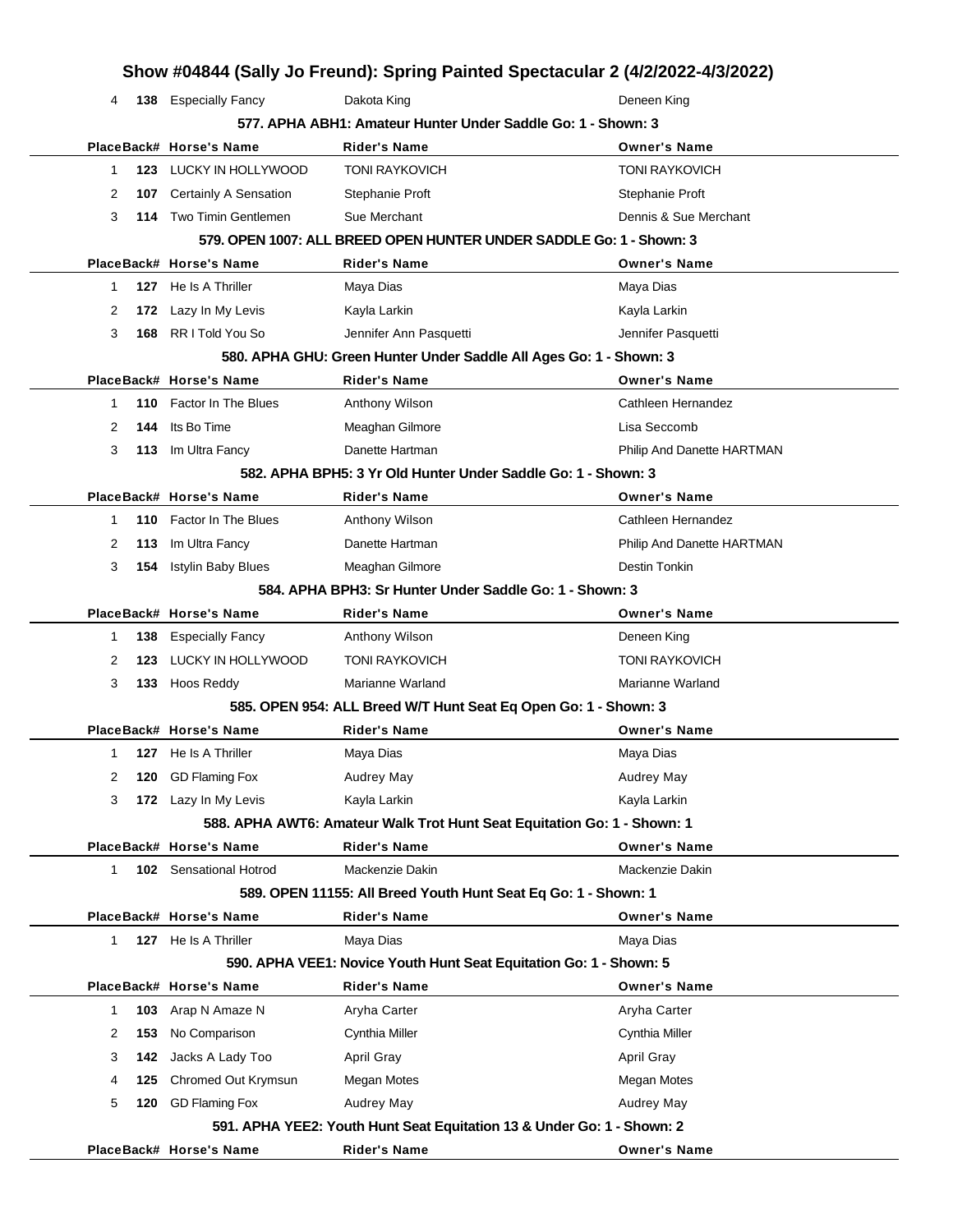|                     |                           |                                                                         | Show #04844 (Sally Jo Freund): Spring Painted Spectacular 2 (4/2/2022-4/3/2022) |  |
|---------------------|---------------------------|-------------------------------------------------------------------------|---------------------------------------------------------------------------------|--|
| 4                   | 138 Especially Fancy      | Dakota King                                                             | Deneen King                                                                     |  |
|                     |                           | 577. APHA ABH1: Amateur Hunter Under Saddle Go: 1 - Shown: 3            |                                                                                 |  |
|                     | PlaceBack# Horse's Name   | <b>Rider's Name</b>                                                     | <b>Owner's Name</b>                                                             |  |
| 1                   | 123 LUCKY IN HOLLYWOOD    | <b>TONI RAYKOVICH</b>                                                   | <b>TONI RAYKOVICH</b>                                                           |  |
| 2<br>107            | Certainly A Sensation     | Stephanie Proft                                                         | Stephanie Proft                                                                 |  |
| 3                   | 114 Two Timin Gentlemen   | Sue Merchant                                                            | Dennis & Sue Merchant                                                           |  |
|                     |                           | 579. OPEN 1007: ALL BREED OPEN HUNTER UNDER SADDLE Go: 1 - Shown: 3     |                                                                                 |  |
|                     | PlaceBack# Horse's Name   | <b>Rider's Name</b>                                                     | <b>Owner's Name</b>                                                             |  |
| $\mathbf 1$         | 127 He Is A Thriller      | Maya Dias                                                               | Maya Dias                                                                       |  |
| 2<br>172            | Lazy In My Levis          | Kayla Larkin                                                            | Kayla Larkin                                                                    |  |
| 3<br>168            | RR I Told You So          | Jennifer Ann Pasquetti                                                  | Jennifer Pasquetti                                                              |  |
|                     |                           | 580. APHA GHU: Green Hunter Under Saddle All Ages Go: 1 - Shown: 3      |                                                                                 |  |
|                     | PlaceBack# Horse's Name   | <b>Rider's Name</b>                                                     | <b>Owner's Name</b>                                                             |  |
| 110<br>1            | Factor In The Blues       | Anthony Wilson                                                          | Cathleen Hernandez                                                              |  |
| 2<br>144            | Its Bo Time               | Meaghan Gilmore                                                         | Lisa Seccomb                                                                    |  |
| 3<br>113            | Im Ultra Fancy            | Danette Hartman                                                         | Philip And Danette HARTMAN                                                      |  |
|                     |                           | 582. APHA BPH5: 3 Yr Old Hunter Under Saddle Go: 1 - Shown: 3           |                                                                                 |  |
|                     | PlaceBack# Horse's Name   | <b>Rider's Name</b>                                                     | <b>Owner's Name</b>                                                             |  |
| $\mathbf{1}$<br>110 | Factor In The Blues       | Anthony Wilson                                                          | Cathleen Hernandez                                                              |  |
| 113<br>2            | Im Ultra Fancy            | Danette Hartman                                                         | Philip And Danette HARTMAN                                                      |  |
| 3<br>154            | <b>Istylin Baby Blues</b> | Meaghan Gilmore                                                         | Destin Tonkin                                                                   |  |
|                     |                           | 584, APHA BPH3: Sr Hunter Under Saddle Go: 1 - Shown: 3                 |                                                                                 |  |
|                     | PlaceBack# Horse's Name   | <b>Rider's Name</b>                                                     | <b>Owner's Name</b>                                                             |  |
| 138<br>1            | <b>Especially Fancy</b>   | Anthony Wilson                                                          | Deneen King                                                                     |  |
| 2<br>123            | LUCKY IN HOLLYWOOD        | <b>TONI RAYKOVICH</b>                                                   | <b>TONI RAYKOVICH</b>                                                           |  |
| 3                   | 133 Hoos Reddy            | Marianne Warland                                                        | Marianne Warland                                                                |  |
|                     |                           | 585. OPEN 954: ALL Breed W/T Hunt Seat Eq Open Go: 1 - Shown: 3         |                                                                                 |  |
|                     | PlaceBack# Horse's Name   | <b>Rider's Name</b>                                                     | <b>Owner's Name</b>                                                             |  |
| $\mathbf 1$         | 127 He Is A Thriller      | Maya Dias                                                               | Maya Dias                                                                       |  |
| 2<br>120            | <b>GD Flaming Fox</b>     | Audrey May                                                              | Audrey May                                                                      |  |
| 3                   | 172 Lazy In My Levis      | Kayla Larkin                                                            | Kayla Larkin                                                                    |  |
|                     |                           | 588. APHA AWT6: Amateur Walk Trot Hunt Seat Equitation Go: 1 - Shown: 1 |                                                                                 |  |
|                     | PlaceBack# Horse's Name   | <b>Rider's Name</b>                                                     | <b>Owner's Name</b>                                                             |  |
| 1                   | 102 Sensational Hotrod    | Mackenzie Dakin                                                         | Mackenzie Dakin                                                                 |  |
|                     |                           | 589. OPEN 11155: All Breed Youth Hunt Seat Eq Go: 1 - Shown: 1          |                                                                                 |  |
|                     | PlaceBack# Horse's Name   | <b>Rider's Name</b>                                                     | <b>Owner's Name</b>                                                             |  |
| $\mathbf{1}$        | 127 He Is A Thriller      | Maya Dias                                                               | Maya Dias                                                                       |  |
|                     |                           | 590. APHA VEE1: Novice Youth Hunt Seat Equitation Go: 1 - Shown: 5      |                                                                                 |  |
|                     | PlaceBack# Horse's Name   | <b>Rider's Name</b>                                                     | <b>Owner's Name</b>                                                             |  |
| $\mathbf{1}$<br>103 | Arap N Amaze N            | Aryha Carter                                                            | Aryha Carter                                                                    |  |
| 2<br>153            | No Comparison             | Cynthia Miller                                                          | Cynthia Miller                                                                  |  |
| 3<br>142            | Jacks A Lady Too          | <b>April Gray</b>                                                       | April Gray                                                                      |  |
| 125<br>4            | Chromed Out Krymsun       | Megan Motes                                                             | Megan Motes                                                                     |  |
| 5<br>120            | <b>GD Flaming Fox</b>     | Audrey May                                                              | Audrey May                                                                      |  |
|                     |                           | 591. APHA YEE2: Youth Hunt Seat Equitation 13 & Under Go: 1 - Shown: 2  |                                                                                 |  |
|                     | PlaceBack# Horse's Name   | <b>Rider's Name</b>                                                     | <b>Owner's Name</b>                                                             |  |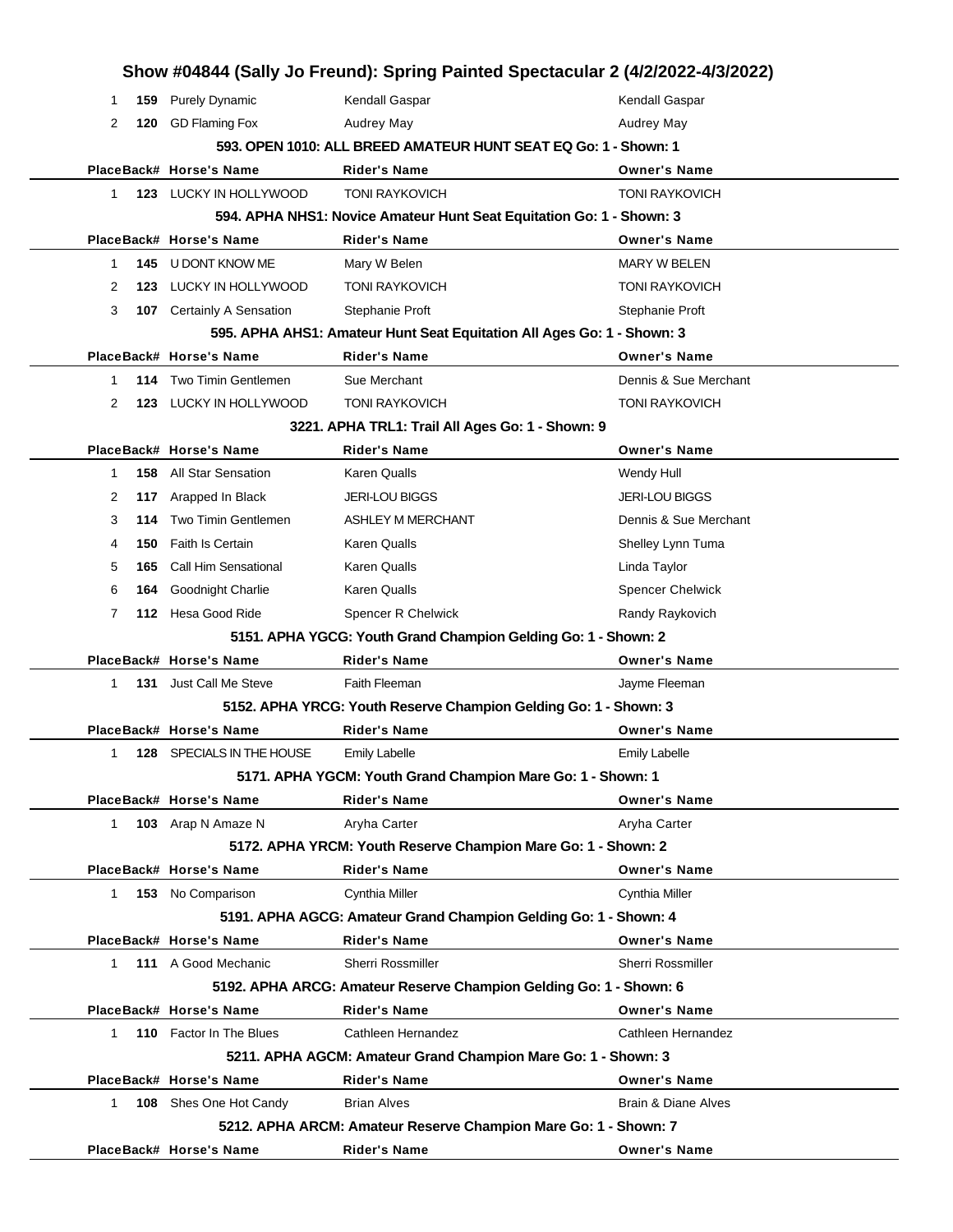|              |     |                               | Show #04844 (Sally Jo Freund): Spring Painted Spectacular 2 (4/2/2022-4/3/2022) |                                |
|--------------|-----|-------------------------------|---------------------------------------------------------------------------------|--------------------------------|
| 1            | 159 | <b>Purely Dynamic</b>         | Kendall Gaspar                                                                  | Kendall Gaspar                 |
| 2            |     | 120 GD Flaming Fox            | Audrey May                                                                      | Audrey May                     |
|              |     |                               | 593, OPEN 1010: ALL BREED AMATEUR HUNT SEAT EQ Go: 1 - Shown: 1                 |                                |
|              |     | PlaceBack# Horse's Name       | <b>Rider's Name</b>                                                             | <b>Owner's Name</b>            |
| $\mathbf 1$  |     | 123 LUCKY IN HOLLYWOOD        | <b>TONI RAYKOVICH</b>                                                           | <b>TONI RAYKOVICH</b>          |
|              |     |                               | 594. APHA NHS1: Novice Amateur Hunt Seat Equitation Go: 1 - Shown: 3            |                                |
|              |     | PlaceBack# Horse's Name       | <b>Rider's Name</b>                                                             | <b>Owner's Name</b>            |
| 1            |     | 145 U DONT KNOW ME            | Mary W Belen                                                                    | <b>MARY W BELEN</b>            |
| 2            |     | 123 LUCKY IN HOLLYWOOD        | <b>TONI RAYKOVICH</b>                                                           | <b>TONI RAYKOVICH</b>          |
| 3            | 107 | <b>Certainly A Sensation</b>  | Stephanie Proft                                                                 | Stephanie Proft                |
|              |     |                               | 595. APHA AHS1: Amateur Hunt Seat Equitation All Ages Go: 1 - Shown: 3          |                                |
|              |     | PlaceBack# Horse's Name       | <b>Rider's Name</b>                                                             | <b>Owner's Name</b>            |
| 1            | 114 | Two Timin Gentlemen           | Sue Merchant                                                                    | Dennis & Sue Merchant          |
| 2            |     | 123 LUCKY IN HOLLYWOOD        | <b>TONI RAYKOVICH</b>                                                           | <b>TONI RAYKOVICH</b>          |
|              |     |                               | 3221. APHA TRL1: Trail All Ages Go: 1 - Shown: 9                                |                                |
|              |     | PlaceBack# Horse's Name       | <b>Rider's Name</b>                                                             | <b>Owner's Name</b>            |
| 1            |     | <b>158</b> All Star Sensation | Karen Qualls                                                                    | Wendy Hull                     |
| 2            |     | 117 Arapped In Black          | <b>JERI-LOU BIGGS</b>                                                           | <b>JERI-LOU BIGGS</b>          |
| 3            | 114 | <b>Two Timin Gentlemen</b>    | <b>ASHLEY M MERCHANT</b>                                                        | Dennis & Sue Merchant          |
| 4            | 150 | <b>Faith Is Certain</b>       | <b>Karen Qualls</b>                                                             | Shelley Lynn Tuma              |
| 5            | 165 | Call Him Sensational          | <b>Karen Qualls</b>                                                             | Linda Taylor                   |
| 6            | 164 | <b>Goodnight Charlie</b>      | <b>Karen Qualls</b>                                                             | <b>Spencer Chelwick</b>        |
| 7            |     | 112 Hesa Good Ride            | Spencer R Chelwick                                                              | Randy Raykovich                |
|              |     |                               | 5151. APHA YGCG: Youth Grand Champion Gelding Go: 1 - Shown: 2                  |                                |
|              |     | PlaceBack# Horse's Name       | <b>Rider's Name</b>                                                             | <b>Owner's Name</b>            |
| $\mathbf{1}$ | 131 | Just Call Me Steve            | Faith Fleeman                                                                   | Jayme Fleeman                  |
|              |     |                               | 5152. APHA YRCG: Youth Reserve Champion Gelding Go: 1 - Shown: 3                |                                |
|              |     | PlaceBack# Horse's Name       | <b>Rider's Name</b>                                                             | <b>Owner's Name</b>            |
| 1            |     | 128 SPECIALS IN THE HOUSE     | Emily Labelle                                                                   | Emily Labelle                  |
|              |     |                               | 5171. APHA YGCM: Youth Grand Champion Mare Go: 1 - Shown: 1                     |                                |
|              |     | PlaceBack# Horse's Name       | <b>Rider's Name</b>                                                             | <b>Owner's Name</b>            |
| $\mathbf{1}$ |     | 103 Arap N Amaze N            | Aryha Carter                                                                    | Aryha Carter                   |
|              |     |                               | 5172. APHA YRCM: Youth Reserve Champion Mare Go: 1 - Shown: 2                   |                                |
|              |     | PlaceBack# Horse's Name       | <b>Rider's Name</b>                                                             | <b>Owner's Name</b>            |
| $\mathbf{1}$ |     | 153 No Comparison             | Cynthia Miller                                                                  | <b>Cynthia Miller</b>          |
|              |     |                               | 5191. APHA AGCG: Amateur Grand Champion Gelding Go: 1 - Shown: 4                |                                |
|              |     | PlaceBack# Horse's Name       | <b>Rider's Name</b>                                                             | <b>Owner's Name</b>            |
| 1            |     | 111 A Good Mechanic           | <b>Sherri Rossmiller</b>                                                        | Sherri Rossmiller              |
|              |     |                               | 5192. APHA ARCG: Amateur Reserve Champion Gelding Go: 1 - Shown: 6              |                                |
|              |     | PlaceBack# Horse's Name       | <b>Rider's Name</b>                                                             | <b>Owner's Name</b>            |
| 1.           |     | 110 Factor In The Blues       | Cathleen Hernandez                                                              | Cathleen Hernandez             |
|              |     |                               | 5211. APHA AGCM: Amateur Grand Champion Mare Go: 1 - Shown: 3                   |                                |
|              |     | PlaceBack# Horse's Name       | <b>Rider's Name</b>                                                             | <b>Owner's Name</b>            |
| $\mathbf{1}$ |     | <b>108</b> Shes One Hot Candy | <b>Brian Alves</b>                                                              | <b>Brain &amp; Diane Alves</b> |
|              |     |                               | 5212. APHA ARCM: Amateur Reserve Champion Mare Go: 1 - Shown: 7                 |                                |
|              |     | PlaceBack# Horse's Name       | <b>Rider's Name</b>                                                             | <b>Owner's Name</b>            |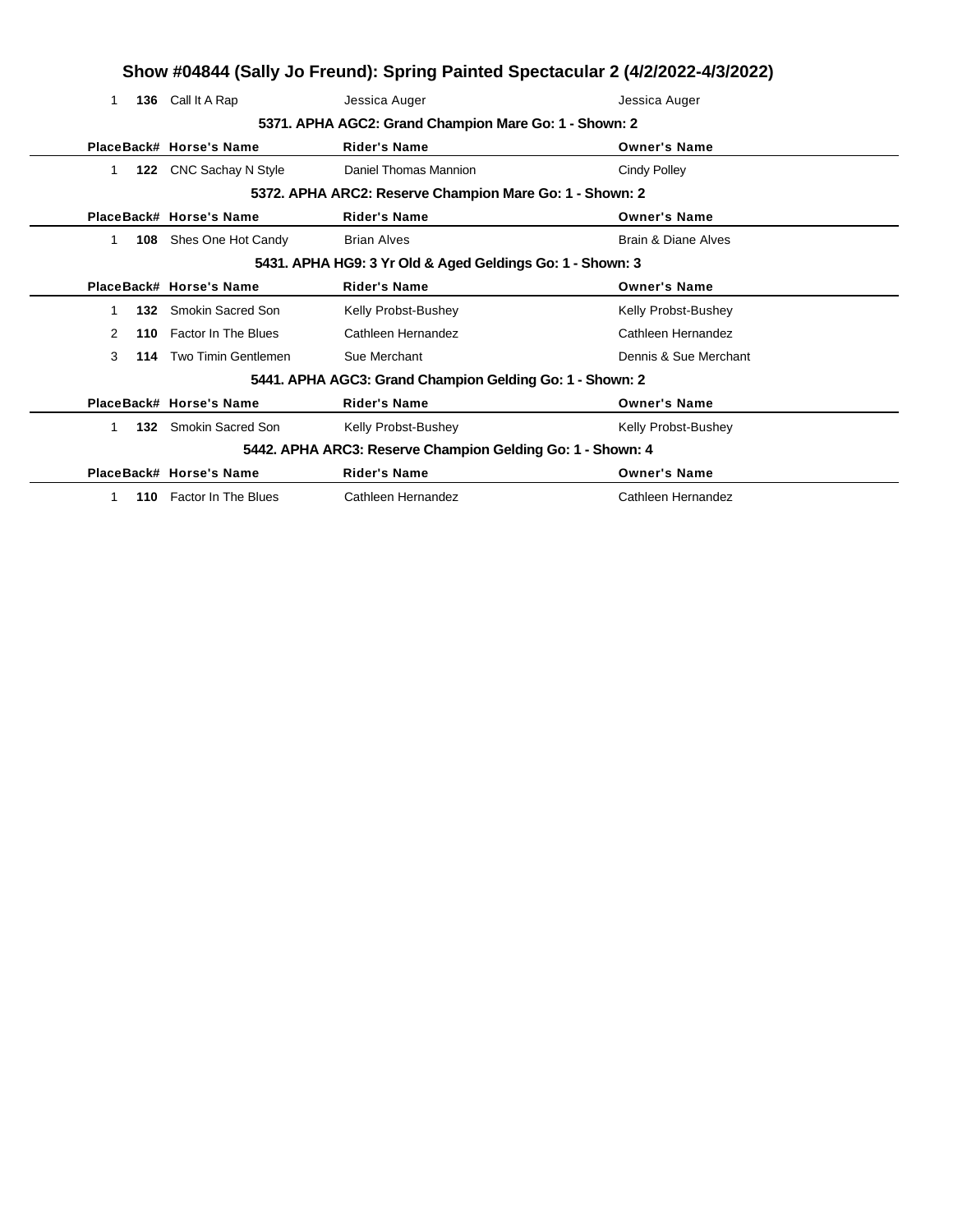|    |                         | Show #04844 (Sally Jo Freund): Spring Painted Spectacular 2 (4/2/2022-4/3/2022) |                       |
|----|-------------------------|---------------------------------------------------------------------------------|-----------------------|
| 1. | 136 Call It A Rap       | Jessica Auger                                                                   | Jessica Auger         |
|    |                         | 5371. APHA AGC2: Grand Champion Mare Go: 1 - Shown: 2                           |                       |
|    | PlaceBack# Horse's Name | <b>Rider's Name</b>                                                             | <b>Owner's Name</b>   |
|    | 122 CNC Sachay N Style  | Daniel Thomas Mannion                                                           | <b>Cindy Polley</b>   |
|    |                         | 5372. APHA ARC2: Reserve Champion Mare Go: 1 - Shown: 2                         |                       |
|    | PlaceBack# Horse's Name | <b>Rider's Name</b>                                                             | <b>Owner's Name</b>   |
| 1  | 108 Shes One Hot Candy  | <b>Brian Alves</b>                                                              | Brain & Diane Alves   |
|    |                         | 5431. APHA HG9: 3 Yr Old & Aged Geldings Go: 1 - Shown: 3                       |                       |
|    | PlaceBack# Horse's Name | <b>Rider's Name</b>                                                             | <b>Owner's Name</b>   |
| 1. | 132 Smokin Sacred Son   | Kelly Probst-Bushey                                                             | Kelly Probst-Bushey   |
| 2  | 110 Factor In The Blues | Cathleen Hernandez                                                              | Cathleen Hernandez    |
| 3  | 114 Two Timin Gentlemen | Sue Merchant                                                                    | Dennis & Sue Merchant |
|    |                         | 5441. APHA AGC3: Grand Champion Gelding Go: 1 - Shown: 2                        |                       |
|    | PlaceBack# Horse's Name | <b>Rider's Name</b>                                                             | <b>Owner's Name</b>   |
|    | 132 Smokin Sacred Son   | Kelly Probst-Bushey                                                             | Kelly Probst-Bushey   |
|    |                         | 5442. APHA ARC3: Reserve Champion Gelding Go: 1 - Shown: 4                      |                       |
|    | PlaceBack# Horse's Name | <b>Rider's Name</b>                                                             | <b>Owner's Name</b>   |
|    | 110 Factor In The Blues | Cathleen Hernandez                                                              | Cathleen Hernandez    |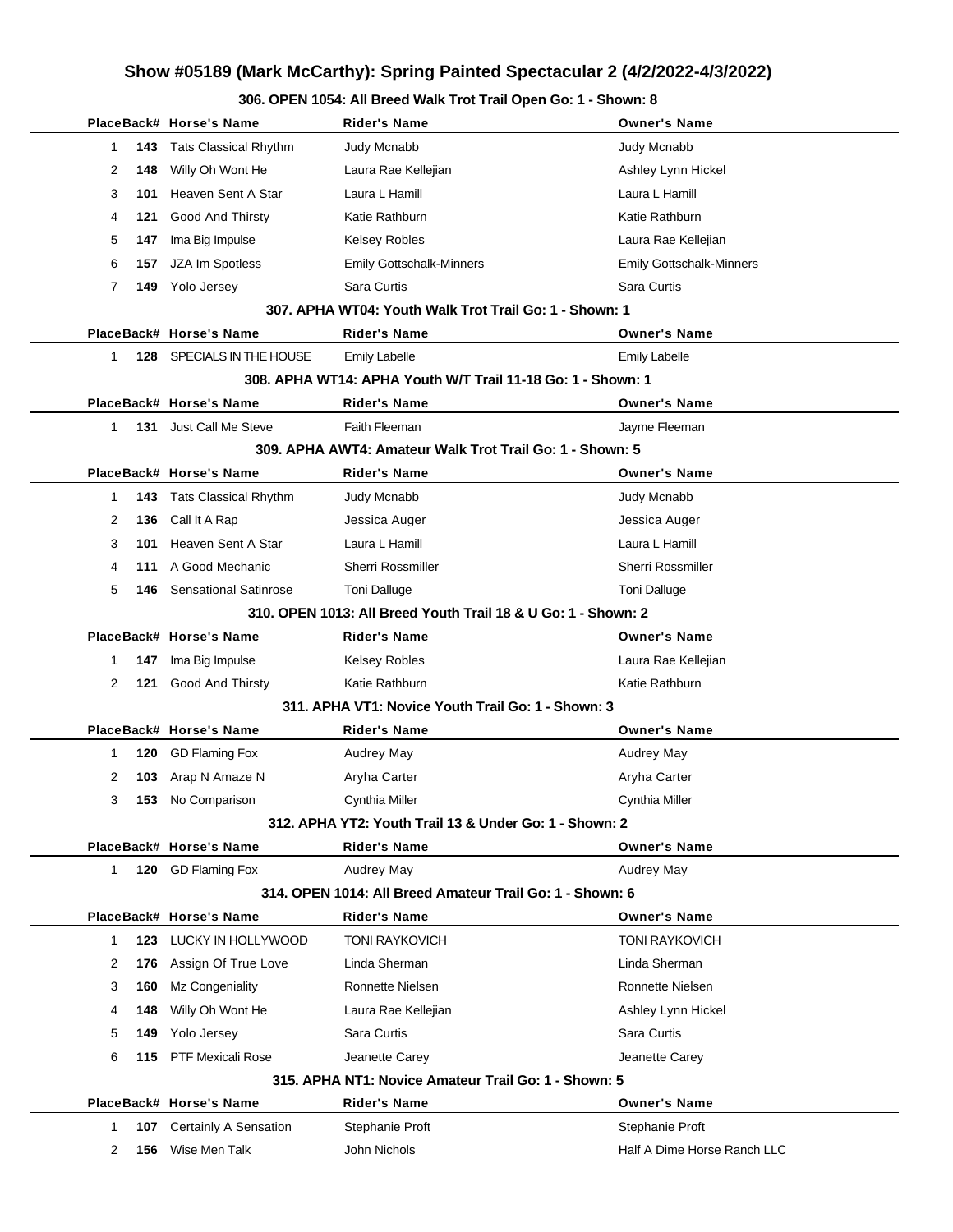|                     | PlaceBack# Horse's Name      | <b>Rider's Name</b>                                           | <b>Owner's Name</b>             |
|---------------------|------------------------------|---------------------------------------------------------------|---------------------------------|
| 1<br>143            | <b>Tats Classical Rhythm</b> | Judy Mcnabb                                                   | <b>Judy Mcnabb</b>              |
| 2<br>148            | Willy Oh Wont He             | Laura Rae Kellejian                                           | Ashley Lynn Hickel              |
| 3<br>101            | Heaven Sent A Star           | Laura L Hamill                                                | Laura L Hamill                  |
| 121<br>4            | Good And Thirsty             | Katie Rathburn                                                | Katie Rathburn                  |
| 5<br>147            | Ima Big Impulse              | <b>Kelsey Robles</b>                                          | Laura Rae Kellejian             |
| 6<br>157            | JZA Im Spotless              | Emily Gottschalk-Minners                                      | <b>Emily Gottschalk-Minners</b> |
| 7                   | 149 Yolo Jersey              | Sara Curtis                                                   | Sara Curtis                     |
|                     |                              | 307. APHA WT04: Youth Walk Trot Trail Go: 1 - Shown: 1        |                                 |
|                     | PlaceBack# Horse's Name      | <b>Rider's Name</b>                                           | <b>Owner's Name</b>             |
| 1<br>128            | SPECIALS IN THE HOUSE        | <b>Emily Labelle</b>                                          | <b>Emily Labelle</b>            |
|                     |                              | 308. APHA WT14: APHA Youth W/T Trail 11-18 Go: 1 - Shown: 1   |                                 |
|                     | PlaceBack# Horse's Name      | <b>Rider's Name</b>                                           | <b>Owner's Name</b>             |
| 1<br>131            | Just Call Me Steve           | Faith Fleeman                                                 | Jayme Fleeman                   |
|                     |                              | 309. APHA AWT4: Amateur Walk Trot Trail Go: 1 - Shown: 5      |                                 |
|                     | PlaceBack# Horse's Name      | <b>Rider's Name</b>                                           | <b>Owner's Name</b>             |
| 143<br>1            | <b>Tats Classical Rhythm</b> | Judy Mcnabb                                                   | Judy Mcnabb                     |
| 2<br>136            | Call It A Rap                | Jessica Auger                                                 | Jessica Auger                   |
| 3<br>101            | Heaven Sent A Star           | Laura L Hamill                                                | Laura L Hamill                  |
| 4<br>111            | A Good Mechanic              | <b>Sherri Rossmiller</b>                                      | <b>Sherri Rossmiller</b>        |
| 5<br>146            | <b>Sensational Satinrose</b> | <b>Toni Dalluge</b>                                           | <b>Toni Dalluge</b>             |
|                     |                              | 310, OPEN 1013: All Breed Youth Trail 18 & U Go: 1 - Shown: 2 |                                 |
|                     | PlaceBack# Horse's Name      | <b>Rider's Name</b>                                           | <b>Owner's Name</b>             |
| 147<br>1            | Ima Big Impulse              | <b>Kelsey Robles</b>                                          | Laura Rae Kellejian             |
| 2<br>121            | Good And Thirsty             | Katie Rathburn                                                | Katie Rathburn                  |
|                     |                              | 311. APHA VT1: Novice Youth Trail Go: 1 - Shown: 3            |                                 |
|                     | PlaceBack# Horse's Name      | <b>Rider's Name</b>                                           | <b>Owner's Name</b>             |
| 120<br>1            | <b>GD Flaming Fox</b>        | Audrey May                                                    | Audrey May                      |
| 2<br>103            | Arap N Amaze N               | Aryha Carter                                                  | Aryha Carter                    |
| 3<br>153            | No Comparison                | Cynthia Miller                                                | <b>Cynthia Miller</b>           |
|                     |                              | 312. APHA YT2: Youth Trail 13 & Under Go: 1 - Shown: 2        |                                 |
|                     | PlaceBack# Horse's Name      | <b>Rider's Name</b>                                           | <b>Owner's Name</b>             |
| $\mathbf{1}$<br>120 | <b>GD Flaming Fox</b>        | Audrey May                                                    | Audrey May                      |
|                     |                              | 314, OPEN 1014: All Breed Amateur Trail Go: 1 - Shown: 6      |                                 |
|                     | PlaceBack# Horse's Name      | <b>Rider's Name</b>                                           | <b>Owner's Name</b>             |
| 1                   | 123 LUCKY IN HOLLYWOOD       | <b>TONI RAYKOVICH</b>                                         | <b>TONI RAYKOVICH</b>           |
| 2<br>176            | Assign Of True Love          | Linda Sherman                                                 | Linda Sherman                   |
| 3<br>160            | Mz Congeniality              | Ronnette Nielsen                                              | Ronnette Nielsen                |
| 148<br>4            | Willy Oh Wont He             | Laura Rae Kellejian                                           | Ashley Lynn Hickel              |
| 5<br>149            | Yolo Jersey                  | Sara Curtis                                                   | Sara Curtis                     |
| 6<br>115            | <b>PTF Mexicali Rose</b>     | Jeanette Carey                                                | Jeanette Carey                  |
|                     |                              | 315. APHA NT1: Novice Amateur Trail Go: 1 - Shown: 5          |                                 |
|                     | PlaceBack# Horse's Name      | <b>Rider's Name</b>                                           | <b>Owner's Name</b>             |
| 1<br>107            | Certainly A Sensation        | Stephanie Proft                                               | Stephanie Proft                 |
| 2<br>156            | Wise Men Talk                | John Nichols                                                  | Half A Dime Horse Ranch LLC     |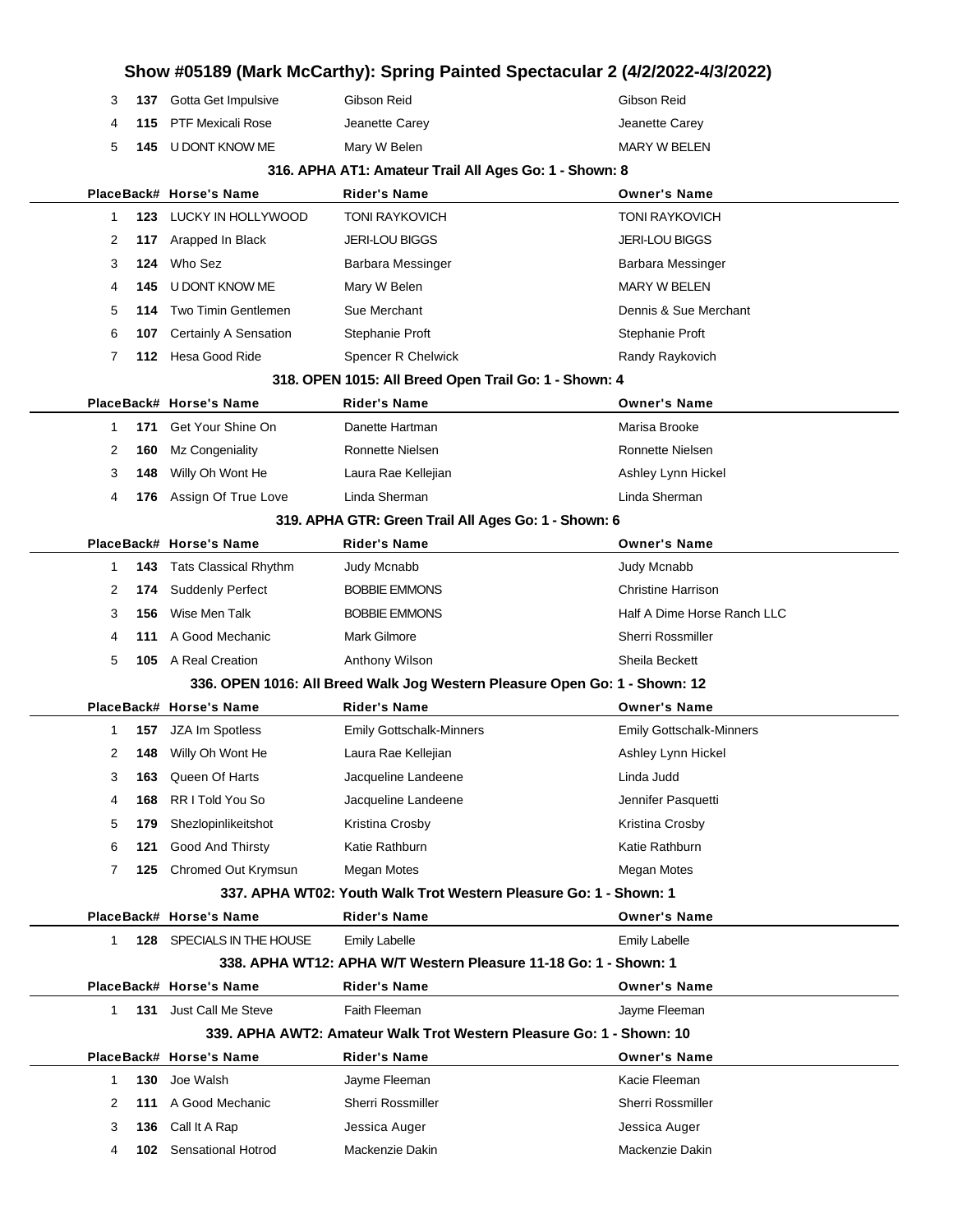|   |     |                           |                                                                            | Show #05189 (Mark McCarthy): Spring Painted Spectacular 2 (4/2/2022-4/3/2022) |
|---|-----|---------------------------|----------------------------------------------------------------------------|-------------------------------------------------------------------------------|
| 3 | 137 | Gotta Get Impulsive       | Gibson Reid                                                                | Gibson Reid                                                                   |
| 4 | 115 | <b>PTF Mexicali Rose</b>  | Jeanette Carey                                                             | Jeanette Carey                                                                |
| 5 | 145 | U DONT KNOW ME            | Mary W Belen                                                               | <b>MARY W BELEN</b>                                                           |
|   |     |                           | 316. APHA AT1: Amateur Trail All Ages Go: 1 - Shown: 8                     |                                                                               |
|   |     | PlaceBack# Horse's Name   | <b>Rider's Name</b>                                                        | <b>Owner's Name</b>                                                           |
| 1 | 123 | LUCKY IN HOLLYWOOD        | <b>TONI RAYKOVICH</b>                                                      | <b>TONI RAYKOVICH</b>                                                         |
| 2 | 117 | Arapped In Black          | <b>JERI-LOU BIGGS</b>                                                      | <b>JERI-LOU BIGGS</b>                                                         |
| 3 | 124 | Who Sez                   | Barbara Messinger                                                          | Barbara Messinger                                                             |
| 4 | 145 | U DONT KNOW ME            | Mary W Belen                                                               | <b>MARY W BELEN</b>                                                           |
| 5 | 114 | Two Timin Gentlemen       | Sue Merchant                                                               | Dennis & Sue Merchant                                                         |
| 6 | 107 | Certainly A Sensation     | Stephanie Proft                                                            | Stephanie Proft                                                               |
| 7 | 112 | Hesa Good Ride            | Spencer R Chelwick                                                         | Randy Raykovich                                                               |
|   |     |                           | 318. OPEN 1015: All Breed Open Trail Go: 1 - Shown: 4                      |                                                                               |
|   |     | PlaceBack# Horse's Name   | <b>Rider's Name</b>                                                        | <b>Owner's Name</b>                                                           |
| 1 | 171 | Get Your Shine On         | Danette Hartman                                                            | Marisa Brooke                                                                 |
| 2 | 160 | Mz Congeniality           | Ronnette Nielsen                                                           | Ronnette Nielsen                                                              |
| 3 | 148 | Willy Oh Wont He          | Laura Rae Kellejian                                                        | Ashley Lynn Hickel                                                            |
| 4 | 176 | Assign Of True Love       | Linda Sherman                                                              | Linda Sherman                                                                 |
|   |     |                           | 319. APHA GTR: Green Trail All Ages Go: 1 - Shown: 6                       |                                                                               |
|   |     | PlaceBack# Horse's Name   | <b>Rider's Name</b>                                                        | <b>Owner's Name</b>                                                           |
| 1 | 143 | Tats Classical Rhythm     | Judy Mcnabb                                                                | Judy Mcnabb                                                                   |
| 2 | 174 | <b>Suddenly Perfect</b>   | <b>BOBBIE EMMONS</b>                                                       | <b>Christine Harrison</b>                                                     |
| 3 | 156 | Wise Men Talk             | <b>BOBBIE EMMONS</b>                                                       | Half A Dime Horse Ranch LLC                                                   |
| 4 | 111 | A Good Mechanic           | <b>Mark Gilmore</b>                                                        | <b>Sherri Rossmiller</b>                                                      |
| 5 |     | 105 A Real Creation       | Anthony Wilson                                                             | Sheila Beckett                                                                |
|   |     |                           | 336. OPEN 1016: All Breed Walk Jog Western Pleasure Open Go: 1 - Shown: 12 |                                                                               |
|   |     | PlaceBack# Horse's Name   | Rider's Name                                                               | <b>Owner's Name</b>                                                           |
| 1 | 157 | JZA Im Spotless           | <b>Emily Gottschalk-Minners</b>                                            | <b>Emily Gottschalk-Minners</b>                                               |
| 2 | 148 | Willy Oh Wont He          | Laura Rae Kellejian                                                        | Ashley Lynn Hickel                                                            |
| 3 | 163 | Queen Of Harts            | Jacqueline Landeene                                                        | Linda Judd                                                                    |
| 4 | 168 | RR I Told You So          | Jacqueline Landeene                                                        | Jennifer Pasquetti                                                            |
| 5 | 179 | Shezlopinlikeitshot       | Kristina Crosby                                                            | Kristina Crosby                                                               |
| 6 | 121 | Good And Thirsty          | Katie Rathburn                                                             | Katie Rathburn                                                                |
| 7 | 125 | Chromed Out Krymsun       | <b>Megan Motes</b>                                                         | <b>Megan Motes</b>                                                            |
|   |     |                           | 337. APHA WT02: Youth Walk Trot Western Pleasure Go: 1 - Shown: 1          |                                                                               |
|   |     | PlaceBack# Horse's Name   | <b>Rider's Name</b>                                                        | <b>Owner's Name</b>                                                           |
| 1 | 128 | SPECIALS IN THE HOUSE     | <b>Emily Labelle</b>                                                       | <b>Emily Labelle</b>                                                          |
|   |     |                           | 338. APHA WT12: APHA W/T Western Pleasure 11-18 Go: 1 - Shown: 1           |                                                                               |
|   |     | PlaceBack# Horse's Name   | <b>Rider's Name</b>                                                        | <b>Owner's Name</b>                                                           |
| 1 | 131 | Just Call Me Steve        | Faith Fleeman                                                              | Jayme Fleeman                                                                 |
|   |     |                           | 339. APHA AWT2: Amateur Walk Trot Western Pleasure Go: 1 - Shown: 10       |                                                                               |
|   |     | PlaceBack# Horse's Name   | <b>Rider's Name</b>                                                        | <b>Owner's Name</b>                                                           |
| 1 | 130 | Joe Walsh                 | Jayme Fleeman                                                              | Kacie Fleeman                                                                 |
| 2 | 111 | A Good Mechanic           | Sherri Rossmiller                                                          | Sherri Rossmiller                                                             |
| 3 | 136 | Call It A Rap             | Jessica Auger                                                              | Jessica Auger                                                                 |
| 4 | 102 | <b>Sensational Hotrod</b> | Mackenzie Dakin                                                            | Mackenzie Dakin                                                               |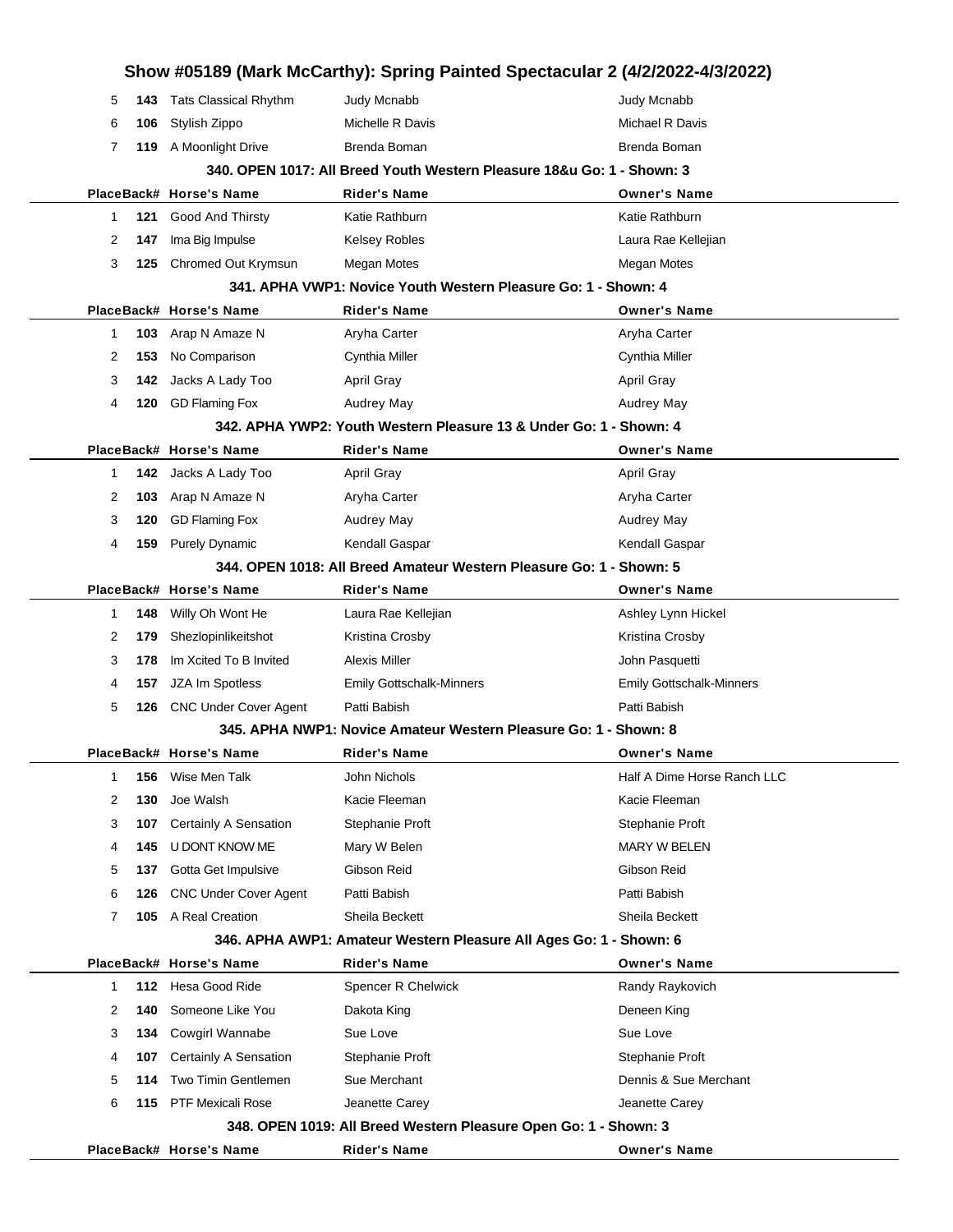|        |            |                                 | Show #05189 (Mark McCarthy): Spring Painted Spectacular 2 (4/2/2022-4/3/2022) |                                     |
|--------|------------|---------------------------------|-------------------------------------------------------------------------------|-------------------------------------|
| 5      | 143        | <b>Tats Classical Rhythm</b>    | Judy Mcnabb                                                                   | Judy Mcnabb                         |
| 6      | 106        | Stylish Zippo                   | Michelle R Davis                                                              | Michael R Davis                     |
| 7      | 119        | A Moonlight Drive               | Brenda Boman                                                                  | Brenda Boman                        |
|        |            |                                 | 340. OPEN 1017: All Breed Youth Western Pleasure 18&u Go: 1 - Shown: 3        |                                     |
|        |            | PlaceBack# Horse's Name         | Rider's Name                                                                  | <b>Owner's Name</b>                 |
| 1      | 121        | Good And Thirsty                | Katie Rathburn                                                                | Katie Rathburn                      |
| 2      | 147        | Ima Big Impulse                 | <b>Kelsey Robles</b>                                                          | Laura Rae Kellejian                 |
| 3      | 125        | Chromed Out Krymsun             | <b>Megan Motes</b>                                                            | <b>Megan Motes</b>                  |
|        |            |                                 | 341. APHA VWP1: Novice Youth Western Pleasure Go: 1 - Shown: 4                |                                     |
|        |            | PlaceBack# Horse's Name         | <b>Rider's Name</b>                                                           | <b>Owner's Name</b>                 |
| 1<br>2 | 103<br>153 | Arap N Amaze N<br>No Comparison | Aryha Carter                                                                  | Aryha Carter                        |
| 3      | 142        | Jacks A Lady Too                | Cynthia Miller<br><b>April Gray</b>                                           | Cynthia Miller<br><b>April Gray</b> |
| 4      | 120        | <b>GD Flaming Fox</b>           | <b>Audrey May</b>                                                             | <b>Audrey May</b>                   |
|        |            |                                 | 342. APHA YWP2: Youth Western Pleasure 13 & Under Go: 1 - Shown: 4            |                                     |
|        |            | PlaceBack# Horse's Name         | <b>Rider's Name</b>                                                           | <b>Owner's Name</b>                 |
| 1      | 142        | Jacks A Lady Too                | <b>April Gray</b>                                                             | <b>April Gray</b>                   |
| 2      | 103        | Arap N Amaze N                  | Aryha Carter                                                                  | Aryha Carter                        |
| 3      | 120        | <b>GD Flaming Fox</b>           | <b>Audrey May</b>                                                             | <b>Audrey May</b>                   |
| 4      | 159        | <b>Purely Dynamic</b>           | Kendall Gaspar                                                                | Kendall Gaspar                      |
|        |            |                                 | 344. OPEN 1018: All Breed Amateur Western Pleasure Go: 1 - Shown: 5           |                                     |
|        |            | PlaceBack# Horse's Name         | <b>Rider's Name</b>                                                           | <b>Owner's Name</b>                 |
| 1      | 148        | Willy Oh Wont He                | Laura Rae Kellejian                                                           | Ashley Lynn Hickel                  |
| 2      | 179        | Shezlopinlikeitshot             | Kristina Crosby                                                               | Kristina Crosby                     |
| 3      | 178        | Im Xcited To B Invited          | Alexis Miller                                                                 | John Pasquetti                      |
| 4      | 157        | JZA Im Spotless                 | <b>Emily Gottschalk-Minners</b>                                               | <b>Emily Gottschalk-Minners</b>     |
| 5      | 126        | <b>CNC Under Cover Agent</b>    | Patti Babish                                                                  | Patti Babish                        |
|        |            |                                 | 345. APHA NWP1: Novice Amateur Western Pleasure Go: 1 - Shown: 8              |                                     |
|        |            | PlaceBack# Horse's Name         | Rider's Name                                                                  | <b>Owner's Name</b>                 |
| 1      | 156        | Wise Men Talk                   | John Nichols                                                                  | Half A Dime Horse Ranch LLC         |
| 2      | 130        | Joe Walsh                       | Kacie Fleeman                                                                 | Kacie Fleeman                       |
| 3      | 107        | Certainly A Sensation           | Stephanie Proft                                                               | Stephanie Proft                     |
| 4      | 145        | U DONT KNOW ME                  | Mary W Belen                                                                  | <b>MARY W BELEN</b>                 |
| 5      | 137        | Gotta Get Impulsive             | Gibson Reid                                                                   | Gibson Reid                         |
| 6      | 126        | <b>CNC Under Cover Agent</b>    | Patti Babish                                                                  | Patti Babish                        |
| 7      |            | 105 A Real Creation             | Sheila Beckett                                                                | Sheila Beckett                      |
|        |            |                                 | 346. APHA AWP1: Amateur Western Pleasure All Ages Go: 1 - Shown: 6            |                                     |
|        |            | PlaceBack# Horse's Name         | <b>Rider's Name</b>                                                           | <b>Owner's Name</b>                 |
| 1      | 112        | Hesa Good Ride                  | Spencer R Chelwick                                                            | Randy Raykovich                     |
| 2      | 140        | Someone Like You                | Dakota King                                                                   | Deneen King                         |
| 3      | 134        | Cowgirl Wannabe                 | Sue Love                                                                      | Sue Love                            |
| 4      | 107        | Certainly A Sensation           | Stephanie Proft                                                               | Stephanie Proft                     |
| 5      | 114        | Two Timin Gentlemen             | Sue Merchant                                                                  | Dennis & Sue Merchant               |
| 6      | 115        | <b>PTF Mexicali Rose</b>        | Jeanette Carey                                                                | Jeanette Carey                      |
|        |            |                                 | 348. OPEN 1019: All Breed Western Pleasure Open Go: 1 - Shown: 3              |                                     |
|        |            | PlaceBack# Horse's Name         | <b>Rider's Name</b>                                                           | <b>Owner's Name</b>                 |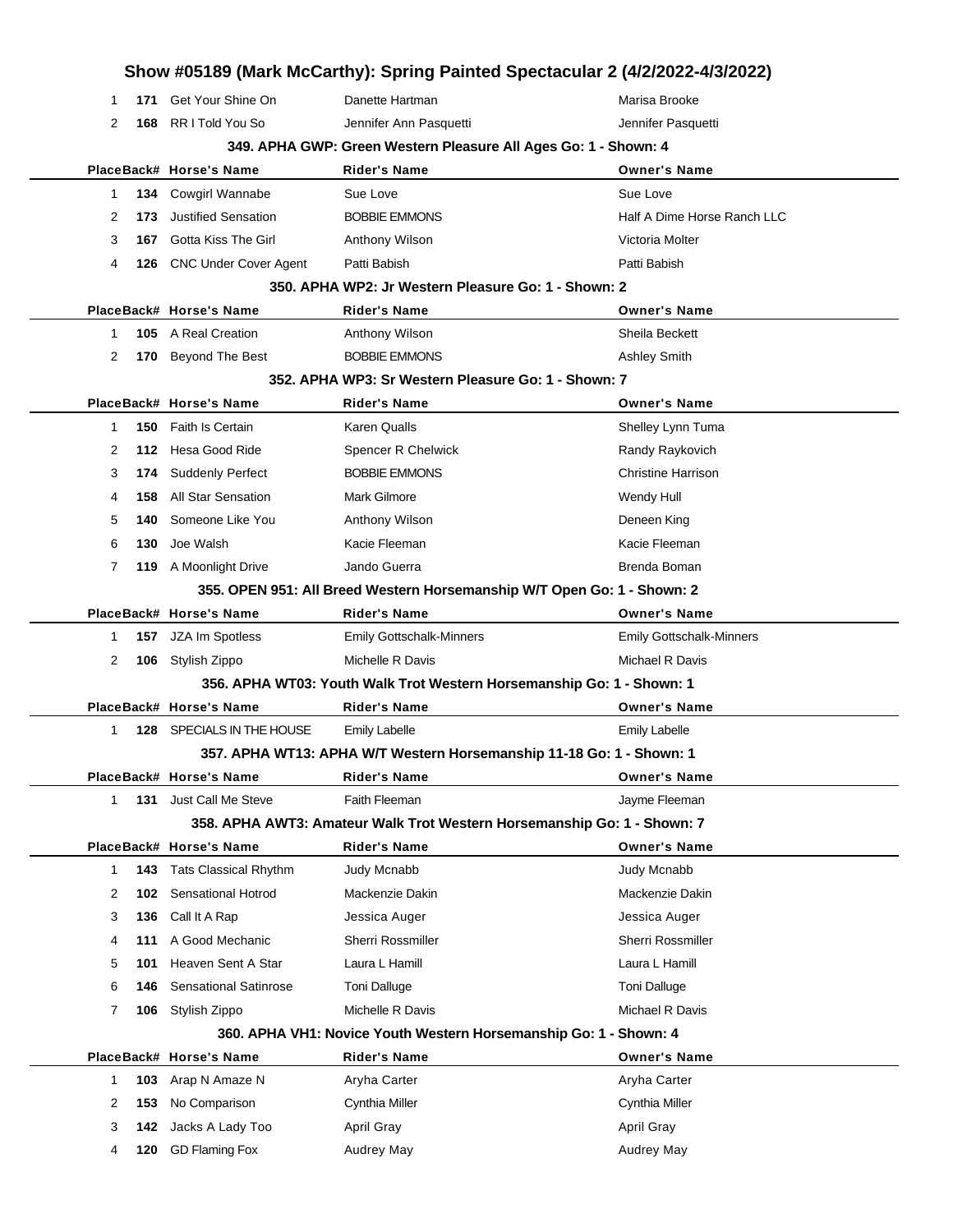|                |     |                                           | Show #05189 (Mark McCarthy): Spring Painted Spectacular 2 (4/2/2022-4/3/2022) |                                     |
|----------------|-----|-------------------------------------------|-------------------------------------------------------------------------------|-------------------------------------|
| 1              | 171 | Get Your Shine On                         | Danette Hartman                                                               | Marisa Brooke                       |
| $\overline{2}$ | 168 | RR I Told You So                          | Jennifer Ann Pasquetti                                                        | Jennifer Pasquetti                  |
|                |     |                                           | 349. APHA GWP: Green Western Pleasure All Ages Go: 1 - Shown: 4               |                                     |
|                |     | PlaceBack# Horse's Name                   | <b>Rider's Name</b>                                                           | <b>Owner's Name</b>                 |
| 1              | 134 | <b>Cowgirl Wannabe</b>                    | Sue Love                                                                      | Sue Love                            |
| 2              | 173 | <b>Justified Sensation</b>                | <b>BOBBIE EMMONS</b>                                                          | Half A Dime Horse Ranch LLC         |
| 3              | 167 | Gotta Kiss The Girl                       | Anthony Wilson                                                                | Victoria Molter                     |
| 4              |     | 126 CNC Under Cover Agent                 | Patti Babish                                                                  | Patti Babish                        |
|                |     |                                           | 350. APHA WP2: Jr Western Pleasure Go: 1 - Shown: 2                           |                                     |
|                |     | PlaceBack# Horse's Name                   | <b>Rider's Name</b>                                                           | <b>Owner's Name</b>                 |
| 1              | 105 | A Real Creation                           | Anthony Wilson                                                                | Sheila Beckett                      |
| 2              | 170 | <b>Beyond The Best</b>                    | <b>BOBBIE EMMONS</b>                                                          | <b>Ashley Smith</b>                 |
|                |     |                                           | 352. APHA WP3: Sr Western Pleasure Go: 1 - Shown: 7                           |                                     |
|                |     | PlaceBack# Horse's Name                   | <b>Rider's Name</b>                                                           | <b>Owner's Name</b>                 |
| 1              | 150 | <b>Faith Is Certain</b>                   | Karen Qualls                                                                  | Shelley Lynn Tuma                   |
| 2              | 112 | Hesa Good Ride                            | Spencer R Chelwick                                                            | Randy Raykovich                     |
| 3              | 174 | <b>Suddenly Perfect</b>                   | <b>BOBBIE EMMONS</b>                                                          | <b>Christine Harrison</b>           |
| 4              | 158 | <b>All Star Sensation</b>                 | Mark Gilmore                                                                  | Wendy Hull                          |
| 5              | 140 | Someone Like You                          | Anthony Wilson                                                                | Deneen King                         |
| 6              | 130 | Joe Walsh                                 | Kacie Fleeman                                                                 | Kacie Fleeman                       |
| 7              |     | 119 A Moonlight Drive                     | Jando Guerra                                                                  | Brenda Boman                        |
|                |     |                                           | 355. OPEN 951: All Breed Western Horsemanship W/T Open Go: 1 - Shown: 2       |                                     |
|                |     | PlaceBack# Horse's Name                   | <b>Rider's Name</b>                                                           | <b>Owner's Name</b>                 |
| 1              | 157 | JZA Im Spotless                           | <b>Emily Gottschalk-Minners</b>                                               | <b>Emily Gottschalk-Minners</b>     |
| 2              |     | 106 Stylish Zippo                         | Michelle R Davis                                                              | Michael R Davis                     |
|                |     |                                           | 356. APHA WT03: Youth Walk Trot Western Horsemanship Go: 1 - Shown: 1         |                                     |
|                |     | PlaceBack# Horse's Name                   | Rider's Name                                                                  | <b>Owner's Name</b>                 |
| 1              | 128 | SPECIALS IN THE HOUSE                     | <b>Emily Labelle</b>                                                          | <b>Emily Labelle</b>                |
|                |     |                                           | 357. APHA WT13: APHA W/T Western Horsemanship 11-18 Go: 1 - Shown: 1          |                                     |
|                |     | PlaceBack# Horse's Name                   | <b>Rider's Name</b>                                                           | <b>Owner's Name</b>                 |
| 1              | 131 | Just Call Me Steve                        | Faith Fleeman                                                                 | Jayme Fleeman                       |
|                |     |                                           | 358. APHA AWT3: Amateur Walk Trot Western Horsemanship Go: 1 - Shown: 7       |                                     |
|                |     | PlaceBack# Horse's Name                   | <b>Rider's Name</b>                                                           | <b>Owner's Name</b>                 |
| 1              | 143 | <b>Tats Classical Rhythm</b>              | Judy Mcnabb                                                                   | Judy Mcnabb                         |
| 2              | 102 | Sensational Hotrod                        | Mackenzie Dakin                                                               | Mackenzie Dakin                     |
| 3              | 136 | Call It A Rap                             | Jessica Auger                                                                 | Jessica Auger                       |
| 4              | 111 | A Good Mechanic                           | Sherri Rossmiller                                                             | Sherri Rossmiller                   |
| 5              | 101 | Heaven Sent A Star                        | Laura L Hamill                                                                | Laura L Hamill                      |
| 6              | 146 | <b>Sensational Satinrose</b>              | <b>Toni Dalluge</b>                                                           | Toni Dalluge                        |
| 7              | 106 | Stylish Zippo                             | Michelle R Davis                                                              | Michael R Davis                     |
|                |     |                                           | 360. APHA VH1: Novice Youth Western Horsemanship Go: 1 - Shown: 4             |                                     |
| 1              | 103 | PlaceBack# Horse's Name<br>Arap N Amaze N | Rider's Name<br>Aryha Carter                                                  | <b>Owner's Name</b><br>Aryha Carter |
| 2              | 153 | No Comparison                             | Cynthia Miller                                                                | Cynthia Miller                      |
| 3              | 142 | Jacks A Lady Too                          | <b>April Gray</b>                                                             | <b>April Gray</b>                   |
| 4              | 120 | <b>GD Flaming Fox</b>                     | Audrey May                                                                    | <b>Audrey May</b>                   |
|                |     |                                           |                                                                               |                                     |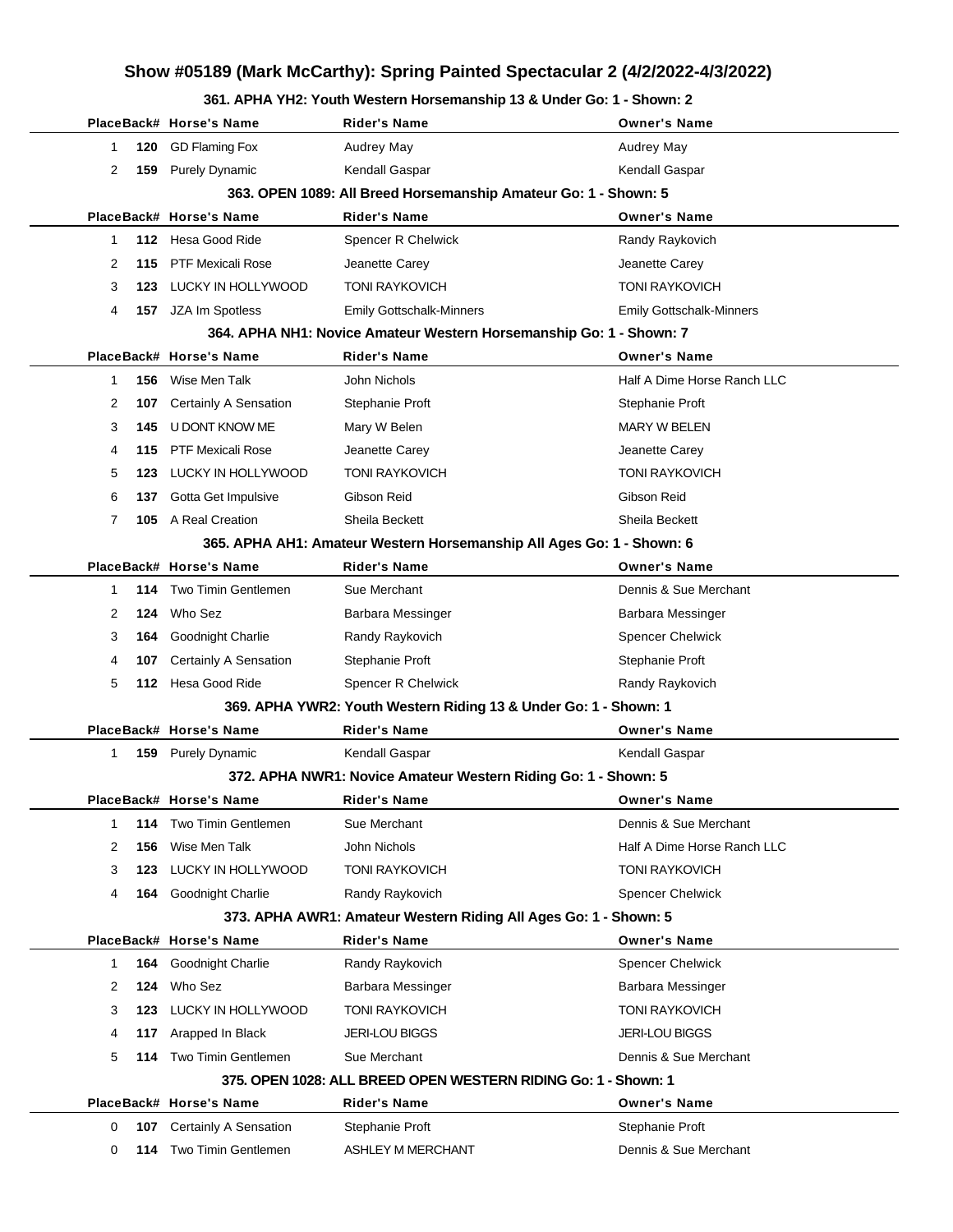#### **361. APHA YH2: Youth Western Horsemanship 13 & Under Go: 1 - Shown: 2**

|              |     |                            | <b>TIA THE. TOUGH NUSIUM HOLSUMANSHIP TO &amp; ONGUL OU.</b> T        |                                 |
|--------------|-----|----------------------------|-----------------------------------------------------------------------|---------------------------------|
|              |     | PlaceBack# Horse's Name    | Rider's Name                                                          | <b>Owner's Name</b>             |
| 1            | 120 | <b>GD Flaming Fox</b>      | <b>Audrey May</b>                                                     | Audrey May                      |
| 2            |     | 159 Purely Dynamic         | Kendall Gaspar                                                        | Kendall Gaspar                  |
|              |     |                            | 363. OPEN 1089: All Breed Horsemanship Amateur Go: 1 - Shown: 5       |                                 |
|              |     | PlaceBack# Horse's Name    | Rider's Name                                                          | <b>Owner's Name</b>             |
| 1            | 112 | Hesa Good Ride             | Spencer R Chelwick                                                    | Randy Raykovich                 |
| 2            | 115 | <b>PTF Mexicali Rose</b>   | Jeanette Carey                                                        | Jeanette Carey                  |
| 3            | 123 | LUCKY IN HOLLYWOOD         | <b>TONI RAYKOVICH</b>                                                 | <b>TONI RAYKOVICH</b>           |
| 4            |     | 157 JZA Im Spotless        | <b>Emily Gottschalk-Minners</b>                                       | <b>Emily Gottschalk-Minners</b> |
|              |     |                            | 364. APHA NH1: Novice Amateur Western Horsemanship Go: 1 - Shown: 7   |                                 |
|              |     | PlaceBack# Horse's Name    | <b>Rider's Name</b>                                                   | <b>Owner's Name</b>             |
| 1            | 156 | Wise Men Talk              | John Nichols                                                          | Half A Dime Horse Ranch LLC     |
| 2            | 107 | Certainly A Sensation      | Stephanie Proft                                                       | Stephanie Proft                 |
| 3            | 145 | U DONT KNOW ME             | Mary W Belen                                                          | <b>MARY W BELEN</b>             |
| 4            | 115 | <b>PTF Mexicali Rose</b>   | Jeanette Carey                                                        | Jeanette Carey                  |
| 5            | 123 | LUCKY IN HOLLYWOOD         | <b>TONI RAYKOVICH</b>                                                 | <b>TONI RAYKOVICH</b>           |
| 6            | 137 | Gotta Get Impulsive        | Gibson Reid                                                           | Gibson Reid                     |
| 7            |     | 105 A Real Creation        | Sheila Beckett                                                        | Sheila Beckett                  |
|              |     |                            | 365. APHA AH1: Amateur Western Horsemanship All Ages Go: 1 - Shown: 6 |                                 |
|              |     | PlaceBack# Horse's Name    | <b>Rider's Name</b>                                                   | <b>Owner's Name</b>             |
| 1            | 114 | <b>Two Timin Gentlemen</b> | Sue Merchant                                                          | Dennis & Sue Merchant           |
| 2            | 124 | Who Sez                    | Barbara Messinger                                                     | Barbara Messinger               |
| 3            | 164 | Goodnight Charlie          | Randy Raykovich                                                       | <b>Spencer Chelwick</b>         |
| 4            | 107 | Certainly A Sensation      | Stephanie Proft                                                       | Stephanie Proft                 |
| 5            |     | 112 Hesa Good Ride         | Spencer R Chelwick                                                    | Randy Raykovich                 |
|              |     |                            | 369. APHA YWR2: Youth Western Riding 13 & Under Go: 1 - Shown: 1      |                                 |
|              |     | PlaceBack# Horse's Name    | Rider's Name                                                          | <b>Owner's Name</b>             |
| $\mathbf{1}$ |     | 159 Purely Dynamic         | Kendall Gaspar                                                        | Kendall Gaspar                  |
|              |     |                            | 372. APHA NWR1: Novice Amateur Western Riding Go: 1 - Shown: 5        |                                 |
|              |     | PlaceBack# Horse's Name    | Rider's Name                                                          | <b>Owner's Name</b>             |
| 1            | 114 | <b>Two Timin Gentlemen</b> | Sue Merchant                                                          | Dennis & Sue Merchant           |
| 2            | 156 | Wise Men Talk              | John Nichols                                                          | Half A Dime Horse Ranch LLC     |
| 3            | 123 | LUCKY IN HOLLYWOOD         | <b>TONI RAYKOVICH</b>                                                 | TONI RAYKOVICH                  |
| 4            | 164 | Goodnight Charlie          | Randy Raykovich                                                       | <b>Spencer Chelwick</b>         |
|              |     |                            | 373. APHA AWR1: Amateur Western Riding All Ages Go: 1 - Shown: 5      |                                 |
|              |     | PlaceBack# Horse's Name    | <b>Rider's Name</b>                                                   | <b>Owner's Name</b>             |
| 1            | 164 | <b>Goodnight Charlie</b>   | Randy Raykovich                                                       | <b>Spencer Chelwick</b>         |
| 2            | 124 | Who Sez                    | <b>Barbara Messinger</b>                                              | <b>Barbara Messinger</b>        |
| 3            | 123 | LUCKY IN HOLLYWOOD         | <b>TONI RAYKOVICH</b>                                                 | <b>TONI RAYKOVICH</b>           |
| 4            | 117 | Arapped In Black           | <b>JERI-LOU BIGGS</b>                                                 | <b>JERI-LOU BIGGS</b>           |
| 5            | 114 | <b>Two Timin Gentlemen</b> | Sue Merchant                                                          | Dennis & Sue Merchant           |
|              |     |                            | 375. OPEN 1028: ALL BREED OPEN WESTERN RIDING Go: 1 - Shown: 1        |                                 |
|              |     | PlaceBack# Horse's Name    | Rider's Name                                                          | <b>Owner's Name</b>             |
| 0            | 107 | Certainly A Sensation      | Stephanie Proft                                                       | Stephanie Proft                 |
| 0            | 114 | Two Timin Gentlemen        | ASHLEY M MERCHANT                                                     | Dennis & Sue Merchant           |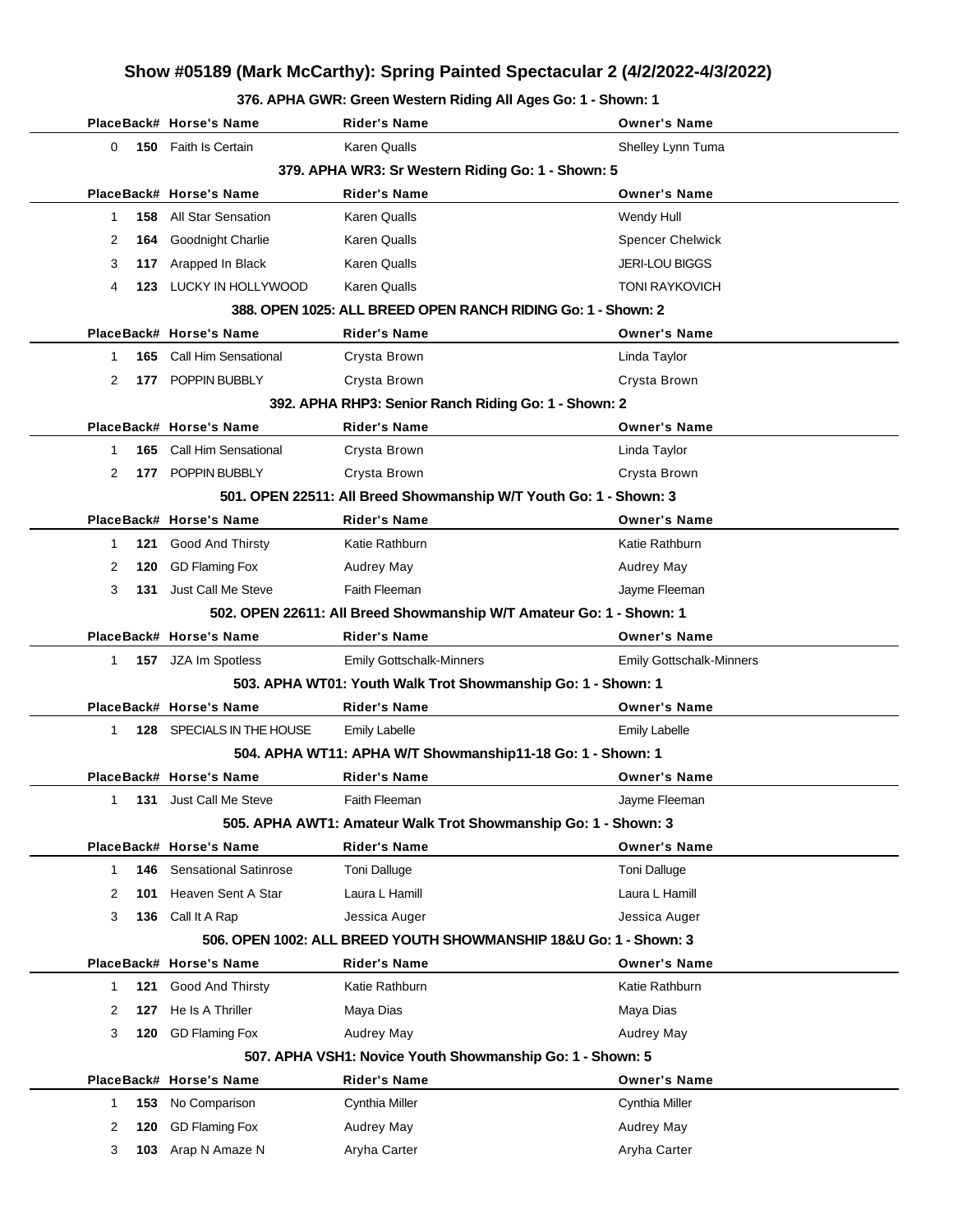#### **376. APHA GWR: Green Western Riding All Ages Go: 1 - Shown: 1**

|                                                                       |     | PlaceBack# Horse's Name      | Rider's Name                                                        | <b>Owner's Name</b>             |  |  |  |
|-----------------------------------------------------------------------|-----|------------------------------|---------------------------------------------------------------------|---------------------------------|--|--|--|
| 0                                                                     |     | 150 Faith Is Certain         | <b>Karen Qualls</b>                                                 | Shelley Lynn Tuma               |  |  |  |
| 379. APHA WR3: Sr Western Riding Go: 1 - Shown: 5                     |     |                              |                                                                     |                                 |  |  |  |
| PlaceBack# Horse's Name<br><b>Rider's Name</b><br><b>Owner's Name</b> |     |                              |                                                                     |                                 |  |  |  |
| 1                                                                     | 158 | All Star Sensation           | <b>Karen Qualls</b>                                                 | Wendy Hull                      |  |  |  |
| 2                                                                     | 164 | Goodnight Charlie            | Karen Qualls                                                        | <b>Spencer Chelwick</b>         |  |  |  |
| 3                                                                     | 117 | Arapped In Black             | <b>Karen Qualls</b>                                                 | <b>JERI-LOU BIGGS</b>           |  |  |  |
| 4                                                                     |     | 123 LUCKY IN HOLLYWOOD       | <b>Karen Qualls</b>                                                 | <b>TONI RAYKOVICH</b>           |  |  |  |
|                                                                       |     |                              | 388. OPEN 1025: ALL BREED OPEN RANCH RIDING Go: 1 - Shown: 2        |                                 |  |  |  |
|                                                                       |     | PlaceBack# Horse's Name      | Rider's Name                                                        | <b>Owner's Name</b>             |  |  |  |
| 1                                                                     | 165 | <b>Call Him Sensational</b>  | Crysta Brown                                                        | Linda Taylor                    |  |  |  |
| 2                                                                     |     | 177 POPPIN BUBBLY            | Crysta Brown                                                        | Crysta Brown                    |  |  |  |
|                                                                       |     |                              | 392. APHA RHP3: Senior Ranch Riding Go: 1 - Shown: 2                |                                 |  |  |  |
|                                                                       |     | PlaceBack# Horse's Name      | <b>Rider's Name</b>                                                 | <b>Owner's Name</b>             |  |  |  |
| 1                                                                     | 165 | Call Him Sensational         | Crysta Brown                                                        | Linda Taylor                    |  |  |  |
| 2                                                                     |     | 177 POPPIN BUBBLY            | Crysta Brown                                                        | Crysta Brown                    |  |  |  |
|                                                                       |     |                              | 501. OPEN 22511: All Breed Showmanship W/T Youth Go: 1 - Shown: 3   |                                 |  |  |  |
|                                                                       |     | PlaceBack# Horse's Name      | <b>Rider's Name</b>                                                 | <b>Owner's Name</b>             |  |  |  |
| 1                                                                     | 121 | Good And Thirsty             | Katie Rathburn                                                      | Katie Rathburn                  |  |  |  |
| 2                                                                     | 120 | <b>GD Flaming Fox</b>        | Audrey May                                                          | Audrey May                      |  |  |  |
| 3                                                                     | 131 | Just Call Me Steve           | Faith Fleeman                                                       | Jayme Fleeman                   |  |  |  |
|                                                                       |     |                              | 502. OPEN 22611: All Breed Showmanship W/T Amateur Go: 1 - Shown: 1 |                                 |  |  |  |
|                                                                       |     | PlaceBack# Horse's Name      | <b>Rider's Name</b>                                                 | <b>Owner's Name</b>             |  |  |  |
| 1                                                                     |     | 157 JZA Im Spotless          | <b>Emily Gottschalk-Minners</b>                                     | <b>Emily Gottschalk-Minners</b> |  |  |  |
|                                                                       |     |                              | 503. APHA WT01: Youth Walk Trot Showmanship Go: 1 - Shown: 1        |                                 |  |  |  |
|                                                                       |     | PlaceBack# Horse's Name      | <b>Rider's Name</b>                                                 | <b>Owner's Name</b>             |  |  |  |
| 1                                                                     |     | 128 SPECIALS IN THE HOUSE    | <b>Emily Labelle</b>                                                | <b>Emily Labelle</b>            |  |  |  |
|                                                                       |     |                              | 504. APHA WT11: APHA W/T Showmanship11-18 Go: 1 - Shown: 1          |                                 |  |  |  |
|                                                                       |     | PlaceBack# Horse's Name      | <b>Rider's Name</b>                                                 | <b>Owner's Name</b>             |  |  |  |
| $\mathbf{1}$                                                          |     | 131 Just Call Me Steve       | <b>Faith Fleeman</b>                                                | Javme Fleeman                   |  |  |  |
|                                                                       |     |                              | 505. APHA AWT1: Amateur Walk Trot Showmanship Go: 1 - Shown: 3      |                                 |  |  |  |
|                                                                       |     | PlaceBack# Horse's Name      | <b>Rider's Name</b>                                                 | <b>Owner's Name</b>             |  |  |  |
| $\mathbf 1$                                                           | 146 | <b>Sensational Satinrose</b> | <b>Toni Dalluge</b>                                                 | <b>Toni Dalluge</b>             |  |  |  |
| 2                                                                     | 101 | Heaven Sent A Star           | Laura L Hamill                                                      | Laura L Hamill                  |  |  |  |
| 3                                                                     | 136 | Call It A Rap                | Jessica Auger                                                       | Jessica Auger                   |  |  |  |
|                                                                       |     |                              | 506, OPEN 1002: ALL BREED YOUTH SHOWMANSHIP 18&U Go: 1 - Shown: 3   |                                 |  |  |  |
|                                                                       |     | PlaceBack# Horse's Name      | Rider's Name                                                        | <b>Owner's Name</b>             |  |  |  |
| $\mathbf 1$                                                           | 121 | Good And Thirsty             | Katie Rathburn                                                      | Katie Rathburn                  |  |  |  |
| 2                                                                     | 127 | He Is A Thriller             | Maya Dias                                                           | Maya Dias                       |  |  |  |
| 3                                                                     | 120 | <b>GD Flaming Fox</b>        | Audrey May                                                          | <b>Audrey May</b>               |  |  |  |
|                                                                       |     |                              | 507. APHA VSH1: Novice Youth Showmanship Go: 1 - Shown: 5           |                                 |  |  |  |
|                                                                       |     | PlaceBack# Horse's Name      | <b>Rider's Name</b>                                                 | <b>Owner's Name</b>             |  |  |  |
| $\mathbf 1$                                                           | 153 | No Comparison                | Cynthia Miller                                                      | Cynthia Miller                  |  |  |  |
| 2                                                                     | 120 | <b>GD Flaming Fox</b>        | Audrey May                                                          | <b>Audrey May</b>               |  |  |  |
| 3                                                                     | 103 | Arap N Amaze N               | Aryha Carter                                                        | Aryha Carter                    |  |  |  |
|                                                                       |     |                              |                                                                     |                                 |  |  |  |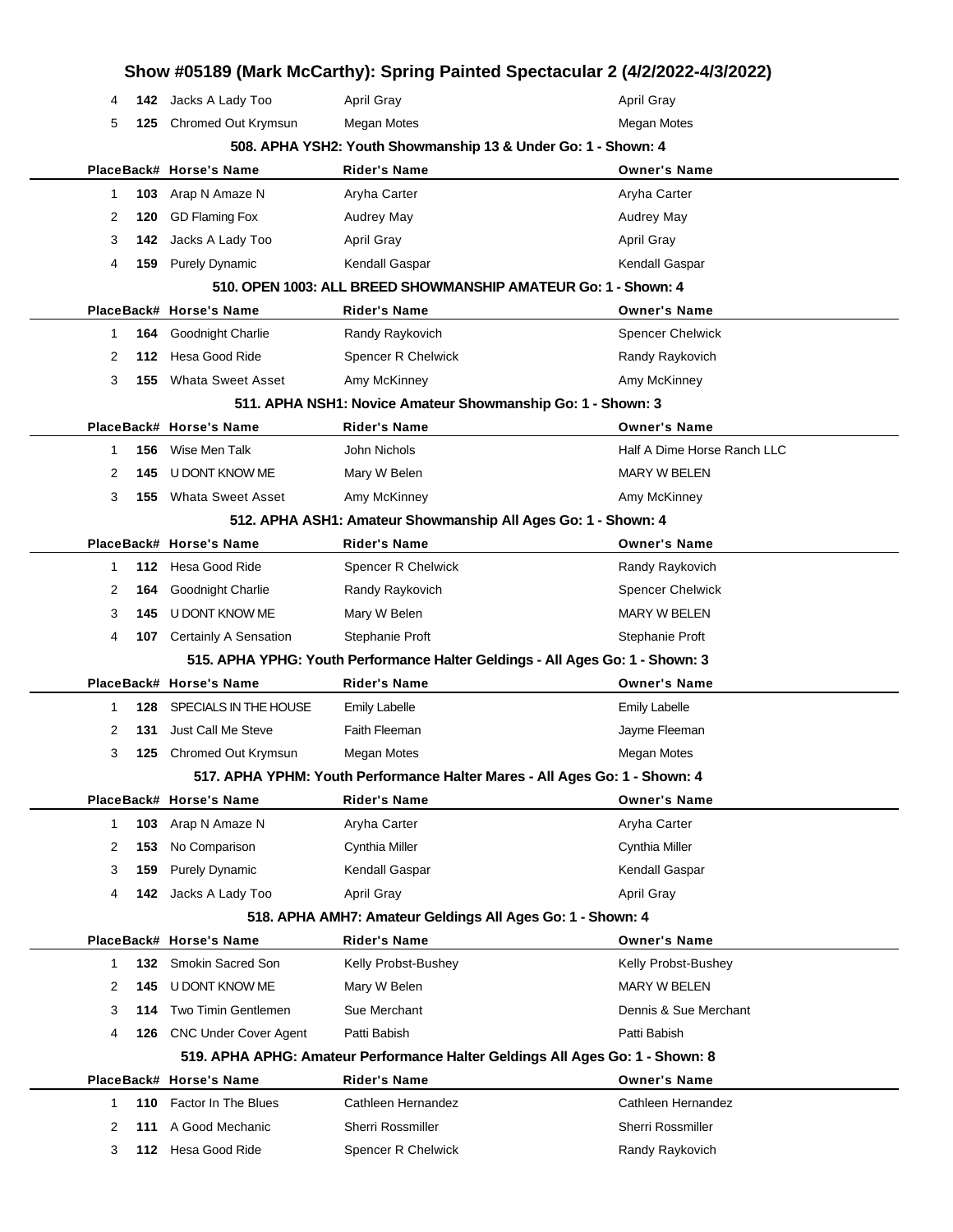|              |     |                              | Show #05189 (Mark McCarthy): Spring Painted Spectacular 2 (4/2/2022-4/3/2022)                        |                             |
|--------------|-----|------------------------------|------------------------------------------------------------------------------------------------------|-----------------------------|
| 4            |     | 142 Jacks A Lady Too         | <b>April Gray</b>                                                                                    | <b>April Gray</b>           |
| 5            | 125 | Chromed Out Krymsun          | <b>Megan Motes</b>                                                                                   | Megan Motes                 |
|              |     |                              | 508. APHA YSH2: Youth Showmanship 13 & Under Go: 1 - Shown: 4                                        |                             |
|              |     | PlaceBack# Horse's Name      | <b>Rider's Name</b>                                                                                  | <b>Owner's Name</b>         |
| 1            | 103 | Arap N Amaze N               | Aryha Carter                                                                                         | Aryha Carter                |
| 2            | 120 | <b>GD Flaming Fox</b>        | <b>Audrey May</b>                                                                                    | Audrey May                  |
| 3            | 142 | Jacks A Lady Too             | <b>April Gray</b>                                                                                    | <b>April Gray</b>           |
| 4            | 159 | <b>Purely Dynamic</b>        | Kendall Gaspar                                                                                       | Kendall Gaspar              |
|              |     |                              | 510, OPEN 1003: ALL BREED SHOWMANSHIP AMATEUR Go: 1 - Shown: 4                                       |                             |
|              |     | PlaceBack# Horse's Name      | <b>Rider's Name</b>                                                                                  | <b>Owner's Name</b>         |
| -1           | 164 | Goodnight Charlie            | Randy Raykovich                                                                                      | <b>Spencer Chelwick</b>     |
| 2            | 112 | Hesa Good Ride               | Spencer R Chelwick                                                                                   | Randy Raykovich             |
| 3            | 155 | <b>Whata Sweet Asset</b>     | Amy McKinney                                                                                         | Amy McKinney                |
|              |     |                              | 511. APHA NSH1: Novice Amateur Showmanship Go: 1 - Shown: 3                                          |                             |
|              |     | PlaceBack# Horse's Name      | <b>Rider's Name</b>                                                                                  | <b>Owner's Name</b>         |
| $\mathbf{1}$ | 156 | Wise Men Talk                | John Nichols                                                                                         | Half A Dime Horse Ranch LLC |
| 2            | 145 | U DONT KNOW ME               | Mary W Belen                                                                                         | <b>MARY W BELEN</b>         |
| 3            | 155 | <b>Whata Sweet Asset</b>     | Amy McKinney                                                                                         | Amy McKinney                |
|              |     |                              | 512. APHA ASH1: Amateur Showmanship All Ages Go: 1 - Shown: 4                                        |                             |
|              |     | PlaceBack# Horse's Name      | <b>Rider's Name</b>                                                                                  | <b>Owner's Name</b>         |
| -1           | 112 | Hesa Good Ride               | Spencer R Chelwick                                                                                   | Randy Raykovich             |
| 2            | 164 | Goodnight Charlie            | Randy Raykovich                                                                                      | <b>Spencer Chelwick</b>     |
| 3            | 145 | U DONT KNOW ME               | Mary W Belen                                                                                         | <b>MARY W BELEN</b>         |
| 4            | 107 | <b>Certainly A Sensation</b> | Stephanie Proft                                                                                      | Stephanie Proft             |
|              |     |                              | 515. APHA YPHG: Youth Performance Halter Geldings - All Ages Go: 1 - Shown: 3                        |                             |
|              |     | PlaceBack# Horse's Name      | <b>Rider's Name</b>                                                                                  | <b>Owner's Name</b>         |
| -1           | 128 | SPECIALS IN THE HOUSE        | Emily Labelle                                                                                        | <b>Emily Labelle</b>        |
| 2            | 131 | Just Call Me Steve           | Faith Fleeman                                                                                        | Jayme Fleeman               |
| 3            | 125 | Chromed Out Krymsun          | Megan Motes                                                                                          | Megan Motes                 |
|              |     |                              | 517. APHA YPHM: Youth Performance Halter Mares - All Ages Go: 1 - Shown: 4                           |                             |
|              |     | PlaceBack# Horse's Name      | <b>Rider's Name</b>                                                                                  | <b>Owner's Name</b>         |
| $\mathbf{1}$ | 103 | Arap N Amaze N               | Aryha Carter                                                                                         | Aryha Carter                |
| 2            | 153 | No Comparison                | Cynthia Miller                                                                                       | Cynthia Miller              |
| 3            | 159 | <b>Purely Dynamic</b>        | Kendall Gaspar                                                                                       | Kendall Gaspar              |
| 4            |     | <b>142</b> Jacks A Lady Too  | April Gray                                                                                           | April Gray                  |
|              |     |                              | 518. APHA AMH7: Amateur Geldings All Ages Go: 1 - Shown: 4                                           |                             |
|              |     | PlaceBack# Horse's Name      | <b>Rider's Name</b>                                                                                  | <b>Owner's Name</b>         |
| 1            |     | 132 Smokin Sacred Son        | Kelly Probst-Bushey                                                                                  | Kelly Probst-Bushey         |
| 2            | 145 | U DONT KNOW ME               | Mary W Belen                                                                                         | MARY W BELEN                |
| 3            | 114 | Two Timin Gentlemen          | Sue Merchant                                                                                         | Dennis & Sue Merchant       |
| 4            | 126 | <b>CNC Under Cover Agent</b> | Patti Babish                                                                                         | Patti Babish                |
|              |     | PlaceBack# Horse's Name      | 519. APHA APHG: Amateur Performance Halter Geldings All Ages Go: 1 - Shown: 8<br><b>Rider's Name</b> | <b>Owner's Name</b>         |
| 1            | 110 | Factor In The Blues          | Cathleen Hernandez                                                                                   | Cathleen Hernandez          |
| 2            | 111 | A Good Mechanic              | Sherri Rossmiller                                                                                    | Sherri Rossmiller           |
| 3            | 112 | Hesa Good Ride               | Spencer R Chelwick                                                                                   | Randy Raykovich             |
|              |     |                              |                                                                                                      |                             |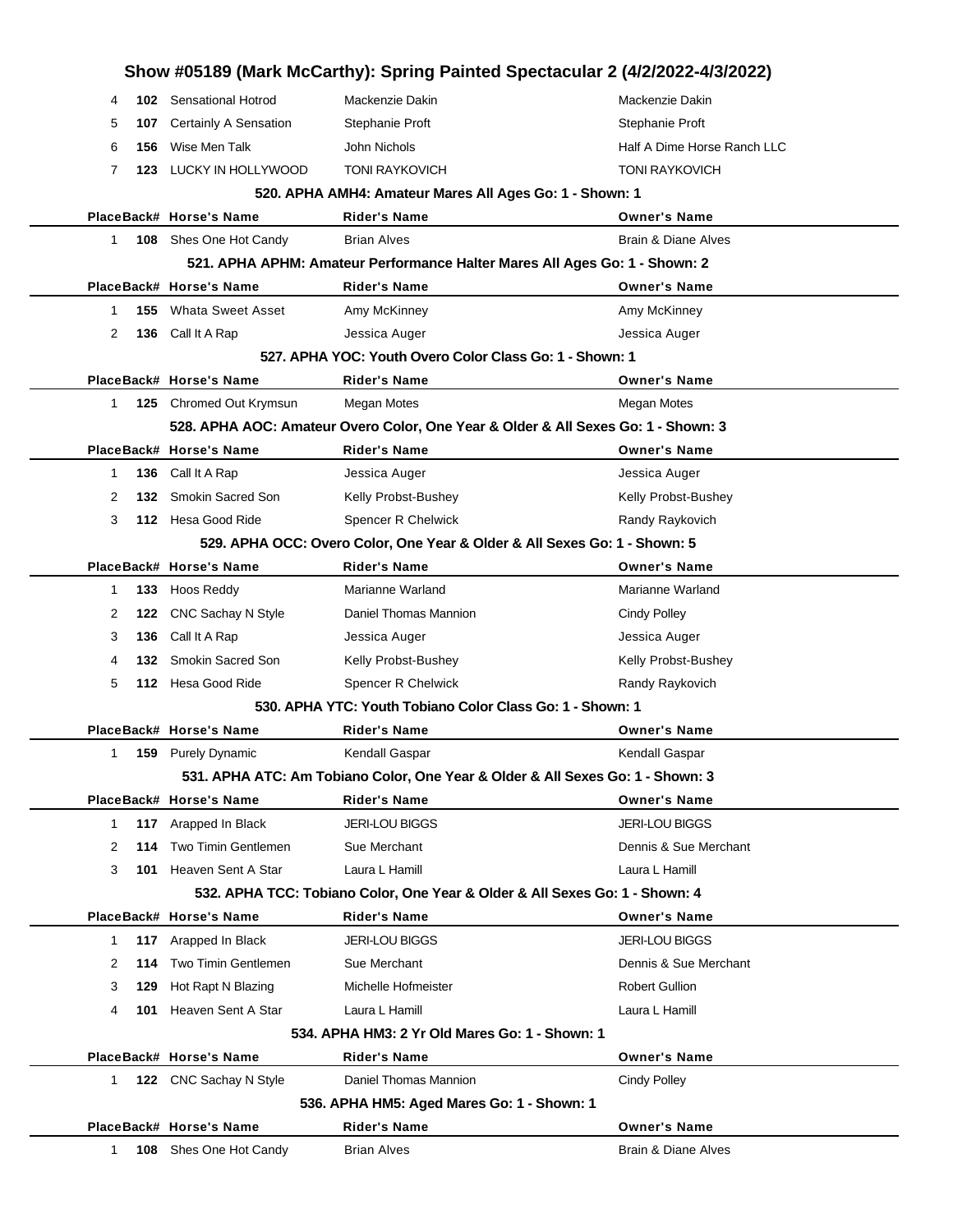|          |                               |                                                                           | Show #05189 (Mark McCarthy): Spring Painted Spectacular 2 (4/2/2022-4/3/2022)     |
|----------|-------------------------------|---------------------------------------------------------------------------|-----------------------------------------------------------------------------------|
| 4        | <b>102</b> Sensational Hotrod | Mackenzie Dakin                                                           | Mackenzie Dakin                                                                   |
| 107<br>5 | Certainly A Sensation         | Stephanie Proft                                                           | Stephanie Proft                                                                   |
| 156<br>6 | Wise Men Talk                 | John Nichols                                                              | Half A Dime Horse Ranch LLC                                                       |
| 7<br>123 | LUCKY IN HOLLYWOOD            | <b>TONI RAYKOVICH</b>                                                     | <b>TONI RAYKOVICH</b>                                                             |
|          |                               | 520. APHA AMH4: Amateur Mares All Ages Go: 1 - Shown: 1                   |                                                                                   |
|          | PlaceBack# Horse's Name       | <b>Rider's Name</b>                                                       | <b>Owner's Name</b>                                                               |
| 1        | 108 Shes One Hot Candy        | <b>Brian Alves</b>                                                        | <b>Brain &amp; Diane Alves</b>                                                    |
|          |                               |                                                                           | 521. APHA APHM: Amateur Performance Halter Mares All Ages Go: 1 - Shown: 2        |
|          | PlaceBack# Horse's Name       | <b>Rider's Name</b>                                                       | <b>Owner's Name</b>                                                               |
| 1<br>155 | <b>Whata Sweet Asset</b>      | Amy McKinney                                                              | Amy McKinney                                                                      |
| 2        | 136 Call It A Rap             | Jessica Auger                                                             | Jessica Auger                                                                     |
|          |                               | 527, APHA YOC: Youth Overo Color Class Go: 1 - Shown: 1                   |                                                                                   |
|          | PlaceBack# Horse's Name       | Rider's Name                                                              | <b>Owner's Name</b>                                                               |
| 1        | 125 Chromed Out Krymsun       | Megan Motes                                                               | Megan Motes                                                                       |
|          |                               |                                                                           | 528. APHA AOC: Amateur Overo Color, One Year & Older & All Sexes Go: 1 - Shown: 3 |
|          | PlaceBack# Horse's Name       | <b>Rider's Name</b>                                                       | <b>Owner's Name</b>                                                               |
| 136<br>1 | Call It A Rap                 | Jessica Auger                                                             | Jessica Auger                                                                     |
| 2<br>132 | Smokin Sacred Son             | Kelly Probst-Bushey                                                       | Kelly Probst-Bushey                                                               |
| 3        | 112 Hesa Good Ride            | Spencer R Chelwick                                                        | Randy Raykovich                                                                   |
|          |                               | 529. APHA OCC: Overo Color, One Year & Older & All Sexes Go: 1 - Shown: 5 |                                                                                   |
|          | PlaceBack# Horse's Name       | <b>Rider's Name</b>                                                       | <b>Owner's Name</b>                                                               |
| 133<br>1 | Hoos Reddy                    | Marianne Warland                                                          | Marianne Warland                                                                  |
| 122<br>2 | CNC Sachay N Style            | Daniel Thomas Mannion                                                     | <b>Cindy Polley</b>                                                               |
| 136<br>3 | Call It A Rap                 | Jessica Auger                                                             | Jessica Auger                                                                     |
| 132<br>4 | <b>Smokin Sacred Son</b>      | Kelly Probst-Bushey                                                       | Kelly Probst-Bushey                                                               |
| 5        | 112 Hesa Good Ride            | <b>Spencer R Chelwick</b>                                                 | Randy Raykovich                                                                   |
|          |                               | 530, APHA YTC: Youth Tobiano Color Class Go: 1 - Shown: 1                 |                                                                                   |
|          | PlaceBack# Horse's Name       | <b>Rider's Name</b>                                                       | <b>Owner's Name</b>                                                               |
| 1        | <b>159</b> Purely Dynamic     | Kendall Gaspar                                                            | Kendall Gaspar                                                                    |
|          |                               |                                                                           | 531. APHA ATC: Am Tobiano Color, One Year & Older & All Sexes Go: 1 - Shown: 3    |
|          | PlaceBack# Horse's Name       | <b>Rider's Name</b>                                                       | <b>Owner's Name</b>                                                               |
| 117<br>1 | Arapped In Black              | <b>JERI-LOU BIGGS</b>                                                     | <b>JERI-LOU BIGGS</b>                                                             |
| 2<br>114 | <b>Two Timin Gentlemen</b>    | Sue Merchant                                                              | Dennis & Sue Merchant                                                             |
| 3<br>101 | Heaven Sent A Star            | Laura L Hamill                                                            | Laura L Hamill                                                                    |
|          |                               |                                                                           | 532. APHA TCC: Tobiano Color, One Year & Older & All Sexes Go: 1 - Shown: 4       |
|          | PlaceBack# Horse's Name       | <b>Rider's Name</b>                                                       | <b>Owner's Name</b>                                                               |
| 1        | 117 Arapped In Black          | <b>JERI-LOU BIGGS</b>                                                     | <b>JERI-LOU BIGGS</b>                                                             |
| 114<br>2 | Two Timin Gentlemen           | Sue Merchant                                                              | Dennis & Sue Merchant                                                             |
| 3<br>129 | Hot Rapt N Blazing            | Michelle Hofmeister                                                       | <b>Robert Gullion</b>                                                             |
| 101<br>4 | Heaven Sent A Star            | Laura L Hamill                                                            | Laura L Hamill                                                                    |
|          |                               | 534. APHA HM3: 2 Yr Old Mares Go: 1 - Shown: 1                            |                                                                                   |
|          | PlaceBack# Horse's Name       | <b>Rider's Name</b>                                                       | <b>Owner's Name</b>                                                               |
| 1        | 122 CNC Sachay N Style        | Daniel Thomas Mannion                                                     | <b>Cindy Polley</b>                                                               |
|          |                               | 536. APHA HM5: Aged Mares Go: 1 - Shown: 1                                |                                                                                   |
|          | PlaceBack# Horse's Name       | <b>Rider's Name</b>                                                       | <b>Owner's Name</b>                                                               |
| 1.       | 108 Shes One Hot Candy        | Brian Alves                                                               | Brain & Diane Alves                                                               |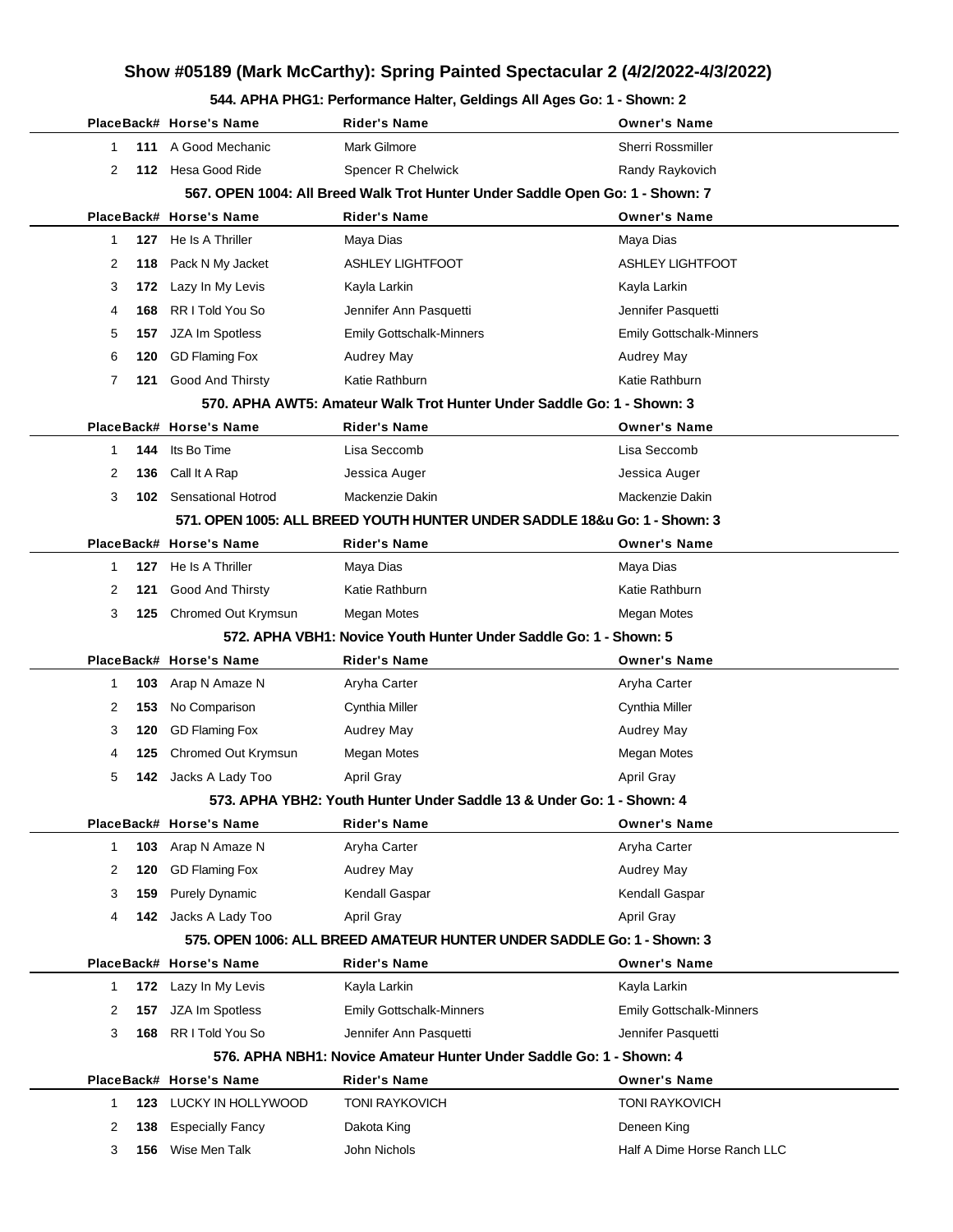#### **544. APHA PHG1: Performance Halter, Geldings All Ages Go: 1 - Shown: 2**

|              |     |                         | The Figure of September Handi, Columny All Agoo                               |                                 |
|--------------|-----|-------------------------|-------------------------------------------------------------------------------|---------------------------------|
|              |     | PlaceBack# Horse's Name | Rider's Name                                                                  | <b>Owner's Name</b>             |
| $\mathbf{1}$ | 111 | A Good Mechanic         | <b>Mark Gilmore</b>                                                           | <b>Sherri Rossmiller</b>        |
| 2            |     | 112 Hesa Good Ride      | Spencer R Chelwick                                                            | Randy Raykovich                 |
|              |     |                         | 567. OPEN 1004: All Breed Walk Trot Hunter Under Saddle Open Go: 1 - Shown: 7 |                                 |
|              |     | PlaceBack# Horse's Name | <b>Rider's Name</b>                                                           | <b>Owner's Name</b>             |
| $\mathbf{1}$ |     | 127 He Is A Thriller    | Maya Dias                                                                     | Maya Dias                       |
| 2            |     | 118 Pack N My Jacket    | <b>ASHLEY LIGHTFOOT</b>                                                       | <b>ASHLEY LIGHTFOOT</b>         |
| 3            | 172 | Lazy In My Levis        | Kayla Larkin                                                                  | Kayla Larkin                    |
| 4            | 168 | RR I Told You So        | Jennifer Ann Pasquetti                                                        | Jennifer Pasquetti              |
| 5            | 157 | JZA Im Spotless         | Emily Gottschalk-Minners                                                      | <b>Emily Gottschalk-Minners</b> |
| 6            | 120 | <b>GD Flaming Fox</b>   | Audrey May                                                                    | Audrey May                      |
| 7            | 121 | <b>Good And Thirsty</b> | Katie Rathburn                                                                | Katie Rathburn                  |
|              |     |                         | 570. APHA AWT5: Amateur Walk Trot Hunter Under Saddle Go: 1 - Shown: 3        |                                 |
|              |     | PlaceBack# Horse's Name | <b>Rider's Name</b>                                                           | <b>Owner's Name</b>             |
| -1           | 144 | Its Bo Time             | Lisa Seccomb                                                                  | Lisa Seccomb                    |
| 2            | 136 | Call It A Rap           | Jessica Auger                                                                 | Jessica Auger                   |
| 3            |     | 102 Sensational Hotrod  | Mackenzie Dakin                                                               | Mackenzie Dakin                 |
|              |     |                         | 571. OPEN 1005: ALL BREED YOUTH HUNTER UNDER SADDLE 18&u Go: 1 - Shown: 3     |                                 |
|              |     | PlaceBack# Horse's Name | <b>Rider's Name</b>                                                           | <b>Owner's Name</b>             |
| 1            |     | 127 He Is A Thriller    | Maya Dias                                                                     | Maya Dias                       |
| 2            | 121 | Good And Thirsty        | Katie Rathburn                                                                | Katie Rathburn                  |
| 3            | 125 | Chromed Out Krymsun     | Megan Motes                                                                   | Megan Motes                     |
|              |     |                         | 572. APHA VBH1: Novice Youth Hunter Under Saddle Go: 1 - Shown: 5             |                                 |
|              |     | PlaceBack# Horse's Name | <b>Rider's Name</b>                                                           | <b>Owner's Name</b>             |
| -1           |     | 103 Arap N Amaze N      | Aryha Carter                                                                  | Aryha Carter                    |
| 2            | 153 | No Comparison           | Cynthia Miller                                                                | Cynthia Miller                  |
| 3            | 120 | <b>GD Flaming Fox</b>   | Audrey May                                                                    | Audrey May                      |
| 4            | 125 | Chromed Out Krymsun     | Megan Motes                                                                   | Megan Motes                     |
| 5            | 142 | Jacks A Lady Too        | <b>April Gray</b>                                                             | April Gray                      |
|              |     |                         | 573. APHA YBH2: Youth Hunter Under Saddle 13 & Under Go: 1 - Shown: 4         |                                 |
|              |     | PlaceBack# Horse's Name | Rider's Name                                                                  | <b>Owner's Name</b>             |
| $\mathbf{1}$ | 103 | Arap N Amaze N          | Aryha Carter                                                                  | Aryha Carter                    |
| 2            | 120 | <b>GD Flaming Fox</b>   | Audrey May                                                                    | Audrey May                      |
| 3            | 159 | <b>Purely Dynamic</b>   | Kendall Gaspar                                                                | Kendall Gaspar                  |
| 4            |     | 142 Jacks A Lady Too    | April Gray                                                                    | <b>April Gray</b>               |
|              |     |                         | 575. OPEN 1006: ALL BREED AMATEUR HUNTER UNDER SADDLE Go: 1 - Shown: 3        |                                 |
|              |     | PlaceBack# Horse's Name | <b>Rider's Name</b>                                                           | <b>Owner's Name</b>             |
| $\mathbf{1}$ |     | 172 Lazy In My Levis    | Kayla Larkin                                                                  | Kayla Larkin                    |
| 2            | 157 | JZA Im Spotless         | <b>Emily Gottschalk-Minners</b>                                               | <b>Emily Gottschalk-Minners</b> |
| 3            | 168 | RR I Told You So        | Jennifer Ann Pasquetti                                                        | Jennifer Pasquetti              |
|              |     |                         | 576. APHA NBH1: Novice Amateur Hunter Under Saddle Go: 1 - Shown: 4           |                                 |
|              |     |                         |                                                                               |                                 |
|              |     | PlaceBack# Horse's Name | <b>Rider's Name</b>                                                           | <b>Owner's Name</b>             |
| $\mathbf{1}$ |     | 123 LUCKY IN HOLLYWOOD  | <b>TONI RAYKOVICH</b>                                                         | <b>TONI RAYKOVICH</b>           |
| 2            | 138 | <b>Especially Fancy</b> | Dakota King                                                                   | Deneen King                     |
| 3            | 156 | Wise Men Talk           | John Nichols                                                                  | Half A Dime Horse Ranch LLC     |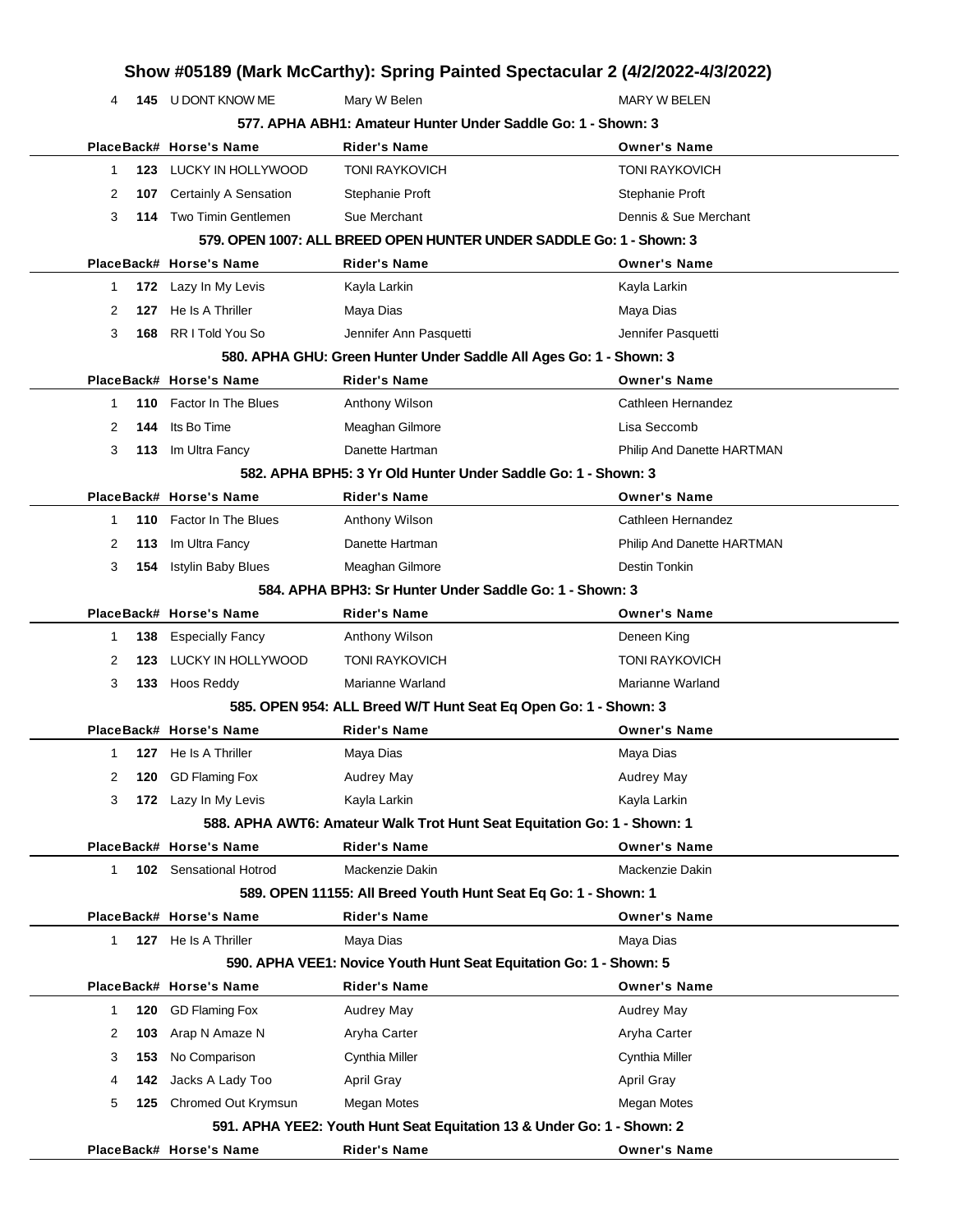|   |     |                                | Show #05189 (Mark McCarthy): Spring Painted Spectacular 2 (4/2/2022-4/3/2022) |                            |
|---|-----|--------------------------------|-------------------------------------------------------------------------------|----------------------------|
| 4 |     | <b>145 U DONT KNOW ME</b>      | Mary W Belen                                                                  | <b>MARY W BELEN</b>        |
|   |     |                                | 577. APHA ABH1: Amateur Hunter Under Saddle Go: 1 - Shown: 3                  |                            |
|   |     | PlaceBack# Horse's Name        | Rider's Name                                                                  | <b>Owner's Name</b>        |
| 1 |     | 123 LUCKY IN HOLLYWOOD         | <b>TONI RAYKOVICH</b>                                                         | <b>TONI RAYKOVICH</b>      |
| 2 | 107 | Certainly A Sensation          | Stephanie Proft                                                               | Stephanie Proft            |
| 3 |     | 114 Two Timin Gentlemen        | Sue Merchant                                                                  | Dennis & Sue Merchant      |
|   |     |                                | 579. OPEN 1007: ALL BREED OPEN HUNTER UNDER SADDLE Go: 1 - Shown: 3           |                            |
|   |     | PlaceBack# Horse's Name        | <b>Rider's Name</b>                                                           | <b>Owner's Name</b>        |
| 1 |     | 172 Lazy In My Levis           | Kayla Larkin                                                                  | Kayla Larkin               |
| 2 | 127 | He Is A Thriller               | Maya Dias                                                                     | Maya Dias                  |
| 3 | 168 | RR I Told You So               | Jennifer Ann Pasquetti                                                        | Jennifer Pasquetti         |
|   |     |                                | 580. APHA GHU: Green Hunter Under Saddle All Ages Go: 1 - Shown: 3            |                            |
|   |     | PlaceBack# Horse's Name        | Rider's Name                                                                  | <b>Owner's Name</b>        |
| 1 | 110 | Factor In The Blues            | Anthony Wilson                                                                | Cathleen Hernandez         |
| 2 | 144 | Its Bo Time                    | Meaghan Gilmore                                                               | Lisa Seccomb               |
| 3 |     | 113 Im Ultra Fancy             | Danette Hartman                                                               | Philip And Danette HARTMAN |
|   |     |                                | 582. APHA BPH5: 3 Yr Old Hunter Under Saddle Go: 1 - Shown: 3                 |                            |
|   |     | PlaceBack# Horse's Name        | <b>Rider's Name</b>                                                           | <b>Owner's Name</b>        |
| 1 |     | <b>110</b> Factor In The Blues | Anthony Wilson                                                                | Cathleen Hernandez         |
| 2 | 113 | Im Ultra Fancy                 | Danette Hartman                                                               | Philip And Danette HARTMAN |
| 3 |     | 154 Istylin Baby Blues         | Meaghan Gilmore                                                               | Destin Tonkin              |
|   |     |                                | 584, APHA BPH3: Sr Hunter Under Saddle Go: 1 - Shown: 3                       |                            |
|   |     | PlaceBack# Horse's Name        | Rider's Name                                                                  | <b>Owner's Name</b>        |
| 1 | 138 | <b>Especially Fancy</b>        | Anthony Wilson                                                                | Deneen King                |
| 2 | 123 | LUCKY IN HOLLYWOOD             | <b>TONI RAYKOVICH</b>                                                         | <b>TONI RAYKOVICH</b>      |
| 3 |     | 133 Hoos Reddy                 | Marianne Warland                                                              | Marianne Warland           |
|   |     |                                | 585. OPEN 954: ALL Breed W/T Hunt Seat Eq Open Go: 1 - Shown: 3               |                            |
|   |     | PlaceBack# Horse's Name        | Rider's Name                                                                  | <b>Owner's Name</b>        |
| 1 |     | <b>127</b> He Is A Thriller    | Maya Dias                                                                     | Maya Dias                  |
| 2 | 120 | <b>GD Flaming Fox</b>          | Audrey May                                                                    | <b>Audrey May</b>          |
| 3 |     | 172 Lazy In My Levis           | Kayla Larkin                                                                  | Kayla Larkin               |
|   |     |                                | 588. APHA AWT6: Amateur Walk Trot Hunt Seat Equitation Go: 1 - Shown: 1       |                            |
|   |     | PlaceBack# Horse's Name        | <b>Rider's Name</b>                                                           | <b>Owner's Name</b>        |
| 1 |     | <b>102</b> Sensational Hotrod  | Mackenzie Dakin                                                               | Mackenzie Dakin            |
|   |     |                                | 589. OPEN 11155: All Breed Youth Hunt Seat Eq Go: 1 - Shown: 1                |                            |
|   |     | PlaceBack# Horse's Name        | <b>Rider's Name</b>                                                           | <b>Owner's Name</b>        |
| 1 |     | <b>127</b> He Is A Thriller    | Maya Dias                                                                     | Maya Dias                  |
|   |     |                                | 590. APHA VEE1: Novice Youth Hunt Seat Equitation Go: 1 - Shown: 5            |                            |
|   |     | PlaceBack# Horse's Name        | Rider's Name                                                                  | <b>Owner's Name</b>        |
| 1 | 120 | <b>GD Flaming Fox</b>          | Audrey May                                                                    | <b>Audrey May</b>          |
| 2 | 103 | Arap N Amaze N                 | Aryha Carter                                                                  | Aryha Carter               |
| 3 | 153 | No Comparison                  | Cynthia Miller                                                                | Cynthia Miller             |
| 4 | 142 | Jacks A Lady Too               | April Gray                                                                    | <b>April Gray</b>          |
| 5 | 125 | Chromed Out Krymsun            | Megan Motes                                                                   | Megan Motes                |
|   |     |                                | 591. APHA YEE2: Youth Hunt Seat Equitation 13 & Under Go: 1 - Shown: 2        |                            |
|   |     | PlaceBack# Horse's Name        | <b>Rider's Name</b>                                                           | <b>Owner's Name</b>        |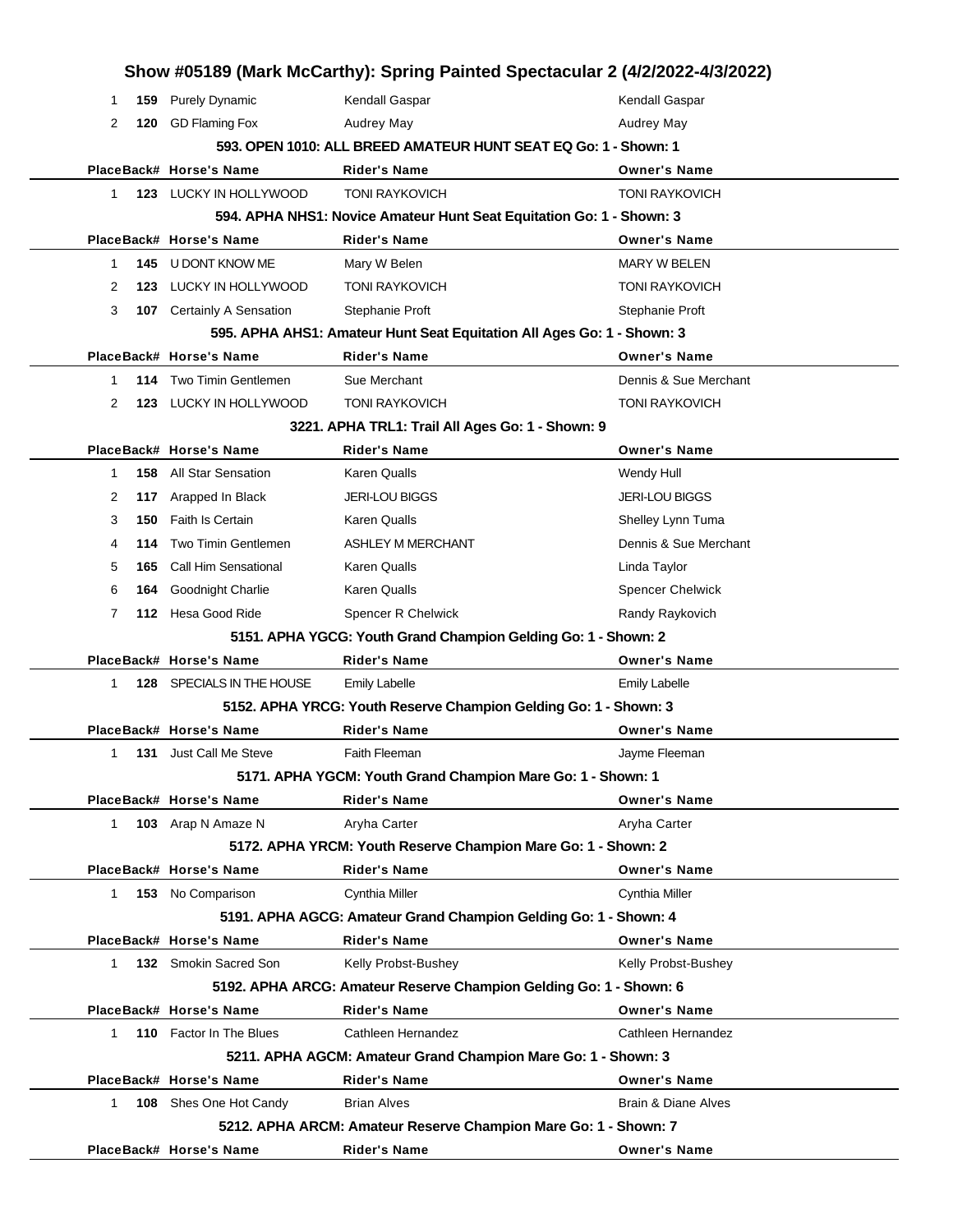|              |      |                           | Show #05189 (Mark McCarthy): Spring Painted Spectacular 2 (4/2/2022-4/3/2022) |                                |
|--------------|------|---------------------------|-------------------------------------------------------------------------------|--------------------------------|
| 1            | 159  | <b>Purely Dynamic</b>     | Kendall Gaspar                                                                | Kendall Gaspar                 |
| 2            | 120  | <b>GD Flaming Fox</b>     | Audrey May                                                                    | <b>Audrey May</b>              |
|              |      |                           | 593. OPEN 1010: ALL BREED AMATEUR HUNT SEAT EQ Go: 1 - Shown: 1               |                                |
|              |      | PlaceBack# Horse's Name   | <b>Rider's Name</b>                                                           | <b>Owner's Name</b>            |
| $\mathbf{1}$ |      | 123 LUCKY IN HOLLYWOOD    | <b>TONI RAYKOVICH</b>                                                         | <b>TONI RAYKOVICH</b>          |
|              |      |                           | 594. APHA NHS1: Novice Amateur Hunt Seat Equitation Go: 1 - Shown: 3          |                                |
|              |      | PlaceBack# Horse's Name   | <b>Rider's Name</b>                                                           | <b>Owner's Name</b>            |
| 1            | 145  | U DONT KNOW ME            | Mary W Belen                                                                  | <b>MARY W BELEN</b>            |
| 2            | 123. | LUCKY IN HOLLYWOOD        | <b>TONI RAYKOVICH</b>                                                         | <b>TONI RAYKOVICH</b>          |
| 3            | 107  | Certainly A Sensation     | Stephanie Proft                                                               | Stephanie Proft                |
|              |      |                           | 595. APHA AHS1: Amateur Hunt Seat Equitation All Ages Go: 1 - Shown: 3        |                                |
|              |      | PlaceBack# Horse's Name   | <b>Rider's Name</b>                                                           | <b>Owner's Name</b>            |
| 1            | 114  | Two Timin Gentlemen       | Sue Merchant                                                                  | Dennis & Sue Merchant          |
| 2            | 123  | LUCKY IN HOLLYWOOD        | <b>TONI RAYKOVICH</b>                                                         | <b>TONI RAYKOVICH</b>          |
|              |      |                           | 3221. APHA TRL1: Trail All Ages Go: 1 - Shown: 9                              |                                |
|              |      | PlaceBack# Horse's Name   | <b>Rider's Name</b>                                                           | <b>Owner's Name</b>            |
| 1            | 158  | All Star Sensation        | Karen Qualls                                                                  | Wendy Hull                     |
| 2            | 117  | Arapped In Black          | <b>JERI-LOU BIGGS</b>                                                         | <b>JERI-LOU BIGGS</b>          |
| 3            | 150  | <b>Faith Is Certain</b>   | Karen Qualls                                                                  | Shelley Lynn Tuma              |
| 4            | 114  | Two Timin Gentlemen       | ASHLEY M MERCHANT                                                             | Dennis & Sue Merchant          |
| 5            | 165  | Call Him Sensational      | Karen Qualls                                                                  | Linda Taylor                   |
| 6            | 164  | Goodnight Charlie         | <b>Karen Qualls</b>                                                           | <b>Spencer Chelwick</b>        |
| 7            |      | 112 Hesa Good Ride        | Spencer R Chelwick                                                            | Randy Raykovich                |
|              |      |                           | 5151. APHA YGCG: Youth Grand Champion Gelding Go: 1 - Shown: 2                |                                |
|              |      | PlaceBack# Horse's Name   | <b>Rider's Name</b>                                                           | <b>Owner's Name</b>            |
| 1            |      | 128 SPECIALS IN THE HOUSE | <b>Emily Labelle</b>                                                          | <b>Emily Labelle</b>           |
|              |      |                           | 5152. APHA YRCG: Youth Reserve Champion Gelding Go: 1 - Shown: 3              |                                |
|              |      | PlaceBack# Horse's Name   | <b>Rider's Name</b>                                                           | <b>Owner's Name</b>            |
| $\mathbf{1}$ | 131  | Just Call Me Steve        | Faith Fleeman                                                                 | Jayme Fleeman                  |
|              |      |                           | 5171. APHA YGCM: Youth Grand Champion Mare Go: 1 - Shown: 1                   |                                |
|              |      | PlaceBack# Horse's Name   | <b>Rider's Name</b>                                                           | <b>Owner's Name</b>            |
| $\mathbf{1}$ |      | 103 Arap N Amaze N        | Aryha Carter                                                                  | Aryha Carter                   |
|              |      |                           | 5172. APHA YRCM: Youth Reserve Champion Mare Go: 1 - Shown: 2                 |                                |
|              |      | PlaceBack# Horse's Name   | <b>Rider's Name</b>                                                           | <b>Owner's Name</b>            |
| $\mathbf{1}$ |      | 153 No Comparison         | Cynthia Miller                                                                | <b>Cynthia Miller</b>          |
|              |      |                           | 5191. APHA AGCG: Amateur Grand Champion Gelding Go: 1 - Shown: 4              |                                |
|              |      | PlaceBack# Horse's Name   | <b>Rider's Name</b>                                                           | <b>Owner's Name</b>            |
| 1            |      | 132 Smokin Sacred Son     | Kelly Probst-Bushey                                                           | Kelly Probst-Bushey            |
|              |      |                           | 5192. APHA ARCG: Amateur Reserve Champion Gelding Go: 1 - Shown: 6            |                                |
|              |      | PlaceBack# Horse's Name   | <b>Rider's Name</b>                                                           | <b>Owner's Name</b>            |
| $\mathbf{1}$ |      | 110 Factor In The Blues   | Cathleen Hernandez                                                            | Cathleen Hernandez             |
|              |      |                           | 5211. APHA AGCM: Amateur Grand Champion Mare Go: 1 - Shown: 3                 |                                |
|              |      | PlaceBack# Horse's Name   | Rider's Name                                                                  | <b>Owner's Name</b>            |
| $\mathbf{1}$ |      | 108 Shes One Hot Candy    | <b>Brian Alves</b>                                                            | <b>Brain &amp; Diane Alves</b> |
|              |      |                           | 5212. APHA ARCM: Amateur Reserve Champion Mare Go: 1 - Shown: 7               |                                |
|              |      | PlaceBack# Horse's Name   | <b>Rider's Name</b>                                                           | <b>Owner's Name</b>            |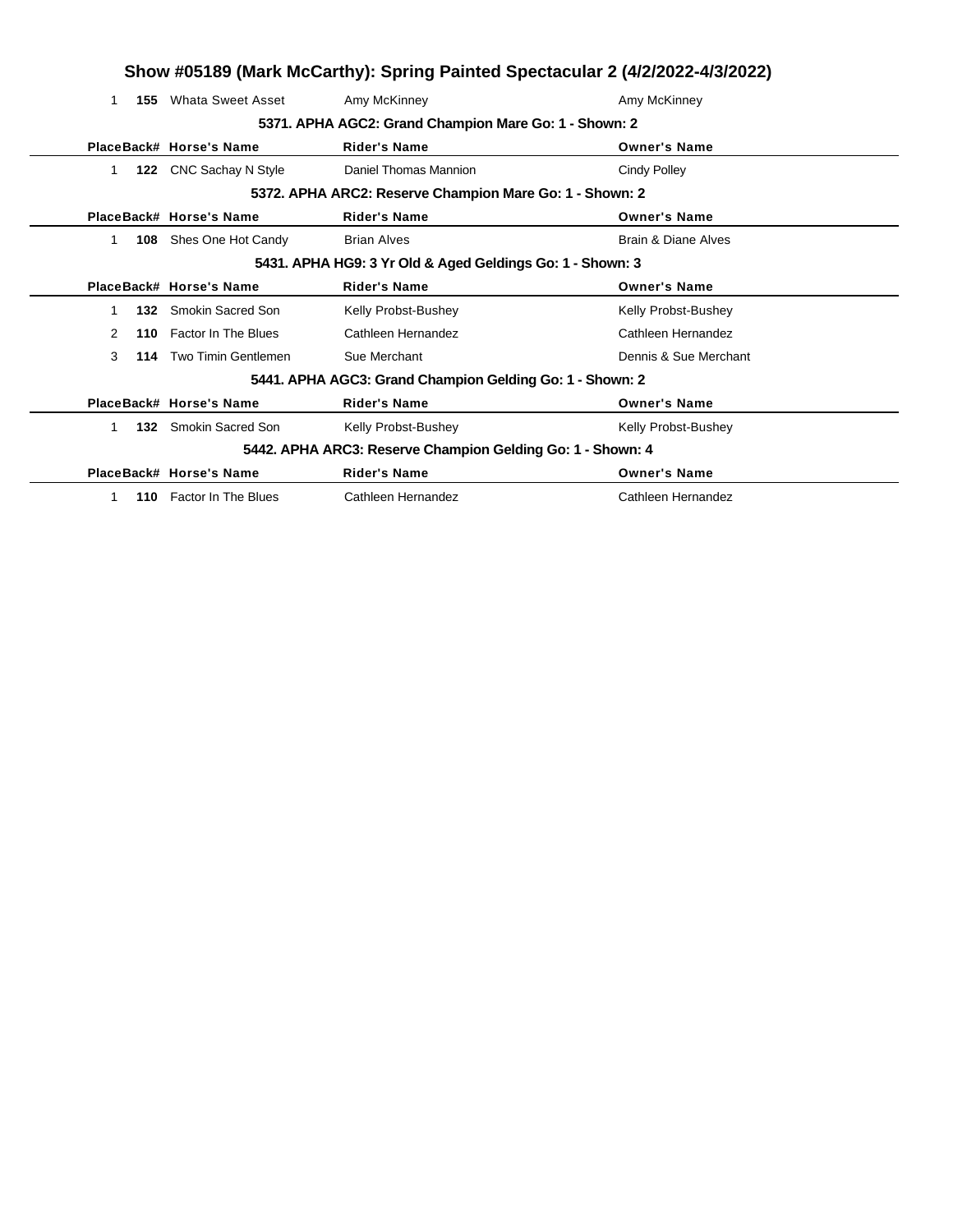|              |                         |                                                            | Show #05189 (Mark McCarthy): Spring Painted Spectacular 2 (4/2/2022-4/3/2022) |
|--------------|-------------------------|------------------------------------------------------------|-------------------------------------------------------------------------------|
| 1            | 155 Whata Sweet Asset   | Amy McKinney                                               | Amy McKinney                                                                  |
|              |                         | 5371. APHA AGC2: Grand Champion Mare Go: 1 - Shown: 2      |                                                                               |
|              | PlaceBack# Horse's Name | <b>Rider's Name</b>                                        | <b>Owner's Name</b>                                                           |
| 1.           | 122 CNC Sachay N Style  | Daniel Thomas Mannion                                      | <b>Cindy Polley</b>                                                           |
|              |                         | 5372. APHA ARC2: Reserve Champion Mare Go: 1 - Shown: 2    |                                                                               |
|              | PlaceBack# Horse's Name | <b>Rider's Name</b>                                        | <b>Owner's Name</b>                                                           |
| 108<br>1     | Shes One Hot Candy      | <b>Brian Alves</b>                                         | Brain & Diane Alves                                                           |
|              |                         | 5431. APHA HG9: 3 Yr Old & Aged Geldings Go: 1 - Shown: 3  |                                                                               |
|              | PlaceBack# Horse's Name | <b>Rider's Name</b>                                        | <b>Owner's Name</b>                                                           |
| $\mathbf 1$  | 132 Smokin Sacred Son   | Kelly Probst-Bushey                                        | Kelly Probst-Bushey                                                           |
| 2<br>110     | Factor In The Blues     | Cathleen Hernandez                                         | Cathleen Hernandez                                                            |
| 3            | 114 Two Timin Gentlemen | Sue Merchant                                               | Dennis & Sue Merchant                                                         |
|              |                         | 5441. APHA AGC3: Grand Champion Gelding Go: 1 - Shown: 2   |                                                                               |
|              | PlaceBack# Horse's Name | <b>Rider's Name</b>                                        | <b>Owner's Name</b>                                                           |
| $\mathbf{1}$ | 132 Smokin Sacred Son   | Kelly Probst-Bushey                                        | Kelly Probst-Bushey                                                           |
|              |                         | 5442. APHA ARC3: Reserve Champion Gelding Go: 1 - Shown: 4 |                                                                               |
|              | PlaceBack# Horse's Name | <b>Rider's Name</b>                                        | <b>Owner's Name</b>                                                           |
| 1.           | 110 Factor In The Blues | Cathleen Hernandez                                         | Cathleen Hernandez                                                            |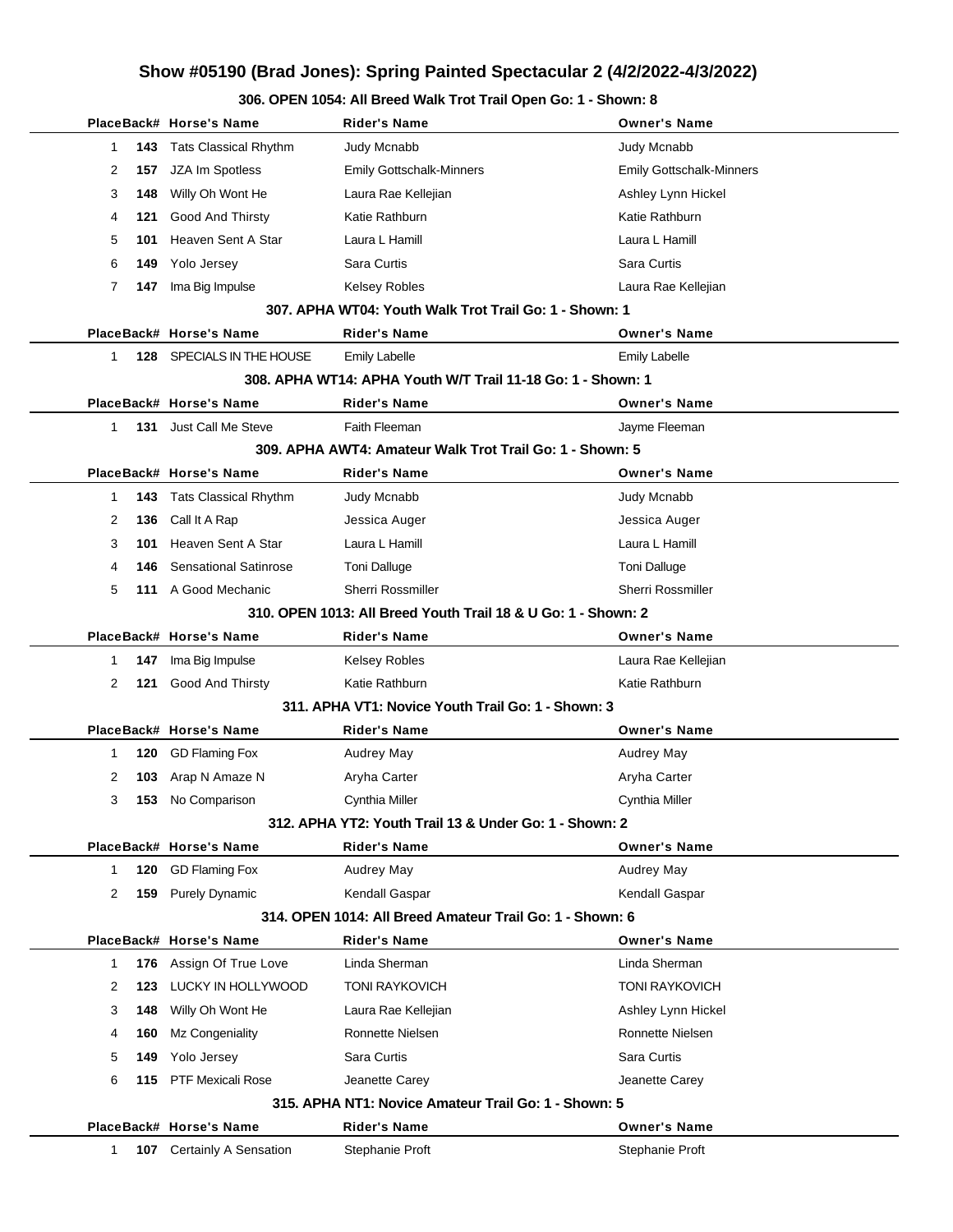|          | PlaceBack# Horse's Name       | Rider's Name                                                  | <b>Owner's Name</b>             |
|----------|-------------------------------|---------------------------------------------------------------|---------------------------------|
| 143<br>1 | <b>Tats Classical Rhythm</b>  | Judy Mcnabb                                                   | Judy Mcnabb                     |
| 2<br>157 | JZA Im Spotless               | <b>Emily Gottschalk-Minners</b>                               | <b>Emily Gottschalk-Minners</b> |
| 3<br>148 | Willy Oh Wont He              | Laura Rae Kellejian                                           | Ashley Lynn Hickel              |
| 4<br>121 | Good And Thirsty              | Katie Rathburn                                                | Katie Rathburn                  |
| 5<br>101 | Heaven Sent A Star            | Laura L Hamill                                                | Laura L Hamill                  |
| 6<br>149 | Yolo Jersey                   | Sara Curtis                                                   | Sara Curtis                     |
| 7<br>147 | Ima Big Impulse               | <b>Kelsey Robles</b>                                          | Laura Rae Kellejian             |
|          |                               | 307. APHA WT04: Youth Walk Trot Trail Go: 1 - Shown: 1        |                                 |
|          | PlaceBack# Horse's Name       | Rider's Name                                                  | <b>Owner's Name</b>             |
| 1        | 128 SPECIALS IN THE HOUSE     | <b>Emily Labelle</b>                                          | <b>Emily Labelle</b>            |
|          |                               | 308. APHA WT14: APHA Youth W/T Trail 11-18 Go: 1 - Shown: 1   |                                 |
|          | PlaceBack# Horse's Name       | Rider's Name                                                  | <b>Owner's Name</b>             |
| 1        | <b>131</b> Just Call Me Steve | Faith Fleeman                                                 | Jayme Fleeman                   |
|          |                               | 309. APHA AWT4: Amateur Walk Trot Trail Go: 1 - Shown: 5      |                                 |
|          | PlaceBack# Horse's Name       | Rider's Name                                                  | <b>Owner's Name</b>             |
| 1<br>143 | <b>Tats Classical Rhythm</b>  | Judy Mcnabb                                                   | Judy Mcnabb                     |
| 2<br>136 | Call It A Rap                 | Jessica Auger                                                 | Jessica Auger                   |
| 3<br>101 | Heaven Sent A Star            | Laura L Hamill                                                | Laura L Hamill                  |
| 4<br>146 | <b>Sensational Satinrose</b>  | <b>Toni Dalluge</b>                                           | <b>Toni Dalluge</b>             |
| 5        | 111 A Good Mechanic           | <b>Sherri Rossmiller</b>                                      | Sherri Rossmiller               |
|          |                               | 310, OPEN 1013: All Breed Youth Trail 18 & U Go: 1 - Shown: 2 |                                 |
|          | PlaceBack# Horse's Name       | Rider's Name                                                  | <b>Owner's Name</b>             |
| 1<br>147 | Ima Big Impulse               | <b>Kelsey Robles</b>                                          | Laura Rae Kellejian             |
| 2<br>121 | Good And Thirsty              | Katie Rathburn                                                | Katie Rathburn                  |
|          |                               | 311. APHA VT1: Novice Youth Trail Go: 1 - Shown: 3            |                                 |
|          | PlaceBack# Horse's Name       | Rider's Name                                                  | <b>Owner's Name</b>             |
| 1<br>120 | <b>GD Flaming Fox</b>         | Audrey May                                                    | Audrey May                      |
| 2<br>103 | Arap N Amaze N                | Aryha Carter                                                  | Aryha Carter                    |
| 3<br>153 | No Comparison                 | Cynthia Miller                                                | Cynthia Miller                  |
|          |                               | 312. APHA YT2: Youth Trail 13 & Under Go: 1 - Shown: 2        |                                 |
|          | PlaceBack# Horse's Name       | Rider's Name                                                  | <b>Owner's Name</b>             |
| 1<br>120 | <b>GD Flaming Fox</b>         | <b>Audrey May</b>                                             | Audrey May                      |
| 2<br>159 | <b>Purely Dynamic</b>         | Kendall Gaspar                                                | Kendall Gaspar                  |
|          |                               | 314, OPEN 1014: All Breed Amateur Trail Go: 1 - Shown: 6      |                                 |
|          | PlaceBack# Horse's Name       | Rider's Name                                                  | <b>Owner's Name</b>             |
| 1<br>176 | Assign Of True Love           | Linda Sherman                                                 | Linda Sherman                   |
| 2<br>123 | LUCKY IN HOLLYWOOD            | <b>TONI RAYKOVICH</b>                                         | <b>TONI RAYKOVICH</b>           |
| 3<br>148 | Willy Oh Wont He              | Laura Rae Kellejian                                           | Ashley Lynn Hickel              |
| 4<br>160 | Mz Congeniality               | Ronnette Nielsen                                              | Ronnette Nielsen                |
| 5<br>149 | Yolo Jersey                   | Sara Curtis                                                   | Sara Curtis                     |
| 6<br>115 | PTF Mexicali Rose             | Jeanette Carey                                                | Jeanette Carey                  |
|          |                               | 315, APHA NT1: Novice Amateur Trail Go: 1 - Shown: 5          |                                 |
|          | PlaceBack# Horse's Name       | Rider's Name                                                  | <b>Owner's Name</b>             |
| 1<br>107 | Certainly A Sensation         | Stephanie Proft                                               | Stephanie Proft                 |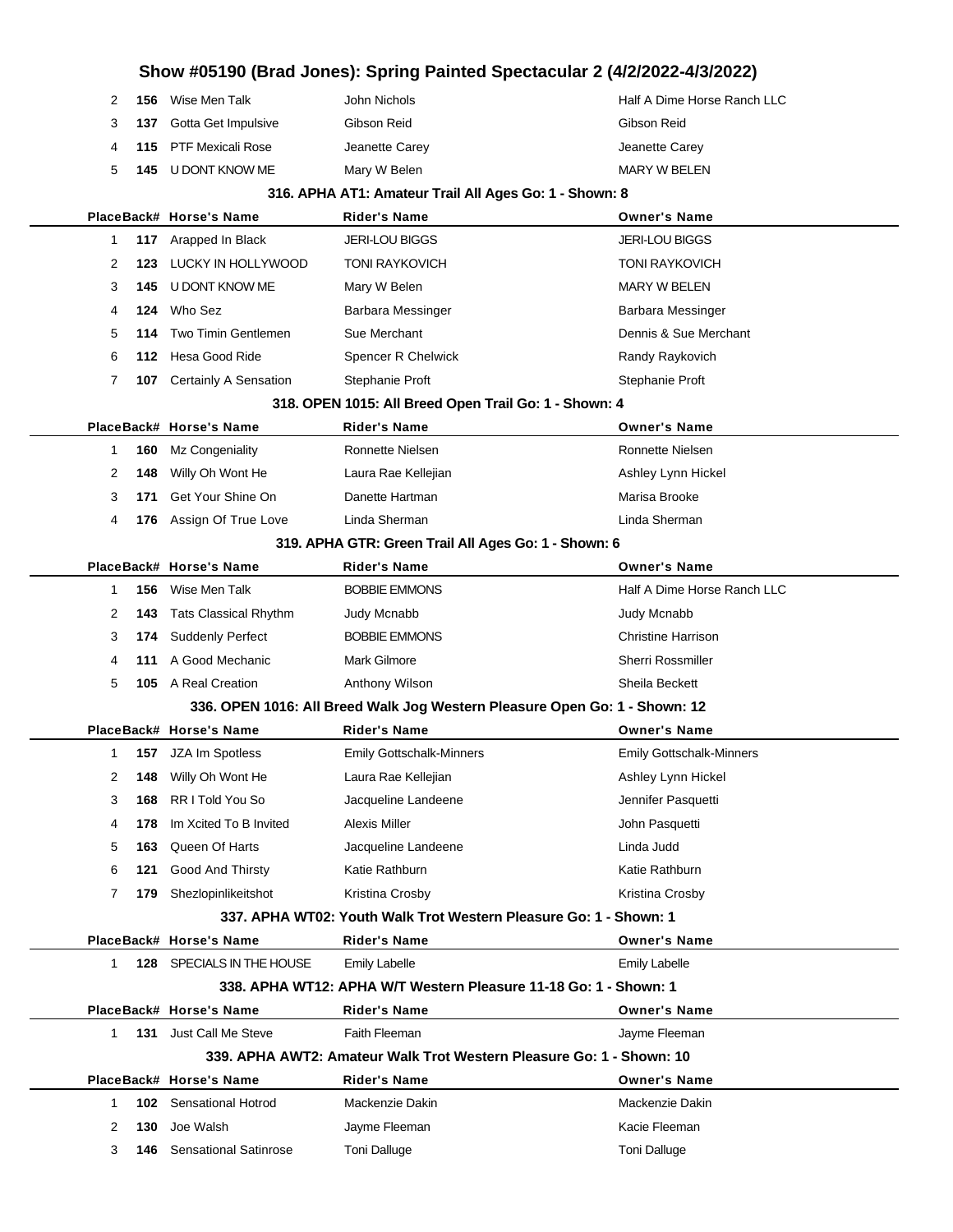|  | 156 | Wise Men Talk                  | John Nichols   | Half A Dime Horse Ranch LLC |
|--|-----|--------------------------------|----------------|-----------------------------|
|  |     | <b>137</b> Gotta Get Impulsive | Gibson Reid    | Gibson Reid                 |
|  |     | <b>115</b> PTF Mexicali Rose   | Jeanette Carey | Jeanette Carey              |
|  |     | 145 U DONT KNOW ME             | Mary W Belen   | MARY W BELEN                |
|  |     |                                |                |                             |

#### **316. APHA AT1: Amateur Trail All Ages Go: 1 - Shown: 8**

|             |            | PlaceBack# Horse's Name                   | <b>Rider's Name</b>                                                        | <b>Owner's Name</b>                  |
|-------------|------------|-------------------------------------------|----------------------------------------------------------------------------|--------------------------------------|
| 1           | 117        | Arapped In Black                          | <b>JERI-LOU BIGGS</b>                                                      | <b>JERI-LOU BIGGS</b>                |
| 2           | 123        | LUCKY IN HOLLYWOOD                        | <b>TONI RAYKOVICH</b>                                                      | <b>TONI RAYKOVICH</b>                |
| 3           | 145        | U DONT KNOW ME                            | Mary W Belen                                                               | <b>MARY W BELEN</b>                  |
| 4           | 124        | Who Sez                                   | Barbara Messinger                                                          | Barbara Messinger                    |
| 5           | 114        | Two Timin Gentlemen                       | Sue Merchant                                                               | Dennis & Sue Merchant                |
| 6           | 112.       | Hesa Good Ride                            | Spencer R Chelwick                                                         | Randy Raykovich                      |
| 7           | 107        | Certainly A Sensation                     | Stephanie Proft                                                            | Stephanie Proft                      |
|             |            |                                           | 318. OPEN 1015: All Breed Open Trail Go: 1 - Shown: 4                      |                                      |
|             |            | PlaceBack# Horse's Name                   | <b>Rider's Name</b>                                                        | <b>Owner's Name</b>                  |
| 1           | 160        | Mz Congeniality                           | Ronnette Nielsen                                                           | Ronnette Nielsen                     |
| 2           | 148        | Willy Oh Wont He                          | Laura Rae Kellejian                                                        | Ashley Lynn Hickel                   |
| 3           | 171        | Get Your Shine On                         | Danette Hartman                                                            | Marisa Brooke                        |
| 4           | 176        | Assign Of True Love                       | Linda Sherman                                                              | Linda Sherman                        |
|             |            |                                           | 319. APHA GTR: Green Trail All Ages Go: 1 - Shown: 6                       |                                      |
|             |            | PlaceBack# Horse's Name                   | <b>Rider's Name</b>                                                        | <b>Owner's Name</b>                  |
| 1           | 156        | Wise Men Talk                             | <b>BOBBIE EMMONS</b>                                                       | Half A Dime Horse Ranch LLC          |
| 2           | 143        | Tats Classical Rhythm                     | Judy Mcnabb                                                                | Judy Mcnabb                          |
| 3           | 174        | <b>Suddenly Perfect</b>                   | <b>BOBBIE EMMONS</b>                                                       | <b>Christine Harrison</b>            |
| 4           | 111        | A Good Mechanic                           | Mark Gilmore                                                               | <b>Sherri Rossmiller</b>             |
| 5           | 105        | A Real Creation                           | Anthony Wilson                                                             | Sheila Beckett                       |
|             |            |                                           | 336. OPEN 1016: All Breed Walk Jog Western Pleasure Open Go: 1 - Shown: 12 |                                      |
|             |            | PlaceBack# Horse's Name                   | <b>Rider's Name</b>                                                        | <b>Owner's Name</b>                  |
|             |            |                                           |                                                                            |                                      |
| 1           | 157        | JZA Im Spotless                           | <b>Emily Gottschalk-Minners</b>                                            | <b>Emily Gottschalk-Minners</b>      |
| 2           | 148        | Willy Oh Wont He                          | Laura Rae Kellejian                                                        | Ashley Lynn Hickel                   |
| 3           | 168        | RR I Told You So                          | Jacqueline Landeene                                                        | Jennifer Pasquetti                   |
| 4           | 178        | Im Xcited To B Invited                    | Alexis Miller                                                              | John Pasquetti                       |
| 5           | 163        | Queen Of Harts                            | Jacqueline Landeene                                                        | Linda Judd                           |
| 6           | 121        | Good And Thirsty                          | Katie Rathburn                                                             | Katie Rathburn                       |
| 7           | 179        | Shezlopinlikeitshot                       | Kristina Crosby                                                            | Kristina Crosby                      |
|             |            |                                           | 337. APHA WT02: Youth Walk Trot Western Pleasure Go: 1 - Shown: 1          |                                      |
|             |            | PlaceBack# Horse's Name                   | <b>Rider's Name</b>                                                        | <b>Owner's Name</b>                  |
| $\mathbf 1$ |            | 128 SPECIALS IN THE HOUSE                 | <b>Emily Labelle</b>                                                       | <b>Emily Labelle</b>                 |
|             |            |                                           | 338. APHA WT12: APHA W/T Western Pleasure 11-18 Go: 1 - Shown: 1           |                                      |
|             |            | PlaceBack# Horse's Name                   | <b>Rider's Name</b>                                                        | <b>Owner's Name</b>                  |
| 1           |            | 131 Just Call Me Steve                    | Faith Fleeman                                                              | Jayme Fleeman                        |
|             |            |                                           | 339. APHA AWT2: Amateur Walk Trot Western Pleasure Go: 1 - Shown: 10       |                                      |
|             |            | PlaceBack# Horse's Name                   | <b>Rider's Name</b>                                                        | <b>Owner's Name</b>                  |
| 1           |            | <b>102</b> Sensational Hotrod             | Mackenzie Dakin                                                            | Mackenzie Dakin                      |
| 2<br>3      | 130<br>146 | Joe Walsh<br><b>Sensational Satinrose</b> | Jayme Fleeman<br><b>Toni Dalluge</b>                                       | Kacie Fleeman<br><b>Toni Dalluge</b> |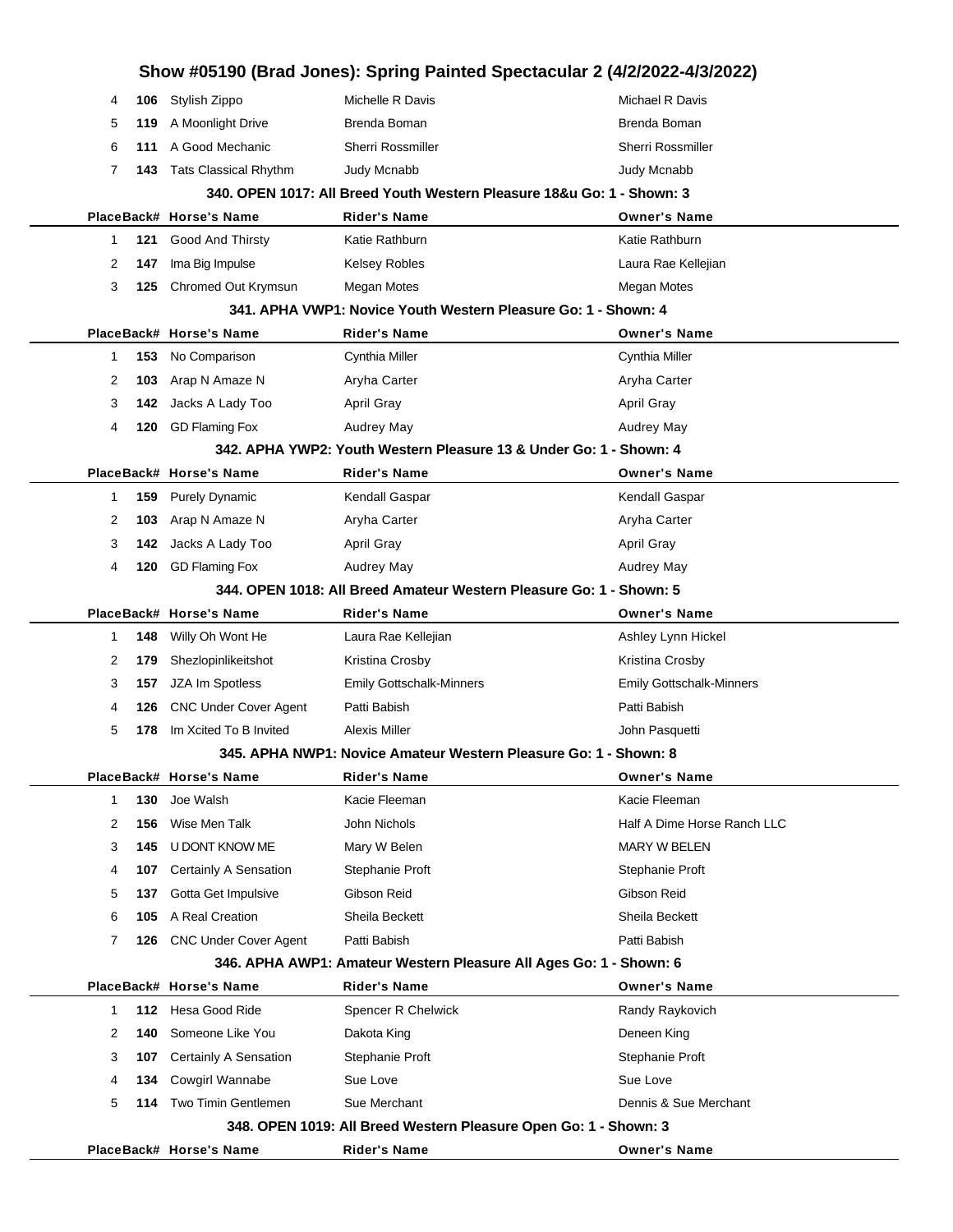| Show #05190 (Brad Jones): Spring Painted Spectacular 2 (4/2/2022-4/3/2022) |        |            |                                                 |                                                                        |                                   |
|----------------------------------------------------------------------------|--------|------------|-------------------------------------------------|------------------------------------------------------------------------|-----------------------------------|
|                                                                            | 4      | 106        | Stylish Zippo                                   | Michelle R Davis                                                       | Michael R Davis                   |
|                                                                            | 5      | 119        | A Moonlight Drive                               | Brenda Boman                                                           | Brenda Boman                      |
|                                                                            | 6      | 111        | A Good Mechanic                                 | <b>Sherri Rossmiller</b>                                               | <b>Sherri Rossmiller</b>          |
|                                                                            | 7      | 143        | <b>Tats Classical Rhythm</b>                    | <b>Judy Mcnabb</b>                                                     | Judy Mcnabb                       |
|                                                                            |        |            |                                                 | 340. OPEN 1017: All Breed Youth Western Pleasure 18&u Go: 1 - Shown: 3 |                                   |
|                                                                            |        |            | PlaceBack# Horse's Name                         | <b>Rider's Name</b>                                                    | <b>Owner's Name</b>               |
|                                                                            | 1      | 121        | Good And Thirsty                                | Katie Rathburn                                                         | Katie Rathburn                    |
|                                                                            | 2      | 147        | Ima Big Impulse                                 | <b>Kelsey Robles</b>                                                   | Laura Rae Kellejian               |
|                                                                            | 3      | 125        | Chromed Out Krymsun                             | Megan Motes                                                            | Megan Motes                       |
|                                                                            |        |            |                                                 | 341. APHA VWP1: Novice Youth Western Pleasure Go: 1 - Shown: 4         |                                   |
|                                                                            |        |            | PlaceBack# Horse's Name                         | <b>Rider's Name</b>                                                    | <b>Owner's Name</b>               |
|                                                                            | 1      | 153        | No Comparison                                   | Cynthia Miller                                                         | Cynthia Miller                    |
|                                                                            | 2      | 103        | Arap N Amaze N                                  | Aryha Carter                                                           | Aryha Carter                      |
|                                                                            | 3      | 142        | Jacks A Lady Too                                | <b>April Gray</b>                                                      | <b>April Gray</b>                 |
|                                                                            | 4      | 120        | <b>GD Flaming Fox</b>                           | <b>Audrey May</b>                                                      | Audrey May                        |
|                                                                            |        |            |                                                 | 342. APHA YWP2: Youth Western Pleasure 13 & Under Go: 1 - Shown: 4     |                                   |
|                                                                            |        |            | PlaceBack# Horse's Name                         | <b>Rider's Name</b>                                                    | <b>Owner's Name</b>               |
|                                                                            | 1      | 159        | <b>Purely Dynamic</b>                           | Kendall Gaspar                                                         | Kendall Gaspar                    |
|                                                                            | 2      | 103        | Arap N Amaze N                                  | Aryha Carter                                                           | Aryha Carter                      |
|                                                                            | 3      | 142        | Jacks A Lady Too                                | April Gray                                                             | <b>April Gray</b>                 |
|                                                                            | 4      | 120        | <b>GD Flaming Fox</b>                           | <b>Audrey May</b>                                                      | Audrey May                        |
|                                                                            |        |            |                                                 | 344, OPEN 1018: All Breed Amateur Western Pleasure Go: 1 - Shown: 5    |                                   |
|                                                                            |        |            | PlaceBack# Horse's Name                         | <b>Rider's Name</b>                                                    | <b>Owner's Name</b>               |
|                                                                            | 1      | 148        | Willy Oh Wont He                                | Laura Rae Kellejian                                                    | Ashley Lynn Hickel                |
|                                                                            | 2      | 179        | Shezlopinlikeitshot                             | Kristina Crosby                                                        | Kristina Crosby                   |
|                                                                            | 3      | 157        | JZA Im Spotless                                 | <b>Emily Gottschalk-Minners</b>                                        | <b>Emily Gottschalk-Minners</b>   |
|                                                                            | 4      | 126        | <b>CNC Under Cover Agent</b>                    | Patti Babish                                                           | Patti Babish                      |
|                                                                            | 5      | 178        | Im Xcited To B Invited                          | Alexis Miller                                                          | John Pasquetti                    |
|                                                                            |        |            |                                                 | 345. APHA NWP1: Novice Amateur Western Pleasure Go: 1 - Shown: 8       |                                   |
|                                                                            |        |            | PlaceBack# Horse's Name                         | Rider's Name                                                           | <b>Owner's Name</b>               |
|                                                                            | 1      | 130        | Joe Walsh                                       | Kacie Fleeman                                                          | Kacie Fleeman                     |
|                                                                            | 2      | 156        | Wise Men Talk                                   | John Nichols                                                           | Half A Dime Horse Ranch LLC       |
|                                                                            | 3      | 145        | U DONT KNOW ME                                  | Mary W Belen                                                           | <b>MARY W BELEN</b>               |
|                                                                            | 4      | 107        | Certainly A Sensation                           | Stephanie Proft                                                        | Stephanie Proft                   |
|                                                                            | 5      | 137        | Gotta Get Impulsive                             | Gibson Reid                                                            | Gibson Reid                       |
|                                                                            | 6      | 105        | A Real Creation                                 | Sheila Beckett                                                         | Sheila Beckett                    |
|                                                                            | 7      | 126        | <b>CNC Under Cover Agent</b>                    | Patti Babish                                                           | Patti Babish                      |
|                                                                            |        |            |                                                 | 346. APHA AWP1: Amateur Western Pleasure All Ages Go: 1 - Shown: 6     |                                   |
|                                                                            |        |            | PlaceBack# Horse's Name                         | <b>Rider's Name</b>                                                    | <b>Owner's Name</b>               |
|                                                                            | 1      | 112        | Hesa Good Ride                                  | Spencer R Chelwick                                                     | Randy Raykovich                   |
|                                                                            | 2      | 140        | Someone Like You                                | Dakota King                                                            | Deneen King                       |
|                                                                            | 3      | 107        | Certainly A Sensation<br><b>Cowgirl Wannabe</b> | Stephanie Proft                                                        | Stephanie Proft                   |
|                                                                            | 4<br>5 | 134<br>114 | Two Timin Gentlemen                             | Sue Love<br>Sue Merchant                                               | Sue Love<br>Dennis & Sue Merchant |
|                                                                            |        |            |                                                 |                                                                        |                                   |
|                                                                            |        |            |                                                 | 348. OPEN 1019: All Breed Western Pleasure Open Go: 1 - Shown: 3       |                                   |
|                                                                            |        |            | PlaceBack# Horse's Name                         | Rider's Name                                                           | <b>Owner's Name</b>               |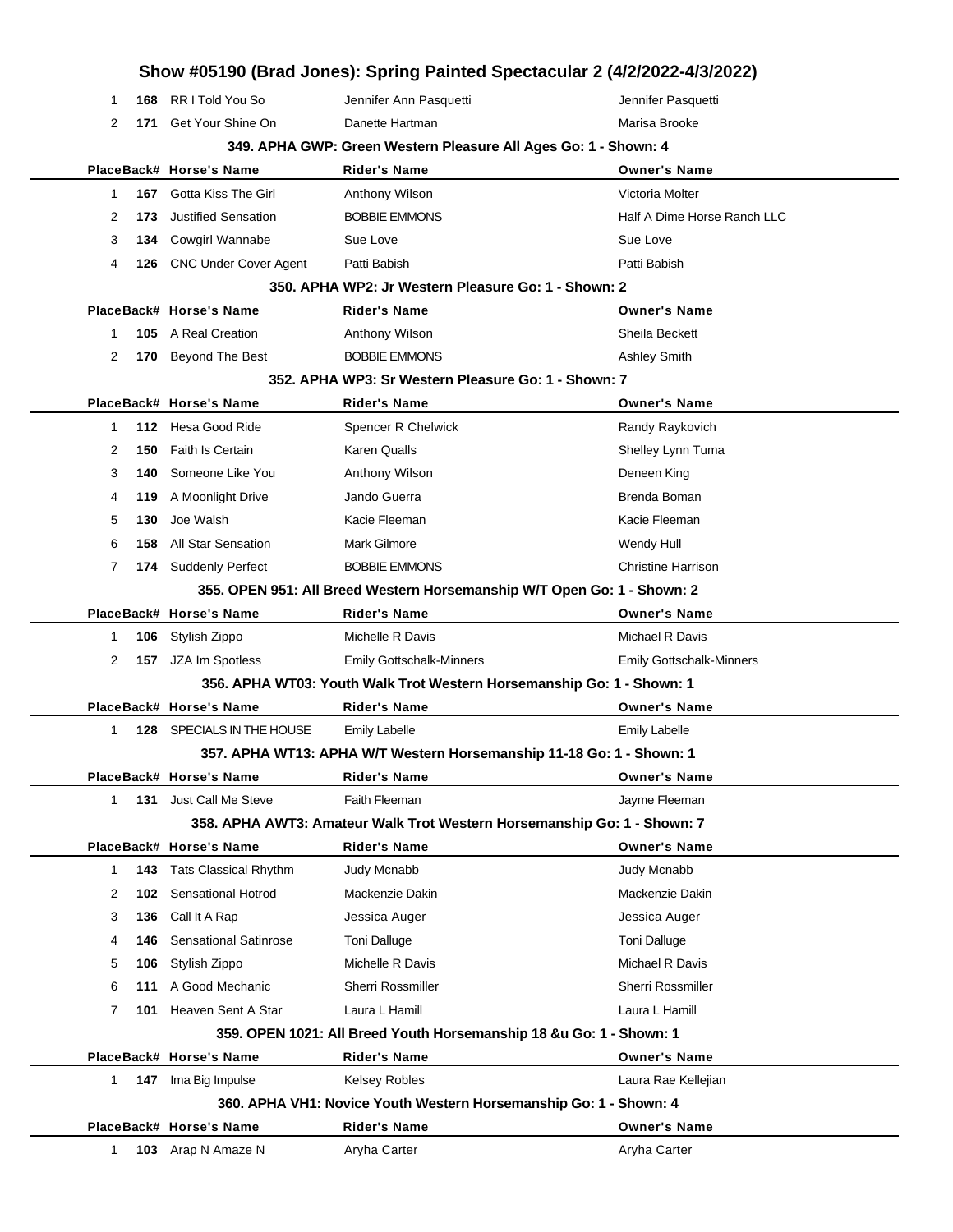|   |     |                              | Show #05190 (Brad Jones): Spring Painted Spectacular 2 (4/2/2022-4/3/2022) |                                 |
|---|-----|------------------------------|----------------------------------------------------------------------------|---------------------------------|
| 1 | 168 | RR I Told You So             | Jennifer Ann Pasquetti                                                     | Jennifer Pasquetti              |
| 2 | 171 | Get Your Shine On            | Danette Hartman                                                            | Marisa Brooke                   |
|   |     |                              | 349. APHA GWP: Green Western Pleasure All Ages Go: 1 - Shown: 4            |                                 |
|   |     | PlaceBack# Horse's Name      | <b>Rider's Name</b>                                                        | <b>Owner's Name</b>             |
| 1 | 167 | Gotta Kiss The Girl          | Anthony Wilson                                                             | Victoria Molter                 |
| 2 | 173 | <b>Justified Sensation</b>   | <b>BOBBIE EMMONS</b>                                                       | Half A Dime Horse Ranch LLC     |
| 3 | 134 | <b>Cowgirl Wannabe</b>       | Sue Love                                                                   | Sue Love                        |
| 4 | 126 | CNC Under Cover Agent        | Patti Babish                                                               | Patti Babish                    |
|   |     |                              | 350. APHA WP2: Jr Western Pleasure Go: 1 - Shown: 2                        |                                 |
|   |     | PlaceBack# Horse's Name      | Rider's Name                                                               | <b>Owner's Name</b>             |
| 1 |     | <b>105</b> A Real Creation   | Anthony Wilson                                                             | Sheila Beckett                  |
| 2 | 170 | <b>Beyond The Best</b>       | <b>BOBBIE EMMONS</b>                                                       | <b>Ashley Smith</b>             |
|   |     |                              | 352. APHA WP3: Sr Western Pleasure Go: 1 - Shown: 7                        |                                 |
|   |     | PlaceBack# Horse's Name      | Rider's Name                                                               | <b>Owner's Name</b>             |
| 1 |     | 112 Hesa Good Ride           | Spencer R Chelwick                                                         | Randy Raykovich                 |
| 2 | 150 | <b>Faith Is Certain</b>      | Karen Qualls                                                               | Shelley Lynn Tuma               |
| 3 | 140 | Someone Like You             | Anthony Wilson                                                             | Deneen King                     |
| 4 | 119 | A Moonlight Drive            | Jando Guerra                                                               | Brenda Boman                    |
| 5 | 130 | Joe Walsh                    | Kacie Fleeman                                                              | Kacie Fleeman                   |
| 6 | 158 | <b>All Star Sensation</b>    | <b>Mark Gilmore</b>                                                        | Wendy Hull                      |
| 7 |     | 174 Suddenly Perfect         | <b>BOBBIE EMMONS</b>                                                       | <b>Christine Harrison</b>       |
|   |     |                              | 355. OPEN 951: All Breed Western Horsemanship W/T Open Go: 1 - Shown: 2    |                                 |
|   |     | PlaceBack# Horse's Name      | <b>Rider's Name</b>                                                        | <b>Owner's Name</b>             |
| 1 | 106 | Stylish Zippo                | Michelle R Davis                                                           | Michael R Davis                 |
| 2 | 157 | JZA Im Spotless              | <b>Emily Gottschalk-Minners</b>                                            | <b>Emily Gottschalk-Minners</b> |
|   |     |                              | 356. APHA WT03: Youth Walk Trot Western Horsemanship Go: 1 - Shown: 1      |                                 |
|   |     | PlaceBack# Horse's Name      | Rider's Name                                                               | <b>Owner's Name</b>             |
| 1 | 128 | SPECIALS IN THE HOUSE        | <b>Emily Labelle</b>                                                       | <b>Emily Labelle</b>            |
|   |     |                              | 357. APHA WT13: APHA W/T Western Horsemanship 11-18 Go: 1 - Shown: 1       |                                 |
|   |     | PlaceBack# Horse's Name      | Rider's Name                                                               | <b>Owner's Name</b>             |
| 1 |     | 131 Just Call Me Steve       | Faith Fleeman                                                              | Jayme Fleeman                   |
|   |     |                              | 358. APHA AWT3: Amateur Walk Trot Western Horsemanship Go: 1 - Shown: 7    |                                 |
|   |     | PlaceBack# Horse's Name      | <b>Rider's Name</b>                                                        | <b>Owner's Name</b>             |
| 1 | 143 | <b>Tats Classical Rhythm</b> | Judy Mcnabb                                                                | <b>Judy Mcnabb</b>              |
| 2 | 102 | Sensational Hotrod           | Mackenzie Dakin                                                            | Mackenzie Dakin                 |
| 3 | 136 | Call It A Rap                | Jessica Auger                                                              | Jessica Auger                   |
| 4 | 146 | <b>Sensational Satinrose</b> | Toni Dalluge                                                               | <b>Toni Dalluge</b>             |
| 5 | 106 | Stylish Zippo                | Michelle R Davis                                                           | Michael R Davis                 |
| 6 | 111 | A Good Mechanic              | Sherri Rossmiller                                                          | Sherri Rossmiller               |
| 7 | 101 | Heaven Sent A Star           | Laura L Hamill                                                             | Laura L Hamill                  |
|   |     |                              | 359. OPEN 1021: All Breed Youth Horsemanship 18 &u Go: 1 - Shown: 1        |                                 |
|   |     | PlaceBack# Horse's Name      | <b>Rider's Name</b>                                                        | <b>Owner's Name</b>             |
| 1 |     | 147 Ima Big Impulse          | <b>Kelsey Robles</b>                                                       | Laura Rae Kellejian             |
|   |     |                              | 360. APHA VH1: Novice Youth Western Horsemanship Go: 1 - Shown: 4          |                                 |
|   |     | PlaceBack# Horse's Name      | Rider's Name                                                               | <b>Owner's Name</b>             |
| 1 |     | 103 Arap N Amaze N           | Aryha Carter                                                               | Aryha Carter                    |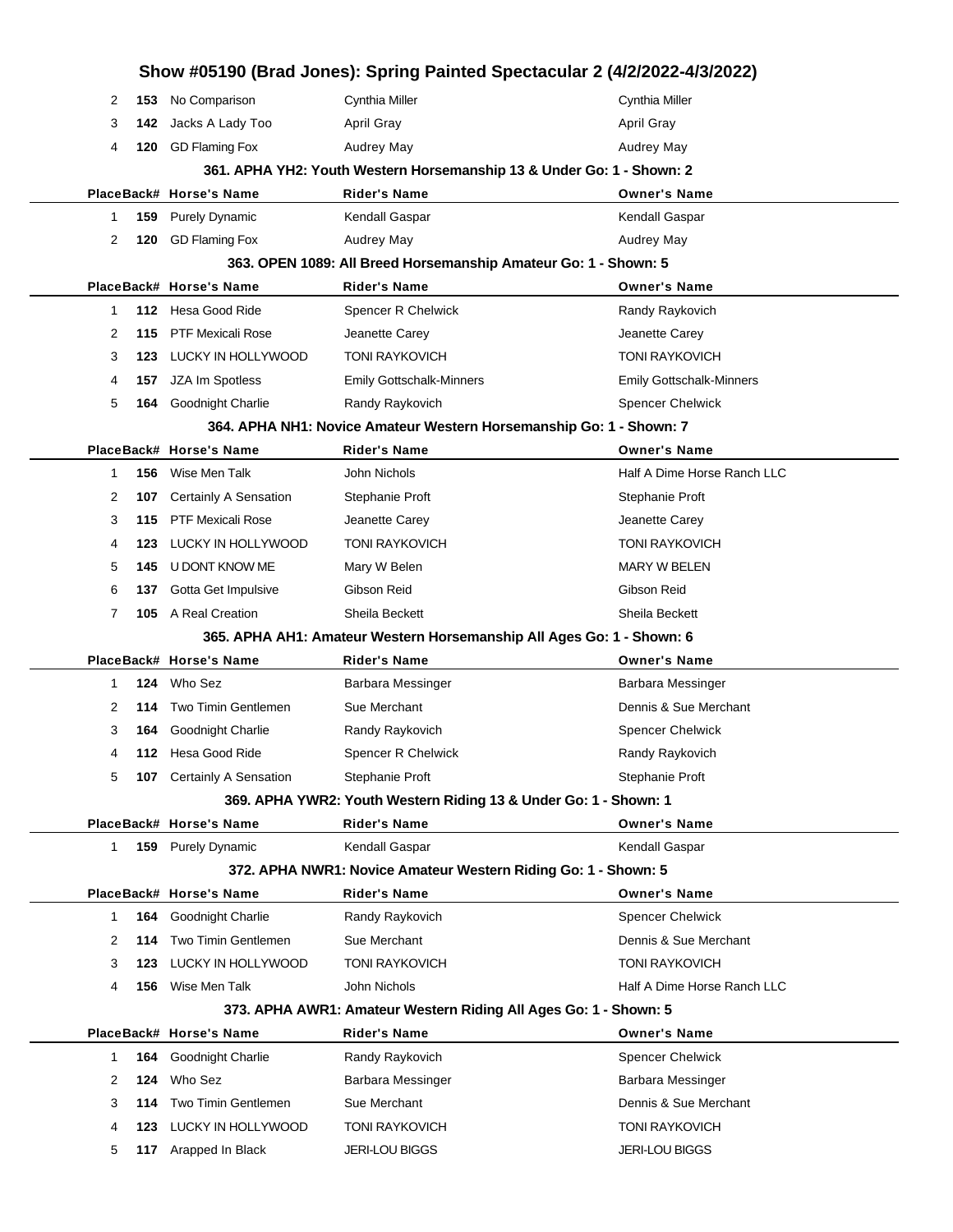|        | Show #05190 (Brad Jones): Spring Painted Spectacular 2 (4/2/2022-4/3/2022) |                                        |                                                                       |                                         |  |
|--------|----------------------------------------------------------------------------|----------------------------------------|-----------------------------------------------------------------------|-----------------------------------------|--|
| 2      | 153                                                                        | No Comparison                          | Cynthia Miller                                                        | Cynthia Miller                          |  |
| 3      | 142                                                                        | Jacks A Lady Too                       | <b>April Gray</b>                                                     | April Gray                              |  |
| 4      | 120                                                                        | <b>GD Flaming Fox</b>                  | <b>Audrey May</b>                                                     | Audrey May                              |  |
|        |                                                                            |                                        | 361. APHA YH2: Youth Western Horsemanship 13 & Under Go: 1 - Shown: 2 |                                         |  |
|        |                                                                            | PlaceBack# Horse's Name                | Rider's Name                                                          | <b>Owner's Name</b>                     |  |
| 1      | 159                                                                        | <b>Purely Dynamic</b>                  | Kendall Gaspar                                                        | Kendall Gaspar                          |  |
| 2      | 120                                                                        | <b>GD Flaming Fox</b>                  | Audrey May                                                            | Audrey May                              |  |
|        |                                                                            |                                        | 363. OPEN 1089: All Breed Horsemanship Amateur Go: 1 - Shown: 5       |                                         |  |
|        |                                                                            | PlaceBack# Horse's Name                | <b>Rider's Name</b>                                                   | <b>Owner's Name</b>                     |  |
| 1      | 112                                                                        | Hesa Good Ride                         | <b>Spencer R Chelwick</b>                                             | Randy Raykovich                         |  |
| 2      | 115                                                                        | <b>PTF Mexicali Rose</b>               | Jeanette Carey                                                        | Jeanette Carey                          |  |
| 3      | 123                                                                        | LUCKY IN HOLLYWOOD                     | <b>TONI RAYKOVICH</b>                                                 | <b>TONI RAYKOVICH</b>                   |  |
| 4      | 157                                                                        | JZA Im Spotless                        | <b>Emily Gottschalk-Minners</b>                                       | <b>Emily Gottschalk-Minners</b>         |  |
| 5      | 164                                                                        | <b>Goodnight Charlie</b>               | Randy Raykovich                                                       | Spencer Chelwick                        |  |
|        |                                                                            |                                        | 364. APHA NH1: Novice Amateur Western Horsemanship Go: 1 - Shown: 7   |                                         |  |
|        |                                                                            | PlaceBack# Horse's Name                | <b>Rider's Name</b>                                                   | <b>Owner's Name</b>                     |  |
| 1      | 156                                                                        | Wise Men Talk                          | John Nichols                                                          | Half A Dime Horse Ranch LLC             |  |
| 2      | 107                                                                        | Certainly A Sensation                  | Stephanie Proft                                                       | Stephanie Proft                         |  |
| 3      | 115                                                                        | <b>PTF Mexicali Rose</b>               | Jeanette Carey                                                        | Jeanette Carey                          |  |
| 4      | 123                                                                        | LUCKY IN HOLLYWOOD                     | <b>TONI RAYKOVICH</b>                                                 | <b>TONI RAYKOVICH</b>                   |  |
| 5      | 145                                                                        | U DONT KNOW ME                         | Mary W Belen                                                          | <b>MARY W BELEN</b>                     |  |
| 6      | 137                                                                        | Gotta Get Impulsive                    | Gibson Reid                                                           | Gibson Reid                             |  |
| 7      | 105                                                                        | A Real Creation                        | Sheila Beckett                                                        | Sheila Beckett                          |  |
|        |                                                                            |                                        | 365. APHA AH1: Amateur Western Horsemanship All Ages Go: 1 - Shown: 6 |                                         |  |
|        |                                                                            | PlaceBack# Horse's Name                | Rider's Name                                                          | <b>Owner's Name</b>                     |  |
| 1      | 124                                                                        | Who Sez                                | Barbara Messinger                                                     | Barbara Messinger                       |  |
| 2      | 114                                                                        | <b>Two Timin Gentlemen</b>             | Sue Merchant                                                          | Dennis & Sue Merchant                   |  |
| 3      | 164                                                                        | Goodnight Charlie                      | Randy Raykovich                                                       | <b>Spencer Chelwick</b>                 |  |
| 4      |                                                                            | 112 Hesa Good Ride                     | Spencer R Chelwick                                                    | Randy Raykovich                         |  |
| 5      | 107                                                                        | <b>Certainly A Sensation</b>           | Stephanie Proft                                                       | Stephanie Proft                         |  |
|        |                                                                            |                                        | 369. APHA YWR2: Youth Western Riding 13 & Under Go: 1 - Shown: 1      |                                         |  |
|        |                                                                            | PlaceBack# Horse's Name                | <b>Rider's Name</b>                                                   | <b>Owner's Name</b>                     |  |
| 1      |                                                                            | <b>159</b> Purely Dynamic              | Kendall Gaspar                                                        | Kendall Gaspar                          |  |
|        |                                                                            |                                        | 372. APHA NWR1: Novice Amateur Western Riding Go: 1 - Shown: 5        |                                         |  |
|        |                                                                            | PlaceBack# Horse's Name                | Rider's Name                                                          | <b>Owner's Name</b>                     |  |
| 1      | 164                                                                        | Goodnight Charlie                      | Randy Raykovich                                                       | <b>Spencer Chelwick</b>                 |  |
|        |                                                                            |                                        |                                                                       |                                         |  |
| 2      | 114                                                                        | <b>Two Timin Gentlemen</b>             | Sue Merchant                                                          | Dennis & Sue Merchant                   |  |
| 3      | 123                                                                        | LUCKY IN HOLLYWOOD                     | <b>TONI RAYKOVICH</b>                                                 | <b>TONI RAYKOVICH</b>                   |  |
| 4      | 156                                                                        | Wise Men Talk                          | John Nichols                                                          | Half A Dime Horse Ranch LLC             |  |
|        |                                                                            |                                        | 373. APHA AWR1: Amateur Western Riding All Ages Go: 1 - Shown: 5      |                                         |  |
|        |                                                                            | PlaceBack# Horse's Name                | Rider's Name                                                          | <b>Owner's Name</b>                     |  |
| 1      | 164                                                                        | Goodnight Charlie                      | Randy Raykovich                                                       | Spencer Chelwick                        |  |
| 2      | 124                                                                        | Who Sez                                | Barbara Messinger                                                     | Barbara Messinger                       |  |
| 3      | 114                                                                        | <b>Two Timin Gentlemen</b>             | Sue Merchant                                                          | Dennis & Sue Merchant                   |  |
| 4<br>5 | 123<br>117                                                                 | LUCKY IN HOLLYWOOD<br>Arapped In Black | <b>TONI RAYKOVICH</b><br><b>JERI-LOU BIGGS</b>                        | <b>TONI RAYKOVICH</b><br>JERI-LOU BIGGS |  |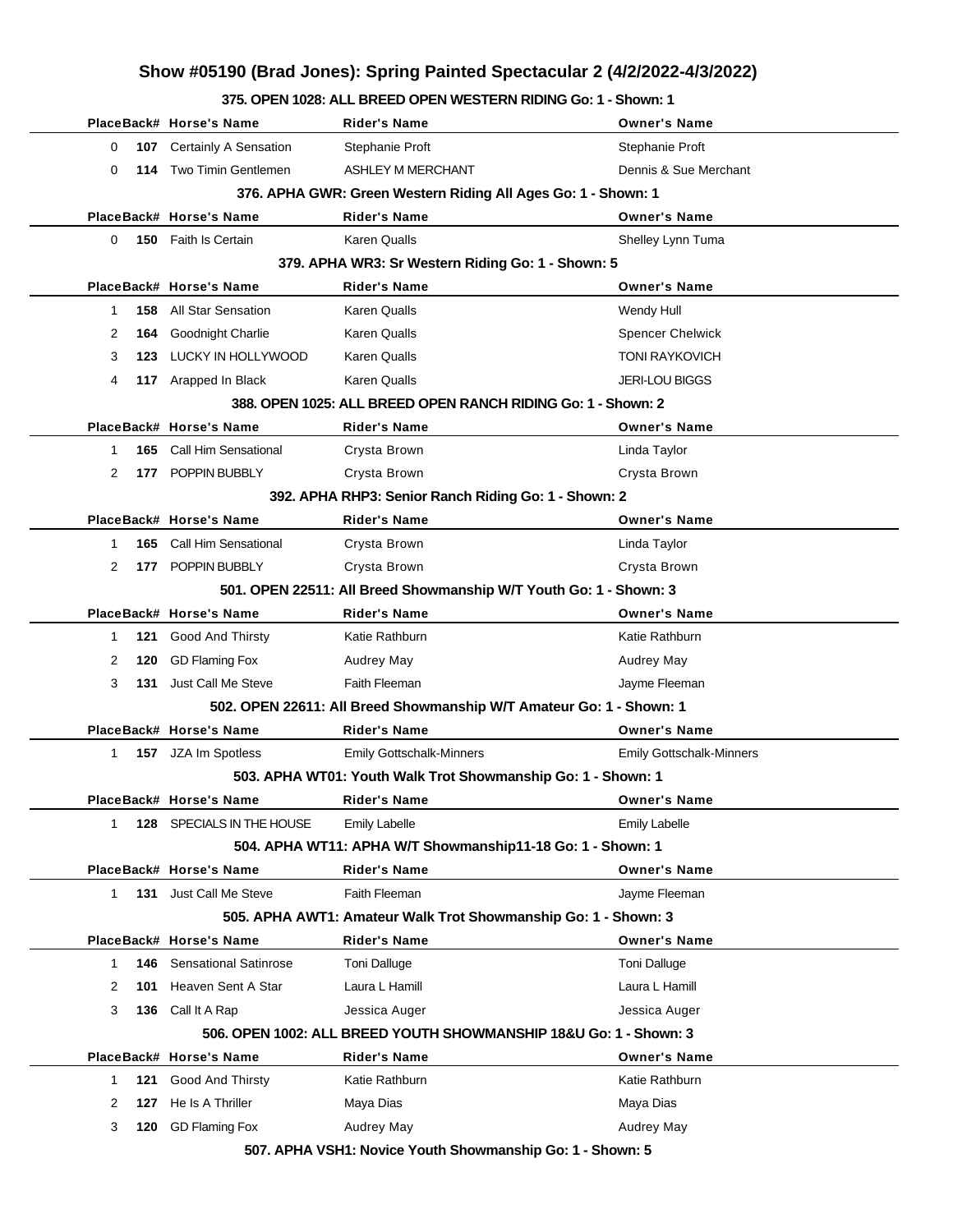#### **375. OPEN 1028: ALL BREED OPEN WESTERN RIDING Go: 1 - Shown: 1**

|                                                               |     | PlaceBack# Horse's Name      | Rider's Name                                                        | Owner's Name                    |  |
|---------------------------------------------------------------|-----|------------------------------|---------------------------------------------------------------------|---------------------------------|--|
| 0                                                             | 107 | Certainly A Sensation        | Stephanie Proft                                                     | Stephanie Proft                 |  |
| $\Omega$                                                      |     | 114 Two Timin Gentlemen      | <b>ASHLEY M MERCHANT</b>                                            | Dennis & Sue Merchant           |  |
| 376. APHA GWR: Green Western Riding All Ages Go: 1 - Shown: 1 |     |                              |                                                                     |                                 |  |
|                                                               |     | PlaceBack# Horse's Name      | Rider's Name                                                        | <b>Owner's Name</b>             |  |
| 0                                                             |     | <b>150</b> Faith Is Certain  | Karen Qualls                                                        | Shelley Lynn Tuma               |  |
|                                                               |     |                              | 379. APHA WR3: Sr Western Riding Go: 1 - Shown: 5                   |                                 |  |
|                                                               |     | PlaceBack# Horse's Name      | Rider's Name                                                        | <b>Owner's Name</b>             |  |
| 1                                                             | 158 | All Star Sensation           | Karen Qualls                                                        | Wendy Hull                      |  |
| 2                                                             | 164 | Goodnight Charlie            | Karen Qualls                                                        | <b>Spencer Chelwick</b>         |  |
| 3                                                             | 123 | LUCKY IN HOLLYWOOD           | <b>Karen Qualls</b>                                                 | <b>TONI RAYKOVICH</b>           |  |
| 4                                                             |     | 117 Arapped In Black         | Karen Qualls                                                        | <b>JERI-LOU BIGGS</b>           |  |
|                                                               |     |                              | 388. OPEN 1025: ALL BREED OPEN RANCH RIDING Go: 1 - Shown: 2        |                                 |  |
|                                                               |     | PlaceBack# Horse's Name      | Rider's Name                                                        | <b>Owner's Name</b>             |  |
| 1                                                             | 165 | Call Him Sensational         | Crysta Brown                                                        | Linda Taylor                    |  |
| 2                                                             |     | 177 POPPIN BUBBLY            | Crysta Brown                                                        | Crysta Brown                    |  |
|                                                               |     |                              | 392. APHA RHP3: Senior Ranch Riding Go: 1 - Shown: 2                |                                 |  |
|                                                               |     | PlaceBack# Horse's Name      | <b>Rider's Name</b>                                                 | <b>Owner's Name</b>             |  |
| 1                                                             | 165 | Call Him Sensational         | Crysta Brown                                                        | Linda Taylor                    |  |
| 2                                                             |     | 177 POPPIN BUBBLY            | Crysta Brown                                                        | Crysta Brown                    |  |
|                                                               |     |                              | 501. OPEN 22511: All Breed Showmanship W/T Youth Go: 1 - Shown: 3   |                                 |  |
|                                                               |     | PlaceBack# Horse's Name      | <b>Rider's Name</b>                                                 | <b>Owner's Name</b>             |  |
| 1                                                             |     | <b>121</b> Good And Thirsty  | Katie Rathburn                                                      | Katie Rathburn                  |  |
| 2                                                             | 120 | <b>GD Flaming Fox</b>        | <b>Audrey May</b>                                                   | <b>Audrey May</b>               |  |
| 3                                                             | 131 | Just Call Me Steve           | <b>Faith Fleeman</b>                                                | Jayme Fleeman                   |  |
|                                                               |     |                              | 502. OPEN 22611: All Breed Showmanship W/T Amateur Go: 1 - Shown: 1 |                                 |  |
|                                                               |     | PlaceBack# Horse's Name      | Rider's Name                                                        | <b>Owner's Name</b>             |  |
| 1                                                             |     | 157 JZA Im Spotless          | <b>Emily Gottschalk-Minners</b>                                     | <b>Emily Gottschalk-Minners</b> |  |
|                                                               |     |                              | 503. APHA WT01: Youth Walk Trot Showmanship Go: 1 - Shown: 1        |                                 |  |
|                                                               |     | PlaceBack# Horse's Name      | <b>Rider's Name</b>                                                 | <b>Owner's Name</b>             |  |
| 1                                                             | 128 | SPECIALS IN THE HOUSE        | <b>Emily Labelle</b>                                                | <b>Emily Labelle</b>            |  |
|                                                               |     |                              | 504. APHA WT11: APHA W/T Showmanship11-18 Go: 1 - Shown: 1          |                                 |  |
|                                                               |     | PlaceBack# Horse's Name      | <b>Rider's Name</b>                                                 | <b>Owner's Name</b>             |  |
| 1                                                             | 131 | Just Call Me Steve           | Faith Fleeman                                                       | Jayme Fleeman                   |  |
|                                                               |     |                              | 505. APHA AWT1: Amateur Walk Trot Showmanship Go: 1 - Shown: 3      |                                 |  |
|                                                               |     | PlaceBack# Horse's Name      | <b>Rider's Name</b>                                                 | <b>Owner's Name</b>             |  |
| 1                                                             | 146 | <b>Sensational Satinrose</b> | <b>Toni Dalluge</b>                                                 | <b>Toni Dalluge</b>             |  |
| 2                                                             | 101 | Heaven Sent A Star           | Laura L Hamill                                                      | Laura L Hamill                  |  |
| 3                                                             | 136 | Call It A Rap                | Jessica Auger                                                       | Jessica Auger                   |  |
|                                                               |     |                              | 506. OPEN 1002: ALL BREED YOUTH SHOWMANSHIP 18&U Go: 1 - Shown: 3   |                                 |  |
|                                                               |     | PlaceBack# Horse's Name      | <b>Rider's Name</b>                                                 | <b>Owner's Name</b>             |  |
| 1                                                             | 121 | Good And Thirsty             | Katie Rathburn                                                      | Katie Rathburn                  |  |
| 2                                                             | 127 | He Is A Thriller             | Maya Dias                                                           | Maya Dias                       |  |
| 3                                                             | 120 | <b>GD Flaming Fox</b>        | <b>Audrey May</b>                                                   | <b>Audrey May</b>               |  |
|                                                               |     |                              |                                                                     |                                 |  |

**507. APHA VSH1: Novice Youth Showmanship Go: 1 - Shown: 5**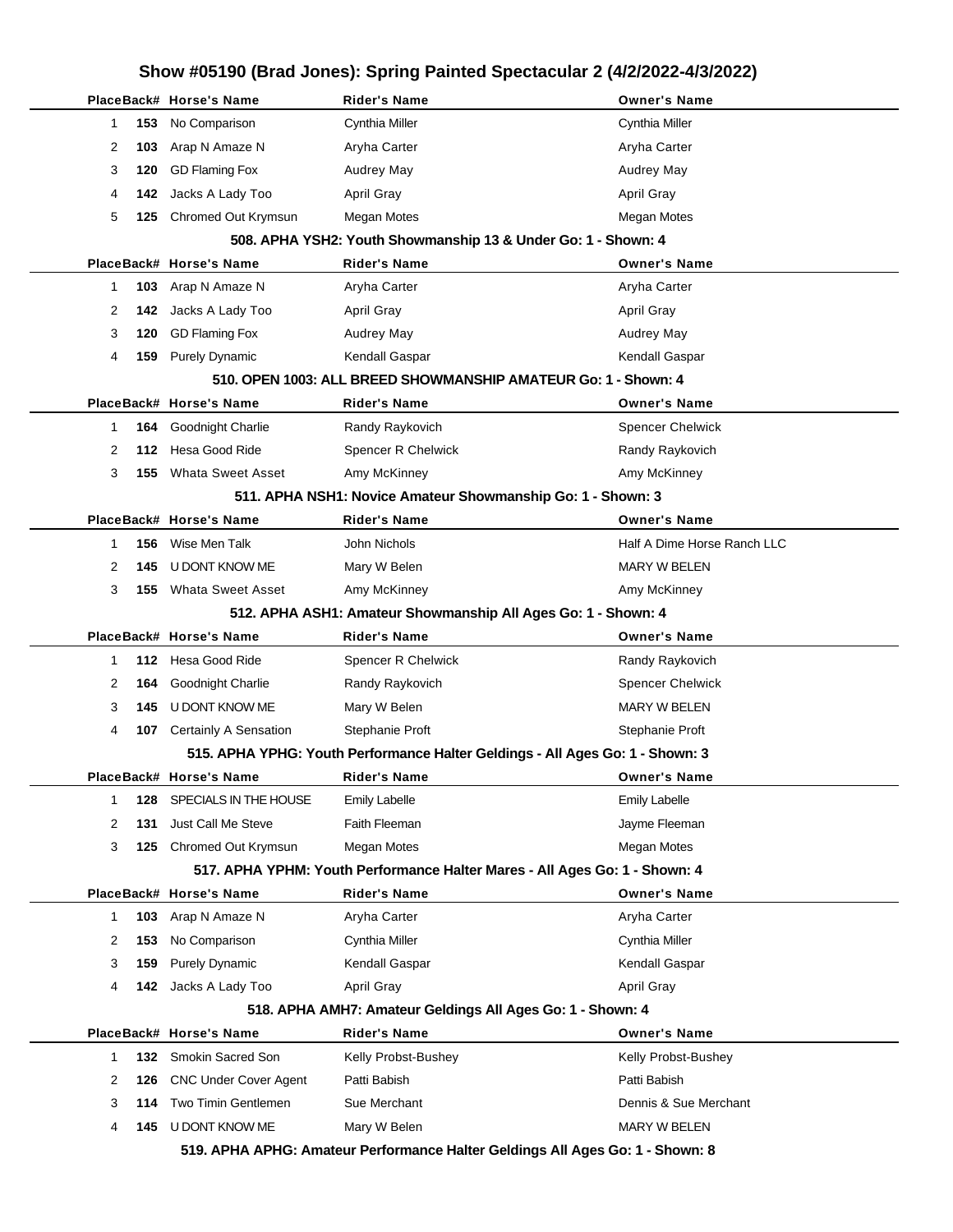|          | PlaceBack# Horse's Name         | Rider's Name                                                                  | <b>Owner's Name</b>         |
|----------|---------------------------------|-------------------------------------------------------------------------------|-----------------------------|
| 153<br>1 | No Comparison                   | <b>Cynthia Miller</b>                                                         | Cynthia Miller              |
| 2<br>103 | Arap N Amaze N                  | Aryha Carter                                                                  | Aryha Carter                |
| 3<br>120 | <b>GD Flaming Fox</b>           | <b>Audrey May</b>                                                             | Audrey May                  |
| 4<br>142 | Jacks A Lady Too                | <b>April Gray</b>                                                             | <b>April Gray</b>           |
| 5<br>125 | Chromed Out Krymsun             | Megan Motes                                                                   | Megan Motes                 |
|          |                                 | 508. APHA YSH2: Youth Showmanship 13 & Under Go: 1 - Shown: 4                 |                             |
|          | PlaceBack# Horse's Name         | <b>Rider's Name</b>                                                           | <b>Owner's Name</b>         |
| 103<br>1 | Arap N Amaze N                  | Aryha Carter                                                                  | Aryha Carter                |
| 2<br>142 | Jacks A Lady Too                | <b>April Gray</b>                                                             | April Gray                  |
| 3<br>120 | <b>GD Flaming Fox</b>           | <b>Audrey May</b>                                                             | Audrey May                  |
| 4<br>159 | <b>Purely Dynamic</b>           | Kendall Gaspar                                                                | Kendall Gaspar              |
|          |                                 | 510. OPEN 1003: ALL BREED SHOWMANSHIP AMATEUR Go: 1 - Shown: 4                |                             |
|          | PlaceBack# Horse's Name         | Rider's Name                                                                  | <b>Owner's Name</b>         |
| 1        | <b>Goodnight Charlie</b><br>164 | Randy Raykovich                                                               | <b>Spencer Chelwick</b>     |
| 2<br>112 | Hesa Good Ride                  | Spencer R Chelwick                                                            | Randy Raykovich             |
| 3<br>155 | <b>Whata Sweet Asset</b>        | Amy McKinney                                                                  | Amy McKinney                |
|          |                                 | 511. APHA NSH1: Novice Amateur Showmanship Go: 1 - Shown: 3                   |                             |
|          | PlaceBack# Horse's Name         | Rider's Name                                                                  | <b>Owner's Name</b>         |
| 156<br>1 | Wise Men Talk                   | John Nichols                                                                  | Half A Dime Horse Ranch LLC |
| 2<br>145 | U DONT KNOW ME                  | Mary W Belen                                                                  | <b>MARY W BELEN</b>         |
| 3<br>155 | <b>Whata Sweet Asset</b>        | Amy McKinney                                                                  | Amy McKinney                |
|          |                                 | 512. APHA ASH1: Amateur Showmanship All Ages Go: 1 - Shown: 4                 |                             |
|          | PlaceBack# Horse's Name         | Rider's Name                                                                  | <b>Owner's Name</b>         |
| 1        | 112 Hesa Good Ride              | Spencer R Chelwick                                                            | Randy Raykovich             |
| 2<br>164 | Goodnight Charlie               | Randy Raykovich                                                               | <b>Spencer Chelwick</b>     |
| 3<br>145 | U DONT KNOW ME                  | Mary W Belen                                                                  | <b>MARY W BELEN</b>         |
| 4        | Certainly A Sensation<br>107    | Stephanie Proft                                                               | Stephanie Proft             |
|          |                                 | 515. APHA YPHG: Youth Performance Halter Geldings - All Ages Go: 1 - Shown: 3 |                             |
|          | PlaceBack# Horse's Name         | Rider's Name                                                                  | <b>Owner's Name</b>         |
| 1<br>128 | SPECIALS IN THE HOUSE           | <b>Emily Labelle</b>                                                          | <b>Emily Labelle</b>        |
| 2<br>131 | <b>Just Call Me Steve</b>       | Faith Fleeman                                                                 | Jayme Fleeman               |
| 3<br>125 | Chromed Out Krymsun             | Megan Motes                                                                   | Megan Motes                 |
|          |                                 | 517. APHA YPHM: Youth Performance Halter Mares - All Ages Go: 1 - Shown: 4    |                             |
|          | PlaceBack# Horse's Name         | <b>Rider's Name</b>                                                           | <b>Owner's Name</b>         |
| 103<br>1 | Arap N Amaze N                  | Aryha Carter                                                                  | Aryha Carter                |
| 2<br>153 | No Comparison                   | Cynthia Miller                                                                | Cynthia Miller              |
| 3<br>159 | <b>Purely Dynamic</b>           | Kendall Gaspar                                                                | Kendall Gaspar              |
| 4        | 142 Jacks A Lady Too            | April Gray                                                                    | <b>April Gray</b>           |
|          |                                 | 518. APHA AMH7: Amateur Geldings All Ages Go: 1 - Shown: 4                    |                             |
|          | PlaceBack# Horse's Name         | <b>Rider's Name</b>                                                           | <b>Owner's Name</b>         |
| 1        | Smokin Sacred Son<br>132        | Kelly Probst-Bushey                                                           | Kelly Probst-Bushey         |
| 2<br>126 | <b>CNC Under Cover Agent</b>    | Patti Babish                                                                  | Patti Babish                |
| 3<br>114 | Two Timin Gentlemen             | Sue Merchant                                                                  | Dennis & Sue Merchant       |
| 4<br>145 | U DONT KNOW ME                  | Mary W Belen                                                                  | <b>MARY W BELEN</b>         |
|          |                                 | 519 APHA APHG: Amateur Performance Halter Geldings All Ages Go: 1 - Shown: 8  |                             |

**519. APHA APHG: Amateur Performance Halter Geldings All Ages Go: 1 - Shown: 8**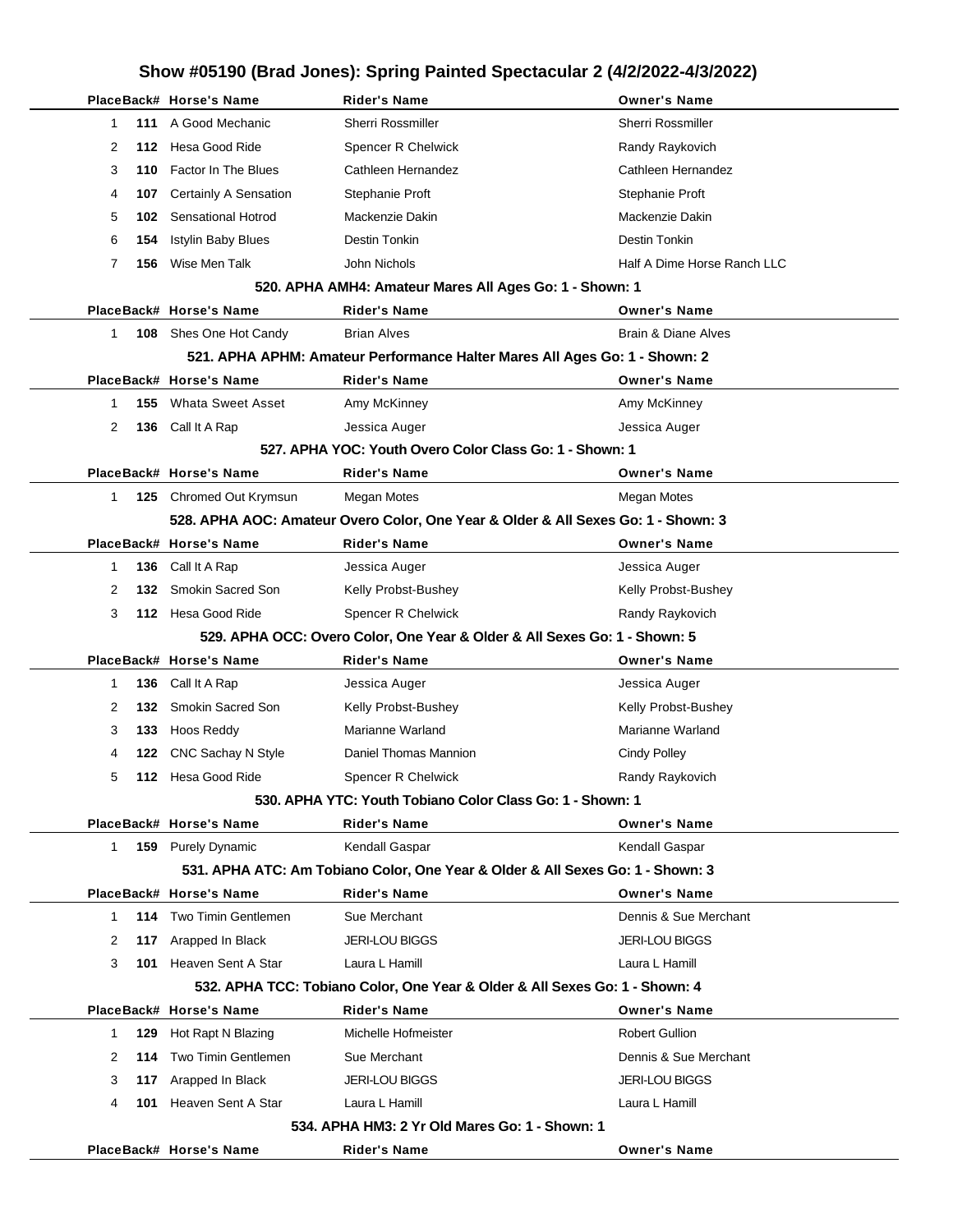|              | PlaceBack# Horse's Name                                                   | <b>Rider's Name</b>                                                               | <b>Owner's Name</b>            |  |  |  |
|--------------|---------------------------------------------------------------------------|-----------------------------------------------------------------------------------|--------------------------------|--|--|--|
| 111<br>1     | A Good Mechanic                                                           | <b>Sherri Rossmiller</b>                                                          | <b>Sherri Rossmiller</b>       |  |  |  |
| 2<br>112.    | Hesa Good Ride                                                            | Spencer R Chelwick                                                                | Randy Raykovich                |  |  |  |
| 3<br>110     | Factor In The Blues                                                       | Cathleen Hernandez                                                                | Cathleen Hernandez             |  |  |  |
| 4<br>107     | Certainly A Sensation                                                     | Stephanie Proft                                                                   | Stephanie Proft                |  |  |  |
| 5<br>102     | <b>Sensational Hotrod</b>                                                 | Mackenzie Dakin                                                                   | Mackenzie Dakin                |  |  |  |
| 6<br>154     | <b>Istylin Baby Blues</b>                                                 | <b>Destin Tonkin</b>                                                              | <b>Destin Tonkin</b>           |  |  |  |
| 7<br>156     | Wise Men Talk                                                             | John Nichols                                                                      | Half A Dime Horse Ranch LLC    |  |  |  |
|              |                                                                           | 520. APHA AMH4: Amateur Mares All Ages Go: 1 - Shown: 1                           |                                |  |  |  |
|              | PlaceBack# Horse's Name                                                   | <b>Rider's Name</b>                                                               | <b>Owner's Name</b>            |  |  |  |
| $\mathbf 1$  | <b>108</b> Shes One Hot Candy                                             | <b>Brian Alves</b>                                                                | <b>Brain &amp; Diane Alves</b> |  |  |  |
|              |                                                                           | 521. APHA APHM: Amateur Performance Halter Mares All Ages Go: 1 - Shown: 2        |                                |  |  |  |
|              | PlaceBack# Horse's Name                                                   | <b>Rider's Name</b>                                                               | <b>Owner's Name</b>            |  |  |  |
| 155<br>1     | <b>Whata Sweet Asset</b>                                                  | Amy McKinney                                                                      | Amy McKinney                   |  |  |  |
| 2<br>136     | Call It A Rap                                                             | Jessica Auger                                                                     | Jessica Auger                  |  |  |  |
|              |                                                                           | 527. APHA YOC: Youth Overo Color Class Go: 1 - Shown: 1                           |                                |  |  |  |
|              | PlaceBack# Horse's Name                                                   | <b>Rider's Name</b>                                                               | <b>Owner's Name</b>            |  |  |  |
| 1            | 125 Chromed Out Krymsun                                                   | Megan Motes                                                                       | <b>Megan Motes</b>             |  |  |  |
|              |                                                                           | 528. APHA AOC: Amateur Overo Color, One Year & Older & All Sexes Go: 1 - Shown: 3 |                                |  |  |  |
|              | PlaceBack# Horse's Name                                                   | <b>Rider's Name</b>                                                               | <b>Owner's Name</b>            |  |  |  |
| 136<br>1     | Call It A Rap                                                             | Jessica Auger                                                                     | Jessica Auger                  |  |  |  |
| 2<br>132     | Smokin Sacred Son                                                         | Kelly Probst-Bushey                                                               | Kelly Probst-Bushey            |  |  |  |
| 3            | 112 Hesa Good Ride                                                        | Spencer R Chelwick                                                                | Randy Raykovich                |  |  |  |
|              | 529. APHA OCC: Overo Color, One Year & Older & All Sexes Go: 1 - Shown: 5 |                                                                                   |                                |  |  |  |
|              |                                                                           |                                                                                   |                                |  |  |  |
|              | PlaceBack# Horse's Name                                                   | <b>Rider's Name</b>                                                               | <b>Owner's Name</b>            |  |  |  |
| 1<br>136     | Call It A Rap                                                             | Jessica Auger                                                                     | Jessica Auger                  |  |  |  |
| 2<br>132     | Smokin Sacred Son                                                         | Kelly Probst-Bushey                                                               | Kelly Probst-Bushey            |  |  |  |
| 3<br>133     | Hoos Reddy                                                                | Marianne Warland                                                                  | Marianne Warland               |  |  |  |
| 4<br>122     | CNC Sachay N Style                                                        | Daniel Thomas Mannion                                                             | <b>Cindy Polley</b>            |  |  |  |
| 5<br>112     | Hesa Good Ride                                                            | Spencer R Chelwick                                                                | Randy Raykovich                |  |  |  |
|              |                                                                           | 530. APHA YTC: Youth Tobiano Color Class Go: 1 - Shown: 1                         |                                |  |  |  |
|              | PlaceBack# Horse's Name                                                   | Rider's Name                                                                      | <b>Owner's Name</b>            |  |  |  |
| $\mathbf{1}$ | 159 Purely Dynamic                                                        | Kendall Gaspar                                                                    | Kendall Gaspar                 |  |  |  |
|              |                                                                           | 531. APHA ATC: Am Tobiano Color, One Year & Older & All Sexes Go: 1 - Shown: 3    |                                |  |  |  |
|              | PlaceBack# Horse's Name                                                   | <b>Rider's Name</b>                                                               | <b>Owner's Name</b>            |  |  |  |
| 1            | 114 Two Timin Gentlemen                                                   | Sue Merchant                                                                      | Dennis & Sue Merchant          |  |  |  |
| 2            | 117 Arapped In Black                                                      | <b>JERI-LOU BIGGS</b>                                                             | <b>JERI-LOU BIGGS</b>          |  |  |  |
| 3<br>101     | Heaven Sent A Star                                                        | Laura L Hamill                                                                    | Laura L Hamill                 |  |  |  |
|              |                                                                           | 532. APHA TCC: Tobiano Color, One Year & Older & All Sexes Go: 1 - Shown: 4       |                                |  |  |  |
|              | PlaceBack# Horse's Name                                                   | <b>Rider's Name</b>                                                               | <b>Owner's Name</b>            |  |  |  |
| 1<br>129     | Hot Rapt N Blazing                                                        | Michelle Hofmeister                                                               | <b>Robert Gullion</b>          |  |  |  |
| 2<br>114     | Two Timin Gentlemen                                                       | Sue Merchant                                                                      | Dennis & Sue Merchant          |  |  |  |
| 3            | 117 Arapped In Black                                                      | <b>JERI-LOU BIGGS</b>                                                             | <b>JERI-LOU BIGGS</b>          |  |  |  |
| 4<br>101     | Heaven Sent A Star                                                        | Laura L Hamill                                                                    | Laura L Hamill                 |  |  |  |
|              | PlaceBack# Horse's Name                                                   | 534, APHA HM3: 2 Yr Old Mares Go: 1 - Shown: 1<br>Rider's Name                    | <b>Owner's Name</b>            |  |  |  |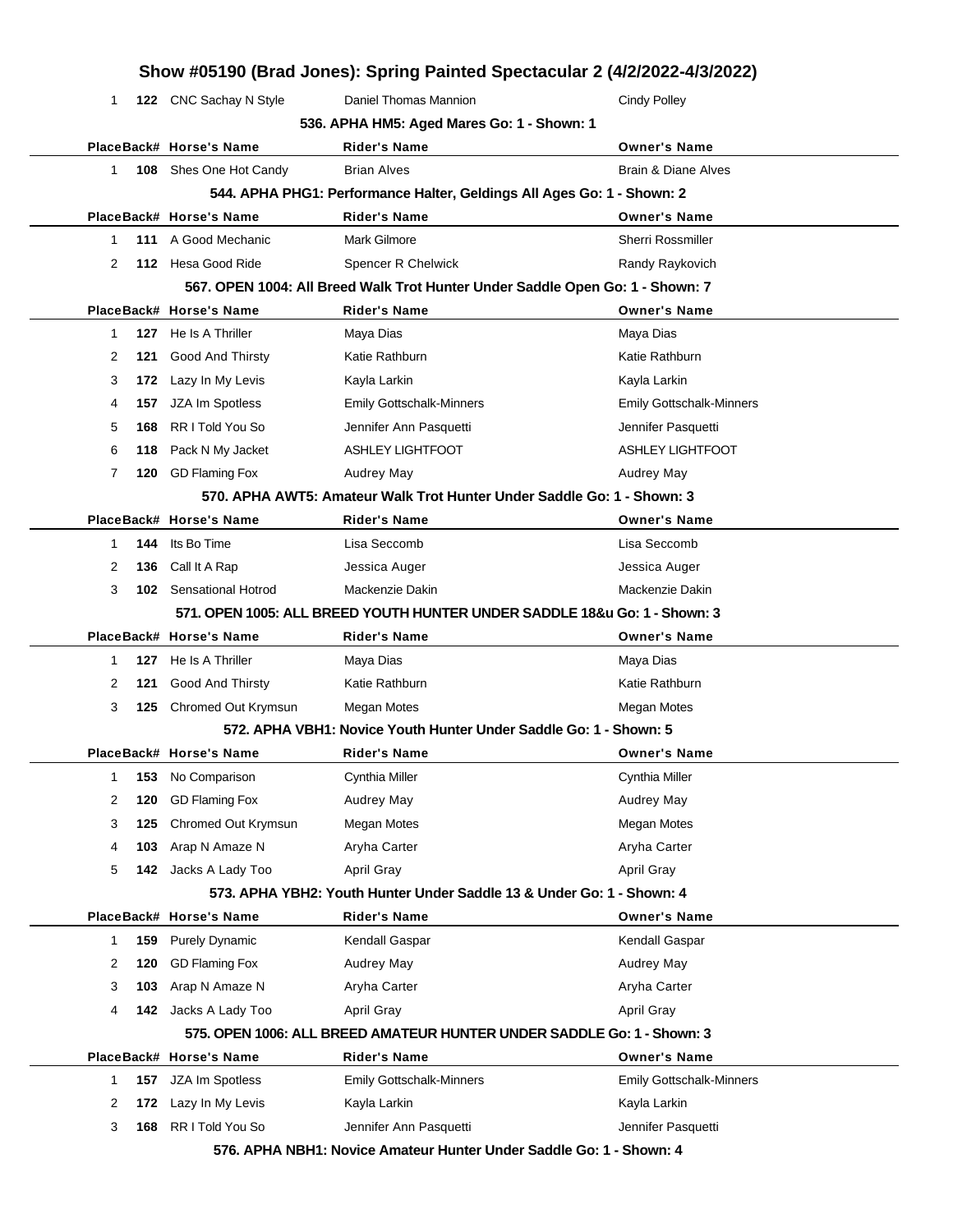| 1                                                                         |     | 122 CNC Sachay N Style        | Daniel Thomas Mannion                                                         | <b>Cindy Polley</b>             |  |  |
|---------------------------------------------------------------------------|-----|-------------------------------|-------------------------------------------------------------------------------|---------------------------------|--|--|
|                                                                           |     |                               | 536. APHA HM5: Aged Mares Go: 1 - Shown: 1                                    |                                 |  |  |
|                                                                           |     | PlaceBack# Horse's Name       | <b>Rider's Name</b>                                                           | <b>Owner's Name</b>             |  |  |
| 1                                                                         |     | 108 Shes One Hot Candy        | <b>Brian Alves</b>                                                            | Brain & Diane Alves             |  |  |
|                                                                           |     |                               | 544. APHA PHG1: Performance Halter, Geldings All Ages Go: 1 - Shown: 2        |                                 |  |  |
|                                                                           |     | PlaceBack# Horse's Name       | <b>Rider's Name</b>                                                           | <b>Owner's Name</b>             |  |  |
| 1                                                                         |     | 111 A Good Mechanic           | Mark Gilmore                                                                  | <b>Sherri Rossmiller</b>        |  |  |
| 2                                                                         |     | 112 Hesa Good Ride            | Spencer R Chelwick                                                            | Randy Raykovich                 |  |  |
|                                                                           |     |                               | 567. OPEN 1004: All Breed Walk Trot Hunter Under Saddle Open Go: 1 - Shown: 7 |                                 |  |  |
|                                                                           |     | PlaceBack# Horse's Name       | <b>Rider's Name</b>                                                           | <b>Owner's Name</b>             |  |  |
| 1                                                                         |     | 127 He Is A Thriller          | Maya Dias                                                                     | Maya Dias                       |  |  |
| 2                                                                         | 121 | Good And Thirsty              | Katie Rathburn                                                                | Katie Rathburn                  |  |  |
| 3                                                                         | 172 | Lazy In My Levis              | Kayla Larkin                                                                  | Kayla Larkin                    |  |  |
| 4                                                                         | 157 | JZA Im Spotless               | <b>Emily Gottschalk-Minners</b>                                               | <b>Emily Gottschalk-Minners</b> |  |  |
| 5                                                                         | 168 | RR I Told You So              | Jennifer Ann Pasquetti                                                        | Jennifer Pasquetti              |  |  |
| 6                                                                         | 118 | Pack N My Jacket              | <b>ASHLEY LIGHTFOOT</b>                                                       | <b>ASHLEY LIGHTFOOT</b>         |  |  |
| 7                                                                         |     | 120 GD Flaming Fox            | <b>Audrey May</b>                                                             | <b>Audrey May</b>               |  |  |
|                                                                           |     |                               | 570. APHA AWT5: Amateur Walk Trot Hunter Under Saddle Go: 1 - Shown: 3        |                                 |  |  |
|                                                                           |     | PlaceBack# Horse's Name       | <b>Rider's Name</b>                                                           | <b>Owner's Name</b>             |  |  |
| 1                                                                         | 144 | Its Bo Time                   | Lisa Seccomb                                                                  | Lisa Seccomb                    |  |  |
| 2                                                                         | 136 | Call It A Rap                 | Jessica Auger                                                                 | Jessica Auger                   |  |  |
| 3                                                                         |     | <b>102</b> Sensational Hotrod | Mackenzie Dakin                                                               | Mackenzie Dakin                 |  |  |
| 571. OPEN 1005: ALL BREED YOUTH HUNTER UNDER SADDLE 18&u Go: 1 - Shown: 3 |     |                               |                                                                               |                                 |  |  |
|                                                                           |     | PlaceBack# Horse's Name       | <b>Rider's Name</b>                                                           | <b>Owner's Name</b>             |  |  |
| 1                                                                         |     | 127 He Is A Thriller          | Maya Dias                                                                     | Maya Dias                       |  |  |
| 2                                                                         | 121 | <b>Good And Thirsty</b>       | Katie Rathburn                                                                | Katie Rathburn                  |  |  |
| 3                                                                         | 125 | Chromed Out Krymsun           | <b>Megan Motes</b>                                                            | <b>Megan Motes</b>              |  |  |
|                                                                           |     |                               | 572. APHA VBH1: Novice Youth Hunter Under Saddle Go: 1 - Shown: 5             |                                 |  |  |
|                                                                           |     | PlaceBack# Horse's Name       | <b>Rider's Name</b>                                                           | <b>Owner's Name</b>             |  |  |
|                                                                           |     | 153 No Comparison             | Cynthia Miller                                                                | Cynthia Miller                  |  |  |
| 2                                                                         | 120 | <b>GD Flaming Fox</b>         | <b>Audrey May</b>                                                             | <b>Audrey May</b>               |  |  |
| 3                                                                         | 125 | Chromed Out Krymsun           | Megan Motes                                                                   | <b>Megan Motes</b>              |  |  |
| 4                                                                         | 103 | Arap N Amaze N                | Aryha Carter                                                                  | Aryha Carter                    |  |  |
| 5                                                                         | 142 | Jacks A Lady Too              | April Gray                                                                    | April Gray                      |  |  |
|                                                                           |     |                               | 573. APHA YBH2: Youth Hunter Under Saddle 13 & Under Go: 1 - Shown: 4         |                                 |  |  |
|                                                                           |     | PlaceBack# Horse's Name       | <b>Rider's Name</b>                                                           | <b>Owner's Name</b>             |  |  |
| 1                                                                         | 159 | <b>Purely Dynamic</b>         | Kendall Gaspar                                                                | Kendall Gaspar                  |  |  |
| 2                                                                         | 120 | <b>GD Flaming Fox</b>         | Audrey May                                                                    | Audrey May                      |  |  |
| 3                                                                         | 103 | Arap N Amaze N                | Aryha Carter                                                                  | Aryha Carter                    |  |  |
| 4                                                                         | 142 | Jacks A Lady Too              | April Gray                                                                    | April Gray                      |  |  |
|                                                                           |     |                               | 575. OPEN 1006: ALL BREED AMATEUR HUNTER UNDER SADDLE Go: 1 - Shown: 3        |                                 |  |  |
|                                                                           |     | PlaceBack# Horse's Name       | <b>Rider's Name</b>                                                           | <b>Owner's Name</b>             |  |  |
| 1                                                                         | 157 | JZA Im Spotless               | <b>Emily Gottschalk-Minners</b>                                               | <b>Emily Gottschalk-Minners</b> |  |  |
| 2                                                                         | 172 | Lazy In My Levis              | Kayla Larkin                                                                  | Kayla Larkin                    |  |  |
|                                                                           |     |                               |                                                                               |                                 |  |  |
| 3                                                                         | 168 | RR I Told You So              | Jennifer Ann Pasquetti                                                        | Jennifer Pasquetti              |  |  |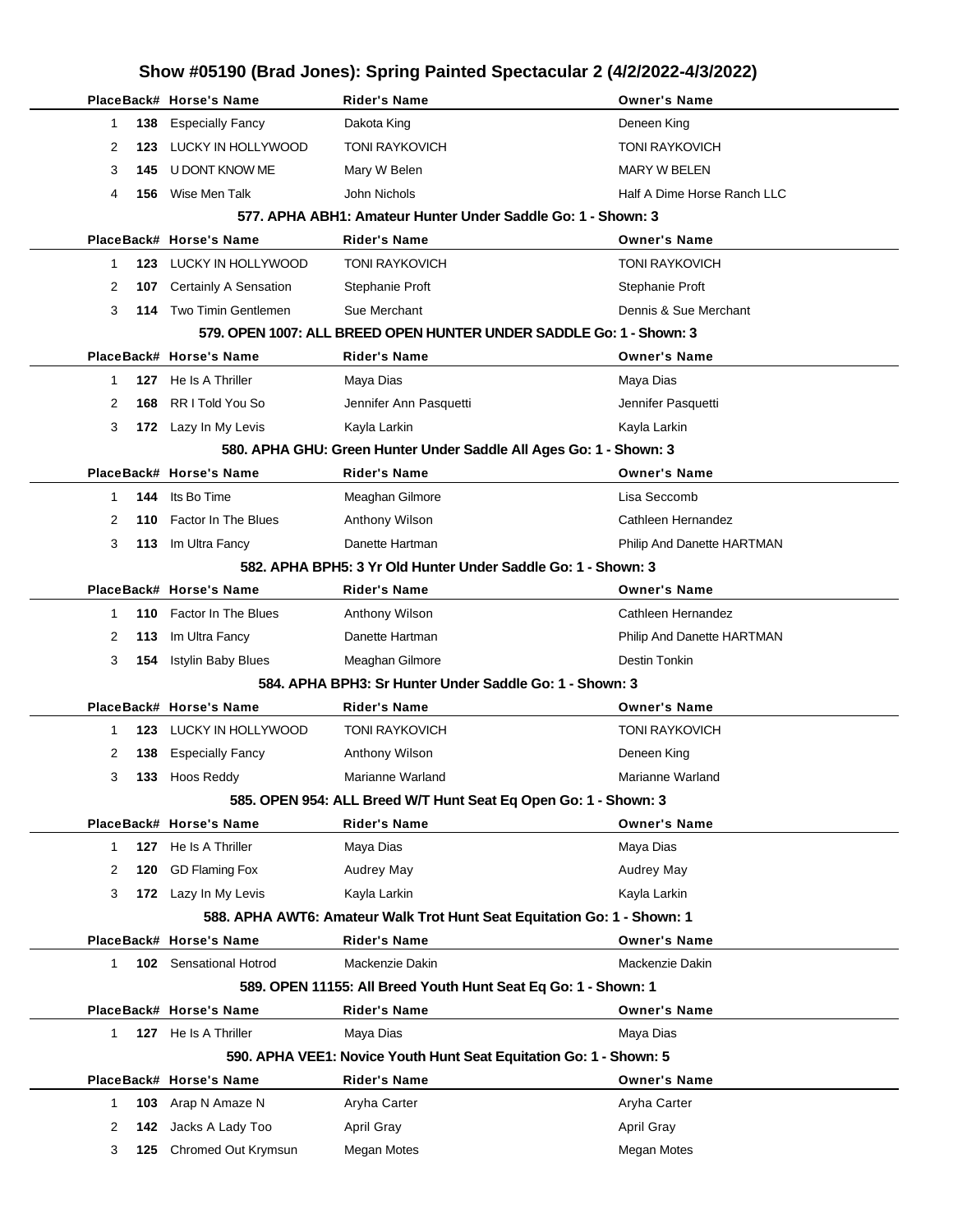|   |     | PlaceBack# Horse's Name     | Rider's Name                                                            | <b>Owner's Name</b>         |
|---|-----|-----------------------------|-------------------------------------------------------------------------|-----------------------------|
| 1 | 138 | <b>Especially Fancy</b>     | Dakota King                                                             | Deneen King                 |
| 2 | 123 | LUCKY IN HOLLYWOOD          | <b>TONI RAYKOVICH</b>                                                   | TONI RAYKOVICH              |
| 3 | 145 | U DONT KNOW ME              | Mary W Belen                                                            | <b>MARY W BELEN</b>         |
| 4 | 156 | Wise Men Talk               | John Nichols                                                            | Half A Dime Horse Ranch LLC |
|   |     |                             | 577, APHA ABH1: Amateur Hunter Under Saddle Go: 1 - Shown: 3            |                             |
|   |     | PlaceBack# Horse's Name     | <b>Rider's Name</b>                                                     | <b>Owner's Name</b>         |
| 1 |     | 123 LUCKY IN HOLLYWOOD      | <b>TONI RAYKOVICH</b>                                                   | TONI RAYKOVICH              |
| 2 | 107 | Certainly A Sensation       | Stephanie Proft                                                         | Stephanie Proft             |
| 3 |     | 114 Two Timin Gentlemen     | Sue Merchant                                                            | Dennis & Sue Merchant       |
|   |     |                             | 579. OPEN 1007: ALL BREED OPEN HUNTER UNDER SADDLE Go: 1 - Shown: 3     |                             |
|   |     | PlaceBack# Horse's Name     | <b>Rider's Name</b>                                                     | <b>Owner's Name</b>         |
| 1 |     | 127 He Is A Thriller        | Maya Dias                                                               | Maya Dias                   |
| 2 | 168 | RR I Told You So            | Jennifer Ann Pasquetti                                                  | Jennifer Pasquetti          |
| 3 |     | 172 Lazy In My Levis        | Kayla Larkin                                                            | Kayla Larkin                |
|   |     |                             | 580. APHA GHU: Green Hunter Under Saddle All Ages Go: 1 - Shown: 3      |                             |
|   |     | PlaceBack# Horse's Name     | <b>Rider's Name</b>                                                     | <b>Owner's Name</b>         |
| 1 | 144 | Its Bo Time                 | Meaghan Gilmore                                                         | Lisa Seccomb                |
| 2 | 110 | Factor In The Blues         | Anthony Wilson                                                          | Cathleen Hernandez          |
| 3 |     | 113 Im Ultra Fancy          | Danette Hartman                                                         | Philip And Danette HARTMAN  |
|   |     |                             | 582, APHA BPH5: 3 Yr Old Hunter Under Saddle Go: 1 - Shown: 3           |                             |
|   |     | PlaceBack# Horse's Name     | Rider's Name                                                            | <b>Owner's Name</b>         |
| 1 |     | 110 Factor In The Blues     | Anthony Wilson                                                          | Cathleen Hernandez          |
| 2 |     | 113 Im Ultra Fancy          | Danette Hartman                                                         | Philip And Danette HARTMAN  |
| 3 | 154 | <b>Istylin Baby Blues</b>   | Meaghan Gilmore                                                         | Destin Tonkin               |
|   |     |                             | 584. APHA BPH3: Sr Hunter Under Saddle Go: 1 - Shown: 3                 |                             |
|   |     | PlaceBack# Horse's Name     | Rider's Name                                                            | <b>Owner's Name</b>         |
| 1 | 123 | LUCKY IN HOLLYWOOD          | <b>TONI RAYKOVICH</b>                                                   | TONI RAYKOVICH              |
| 2 |     | 138 Especially Fancy        | Anthony Wilson                                                          | Deneen King                 |
| 3 |     | 133 Hoos Reddy              | Marianne Warland                                                        | Marianne Warland            |
|   |     |                             | 585. OPEN 954: ALL Breed W/T Hunt Seat Eq Open Go: 1 - Shown: 3         |                             |
|   |     | PlaceBack# Horse's Name     | <b>Rider's Name</b>                                                     | <b>Owner's Name</b>         |
| 1 | 127 | He Is A Thriller            | Maya Dias                                                               | Maya Dias                   |
| 2 | 120 | <b>GD Flaming Fox</b>       | Audrey May                                                              | Audrey May                  |
| 3 |     | 172 Lazy In My Levis        | Kayla Larkin                                                            | Kayla Larkin                |
|   |     |                             | 588. APHA AWT6: Amateur Walk Trot Hunt Seat Equitation Go: 1 - Shown: 1 |                             |
|   |     | PlaceBack# Horse's Name     | <b>Rider's Name</b>                                                     | <b>Owner's Name</b>         |
| 1 |     | 102 Sensational Hotrod      | Mackenzie Dakin                                                         | Mackenzie Dakin             |
|   |     |                             | 589. OPEN 11155: All Breed Youth Hunt Seat Eq Go: 1 - Shown: 1          |                             |
|   |     | PlaceBack# Horse's Name     | Rider's Name                                                            | <b>Owner's Name</b>         |
| 1 |     | <b>127</b> He Is A Thriller | Maya Dias                                                               | Maya Dias                   |
|   |     |                             | 590. APHA VEE1: Novice Youth Hunt Seat Equitation Go: 1 - Shown: 5      |                             |
|   |     | PlaceBack# Horse's Name     | Rider's Name                                                            | <b>Owner's Name</b>         |
| 1 | 103 | Arap N Amaze N              | Aryha Carter                                                            | Aryha Carter                |
| 2 | 142 | Jacks A Lady Too            | <b>April Gray</b>                                                       | <b>April Gray</b>           |
| 3 |     | 125 Chromed Out Krymsun     | Megan Motes                                                             | Megan Motes                 |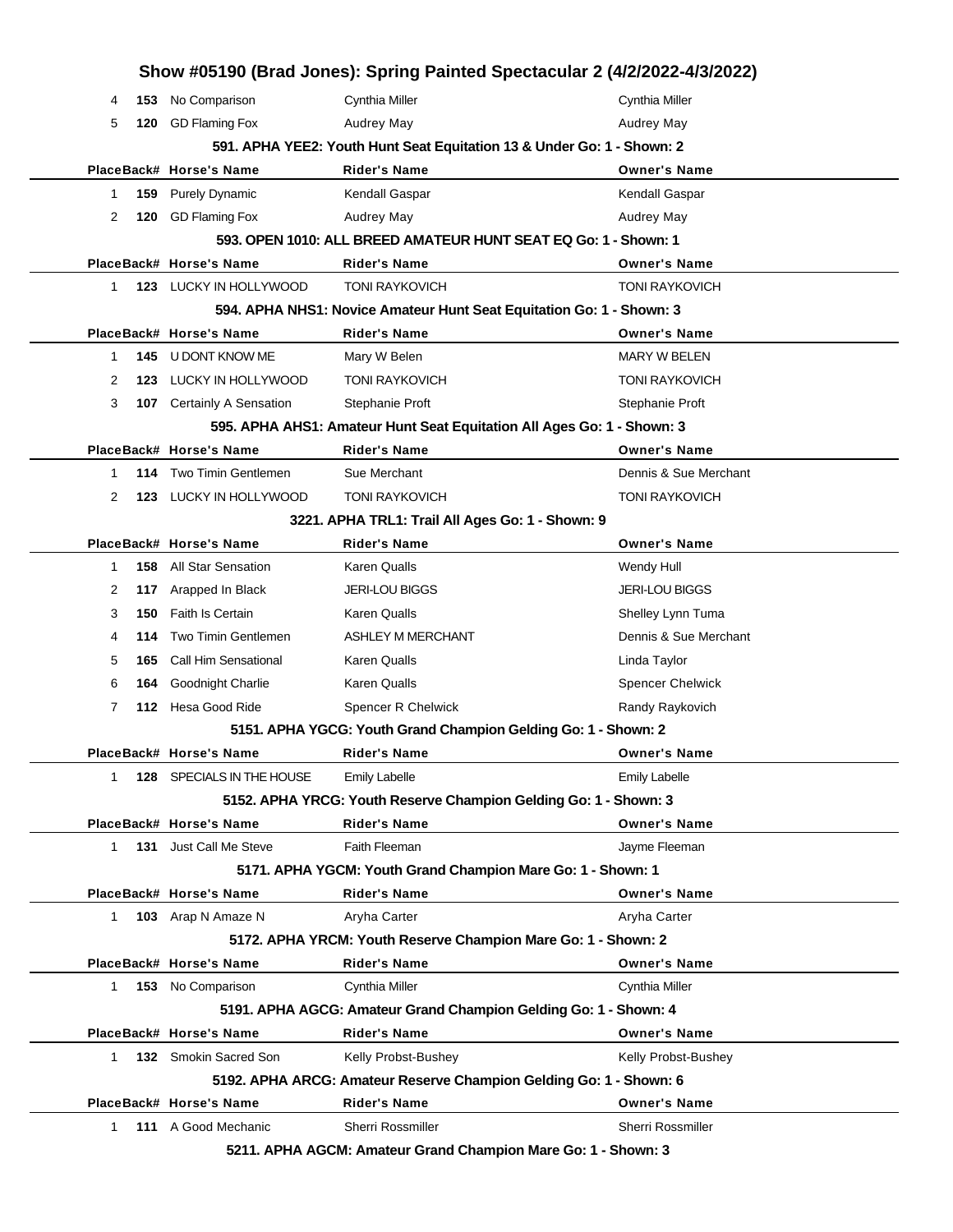|   | Show #05190 (Brad Jones): Spring Painted Spectacular 2 (4/2/2022-4/3/2022) |                           |                                                                        |                         |  |
|---|----------------------------------------------------------------------------|---------------------------|------------------------------------------------------------------------|-------------------------|--|
| 4 | 153                                                                        | No Comparison             | Cynthia Miller                                                         | Cynthia Miller          |  |
| 5 | 120                                                                        | GD Flaming Fox            | Audrey May                                                             | Audrey May              |  |
|   |                                                                            |                           | 591. APHA YEE2: Youth Hunt Seat Equitation 13 & Under Go: 1 - Shown: 2 |                         |  |
|   |                                                                            | PlaceBack# Horse's Name   | Rider's Name                                                           | <b>Owner's Name</b>     |  |
| 1 | 159                                                                        | <b>Purely Dynamic</b>     | Kendall Gaspar                                                         | Kendall Gaspar          |  |
| 2 | 120                                                                        | GD Flaming Fox            | Audrey May                                                             | Audrey May              |  |
|   |                                                                            |                           | 593. OPEN 1010: ALL BREED AMATEUR HUNT SEAT EQ Go: 1 - Shown: 1        |                         |  |
|   |                                                                            | PlaceBack# Horse's Name   | <b>Rider's Name</b>                                                    | <b>Owner's Name</b>     |  |
| 1 |                                                                            | 123 LUCKY IN HOLLYWOOD    | <b>TONI RAYKOVICH</b>                                                  | <b>TONI RAYKOVICH</b>   |  |
|   |                                                                            |                           | 594. APHA NHS1: Novice Amateur Hunt Seat Equitation Go: 1 - Shown: 3   |                         |  |
|   |                                                                            | PlaceBack# Horse's Name   | <b>Rider's Name</b>                                                    | <b>Owner's Name</b>     |  |
| 1 | 145                                                                        | U DONT KNOW ME            | Mary W Belen                                                           | <b>MARY W BELEN</b>     |  |
| 2 | 123                                                                        | LUCKY IN HOLLYWOOD        | <b>TONI RAYKOVICH</b>                                                  | <b>TONI RAYKOVICH</b>   |  |
| 3 |                                                                            | 107 Certainly A Sensation | Stephanie Proft                                                        | Stephanie Proft         |  |
|   |                                                                            |                           | 595. APHA AHS1: Amateur Hunt Seat Equitation All Ages Go: 1 - Shown: 3 |                         |  |
|   |                                                                            | PlaceBack# Horse's Name   | <b>Rider's Name</b>                                                    | <b>Owner's Name</b>     |  |
| 1 |                                                                            | 114 Two Timin Gentlemen   | Sue Merchant                                                           | Dennis & Sue Merchant   |  |
| 2 | 123                                                                        | LUCKY IN HOLLYWOOD        | <b>TONI RAYKOVICH</b>                                                  | <b>TONI RAYKOVICH</b>   |  |
|   |                                                                            |                           | 3221. APHA TRL1: Trail All Ages Go: 1 - Shown: 9                       |                         |  |
|   |                                                                            | PlaceBack# Horse's Name   | <b>Rider's Name</b>                                                    | <b>Owner's Name</b>     |  |
| 1 | 158                                                                        | <b>All Star Sensation</b> | Karen Qualls                                                           | Wendy Hull              |  |
| 2 | 117                                                                        | Arapped In Black          | <b>JERI-LOU BIGGS</b>                                                  | <b>JERI-LOU BIGGS</b>   |  |
| 3 | 150                                                                        | <b>Faith Is Certain</b>   | Karen Qualls                                                           | Shelley Lynn Tuma       |  |
| 4 | 114                                                                        | Two Timin Gentlemen       | <b>ASHLEY M MERCHANT</b>                                               | Dennis & Sue Merchant   |  |
| 5 | 165                                                                        | Call Him Sensational      | Karen Qualls                                                           | Linda Taylor            |  |
| 6 | 164                                                                        | Goodnight Charlie         | Karen Qualls                                                           | <b>Spencer Chelwick</b> |  |
| 7 |                                                                            | 112 Hesa Good Ride        | Spencer R Chelwick                                                     | Randy Raykovich         |  |
|   |                                                                            |                           | 5151. APHA YGCG: Youth Grand Champion Gelding Go: 1 - Shown: 2         |                         |  |
|   |                                                                            | PlaceBack# Horse's Name   | Rider's Name                                                           | Owner's Name            |  |
| 1 |                                                                            | 128 SPECIALS IN THE HOUSE | <b>Emily Labelle</b>                                                   | <b>Emily Labelle</b>    |  |
|   |                                                                            |                           | 5152. APHA YRCG: Youth Reserve Champion Gelding Go: 1 - Shown: 3       |                         |  |
|   |                                                                            | PlaceBack# Horse's Name   | <b>Rider's Name</b>                                                    | <b>Owner's Name</b>     |  |
|   | 131<br>1.                                                                  | Just Call Me Steve        | Faith Fleeman                                                          | Jayme Fleeman           |  |
|   |                                                                            |                           | 5171. APHA YGCM: Youth Grand Champion Mare Go: 1 - Shown: 1            |                         |  |
|   |                                                                            | PlaceBack# Horse's Name   | <b>Rider's Name</b>                                                    | <b>Owner's Name</b>     |  |
|   | 1.                                                                         | 103 Arap N Amaze N        | Aryha Carter                                                           | Aryha Carter            |  |
|   |                                                                            |                           | 5172. APHA YRCM: Youth Reserve Champion Mare Go: 1 - Shown: 2          |                         |  |
|   |                                                                            | PlaceBack# Horse's Name   | Rider's Name                                                           | <b>Owner's Name</b>     |  |
|   | $\mathbf{1}$                                                               | 153 No Comparison         | Cynthia Miller                                                         | Cynthia Miller          |  |
|   |                                                                            |                           | 5191. APHA AGCG: Amateur Grand Champion Gelding Go: 1 - Shown: 4       |                         |  |
|   |                                                                            | PlaceBack# Horse's Name   | <b>Rider's Name</b>                                                    | <b>Owner's Name</b>     |  |
|   | 1.                                                                         | 132 Smokin Sacred Son     | Kelly Probst-Bushey                                                    | Kelly Probst-Bushey     |  |
|   |                                                                            |                           | 5192. APHA ARCG: Amateur Reserve Champion Gelding Go: 1 - Shown: 6     |                         |  |
|   |                                                                            | PlaceBack# Horse's Name   | <b>Rider's Name</b>                                                    | <b>Owner's Name</b>     |  |
|   | 1.                                                                         | 111 A Good Mechanic       | Sherri Rossmiller                                                      | Sherri Rossmiller       |  |

**5211. APHA AGCM: Amateur Grand Champion Mare Go: 1 - Shown: 3**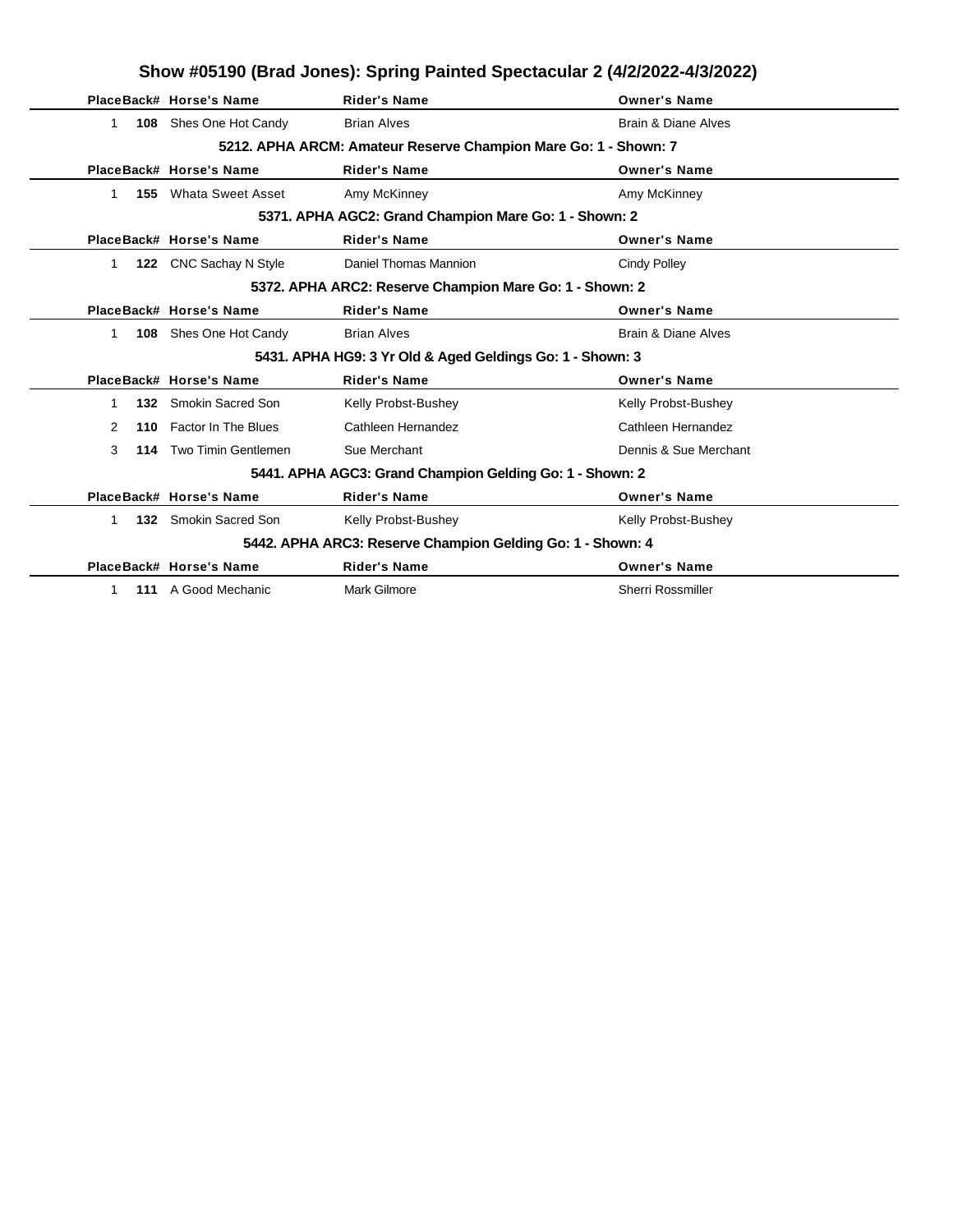| Show #05190 (Brad Jones): Spring Painted Spectacular 2 (4/2/2022-4/3/2022) |     |                               |                                                                 |                                |  |  |
|----------------------------------------------------------------------------|-----|-------------------------------|-----------------------------------------------------------------|--------------------------------|--|--|
|                                                                            |     | PlaceBack# Horse's Name       | <b>Rider's Name</b>                                             | <b>Owner's Name</b>            |  |  |
| 1.                                                                         |     | <b>108</b> Shes One Hot Candy | <b>Brian Alves</b>                                              | <b>Brain &amp; Diane Alves</b> |  |  |
|                                                                            |     |                               | 5212. APHA ARCM: Amateur Reserve Champion Mare Go: 1 - Shown: 7 |                                |  |  |
|                                                                            |     | PlaceBack# Horse's Name       | <b>Rider's Name</b>                                             | <b>Owner's Name</b>            |  |  |
| 1                                                                          | 155 | <b>Whata Sweet Asset</b>      | Amy McKinney                                                    | Amy McKinney                   |  |  |
|                                                                            |     |                               | 5371. APHA AGC2: Grand Champion Mare Go: 1 - Shown: 2           |                                |  |  |
|                                                                            |     | PlaceBack# Horse's Name       | <b>Rider's Name</b>                                             | <b>Owner's Name</b>            |  |  |
| 1                                                                          |     | 122 CNC Sachay N Style        | Daniel Thomas Mannion                                           | Cindy Polley                   |  |  |
|                                                                            |     |                               | 5372. APHA ARC2: Reserve Champion Mare Go: 1 - Shown: 2         |                                |  |  |
|                                                                            |     | PlaceBack# Horse's Name       | <b>Rider's Name</b>                                             | <b>Owner's Name</b>            |  |  |
| 1                                                                          |     | 108 Shes One Hot Candy        | <b>Brian Alves</b>                                              | Brain & Diane Alves            |  |  |
|                                                                            |     |                               | 5431. APHA HG9: 3 Yr Old & Aged Geldings Go: 1 - Shown: 3       |                                |  |  |
|                                                                            |     | PlaceBack# Horse's Name       | <b>Rider's Name</b>                                             | <b>Owner's Name</b>            |  |  |
| 1                                                                          |     | 132 Smokin Sacred Son         | Kelly Probst-Bushey                                             | Kelly Probst-Bushey            |  |  |
| 2                                                                          | 110 | Factor In The Blues           | Cathleen Hernandez                                              | Cathleen Hernandez             |  |  |
| 3                                                                          |     | 114 Two Timin Gentlemen       | Sue Merchant                                                    | Dennis & Sue Merchant          |  |  |
| 5441. APHA AGC3: Grand Champion Gelding Go: 1 - Shown: 2                   |     |                               |                                                                 |                                |  |  |
|                                                                            |     | PlaceBack# Horse's Name       | <b>Rider's Name</b>                                             | <b>Owner's Name</b>            |  |  |
| $\mathbf{1}$                                                               |     | 132 Smokin Sacred Son         | Kelly Probst-Bushey                                             | Kelly Probst-Bushey            |  |  |
|                                                                            |     |                               | 5442. APHA ARC3: Reserve Champion Gelding Go: 1 - Shown: 4      |                                |  |  |
|                                                                            |     | PlaceBack# Horse's Name       | <b>Rider's Name</b>                                             | <b>Owner's Name</b>            |  |  |
| 1                                                                          |     | 111 A Good Mechanic           | <b>Mark Gilmore</b>                                             | <b>Sherri Rossmiller</b>       |  |  |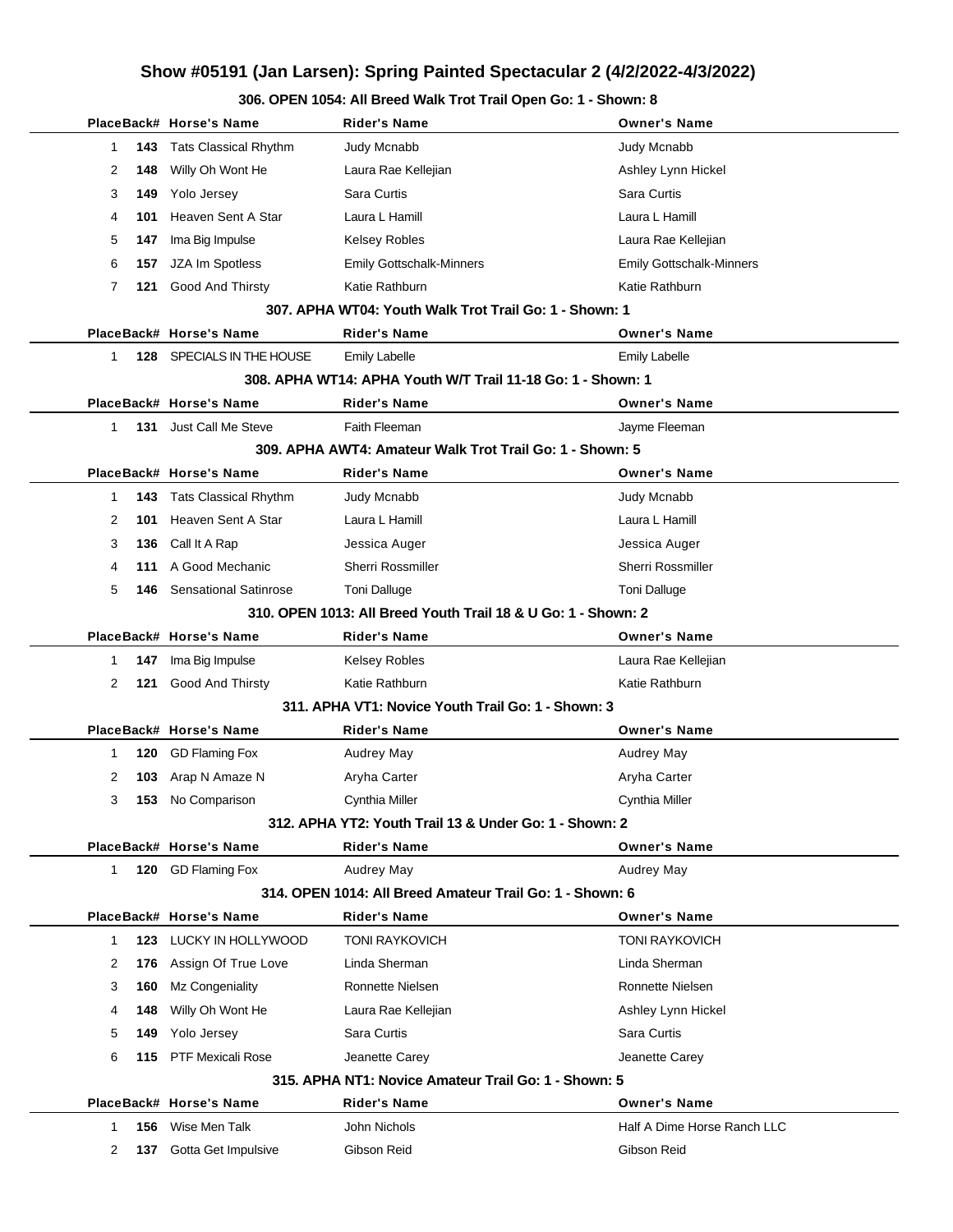## **Show #05191 (Jan Larsen): Spring Painted Spectacular 2 (4/2/2022-4/3/2022)**

|              |                                                               | PlaceBack# Horse's Name      | <b>Rider's Name</b>                                         | <b>Owner's Name</b>             |  |  |  |  |
|--------------|---------------------------------------------------------------|------------------------------|-------------------------------------------------------------|---------------------------------|--|--|--|--|
| 1            | 143                                                           | <b>Tats Classical Rhythm</b> | Judy Mcnabb                                                 | Judy Mcnabb                     |  |  |  |  |
| 2            | 148                                                           | Willy Oh Wont He             | Laura Rae Kellejian                                         | Ashley Lynn Hickel              |  |  |  |  |
| 3            | 149                                                           | Yolo Jersey                  | Sara Curtis                                                 | Sara Curtis                     |  |  |  |  |
| 4            | 101                                                           | Heaven Sent A Star           | Laura L Hamill                                              | Laura L Hamill                  |  |  |  |  |
| 5            | 147                                                           | Ima Big Impulse              | Kelsey Robles                                               | Laura Rae Kellejian             |  |  |  |  |
| 6            | 157                                                           | JZA Im Spotless              | <b>Emily Gottschalk-Minners</b>                             | <b>Emily Gottschalk-Minners</b> |  |  |  |  |
| 7            |                                                               | 121 Good And Thirsty         | Katie Rathburn                                              | Katie Rathburn                  |  |  |  |  |
|              |                                                               |                              | 307. APHA WT04: Youth Walk Trot Trail Go: 1 - Shown: 1      |                                 |  |  |  |  |
|              |                                                               | PlaceBack# Horse's Name      | <b>Rider's Name</b>                                         | <b>Owner's Name</b>             |  |  |  |  |
| $\mathbf{1}$ | 128                                                           | SPECIALS IN THE HOUSE        | <b>Emily Labelle</b>                                        | <b>Emily Labelle</b>            |  |  |  |  |
|              |                                                               |                              | 308. APHA WT14: APHA Youth W/T Trail 11-18 Go: 1 - Shown: 1 |                                 |  |  |  |  |
|              |                                                               | PlaceBack# Horse's Name      | <b>Rider's Name</b>                                         | <b>Owner's Name</b>             |  |  |  |  |
| 1            |                                                               | 131 Just Call Me Steve       | Faith Fleeman                                               | Jayme Fleeman                   |  |  |  |  |
|              |                                                               |                              | 309. APHA AWT4: Amateur Walk Trot Trail Go: 1 - Shown: 5    |                                 |  |  |  |  |
|              |                                                               | PlaceBack# Horse's Name      | <b>Rider's Name</b>                                         | <b>Owner's Name</b>             |  |  |  |  |
| $\mathbf 1$  | 143                                                           | <b>Tats Classical Rhythm</b> | Judy Mcnabb                                                 | Judy Mcnabb                     |  |  |  |  |
| 2            | 101                                                           | Heaven Sent A Star           | Laura L Hamill                                              | Laura L Hamill                  |  |  |  |  |
| 3            | 136                                                           | Call It A Rap                | Jessica Auger                                               | Jessica Auger                   |  |  |  |  |
| 4            | 111                                                           | A Good Mechanic              | <b>Sherri Rossmiller</b>                                    | <b>Sherri Rossmiller</b>        |  |  |  |  |
| 5            | 146                                                           | <b>Sensational Satinrose</b> | Toni Dalluge                                                | <b>Toni Dalluge</b>             |  |  |  |  |
|              | 310, OPEN 1013: All Breed Youth Trail 18 & U Go: 1 - Shown: 2 |                              |                                                             |                                 |  |  |  |  |
|              |                                                               | PlaceBack# Horse's Name      | <b>Rider's Name</b>                                         | <b>Owner's Name</b>             |  |  |  |  |
| 1            | 147                                                           | Ima Big Impulse              | Kelsey Robles                                               | Laura Rae Kellejian             |  |  |  |  |
| 2            | 121                                                           | <b>Good And Thirsty</b>      | Katie Rathburn                                              | Katie Rathburn                  |  |  |  |  |
|              |                                                               |                              | 311. APHA VT1: Novice Youth Trail Go: 1 - Shown: 3          |                                 |  |  |  |  |
|              |                                                               | PlaceBack# Horse's Name      | <b>Rider's Name</b>                                         | <b>Owner's Name</b>             |  |  |  |  |
| 1            | 120                                                           | <b>GD Flaming Fox</b>        | Audrey May                                                  | <b>Audrey May</b>               |  |  |  |  |
| 2            | 103                                                           | Arap N Amaze N               | Aryha Carter                                                | Aryha Carter                    |  |  |  |  |
| 3            | 153                                                           | No Comparison                | Cynthia Miller                                              | Cynthia Miller                  |  |  |  |  |
|              |                                                               |                              | 312. APHA YT2: Youth Trail 13 & Under Go: 1 - Shown: 2      |                                 |  |  |  |  |
|              |                                                               | PlaceBack# Horse's Name      | <b>Rider's Name</b>                                         | <b>Owner's Name</b>             |  |  |  |  |
| $\mathbf{1}$ | 120                                                           | <b>GD Flaming Fox</b>        | <b>Audrey May</b>                                           | Audrey May                      |  |  |  |  |
|              |                                                               |                              | 314, OPEN 1014: All Breed Amateur Trail Go: 1 - Shown: 6    |                                 |  |  |  |  |
|              |                                                               | PlaceBack# Horse's Name      | <b>Rider's Name</b>                                         | <b>Owner's Name</b>             |  |  |  |  |
| 1            | 123                                                           | LUCKY IN HOLLYWOOD           | <b>TONI RAYKOVICH</b>                                       | <b>TONI RAYKOVICH</b>           |  |  |  |  |
| 2            | 176                                                           | Assign Of True Love          | Linda Sherman                                               | Linda Sherman                   |  |  |  |  |
| 3            | 160                                                           | Mz Congeniality              | Ronnette Nielsen                                            | Ronnette Nielsen                |  |  |  |  |
| 4            | 148                                                           | Willy Oh Wont He             | Laura Rae Kellejian                                         | Ashley Lynn Hickel              |  |  |  |  |
| 5            | 149                                                           | Yolo Jersey                  | Sara Curtis                                                 | Sara Curtis                     |  |  |  |  |
| 6            | 115                                                           | <b>PTF Mexicali Rose</b>     | Jeanette Carey                                              | Jeanette Carey                  |  |  |  |  |
|              |                                                               |                              | 315. APHA NT1: Novice Amateur Trail Go: 1 - Shown: 5        |                                 |  |  |  |  |
|              |                                                               | PlaceBack# Horse's Name      | <b>Rider's Name</b>                                         | <b>Owner's Name</b>             |  |  |  |  |
| 1            | 156                                                           | Wise Men Talk                | John Nichols                                                | Half A Dime Horse Ranch LLC     |  |  |  |  |
| 2            | 137                                                           | Gotta Get Impulsive          | Gibson Reid                                                 | Gibson Reid                     |  |  |  |  |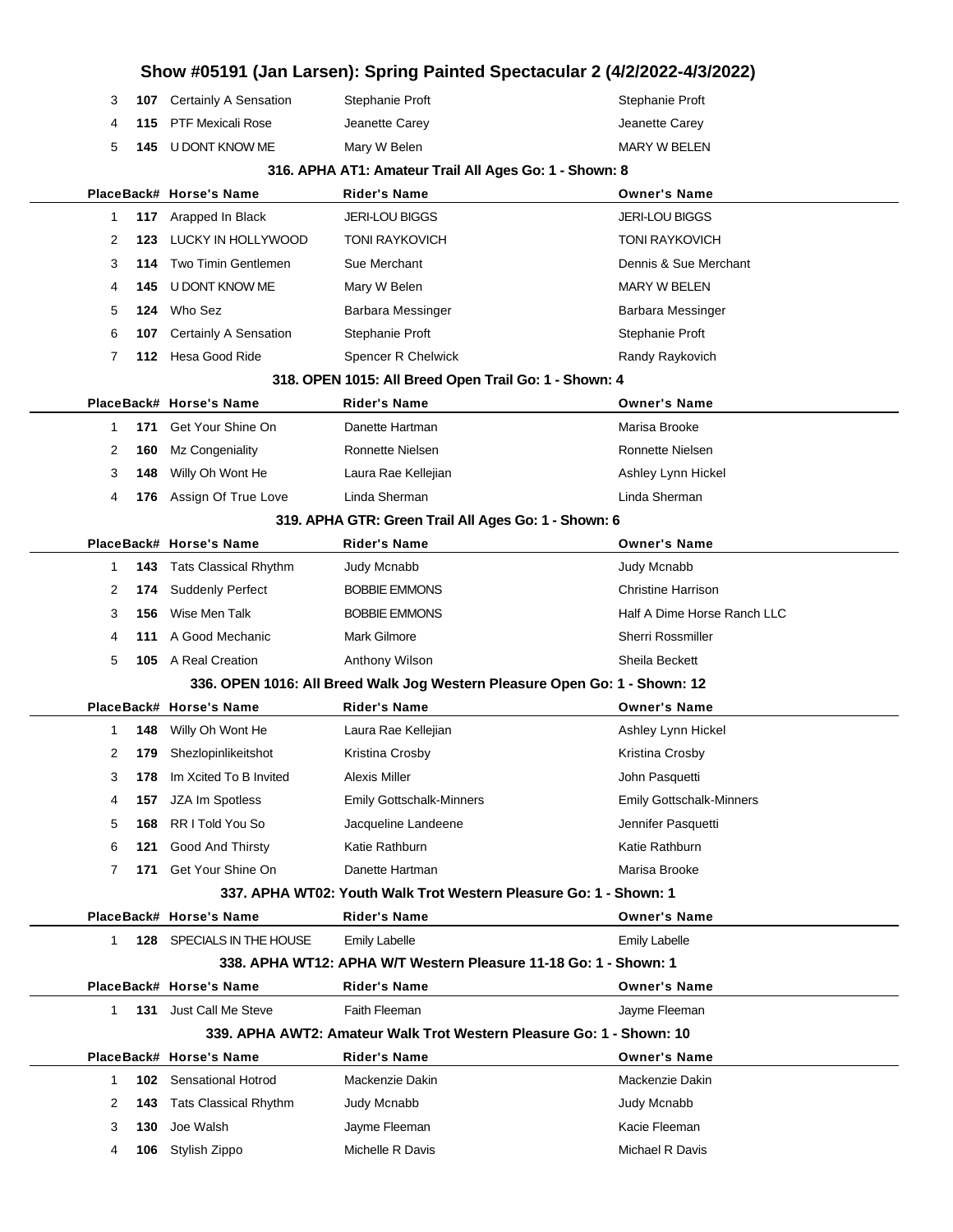|    |     |                                |                                                                            | Show #05191 (Jan Larsen): Spring Painted Spectacular 2 (4/2/2022-4/3/2022) |
|----|-----|--------------------------------|----------------------------------------------------------------------------|----------------------------------------------------------------------------|
| 3  |     | 107 Certainly A Sensation      | Stephanie Proft                                                            | Stephanie Proft                                                            |
| 4  | 115 | <b>PTF Mexicali Rose</b>       | Jeanette Carey                                                             | Jeanette Carey                                                             |
| 5  | 145 | U DONT KNOW ME                 | Mary W Belen                                                               | <b>MARY W BELEN</b>                                                        |
|    |     |                                | 316. APHA AT1: Amateur Trail All Ages Go: 1 - Shown: 8                     |                                                                            |
|    |     | PlaceBack# Horse's Name        | <b>Rider's Name</b>                                                        | <b>Owner's Name</b>                                                        |
| 1  | 117 | Arapped In Black               | <b>JERI-LOU BIGGS</b>                                                      | <b>JERI-LOU BIGGS</b>                                                      |
| 2  | 123 | LUCKY IN HOLLYWOOD             | <b>TONI RAYKOVICH</b>                                                      | <b>TONI RAYKOVICH</b>                                                      |
| 3  | 114 | Two Timin Gentlemen            | Sue Merchant                                                               | Dennis & Sue Merchant                                                      |
| 4  | 145 | U DONT KNOW ME                 | Mary W Belen                                                               | <b>MARY W BELEN</b>                                                        |
| 5  | 124 | Who Sez                        | Barbara Messinger                                                          | Barbara Messinger                                                          |
| 6  | 107 | <b>Certainly A Sensation</b>   | Stephanie Proft                                                            | Stephanie Proft                                                            |
| 7  |     | 112 Hesa Good Ride             | Spencer R Chelwick                                                         | Randy Raykovich                                                            |
|    |     |                                | 318. OPEN 1015: All Breed Open Trail Go: 1 - Shown: 4                      |                                                                            |
|    |     | PlaceBack# Horse's Name        | <b>Rider's Name</b>                                                        | <b>Owner's Name</b>                                                        |
| 1  | 171 | Get Your Shine On              | Danette Hartman                                                            | Marisa Brooke                                                              |
| 2  | 160 | Mz Congeniality                | Ronnette Nielsen                                                           | Ronnette Nielsen                                                           |
| 3  | 148 | Willy Oh Wont He               | Laura Rae Kellejian                                                        | Ashley Lynn Hickel                                                         |
| 4  |     | 176 Assign Of True Love        | Linda Sherman                                                              | Linda Sherman                                                              |
|    |     |                                | 319. APHA GTR: Green Trail All Ages Go: 1 - Shown: 6                       |                                                                            |
|    |     | PlaceBack# Horse's Name        | <b>Rider's Name</b>                                                        | <b>Owner's Name</b>                                                        |
| 1  | 143 | Tats Classical Rhythm          | Judy Mcnabb                                                                | Judy Mcnabb                                                                |
| 2  | 174 | <b>Suddenly Perfect</b>        | <b>BOBBIE EMMONS</b>                                                       | <b>Christine Harrison</b>                                                  |
| 3  | 156 | Wise Men Talk                  | <b>BOBBIE EMMONS</b>                                                       | Half A Dime Horse Ranch LLC                                                |
| 4  | 111 | A Good Mechanic                | Mark Gilmore                                                               | Sherri Rossmiller                                                          |
| 5  |     | 105 A Real Creation            | Anthony Wilson                                                             | Sheila Beckett                                                             |
|    |     |                                | 336. OPEN 1016: All Breed Walk Jog Western Pleasure Open Go: 1 - Shown: 12 |                                                                            |
|    |     | PlaceBack# Horse's Name        | <b>Rider's Name</b>                                                        | <b>Owner's Name</b>                                                        |
| 1  | 148 | Willy Oh Wont He               | Laura Rae Kellejian                                                        | Ashley Lynn Hickel                                                         |
| 2  |     | <b>179</b> Shezlopinlikeitshot | Kristina Crosby                                                            | Kristina Crosby                                                            |
| 3  | 178 | Im Xcited To B Invited         | Alexis Miller                                                              | John Pasquetti                                                             |
| 4  | 157 | JZA Im Spotless                | <b>Emily Gottschalk-Minners</b>                                            | <b>Emily Gottschalk-Minners</b>                                            |
| 5  | 168 | RR I Told You So               | Jacqueline Landeene                                                        | Jennifer Pasquetti                                                         |
| 6  | 121 | <b>Good And Thirsty</b>        | Katie Rathburn                                                             | Katie Rathburn                                                             |
| 7  | 171 | Get Your Shine On              | Danette Hartman                                                            | Marisa Brooke                                                              |
|    |     |                                | 337. APHA WT02: Youth Walk Trot Western Pleasure Go: 1 - Shown: 1          |                                                                            |
|    |     | PlaceBack# Horse's Name        | <b>Rider's Name</b>                                                        | <b>Owner's Name</b>                                                        |
| 1. |     | 128 SPECIALS IN THE HOUSE      | <b>Emily Labelle</b>                                                       | <b>Emily Labelle</b>                                                       |
|    |     |                                | 338. APHA WT12: APHA W/T Western Pleasure 11-18 Go: 1 - Shown: 1           |                                                                            |
|    |     | PlaceBack# Horse's Name        | <b>Rider's Name</b>                                                        | <b>Owner's Name</b>                                                        |
| 1  |     | <b>131</b> Just Call Me Steve  | Faith Fleeman                                                              | Jayme Fleeman                                                              |
|    |     |                                | 339. APHA AWT2: Amateur Walk Trot Western Pleasure Go: 1 - Shown: 10       |                                                                            |
|    |     | PlaceBack# Horse's Name        | <b>Rider's Name</b>                                                        | <b>Owner's Name</b>                                                        |
| 1  |     | <b>102</b> Sensational Hotrod  | Mackenzie Dakin                                                            | Mackenzie Dakin                                                            |
| 2  | 143 | <b>Tats Classical Rhythm</b>   | Judy Mcnabb                                                                | Judy Mcnabb                                                                |
| 3  | 130 | Joe Walsh                      | Jayme Fleeman                                                              | Kacie Fleeman                                                              |
| 4  |     | 106 Stylish Zippo              | Michelle R Davis                                                           | Michael R Davis                                                            |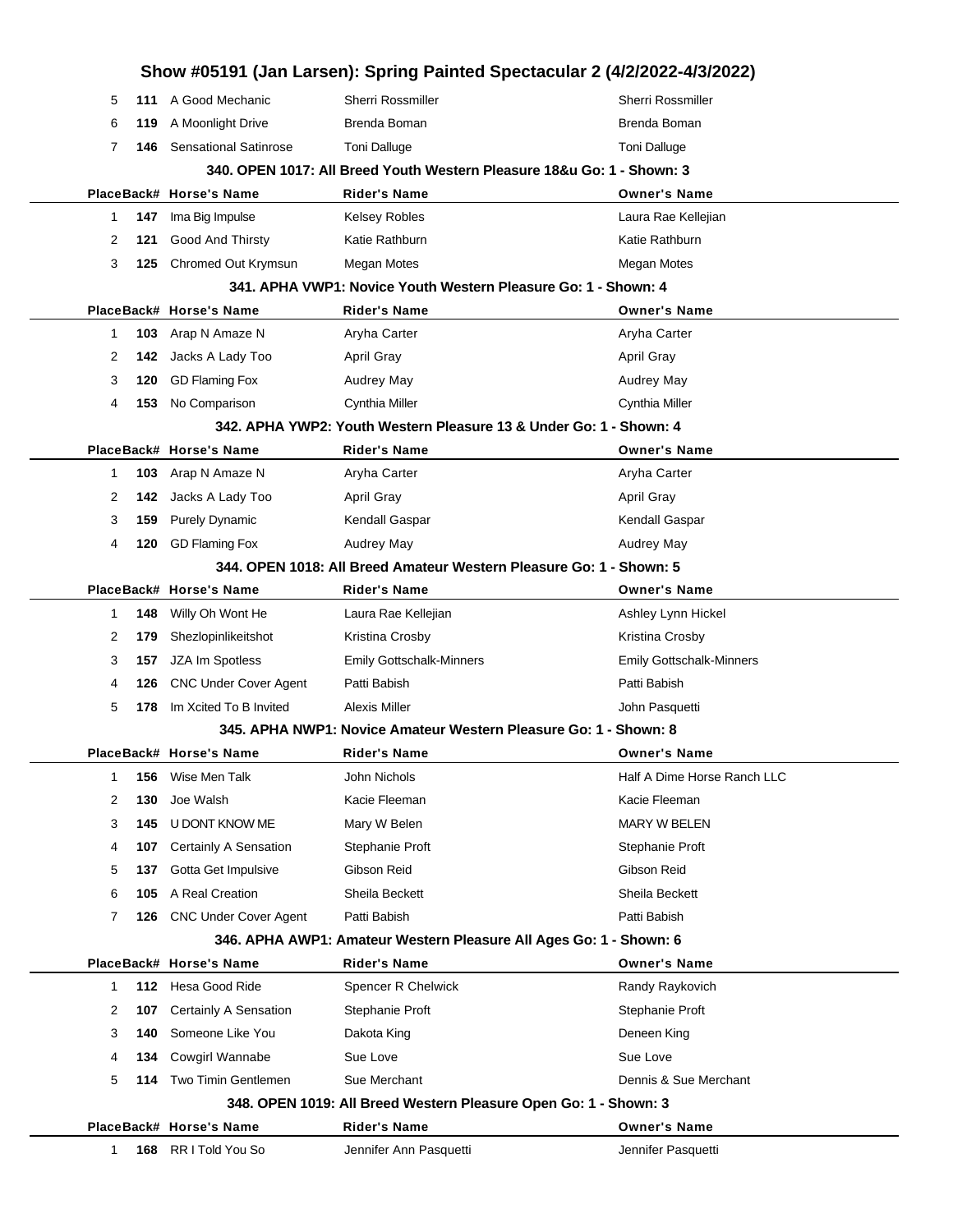|    |     |                              | Show #05191 (Jan Larsen): Spring Painted Spectacular 2 (4/2/2022-4/3/2022) |                                 |
|----|-----|------------------------------|----------------------------------------------------------------------------|---------------------------------|
| 5  |     | 111 A Good Mechanic          | <b>Sherri Rossmiller</b>                                                   | Sherri Rossmiller               |
| 6  | 119 | A Moonlight Drive            | Brenda Boman                                                               | Brenda Boman                    |
| 7  | 146 | <b>Sensational Satinrose</b> | <b>Toni Dalluge</b>                                                        | Toni Dalluge                    |
|    |     |                              | 340. OPEN 1017: All Breed Youth Western Pleasure 18&u Go: 1 - Shown: 3     |                                 |
|    |     | PlaceBack# Horse's Name      | <b>Rider's Name</b>                                                        | <b>Owner's Name</b>             |
| 1  | 147 | Ima Big Impulse              | Kelsey Robles                                                              | Laura Rae Kellejian             |
| 2  | 121 | <b>Good And Thirsty</b>      | Katie Rathburn                                                             | Katie Rathburn                  |
| 3  | 125 | Chromed Out Krymsun          | Megan Motes                                                                | Megan Motes                     |
|    |     |                              | 341. APHA VWP1: Novice Youth Western Pleasure Go: 1 - Shown: 4             |                                 |
|    |     | PlaceBack# Horse's Name      | <b>Rider's Name</b>                                                        | <b>Owner's Name</b>             |
| 1  | 103 | Arap N Amaze N               | Aryha Carter                                                               | Aryha Carter                    |
| 2  | 142 | Jacks A Lady Too             | <b>April Gray</b>                                                          | <b>April Gray</b>               |
| 3  | 120 | <b>GD Flaming Fox</b>        | Audrey May                                                                 | Audrey May                      |
| 4  | 153 | No Comparison                | Cynthia Miller                                                             | Cynthia Miller                  |
|    |     |                              | 342. APHA YWP2: Youth Western Pleasure 13 & Under Go: 1 - Shown: 4         |                                 |
|    |     | PlaceBack# Horse's Name      | <b>Rider's Name</b>                                                        | <b>Owner's Name</b>             |
| 1  | 103 | Arap N Amaze N               | Aryha Carter                                                               | Aryha Carter                    |
| 2  | 142 | Jacks A Lady Too             | <b>April Gray</b>                                                          | <b>April Gray</b>               |
| 3  | 159 | <b>Purely Dynamic</b>        | Kendall Gaspar                                                             | Kendall Gaspar                  |
| 4  | 120 | <b>GD Flaming Fox</b>        | <b>Audrey May</b>                                                          | Audrey May                      |
|    |     |                              | 344. OPEN 1018: All Breed Amateur Western Pleasure Go: 1 - Shown: 5        |                                 |
|    |     | PlaceBack# Horse's Name      | <b>Rider's Name</b>                                                        | <b>Owner's Name</b>             |
| 1  | 148 | Willy Oh Wont He             | Laura Rae Kellejian                                                        | Ashley Lynn Hickel              |
| 2  | 179 | Shezlopinlikeitshot          | Kristina Crosby                                                            | Kristina Crosby                 |
| 3  | 157 | JZA Im Spotless              | <b>Emily Gottschalk-Minners</b>                                            | <b>Emily Gottschalk-Minners</b> |
| 4  | 126 | <b>CNC Under Cover Agent</b> | Patti Babish                                                               | Patti Babish                    |
| 5  | 178 | Im Xcited To B Invited       | Alexis Miller                                                              | John Pasquetti                  |
|    |     |                              | 345. APHA NWP1: Novice Amateur Western Pleasure Go: 1 - Shown: 8           |                                 |
|    |     | PlaceBack# Horse's Name      | <b>Rider's Name</b>                                                        | <b>Owner's Name</b>             |
| 1  | 156 | Wise Men Talk                | John Nichols                                                               | Half A Dime Horse Ranch LLC     |
| 2  | 130 | Joe Walsh                    | Kacie Fleeman                                                              | Kacie Fleeman                   |
| 3  | 145 | U DONT KNOW ME               | Mary W Belen                                                               | <b>MARY W BELEN</b>             |
| 4  | 107 | <b>Certainly A Sensation</b> | Stephanie Proft                                                            | Stephanie Proft                 |
| 5  | 137 | Gotta Get Impulsive          | Gibson Reid                                                                | Gibson Reid                     |
| 6  | 105 | A Real Creation              | Sheila Beckett                                                             | Sheila Beckett                  |
| 7  | 126 | <b>CNC Under Cover Agent</b> | Patti Babish                                                               | Patti Babish                    |
|    |     |                              | 346. APHA AWP1: Amateur Western Pleasure All Ages Go: 1 - Shown: 6         |                                 |
|    |     | PlaceBack# Horse's Name      | <b>Rider's Name</b>                                                        | <b>Owner's Name</b>             |
| 1. |     | 112 Hesa Good Ride           | Spencer R Chelwick                                                         | Randy Raykovich                 |
| 2  | 107 | <b>Certainly A Sensation</b> | Stephanie Proft                                                            | Stephanie Proft                 |
| 3  | 140 | Someone Like You             | Dakota King                                                                | Deneen King                     |
| 4  | 134 | <b>Cowgirl Wannabe</b>       | Sue Love                                                                   | Sue Love                        |
| 5  | 114 | Two Timin Gentlemen          | Sue Merchant                                                               | Dennis & Sue Merchant           |
|    |     |                              | 348. OPEN 1019: All Breed Western Pleasure Open Go: 1 - Shown: 3           |                                 |
|    |     | PlaceBack# Horse's Name      | <b>Rider's Name</b>                                                        | <b>Owner's Name</b>             |
| 1  |     | 168 RR I Told You So         | Jennifer Ann Pasquetti                                                     | Jennifer Pasquetti              |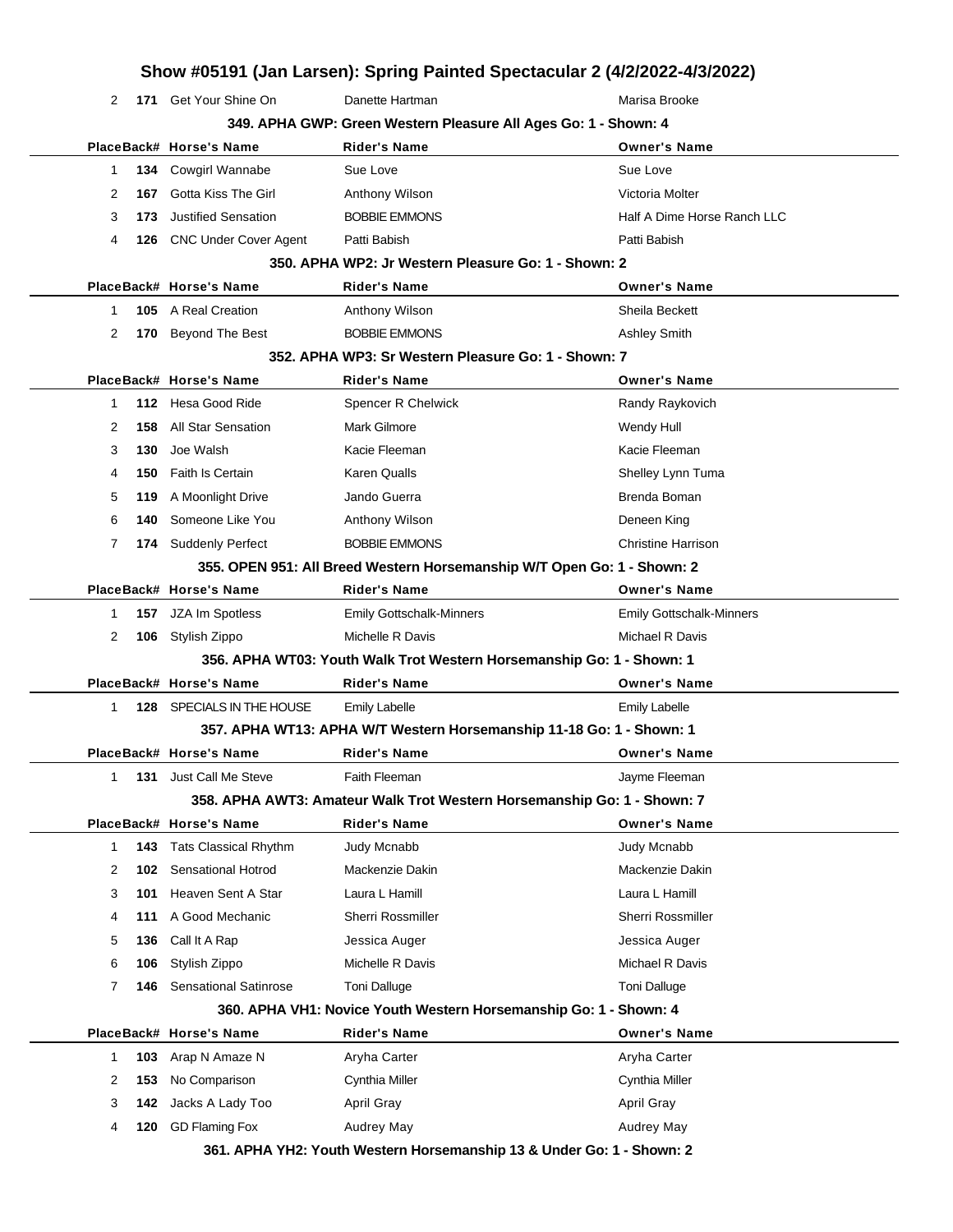| 2  |     | 171 Get Your Shine On        | Danette Hartman                                                         | Marisa Brooke                   |
|----|-----|------------------------------|-------------------------------------------------------------------------|---------------------------------|
|    |     |                              | 349. APHA GWP: Green Western Pleasure All Ages Go: 1 - Shown: 4         |                                 |
|    |     | PlaceBack# Horse's Name      | <b>Rider's Name</b>                                                     | <b>Owner's Name</b>             |
| 1. |     | 134 Cowgirl Wannabe          | Sue Love                                                                | Sue Love                        |
| 2  | 167 | Gotta Kiss The Girl          | Anthony Wilson                                                          | Victoria Molter                 |
| 3  | 173 | <b>Justified Sensation</b>   | <b>BOBBIE EMMONS</b>                                                    | Half A Dime Horse Ranch LLC     |
| 4  |     | 126 CNC Under Cover Agent    | Patti Babish                                                            | Patti Babish                    |
|    |     |                              | 350. APHA WP2: Jr Western Pleasure Go: 1 - Shown: 2                     |                                 |
|    |     | PlaceBack# Horse's Name      | Rider's Name                                                            | <b>Owner's Name</b>             |
| 1. |     | 105 A Real Creation          | Anthony Wilson                                                          | Sheila Beckett                  |
| 2  |     | 170 Beyond The Best          | <b>BOBBIE EMMONS</b>                                                    | <b>Ashley Smith</b>             |
|    |     |                              | 352. APHA WP3: Sr Western Pleasure Go: 1 - Shown: 7                     |                                 |
|    |     | PlaceBack# Horse's Name      | <b>Rider's Name</b>                                                     | <b>Owner's Name</b>             |
| 1  |     | 112 Hesa Good Ride           | Spencer R Chelwick                                                      | Randy Raykovich                 |
| 2  | 158 | <b>All Star Sensation</b>    | <b>Mark Gilmore</b>                                                     | Wendy Hull                      |
| 3  | 130 | Joe Walsh                    | Kacie Fleeman                                                           | Kacie Fleeman                   |
| 4  | 150 | Faith Is Certain             | Karen Qualls                                                            | Shelley Lynn Tuma               |
| 5  | 119 | A Moonlight Drive            | Jando Guerra                                                            | Brenda Boman                    |
| 6  | 140 | Someone Like You             | Anthony Wilson                                                          | Deneen King                     |
| 7  |     | 174 Suddenly Perfect         | <b>BOBBIE EMMONS</b>                                                    | <b>Christine Harrison</b>       |
|    |     |                              | 355. OPEN 951: All Breed Western Horsemanship W/T Open Go: 1 - Shown: 2 |                                 |
|    |     | PlaceBack# Horse's Name      | <b>Rider's Name</b>                                                     | <b>Owner's Name</b>             |
| 1. | 157 | JZA Im Spotless              | <b>Emily Gottschalk-Minners</b>                                         | <b>Emily Gottschalk-Minners</b> |
| 2  |     | 106 Stylish Zippo            | Michelle R Davis                                                        | Michael R Davis                 |
|    |     |                              | 356. APHA WT03: Youth Walk Trot Western Horsemanship Go: 1 - Shown: 1   |                                 |
|    |     | PlaceBack# Horse's Name      | <b>Rider's Name</b>                                                     | <b>Owner's Name</b>             |
| 1. | 128 | SPECIALS IN THE HOUSE        | <b>Emily Labelle</b>                                                    | Emily Labelle                   |
|    |     |                              | 357. APHA WT13: APHA W/T Western Horsemanship 11-18 Go: 1 - Shown: 1    |                                 |
|    |     | PlaceBack# Horse's Name      | <b>Rider's Name</b>                                                     | <b>Owner's Name</b>             |
| 1. | 131 | Just Call Me Steve           | Faith Fleeman                                                           | Jayme Fleeman                   |
|    |     |                              | 358. APHA AWT3: Amateur Walk Trot Western Horsemanship Go: 1 - Shown: 7 |                                 |
|    |     | PlaceBack# Horse's Name      | <b>Rider's Name</b>                                                     | <b>Owner's Name</b>             |
| 1  | 143 | <b>Tats Classical Rhythm</b> | Judy Mcnabb                                                             | Judy Mcnabb                     |
| 2  | 102 | Sensational Hotrod           | Mackenzie Dakin                                                         | Mackenzie Dakin                 |
| 3  | 101 | Heaven Sent A Star           | Laura L Hamill                                                          | Laura L Hamill                  |
| 4  | 111 | A Good Mechanic              | Sherri Rossmiller                                                       | Sherri Rossmiller               |
| 5  | 136 | Call It A Rap                | Jessica Auger                                                           | Jessica Auger                   |
| 6  | 106 | Stylish Zippo                | Michelle R Davis                                                        | Michael R Davis                 |
| 7  | 146 | <b>Sensational Satinrose</b> | <b>Toni Dalluge</b>                                                     | <b>Toni Dalluge</b>             |
|    |     |                              | 360. APHA VH1: Novice Youth Western Horsemanship Go: 1 - Shown: 4       |                                 |
|    |     | PlaceBack# Horse's Name      | <b>Rider's Name</b>                                                     | <b>Owner's Name</b>             |
| 1  | 103 | Arap N Amaze N               | Aryha Carter                                                            | Aryha Carter                    |
| 2  | 153 | No Comparison                | Cynthia Miller                                                          | Cynthia Miller                  |
|    |     |                              |                                                                         |                                 |
| 3  | 142 | Jacks A Lady Too             | April Gray                                                              | April Gray                      |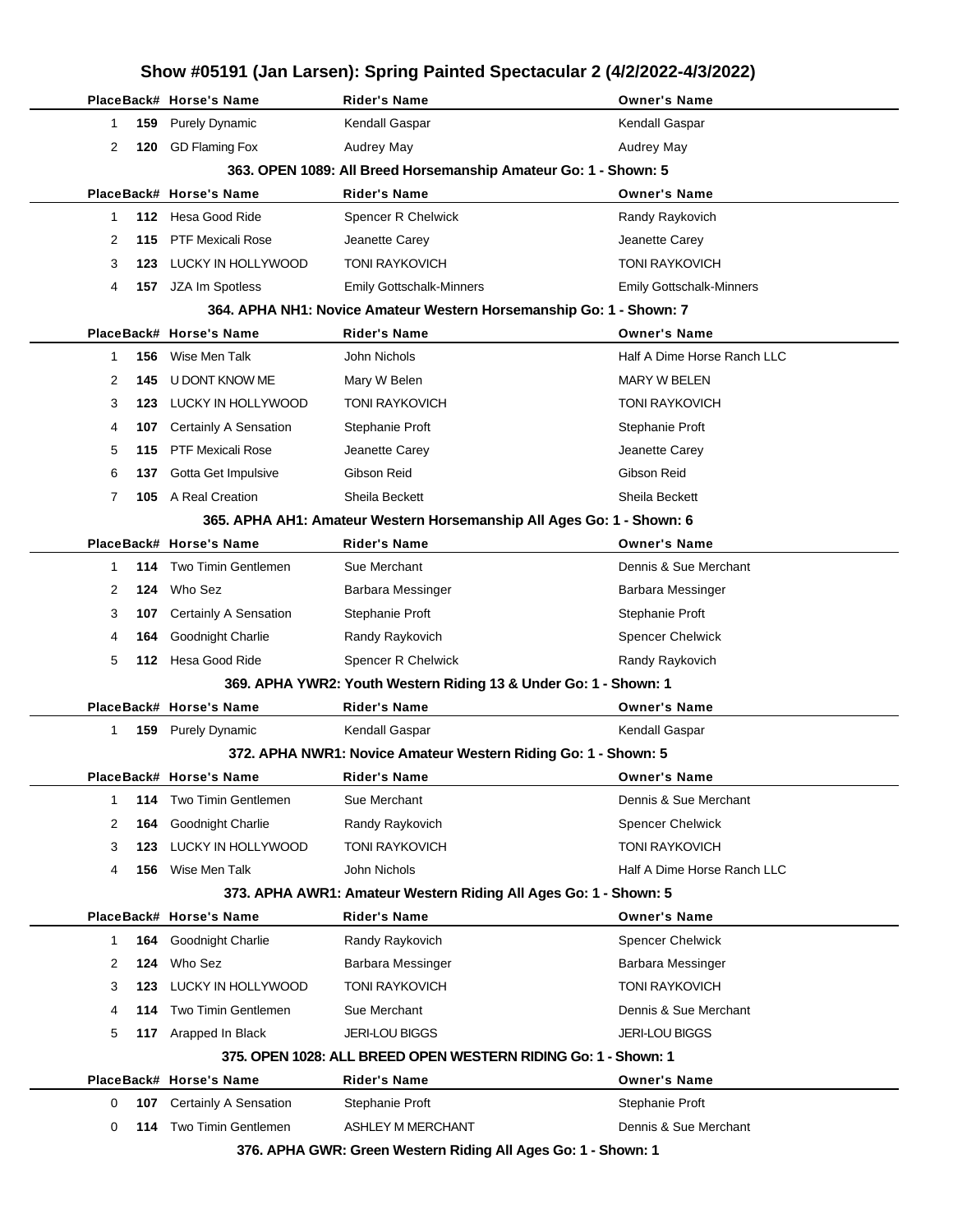|             |     |                          |                                                                       | Show #05191 (Jan Larsen): Spring Painted Spectacular 2 (4/2/2022-4/3/2022) |
|-------------|-----|--------------------------|-----------------------------------------------------------------------|----------------------------------------------------------------------------|
|             |     | PlaceBack# Horse's Name  | <b>Rider's Name</b>                                                   | <b>Owner's Name</b>                                                        |
| 1           | 159 | <b>Purely Dynamic</b>    | Kendall Gaspar                                                        | Kendall Gaspar                                                             |
| 2           | 120 | <b>GD Flaming Fox</b>    | <b>Audrey May</b>                                                     | Audrey May                                                                 |
|             |     |                          | 363. OPEN 1089: All Breed Horsemanship Amateur Go: 1 - Shown: 5       |                                                                            |
|             |     | PlaceBack# Horse's Name  | <b>Rider's Name</b>                                                   | <b>Owner's Name</b>                                                        |
| 1           | 112 | Hesa Good Ride           | Spencer R Chelwick                                                    | Randy Raykovich                                                            |
| 2           | 115 | <b>PTF Mexicali Rose</b> | Jeanette Carey                                                        | Jeanette Carey                                                             |
| 3           | 123 | LUCKY IN HOLLYWOOD       | <b>TONI RAYKOVICH</b>                                                 | <b>TONI RAYKOVICH</b>                                                      |
| 4           | 157 | JZA Im Spotless          | <b>Emily Gottschalk-Minners</b>                                       | <b>Emily Gottschalk-Minners</b>                                            |
|             |     |                          | 364. APHA NH1: Novice Amateur Western Horsemanship Go: 1 - Shown: 7   |                                                                            |
|             |     | PlaceBack# Horse's Name  | <b>Rider's Name</b>                                                   | <b>Owner's Name</b>                                                        |
| 1           | 156 | Wise Men Talk            | John Nichols                                                          | Half A Dime Horse Ranch LLC                                                |
| 2           | 145 | U DONT KNOW ME           | Mary W Belen                                                          | MARY W BELEN                                                               |
| 3           | 123 | LUCKY IN HOLLYWOOD       | <b>TONI RAYKOVICH</b>                                                 | <b>TONI RAYKOVICH</b>                                                      |
| 4           | 107 | Certainly A Sensation    | Stephanie Proft                                                       | Stephanie Proft                                                            |
| 5           | 115 | <b>PTF Mexicali Rose</b> | Jeanette Carey                                                        | Jeanette Carey                                                             |
| 6           | 137 | Gotta Get Impulsive      | Gibson Reid                                                           | Gibson Reid                                                                |
| 7           | 105 | A Real Creation          | Sheila Beckett                                                        | Sheila Beckett                                                             |
|             |     |                          | 365. APHA AH1: Amateur Western Horsemanship All Ages Go: 1 - Shown: 6 |                                                                            |
|             |     | PlaceBack# Horse's Name  | <b>Rider's Name</b>                                                   | <b>Owner's Name</b>                                                        |
| 1           | 114 | Two Timin Gentlemen      | Sue Merchant                                                          | Dennis & Sue Merchant                                                      |
| 2           | 124 | Who Sez                  | Barbara Messinger                                                     | Barbara Messinger                                                          |
| 3           | 107 | Certainly A Sensation    | Stephanie Proft                                                       | Stephanie Proft                                                            |
| 4           | 164 | Goodnight Charlie        | Randy Raykovich                                                       | <b>Spencer Chelwick</b>                                                    |
| 5           | 112 | Hesa Good Ride           | <b>Spencer R Chelwick</b>                                             | Randy Raykovich                                                            |
|             |     |                          | 369. APHA YWR2: Youth Western Riding 13 & Under Go: 1 - Shown: 1      |                                                                            |
|             |     | PlaceBack# Horse's Name  | <b>Rider's Name</b>                                                   | <b>Owner's Name</b>                                                        |
| 1           | 159 | <b>Purely Dynamic</b>    | Kendall Gaspar                                                        | Kendall Gaspar                                                             |
|             |     |                          | 372. APHA NWR1: Novice Amateur Western Riding Go: 1 - Shown: 5        |                                                                            |
|             |     |                          |                                                                       |                                                                            |
|             |     | PlaceBack# Horse's Name  | Rider's Name                                                          | <b>Owner's Name</b>                                                        |
| $\mathbf 1$ | 114 | Two Timin Gentlemen      | Sue Merchant                                                          | Dennis & Sue Merchant                                                      |
| 2           | 164 | Goodnight Charlie        | Randy Raykovich                                                       | <b>Spencer Chelwick</b>                                                    |
| 3           | 123 | LUCKY IN HOLLYWOOD       | <b>TONI RAYKOVICH</b>                                                 | <b>TONI RAYKOVICH</b>                                                      |
| 4           | 156 | Wise Men Talk            | John Nichols                                                          | Half A Dime Horse Ranch LLC                                                |
|             |     |                          | 373. APHA AWR1: Amateur Western Riding All Ages Go: 1 - Shown: 5      |                                                                            |
|             |     | PlaceBack# Horse's Name  | <b>Rider's Name</b>                                                   | <b>Owner's Name</b>                                                        |
| 1           | 164 | Goodnight Charlie        | Randy Raykovich                                                       | <b>Spencer Chelwick</b>                                                    |
| 2           | 124 | Who Sez                  | Barbara Messinger                                                     | Barbara Messinger                                                          |
| 3           | 123 | LUCKY IN HOLLYWOOD       | <b>TONI RAYKOVICH</b>                                                 | <b>TONI RAYKOVICH</b>                                                      |
| 4           | 114 | Two Timin Gentlemen      | Sue Merchant                                                          | Dennis & Sue Merchant                                                      |
| 5           | 117 | Arapped In Black         | <b>JERI-LOU BIGGS</b>                                                 | <b>JERI-LOU BIGGS</b>                                                      |
|             |     |                          | 375. OPEN 1028: ALL BREED OPEN WESTERN RIDING Go: 1 - Shown: 1        |                                                                            |
|             |     | PlaceBack# Horse's Name  | <b>Rider's Name</b>                                                   | <b>Owner's Name</b>                                                        |
| 0           | 107 | Certainly A Sensation    | Stephanie Proft                                                       | Stephanie Proft                                                            |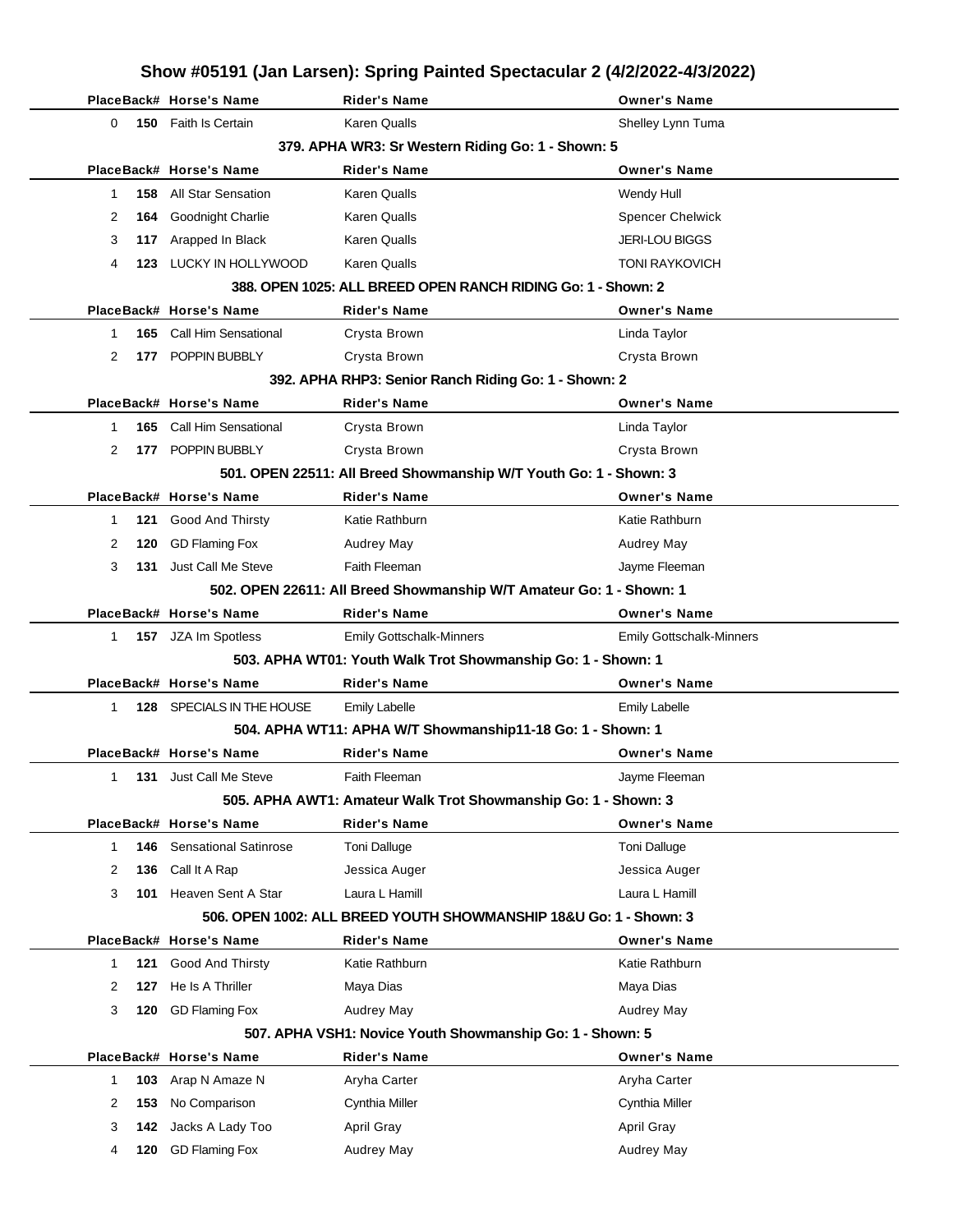|    |     |                              | Show #05191 (Jan Larsen): Spring Painted Spectacular 2 (4/2/2022-4/3/2022) |                                 |
|----|-----|------------------------------|----------------------------------------------------------------------------|---------------------------------|
|    |     | PlaceBack# Horse's Name      | <b>Rider's Name</b>                                                        | <b>Owner's Name</b>             |
| 0  | 150 | Faith Is Certain             | <b>Karen Qualls</b>                                                        | Shelley Lynn Tuma               |
|    |     |                              | 379. APHA WR3: Sr Western Riding Go: 1 - Shown: 5                          |                                 |
|    |     | PlaceBack# Horse's Name      | <b>Rider's Name</b>                                                        | <b>Owner's Name</b>             |
| 1  | 158 | All Star Sensation           | Karen Qualls                                                               | Wendy Hull                      |
| 2  | 164 | Goodnight Charlie            | Karen Qualls                                                               | <b>Spencer Chelwick</b>         |
| 3  | 117 | Arapped In Black             | <b>Karen Qualls</b>                                                        | <b>JERI-LOU BIGGS</b>           |
| 4  | 123 | LUCKY IN HOLLYWOOD           | <b>Karen Qualls</b>                                                        | <b>TONI RAYKOVICH</b>           |
|    |     |                              | 388. OPEN 1025: ALL BREED OPEN RANCH RIDING Go: 1 - Shown: 2               |                                 |
|    |     | PlaceBack# Horse's Name      | <b>Rider's Name</b>                                                        | <b>Owner's Name</b>             |
| 1  | 165 | <b>Call Him Sensational</b>  | Crysta Brown                                                               | Linda Taylor                    |
| 2  | 177 | POPPIN BUBBLY                | Crysta Brown                                                               | Crysta Brown                    |
|    |     |                              | 392. APHA RHP3: Senior Ranch Riding Go: 1 - Shown: 2                       |                                 |
|    |     | PlaceBack# Horse's Name      | <b>Rider's Name</b>                                                        | <b>Owner's Name</b>             |
| 1  | 165 | <b>Call Him Sensational</b>  | Crysta Brown                                                               | Linda Taylor                    |
| 2  | 177 | POPPIN BUBBLY                | Crysta Brown                                                               | Crysta Brown                    |
|    |     |                              | 501. OPEN 22511: All Breed Showmanship W/T Youth Go: 1 - Shown: 3          |                                 |
|    |     | PlaceBack# Horse's Name      | <b>Rider's Name</b>                                                        | <b>Owner's Name</b>             |
| 1  | 121 | <b>Good And Thirsty</b>      | Katie Rathburn                                                             | Katie Rathburn                  |
| 2  | 120 | <b>GD Flaming Fox</b>        | <b>Audrey May</b>                                                          | <b>Audrey May</b>               |
| 3  | 131 | Just Call Me Steve           | Faith Fleeman                                                              | Jayme Fleeman                   |
|    |     |                              | 502. OPEN 22611: All Breed Showmanship W/T Amateur Go: 1 - Shown: 1        |                                 |
|    |     | PlaceBack# Horse's Name      | <b>Rider's Name</b>                                                        | <b>Owner's Name</b>             |
| 1. |     | 157 JZA Im Spotless          | <b>Emily Gottschalk-Minners</b>                                            | <b>Emily Gottschalk-Minners</b> |
|    |     |                              | 503. APHA WT01: Youth Walk Trot Showmanship Go: 1 - Shown: 1               |                                 |
|    |     | PlaceBack# Horse's Name      | <b>Rider's Name</b>                                                        | <b>Owner's Name</b>             |
| 1  |     | 128 SPECIALS IN THE HOUSE    | <b>Emily Labelle</b>                                                       | <b>Emily Labelle</b>            |
|    |     |                              | 504. APHA WT11: APHA W/T Showmanship11-18 Go: 1 - Shown: 1                 |                                 |
|    |     | PlaceBack# Horse's Name      | <b>Rider's Name</b>                                                        | <b>Owner's Name</b>             |
| 1  | 131 | Just Call Me Steve           | Faith Fleeman                                                              | Jayme Fleeman                   |
|    |     |                              | 505. APHA AWT1: Amateur Walk Trot Showmanship Go: 1 - Shown: 3             |                                 |
|    |     | PlaceBack# Horse's Name      | <b>Rider's Name</b>                                                        | <b>Owner's Name</b>             |
| 1  | 146 | <b>Sensational Satinrose</b> | <b>Toni Dalluge</b>                                                        | <b>Toni Dalluge</b>             |
| 2  | 136 | Call It A Rap                | Jessica Auger                                                              | Jessica Auger                   |
| 3  | 101 | Heaven Sent A Star           | Laura L Hamill                                                             | Laura L Hamill                  |
|    |     |                              | 506. OPEN 1002: ALL BREED YOUTH SHOWMANSHIP 18&U Go: 1 - Shown: 3          |                                 |
|    |     | PlaceBack# Horse's Name      | <b>Rider's Name</b>                                                        | <b>Owner's Name</b>             |
| 1  | 121 | Good And Thirsty             | Katie Rathburn                                                             | Katie Rathburn                  |
| 2  | 127 | He Is A Thriller             | Maya Dias                                                                  | Maya Dias                       |
| 3  | 120 | <b>GD Flaming Fox</b>        | Audrey May                                                                 | Audrey May                      |
|    |     |                              | 507. APHA VSH1: Novice Youth Showmanship Go: 1 - Shown: 5                  |                                 |
|    |     | PlaceBack# Horse's Name      | <b>Rider's Name</b>                                                        | <b>Owner's Name</b>             |
| 1  | 103 | Arap N Amaze N               | Aryha Carter                                                               | Aryha Carter                    |
| 2  | 153 | No Comparison                | Cynthia Miller                                                             | Cynthia Miller                  |
| 3  | 142 | Jacks A Lady Too             | April Gray                                                                 | April Gray                      |
| 4  | 120 | <b>GD Flaming Fox</b>        | Audrey May                                                                 | Audrey May                      |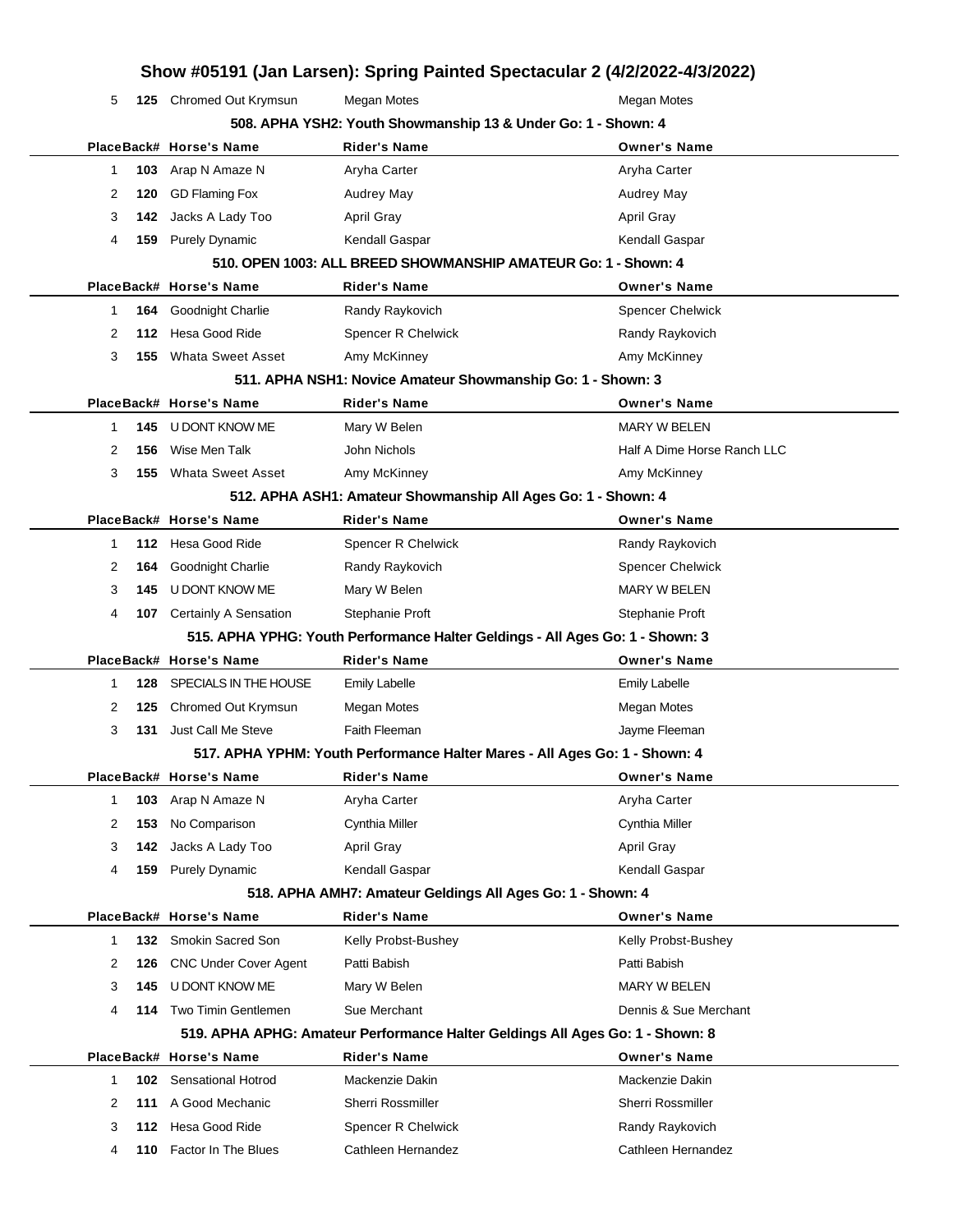|   |     |                              |                                                                            | Show #05191 (Jan Larsen): Spring Painted Spectacular 2 (4/2/2022-4/3/2022)    |
|---|-----|------------------------------|----------------------------------------------------------------------------|-------------------------------------------------------------------------------|
| 5 |     | 125 Chromed Out Krymsun      | <b>Megan Motes</b>                                                         | Megan Motes                                                                   |
|   |     |                              | 508. APHA YSH2: Youth Showmanship 13 & Under Go: 1 - Shown: 4              |                                                                               |
|   |     | PlaceBack# Horse's Name      | <b>Rider's Name</b>                                                        | <b>Owner's Name</b>                                                           |
| 1 | 103 | Arap N Amaze N               | Aryha Carter                                                               | Aryha Carter                                                                  |
| 2 | 120 | <b>GD Flaming Fox</b>        | Audrey May                                                                 | Audrey May                                                                    |
| 3 | 142 | Jacks A Lady Too             | <b>April Gray</b>                                                          | <b>April Gray</b>                                                             |
| 4 | 159 | <b>Purely Dynamic</b>        | Kendall Gaspar                                                             | Kendall Gaspar                                                                |
|   |     |                              | 510, OPEN 1003: ALL BREED SHOWMANSHIP AMATEUR Go: 1 - Shown: 4             |                                                                               |
|   |     | PlaceBack# Horse's Name      | <b>Rider's Name</b>                                                        | <b>Owner's Name</b>                                                           |
| 1 | 164 | Goodnight Charlie            | Randy Raykovich                                                            | <b>Spencer Chelwick</b>                                                       |
| 2 | 112 | Hesa Good Ride               | Spencer R Chelwick                                                         | Randy Raykovich                                                               |
| 3 | 155 | <b>Whata Sweet Asset</b>     | Amy McKinney                                                               | Amy McKinney                                                                  |
|   |     |                              | 511. APHA NSH1: Novice Amateur Showmanship Go: 1 - Shown: 3                |                                                                               |
|   |     | PlaceBack# Horse's Name      | <b>Rider's Name</b>                                                        | <b>Owner's Name</b>                                                           |
| 1 | 145 | <b>U DONT KNOW ME</b>        | Mary W Belen                                                               | <b>MARY W BELEN</b>                                                           |
| 2 | 156 | Wise Men Talk                | John Nichols                                                               | Half A Dime Horse Ranch LLC                                                   |
| 3 | 155 | <b>Whata Sweet Asset</b>     | Amy McKinney                                                               | Amy McKinney                                                                  |
|   |     |                              | 512. APHA ASH1: Amateur Showmanship All Ages Go: 1 - Shown: 4              |                                                                               |
|   |     | PlaceBack# Horse's Name      | <b>Rider's Name</b>                                                        | <b>Owner's Name</b>                                                           |
| 1 |     | 112 Hesa Good Ride           | Spencer R Chelwick                                                         | Randy Raykovich                                                               |
| 2 | 164 | Goodnight Charlie            | Randy Raykovich                                                            | <b>Spencer Chelwick</b>                                                       |
| 3 | 145 | U DONT KNOW ME               | Mary W Belen                                                               | <b>MARY W BELEN</b>                                                           |
| 4 | 107 | <b>Certainly A Sensation</b> | Stephanie Proft                                                            | Stephanie Proft                                                               |
|   |     |                              |                                                                            | 515. APHA YPHG: Youth Performance Halter Geldings - All Ages Go: 1 - Shown: 3 |
|   |     | PlaceBack# Horse's Name      | <b>Rider's Name</b>                                                        | <b>Owner's Name</b>                                                           |
| 1 | 128 | SPECIALS IN THE HOUSE        | <b>Emily Labelle</b>                                                       | <b>Emily Labelle</b>                                                          |
| 2 | 125 | Chromed Out Krymsun          | Megan Motes                                                                | <b>Megan Motes</b>                                                            |
| 3 | 131 | Just Call Me Steve           | Faith Fleeman                                                              | Jayme Fleeman                                                                 |
|   |     |                              | 517. APHA YPHM: Youth Performance Halter Mares - All Ages Go: 1 - Shown: 4 |                                                                               |
|   |     | PlaceBack# Horse's Name      | Rider's Name                                                               | <b>Owner's Name</b>                                                           |
| 1 | 103 | Arap N Amaze N               | Aryha Carter                                                               | Aryha Carter                                                                  |
| 2 | 153 | No Comparison                | Cynthia Miller                                                             | Cynthia Miller                                                                |
| 3 | 142 | Jacks A Lady Too             | <b>April Gray</b>                                                          | <b>April Gray</b>                                                             |
| 4 | 159 | <b>Purely Dynamic</b>        | Kendall Gaspar                                                             | Kendall Gaspar                                                                |
|   |     |                              | 518. APHA AMH7: Amateur Geldings All Ages Go: 1 - Shown: 4                 |                                                                               |
|   |     | PlaceBack# Horse's Name      | <b>Rider's Name</b>                                                        | <b>Owner's Name</b>                                                           |
| 1 | 132 | Smokin Sacred Son            | Kelly Probst-Bushey                                                        | Kelly Probst-Bushey                                                           |
| 2 | 126 | <b>CNC Under Cover Agent</b> | Patti Babish                                                               | Patti Babish                                                                  |
| 3 | 145 | U DONT KNOW ME               | Mary W Belen                                                               | MARY W BELEN                                                                  |
| 4 | 114 | Two Timin Gentlemen          | Sue Merchant                                                               | Dennis & Sue Merchant                                                         |
|   |     |                              |                                                                            | 519. APHA APHG: Amateur Performance Halter Geldings All Ages Go: 1 - Shown: 8 |
|   |     | PlaceBack# Horse's Name      | <b>Rider's Name</b>                                                        | <b>Owner's Name</b>                                                           |
| 1 | 102 | <b>Sensational Hotrod</b>    | Mackenzie Dakin                                                            | Mackenzie Dakin                                                               |
| 2 | 111 | A Good Mechanic              | Sherri Rossmiller                                                          | Sherri Rossmiller                                                             |
| 3 | 112 | Hesa Good Ride               | Spencer R Chelwick                                                         | Randy Raykovich                                                               |
| 4 | 110 | Factor In The Blues          | Cathleen Hernandez                                                         | Cathleen Hernandez                                                            |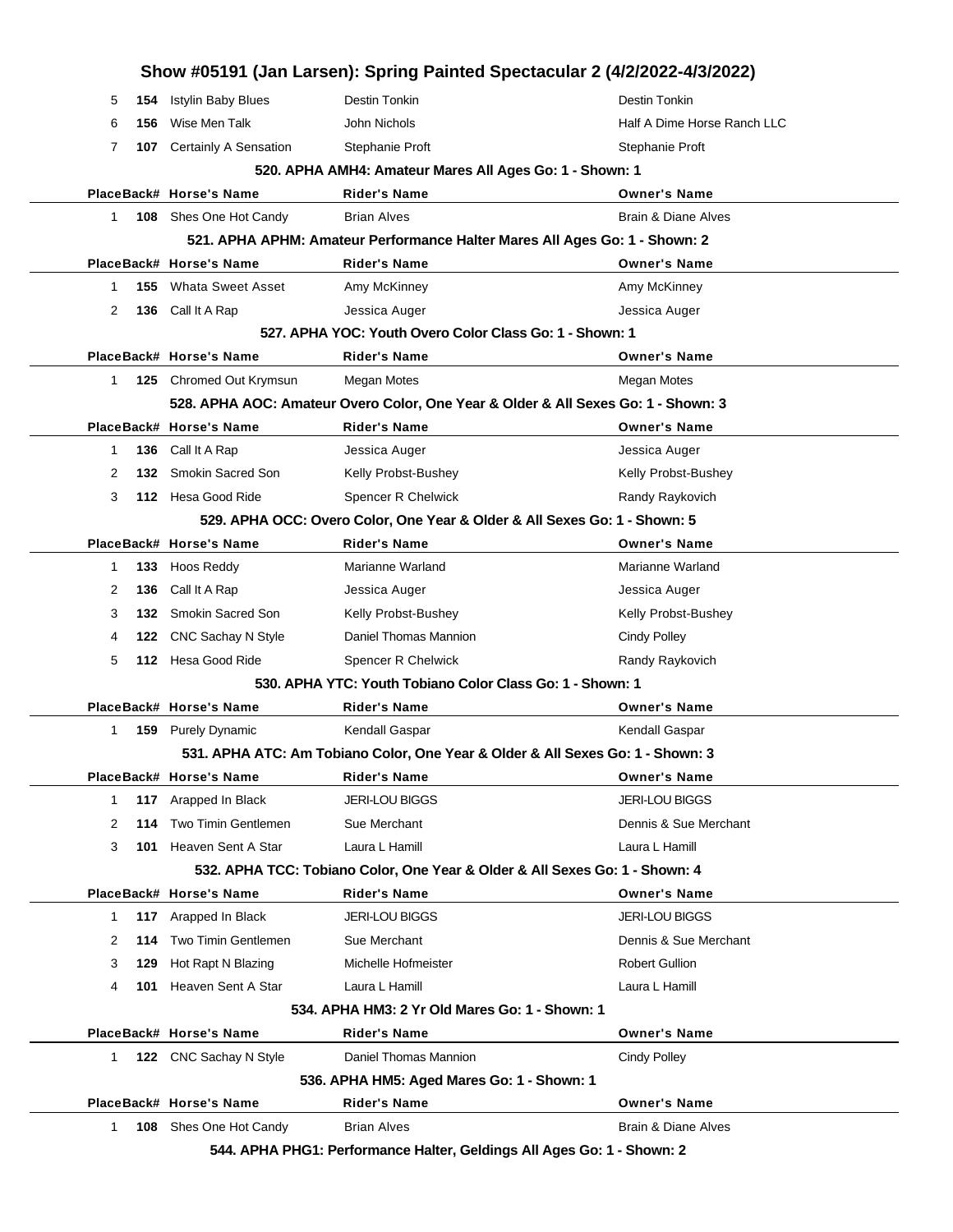|        |                  |                                            | 544. APHA PHG1: Performance Halter, Geldings All Ages Go: 1 - Shown: 2         |                                                                                   |
|--------|------------------|--------------------------------------------|--------------------------------------------------------------------------------|-----------------------------------------------------------------------------------|
| 1.     |                  | <b>108</b> Shes One Hot Candy              | <b>Brian Alves</b>                                                             | Brain & Diane Alves                                                               |
|        |                  | PlaceBack# Horse's Name                    | Rider's Name                                                                   | <b>Owner's Name</b>                                                               |
|        |                  |                                            | 536. APHA HM5: Aged Mares Go: 1 - Shown: 1                                     |                                                                                   |
| 1.     |                  | 122 CNC Sachay N Style                     | Daniel Thomas Mannion                                                          | Cindy Polley                                                                      |
|        |                  | PlaceBack# Horse's Name                    | Rider's Name                                                                   | <b>Owner's Name</b>                                                               |
|        |                  |                                            | 534. APHA HM3: 2 Yr Old Mares Go: 1 - Shown: 1                                 |                                                                                   |
| 4      | 101              | Heaven Sent A Star                         | Laura L Hamill                                                                 | Laura L Hamill                                                                    |
| 3      | 129              | Hot Rapt N Blazing                         | Michelle Hofmeister                                                            | <b>Robert Gullion</b>                                                             |
| 2      | 114              | Two Timin Gentlemen                        | Sue Merchant                                                                   | Dennis & Sue Merchant                                                             |
| 1      |                  | 117 Arapped In Black                       | JERI-LOU BIGGS                                                                 | <b>JERI-LOU BIGGS</b>                                                             |
|        |                  | PlaceBack# Horse's Name                    | Rider's Name                                                                   | <b>Owner's Name</b>                                                               |
|        |                  |                                            | 532. APHA TCC: Tobiano Color, One Year & Older & All Sexes Go: 1 - Shown: 4    |                                                                                   |
| 3      |                  | 101 Heaven Sent A Star                     | Laura L Hamill                                                                 | Laura L Hamill                                                                    |
| 2      | 114              | Two Timin Gentlemen                        | Sue Merchant                                                                   | Dennis & Sue Merchant                                                             |
| 1      |                  | 117 Arapped In Black                       | <b>JERI-LOU BIGGS</b>                                                          | <b>JERI-LOU BIGGS</b>                                                             |
|        |                  | PlaceBack# Horse's Name                    | Rider's Name                                                                   | <b>Owner's Name</b>                                                               |
|        |                  |                                            | 531. APHA ATC: Am Tobiano Color, One Year & Older & All Sexes Go: 1 - Shown: 3 |                                                                                   |
| 1      | 159              | <b>Purely Dynamic</b>                      | Kendall Gaspar                                                                 | Kendall Gaspar                                                                    |
|        |                  | PlaceBack# Horse's Name                    | Rider's Name                                                                   | <b>Owner's Name</b>                                                               |
|        |                  |                                            | 530, APHA YTC: Youth Tobiano Color Class Go: 1 - Shown: 1                      |                                                                                   |
| 5      |                  | 112 Hesa Good Ride                         | Spencer R Chelwick                                                             | Randy Raykovich                                                                   |
| 4      | 122              | CNC Sachay N Style                         | Daniel Thomas Mannion                                                          | <b>Cindy Polley</b>                                                               |
| 3      |                  | 132 Smokin Sacred Son                      | Kelly Probst-Bushey                                                            | Kelly Probst-Bushey                                                               |
| 2      | 136              | Call It A Rap                              | Jessica Auger                                                                  | Jessica Auger                                                                     |
| 1      | 133              | Hoos Reddy                                 | Marianne Warland                                                               | Marianne Warland                                                                  |
|        |                  | PlaceBack# Horse's Name                    | Rider's Name                                                                   | <b>Owner's Name</b>                                                               |
|        |                  |                                            | 529. APHA OCC: Overo Color, One Year & Older & All Sexes Go: 1 - Shown: 5      |                                                                                   |
| 3      |                  | 112 Hesa Good Ride                         | <b>Spencer R Chelwick</b>                                                      | Randy Raykovich                                                                   |
| 2      | 132 <sub>1</sub> | <b>Smokin Sacred Son</b>                   | Kelly Probst-Bushey                                                            | Kelly Probst-Bushey                                                               |
| 1      |                  | 136 Call It A Rap                          | Jessica Auger                                                                  | Jessica Auger                                                                     |
|        |                  | PlaceBack# Horse's Name                    | Rider's Name                                                                   | <b>Owner's Name</b>                                                               |
|        |                  |                                            |                                                                                | 528. APHA AOC: Amateur Overo Color, One Year & Older & All Sexes Go: 1 - Shown: 3 |
| 1.     |                  | 125 Chromed Out Krymsun                    | Megan Motes                                                                    | Megan Motes                                                                       |
|        |                  | PlaceBack# Horse's Name                    | Rider's Name                                                                   | <b>Owner's Name</b>                                                               |
| 2      |                  | 136 Call It A Rap                          | Jessica Auger<br>527, APHA YOC: Youth Overo Color Class Go: 1 - Shown: 1       | Jessica Auger                                                                     |
|        |                  |                                            | Amy McKinney                                                                   | Amy McKinney                                                                      |
| 1.     |                  | <b>155</b> Whata Sweet Asset               |                                                                                |                                                                                   |
|        |                  | PlaceBack# Horse's Name                    | Rider's Name                                                                   | <b>Owner's Name</b>                                                               |
|        |                  |                                            | 521. APHA APHM: Amateur Performance Halter Mares All Ages Go: 1 - Shown: 2     |                                                                                   |
| 1.     |                  | 108 Shes One Hot Candy                     | <b>Brian Alves</b>                                                             | Brain & Diane Alves                                                               |
|        |                  | PlaceBack# Horse's Name                    | 520. APHA AMH4: Amateur Mares All Ages Go: 1 - Shown: 1<br>Rider's Name        | <b>Owner's Name</b>                                                               |
| 7      |                  | 107 Certainly A Sensation                  | Stephanie Proft                                                                | Stephanie Proft                                                                   |
|        |                  |                                            |                                                                                |                                                                                   |
|        |                  |                                            |                                                                                |                                                                                   |
|        |                  |                                            |                                                                                | Show #05191 (Jan Larsen): Spring Painted Spectacular 2 (4/2/2022-4/3/2022)        |
| 5<br>6 | 154<br>156       | <b>Istylin Baby Blues</b><br>Wise Men Talk | Destin Tonkin<br>John Nichols                                                  | Destin Tonkin<br>Half A Dime Horse Ranch LLC                                      |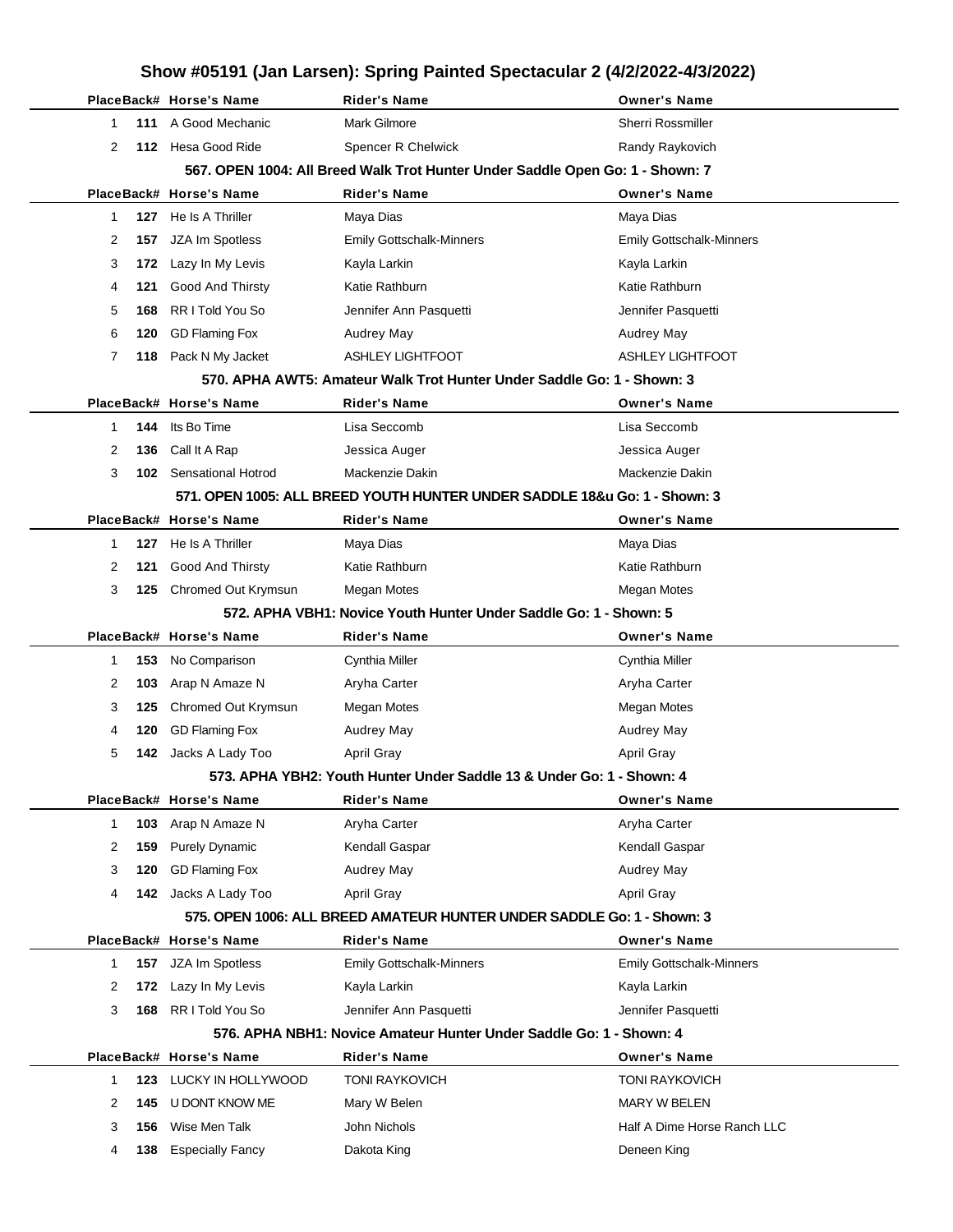| Show #05191 (Jan Larsen): Spring Painted Spectacular 2 (4/2/2022-4/3/2022) |     |                           |                                                                               |                                 |  |  |  |
|----------------------------------------------------------------------------|-----|---------------------------|-------------------------------------------------------------------------------|---------------------------------|--|--|--|
|                                                                            |     | PlaceBack# Horse's Name   | <b>Rider's Name</b>                                                           | <b>Owner's Name</b>             |  |  |  |
| $\mathbf 1$                                                                | 111 | A Good Mechanic           | <b>Mark Gilmore</b>                                                           | Sherri Rossmiller               |  |  |  |
| 2                                                                          |     | 112 Hesa Good Ride        | Spencer R Chelwick                                                            | Randy Raykovich                 |  |  |  |
|                                                                            |     |                           | 567. OPEN 1004: All Breed Walk Trot Hunter Under Saddle Open Go: 1 - Shown: 7 |                                 |  |  |  |
|                                                                            |     | PlaceBack# Horse's Name   | <b>Rider's Name</b>                                                           | <b>Owner's Name</b>             |  |  |  |
| 1                                                                          | 127 | He Is A Thriller          | Maya Dias                                                                     | Maya Dias                       |  |  |  |
| 2                                                                          | 157 | JZA Im Spotless           | <b>Emily Gottschalk-Minners</b>                                               | <b>Emily Gottschalk-Minners</b> |  |  |  |
| 3                                                                          | 172 | Lazy In My Levis          | Kayla Larkin                                                                  | Kayla Larkin                    |  |  |  |
| 4                                                                          | 121 | <b>Good And Thirsty</b>   | Katie Rathburn                                                                | Katie Rathburn                  |  |  |  |
| 5                                                                          | 168 | RR I Told You So          | Jennifer Ann Pasquetti                                                        | Jennifer Pasquetti              |  |  |  |
| 6                                                                          | 120 | <b>GD Flaming Fox</b>     | <b>Audrey May</b>                                                             | <b>Audrey May</b>               |  |  |  |
| 7                                                                          | 118 | Pack N My Jacket          | <b>ASHLEY LIGHTFOOT</b>                                                       | <b>ASHLEY LIGHTFOOT</b>         |  |  |  |
|                                                                            |     |                           | 570. APHA AWT5: Amateur Walk Trot Hunter Under Saddle Go: 1 - Shown: 3        |                                 |  |  |  |
|                                                                            |     | PlaceBack# Horse's Name   | <b>Rider's Name</b>                                                           | <b>Owner's Name</b>             |  |  |  |
| 1                                                                          | 144 | Its Bo Time               | Lisa Seccomb                                                                  | Lisa Seccomb                    |  |  |  |
| 2                                                                          | 136 | Call It A Rap             | Jessica Auger                                                                 | Jessica Auger                   |  |  |  |
| 3                                                                          | 102 | <b>Sensational Hotrod</b> | Mackenzie Dakin                                                               | Mackenzie Dakin                 |  |  |  |
|                                                                            |     |                           | 571, OPEN 1005: ALL BREED YOUTH HUNTER UNDER SADDLE 18&u Go: 1 - Shown: 3     |                                 |  |  |  |
|                                                                            |     | PlaceBack# Horse's Name   | <b>Rider's Name</b>                                                           | <b>Owner's Name</b>             |  |  |  |
| 1                                                                          | 127 | He Is A Thriller          | Maya Dias                                                                     | Maya Dias                       |  |  |  |
| 2                                                                          | 121 | <b>Good And Thirsty</b>   | Katie Rathburn                                                                | Katie Rathburn                  |  |  |  |
| 3                                                                          | 125 | Chromed Out Krymsun       | Megan Motes                                                                   | Megan Motes                     |  |  |  |
|                                                                            |     |                           | 572. APHA VBH1: Novice Youth Hunter Under Saddle Go: 1 - Shown: 5             |                                 |  |  |  |
|                                                                            |     |                           |                                                                               |                                 |  |  |  |
|                                                                            |     | PlaceBack# Horse's Name   | <b>Rider's Name</b>                                                           | <b>Owner's Name</b>             |  |  |  |
| 1                                                                          | 153 | No Comparison             | Cynthia Miller                                                                | Cynthia Miller                  |  |  |  |
| 2                                                                          | 103 | Arap N Amaze N            | Aryha Carter                                                                  | Aryha Carter                    |  |  |  |
| 3                                                                          | 125 | Chromed Out Krymsun       | <b>Megan Motes</b>                                                            | Megan Motes                     |  |  |  |
| 4                                                                          | 120 | <b>GD Flaming Fox</b>     | <b>Audrey May</b>                                                             | Audrey May                      |  |  |  |
| 5                                                                          | 142 | Jacks A Lady Too          | April Gray                                                                    | April Gray                      |  |  |  |
|                                                                            |     |                           | 573. APHA YBH2: Youth Hunter Under Saddle 13 & Under Go: 1 - Shown: 4         |                                 |  |  |  |
|                                                                            |     | PlaceBack# Horse's Name   | Rider's Name                                                                  | <b>Owner's Name</b>             |  |  |  |
| $\mathbf{1}$                                                               | 103 | Arap N Amaze N            | Aryha Carter                                                                  | Aryha Carter                    |  |  |  |
| 2                                                                          | 159 | <b>Purely Dynamic</b>     | Kendall Gaspar                                                                | Kendall Gaspar                  |  |  |  |
| 3                                                                          | 120 | <b>GD Flaming Fox</b>     | <b>Audrey May</b>                                                             | Audrey May                      |  |  |  |
| 4                                                                          |     | 142 Jacks A Lady Too      | April Gray                                                                    | April Gray                      |  |  |  |
|                                                                            |     |                           | 575, OPEN 1006: ALL BREED AMATEUR HUNTER UNDER SADDLE Go: 1 - Shown: 3        |                                 |  |  |  |
|                                                                            |     | PlaceBack# Horse's Name   | <b>Rider's Name</b>                                                           | <b>Owner's Name</b>             |  |  |  |
| $\mathbf{1}$                                                               |     | 157 JZA Im Spotless       | <b>Emily Gottschalk-Minners</b>                                               | <b>Emily Gottschalk-Minners</b> |  |  |  |
| 2                                                                          | 172 | Lazy In My Levis          | Kayla Larkin                                                                  | Kayla Larkin                    |  |  |  |
| 3                                                                          | 168 | RR I Told You So          | Jennifer Ann Pasquetti                                                        | Jennifer Pasquetti              |  |  |  |
|                                                                            |     |                           | 576. APHA NBH1: Novice Amateur Hunter Under Saddle Go: 1 - Shown: 4           |                                 |  |  |  |
|                                                                            |     | PlaceBack# Horse's Name   | <b>Rider's Name</b>                                                           | <b>Owner's Name</b>             |  |  |  |
| 1                                                                          | 123 | LUCKY IN HOLLYWOOD        | <b>TONI RAYKOVICH</b>                                                         | <b>TONI RAYKOVICH</b>           |  |  |  |
| 2                                                                          | 145 | U DONT KNOW ME            | Mary W Belen                                                                  | MARY W BELEN                    |  |  |  |
| 3                                                                          | 156 | Wise Men Talk             | John Nichols                                                                  | Half A Dime Horse Ranch LLC     |  |  |  |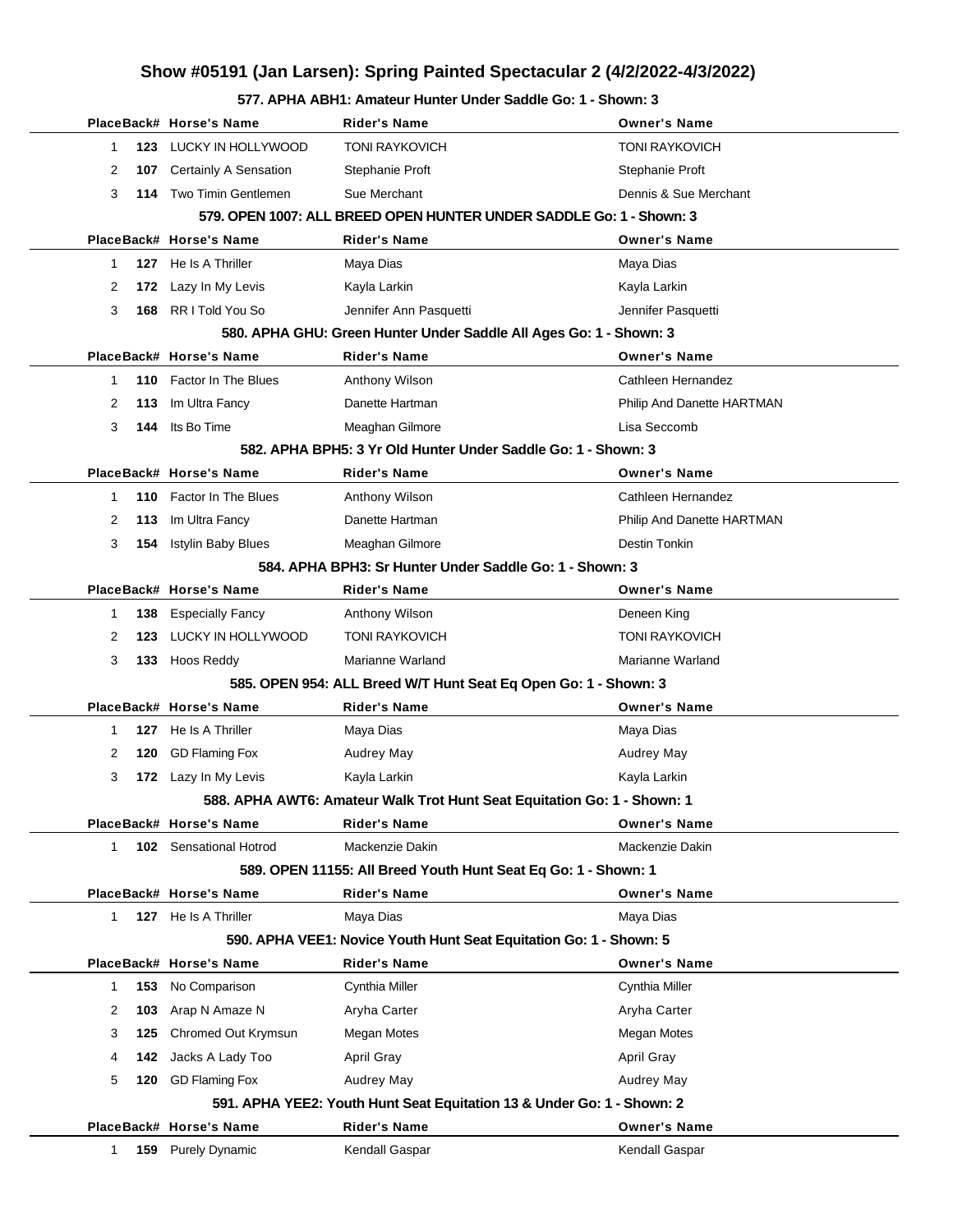## **Show #05191 (Jan Larsen): Spring Painted Spectacular 2 (4/2/2022-4/3/2022)**

**577. APHA ABH1: Amateur Hunter Under Saddle Go: 1 - Shown: 3**

|   |     | PlaceBack# Horse's Name      | Rider's Name                                                            | <b>Owner's Name</b>        |
|---|-----|------------------------------|-------------------------------------------------------------------------|----------------------------|
| 1 | 123 | LUCKY IN HOLLYWOOD           | <b>TONI RAYKOVICH</b>                                                   | <b>TONI RAYKOVICH</b>      |
| 2 | 107 | <b>Certainly A Sensation</b> | Stephanie Proft                                                         | Stephanie Proft            |
| 3 | 114 | Two Timin Gentlemen          | Sue Merchant                                                            | Dennis & Sue Merchant      |
|   |     |                              | 579. OPEN 1007: ALL BREED OPEN HUNTER UNDER SADDLE Go: 1 - Shown: 3     |                            |
|   |     | PlaceBack# Horse's Name      | <b>Rider's Name</b>                                                     | <b>Owner's Name</b>        |
| 1 |     | 127 He Is A Thriller         | Maya Dias                                                               | Maya Dias                  |
| 2 | 172 | Lazy In My Levis             | Kayla Larkin                                                            | Kayla Larkin               |
| 3 | 168 | RR I Told You So             | Jennifer Ann Pasquetti                                                  | Jennifer Pasquetti         |
|   |     |                              | 580. APHA GHU: Green Hunter Under Saddle All Ages Go: 1 - Shown: 3      |                            |
|   |     | PlaceBack# Horse's Name      | <b>Rider's Name</b>                                                     | <b>Owner's Name</b>        |
| 1 |     | 110 Factor In The Blues      | Anthony Wilson                                                          | Cathleen Hernandez         |
| 2 | 113 | Im Ultra Fancy               | Danette Hartman                                                         | Philip And Danette HARTMAN |
| 3 | 144 | Its Bo Time                  | Meaghan Gilmore                                                         | Lisa Seccomb               |
|   |     |                              | 582. APHA BPH5: 3 Yr Old Hunter Under Saddle Go: 1 - Shown: 3           |                            |
|   |     | PlaceBack# Horse's Name      | <b>Rider's Name</b>                                                     | <b>Owner's Name</b>        |
| 1 |     | 110 Factor In The Blues      | Anthony Wilson                                                          | Cathleen Hernandez         |
| 2 | 113 | Im Ultra Fancy               | Danette Hartman                                                         | Philip And Danette HARTMAN |
| 3 |     | 154 Istylin Baby Blues       | Meaghan Gilmore                                                         | Destin Tonkin              |
|   |     |                              | 584, APHA BPH3: Sr Hunter Under Saddle Go: 1 - Shown: 3                 |                            |
|   |     | PlaceBack# Horse's Name      | Rider's Name                                                            | <b>Owner's Name</b>        |
| 1 | 138 | <b>Especially Fancy</b>      | Anthony Wilson                                                          | Deneen King                |
| 2 | 123 | LUCKY IN HOLLYWOOD           | <b>TONI RAYKOVICH</b>                                                   | <b>TONI RAYKOVICH</b>      |
| 3 |     | 133 Hoos Reddy               | Marianne Warland                                                        | Marianne Warland           |
|   |     |                              | 585. OPEN 954: ALL Breed W/T Hunt Seat Eq Open Go: 1 - Shown: 3         |                            |
|   |     | PlaceBack# Horse's Name      | <b>Rider's Name</b>                                                     | <b>Owner's Name</b>        |
| 1 |     | 127 He Is A Thriller         | Maya Dias                                                               | Maya Dias                  |
| 2 | 120 | <b>GD Flaming Fox</b>        | <b>Audrey May</b>                                                       | <b>Audrey May</b>          |
| 3 |     | 172 Lazy In My Levis         | Kayla Larkin                                                            | Kayla Larkin               |
|   |     |                              | 588. APHA AWT6: Amateur Walk Trot Hunt Seat Equitation Go: 1 - Shown: 1 |                            |
|   |     | PlaceBack# Horse's Name      | Rider's Name                                                            | <b>Owner's Name</b>        |
| 1 | 102 | Sensational Hotrod           | Mackenzie Dakin                                                         | Mackenzie Dakin            |
|   |     |                              | 589. OPEN 11155: All Breed Youth Hunt Seat Eq Go: 1 - Shown: 1          |                            |
|   |     | PlaceBack# Horse's Name      | <b>Rider's Name</b>                                                     | <b>Owner's Name</b>        |
| 1 |     | 127 He Is A Thriller         | Maya Dias                                                               | Maya Dias                  |
|   |     |                              | 590. APHA VEE1: Novice Youth Hunt Seat Equitation Go: 1 - Shown: 5      |                            |
|   |     | PlaceBack# Horse's Name      | <b>Rider's Name</b>                                                     | <b>Owner's Name</b>        |
| 1 | 153 | No Comparison                | Cynthia Miller                                                          | Cynthia Miller             |
| 2 | 103 | Arap N Amaze N               | Aryha Carter                                                            | Aryha Carter               |
| 3 | 125 | Chromed Out Krymsun          | Megan Motes                                                             | Megan Motes                |
| 4 | 142 | Jacks A Lady Too             | April Gray                                                              | April Gray                 |
| 5 | 120 | <b>GD Flaming Fox</b>        | Audrey May                                                              | Audrey May                 |
|   |     |                              | 591. APHA YEE2: Youth Hunt Seat Equitation 13 & Under Go: 1 - Shown: 2  |                            |
|   |     | PlaceBack# Horse's Name      | <b>Rider's Name</b>                                                     | <b>Owner's Name</b>        |
| 1 |     | 159 Purely Dynamic           | Kendall Gaspar                                                          | Kendall Gaspar             |
|   |     |                              |                                                                         |                            |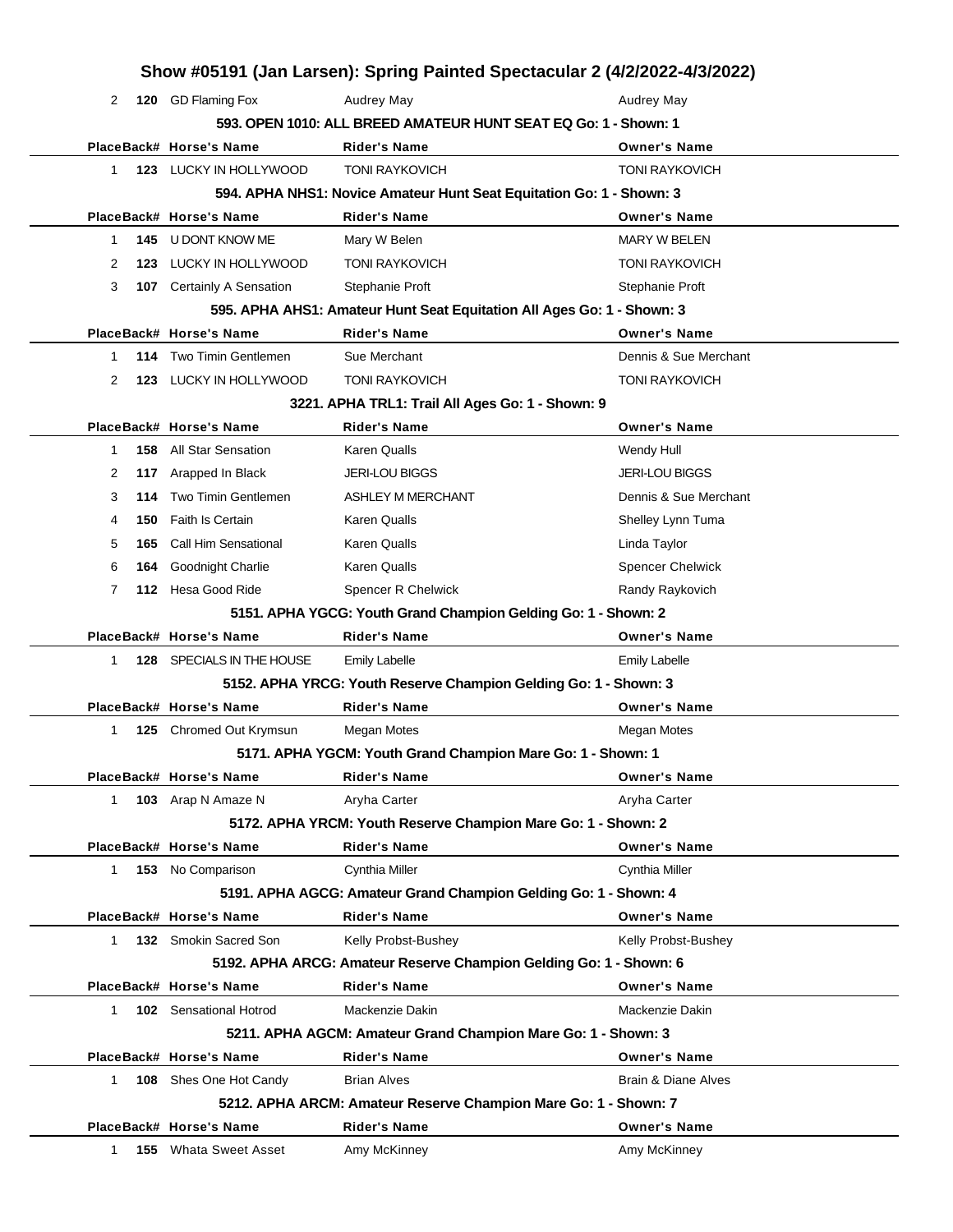|              |     |                               | Show #05191 (Jan Larsen): Spring Painted Spectacular 2 (4/2/2022-4/3/2022) |                         |
|--------------|-----|-------------------------------|----------------------------------------------------------------------------|-------------------------|
| 2            |     | 120 GD Flaming Fox            | Audrey May                                                                 | Audrey May              |
|              |     |                               | 593. OPEN 1010: ALL BREED AMATEUR HUNT SEAT EQ Go: 1 - Shown: 1            |                         |
|              |     | PlaceBack# Horse's Name       | <b>Rider's Name</b>                                                        | <b>Owner's Name</b>     |
| 1.           |     | 123 LUCKY IN HOLLYWOOD        | <b>TONI RAYKOVICH</b>                                                      | <b>TONI RAYKOVICH</b>   |
|              |     |                               | 594. APHA NHS1: Novice Amateur Hunt Seat Equitation Go: 1 - Shown: 3       |                         |
|              |     | PlaceBack# Horse's Name       | <b>Rider's Name</b>                                                        | <b>Owner's Name</b>     |
| 1            |     | 145 U DONT KNOW ME            | Mary W Belen                                                               | <b>MARY W BELEN</b>     |
| 2            | 123 | LUCKY IN HOLLYWOOD            | <b>TONI RAYKOVICH</b>                                                      | <b>TONI RAYKOVICH</b>   |
| 3            |     | 107 Certainly A Sensation     | Stephanie Proft                                                            | Stephanie Proft         |
|              |     |                               | 595. APHA AHS1: Amateur Hunt Seat Equitation All Ages Go: 1 - Shown: 3     |                         |
|              |     | PlaceBack# Horse's Name       | <b>Rider's Name</b>                                                        | <b>Owner's Name</b>     |
| 1            |     | 114 Two Timin Gentlemen       | Sue Merchant                                                               | Dennis & Sue Merchant   |
| 2            | 123 | LUCKY IN HOLLYWOOD            | <b>TONI RAYKOVICH</b>                                                      | <b>TONI RAYKOVICH</b>   |
|              |     |                               | 3221. APHA TRL1: Trail All Ages Go: 1 - Shown: 9                           |                         |
|              |     | PlaceBack# Horse's Name       | <b>Rider's Name</b>                                                        | <b>Owner's Name</b>     |
| 1            |     | <b>158</b> All Star Sensation | <b>Karen Qualls</b>                                                        | Wendy Hull              |
| 2            | 117 | Arapped In Black              | <b>JERI-LOU BIGGS</b>                                                      | <b>JERI-LOU BIGGS</b>   |
| 3            | 114 | Two Timin Gentlemen           | <b>ASHLEY M MERCHANT</b>                                                   | Dennis & Sue Merchant   |
| 4            | 150 | <b>Faith Is Certain</b>       | <b>Karen Qualls</b>                                                        | Shelley Lynn Tuma       |
| 5            | 165 | Call Him Sensational          | <b>Karen Qualls</b>                                                        | Linda Taylor            |
| 6            | 164 | Goodnight Charlie             | <b>Karen Qualls</b>                                                        | <b>Spencer Chelwick</b> |
| 7            |     | 112 Hesa Good Ride            | Spencer R Chelwick                                                         | Randy Raykovich         |
|              |     |                               | 5151. APHA YGCG: Youth Grand Champion Gelding Go: 1 - Shown: 2             |                         |
|              |     | PlaceBack# Horse's Name       | <b>Rider's Name</b>                                                        | <b>Owner's Name</b>     |
| 1            |     | 128 SPECIALS IN THE HOUSE     | <b>Emily Labelle</b>                                                       | <b>Emily Labelle</b>    |
|              |     |                               | 5152. APHA YRCG: Youth Reserve Champion Gelding Go: 1 - Shown: 3           |                         |
|              |     | PlaceBack# Horse's Name       | <b>Rider's Name</b>                                                        | <b>Owner's Name</b>     |
| 1            |     | 125 Chromed Out Krymsun       | Megan Motes                                                                | Megan Motes             |
|              |     |                               | 5171. APHA YGCM: Youth Grand Champion Mare Go: 1 - Shown: 1                |                         |
|              |     | PlaceBack# Horse's Name       | <b>Rider's Name</b>                                                        | Owner's Name            |
| $1 \quad$    |     | 103 Arap N Amaze N            | Aryha Carter                                                               | Aryha Carter            |
|              |     |                               | 5172. APHA YRCM: Youth Reserve Champion Mare Go: 1 - Shown: 2              |                         |
|              |     | PlaceBack# Horse's Name       | <b>Rider's Name</b>                                                        | <b>Owner's Name</b>     |
|              |     | 1 153 No Comparison           | Cynthia Miller                                                             | Cynthia Miller          |
|              |     |                               | 5191. APHA AGCG: Amateur Grand Champion Gelding Go: 1 - Shown: 4           |                         |
|              |     | PlaceBack# Horse's Name       | <b>Rider's Name</b>                                                        | <b>Owner's Name</b>     |
| $\mathbf 1$  |     | 132 Smokin Sacred Son         | Kelly Probst-Bushey                                                        | Kelly Probst-Bushey     |
|              |     |                               | 5192. APHA ARCG: Amateur Reserve Champion Gelding Go: 1 - Shown: 6         |                         |
|              |     | PlaceBack# Horse's Name       | <b>Rider's Name</b>                                                        | <b>Owner's Name</b>     |
| $\mathbf{1}$ |     | 102 Sensational Hotrod        | Mackenzie Dakin                                                            | Mackenzie Dakin         |
|              |     |                               | 5211. APHA AGCM: Amateur Grand Champion Mare Go: 1 - Shown: 3              |                         |
|              |     | PlaceBack# Horse's Name       | <b>Rider's Name</b>                                                        | <b>Owner's Name</b>     |
| 1.           |     | 108 Shes One Hot Candy        | <b>Brian Alves</b>                                                         | Brain & Diane Alves     |
|              |     |                               | 5212. APHA ARCM: Amateur Reserve Champion Mare Go: 1 - Shown: 7            |                         |
|              |     | PlaceBack# Horse's Name       | <b>Rider's Name</b>                                                        | <b>Owner's Name</b>     |
| 1            |     | <b>155</b> Whata Sweet Asset  | Amy McKinney                                                               | Amy McKinney            |